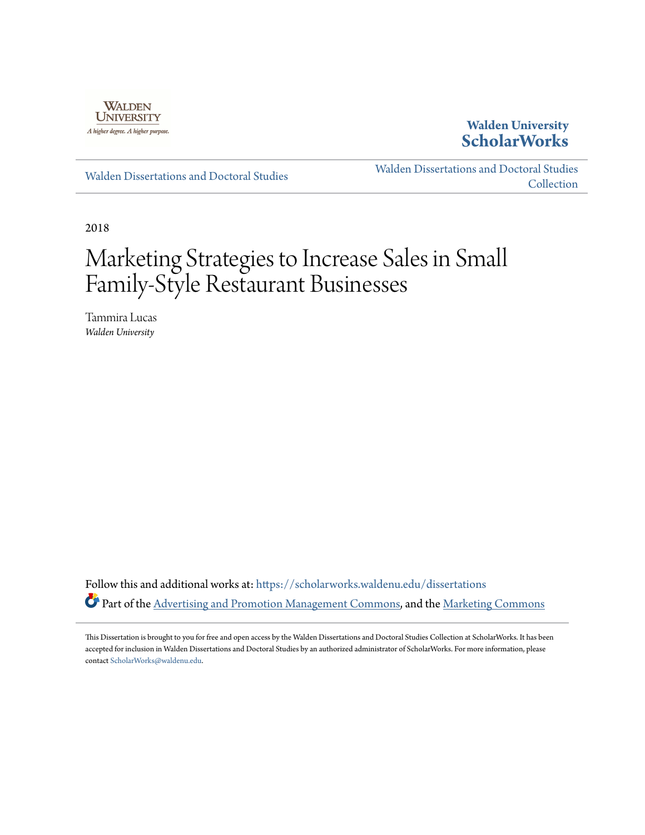

**Walden University [ScholarWorks](https://scholarworks.waldenu.edu?utm_source=scholarworks.waldenu.edu%2Fdissertations%2F5020&utm_medium=PDF&utm_campaign=PDFCoverPages)**

[Walden Dissertations and Doctoral Studies](https://scholarworks.waldenu.edu/dissertations?utm_source=scholarworks.waldenu.edu%2Fdissertations%2F5020&utm_medium=PDF&utm_campaign=PDFCoverPages)

[Walden Dissertations and Doctoral Studies](https://scholarworks.waldenu.edu/dissanddoc?utm_source=scholarworks.waldenu.edu%2Fdissertations%2F5020&utm_medium=PDF&utm_campaign=PDFCoverPages) **[Collection](https://scholarworks.waldenu.edu/dissanddoc?utm_source=scholarworks.waldenu.edu%2Fdissertations%2F5020&utm_medium=PDF&utm_campaign=PDFCoverPages)** 

2018

# Marketing Strategies to Increase Sales in Small Family-Style Restaurant Businesses

Tammira Lucas *Walden University*

Follow this and additional works at: [https://scholarworks.waldenu.edu/dissertations](https://scholarworks.waldenu.edu/dissertations?utm_source=scholarworks.waldenu.edu%2Fdissertations%2F5020&utm_medium=PDF&utm_campaign=PDFCoverPages) Part of the [Advertising and Promotion Management Commons,](http://network.bepress.com/hgg/discipline/626?utm_source=scholarworks.waldenu.edu%2Fdissertations%2F5020&utm_medium=PDF&utm_campaign=PDFCoverPages) and the [Marketing Commons](http://network.bepress.com/hgg/discipline/638?utm_source=scholarworks.waldenu.edu%2Fdissertations%2F5020&utm_medium=PDF&utm_campaign=PDFCoverPages)

This Dissertation is brought to you for free and open access by the Walden Dissertations and Doctoral Studies Collection at ScholarWorks. It has been accepted for inclusion in Walden Dissertations and Doctoral Studies by an authorized administrator of ScholarWorks. For more information, please contact [ScholarWorks@waldenu.edu](mailto:ScholarWorks@waldenu.edu).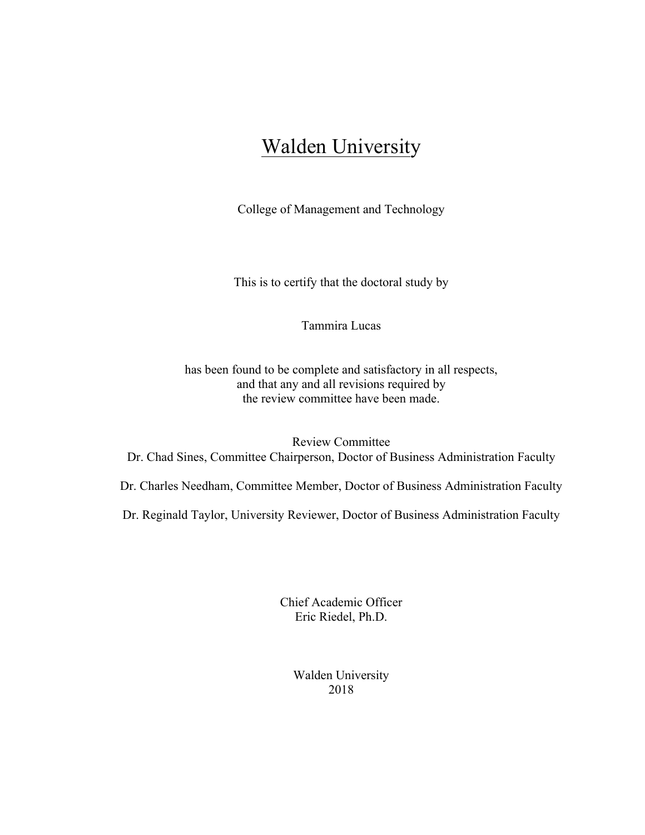# Walden University

College of Management and Technology

This is to certify that the doctoral study by

Tammira Lucas

has been found to be complete and satisfactory in all respects, and that any and all revisions required by the review committee have been made.

Review Committee Dr. Chad Sines, Committee Chairperson, Doctor of Business Administration Faculty

Dr. Charles Needham, Committee Member, Doctor of Business Administration Faculty

Dr. Reginald Taylor, University Reviewer, Doctor of Business Administration Faculty

Chief Academic Officer Eric Riedel, Ph.D.

> Walden University 2018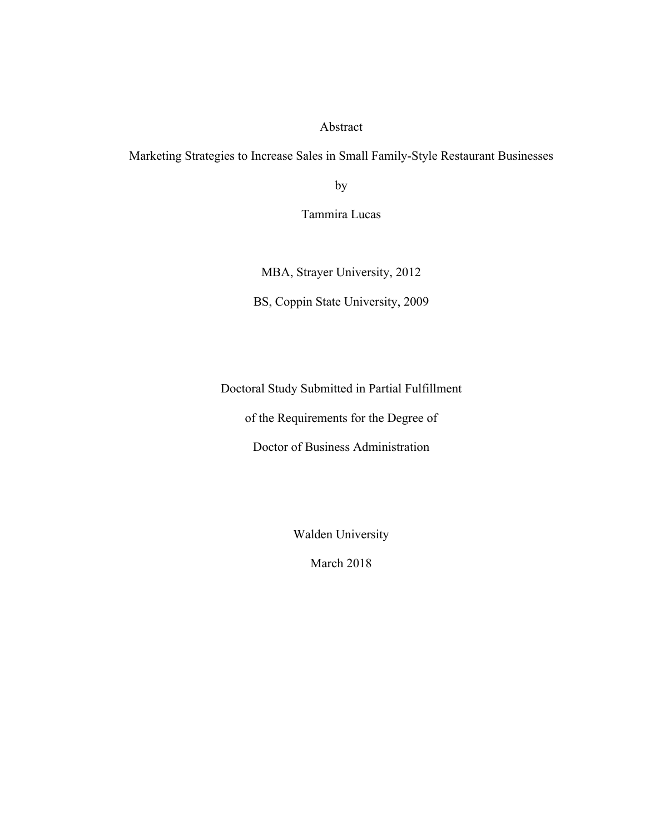# Abstract

Marketing Strategies to Increase Sales in Small Family-Style Restaurant Businesses

by

Tammira Lucas

MBA, Strayer University, 2012

BS, Coppin State University, 2009

Doctoral Study Submitted in Partial Fulfillment

of the Requirements for the Degree of

Doctor of Business Administration

Walden University

March 2018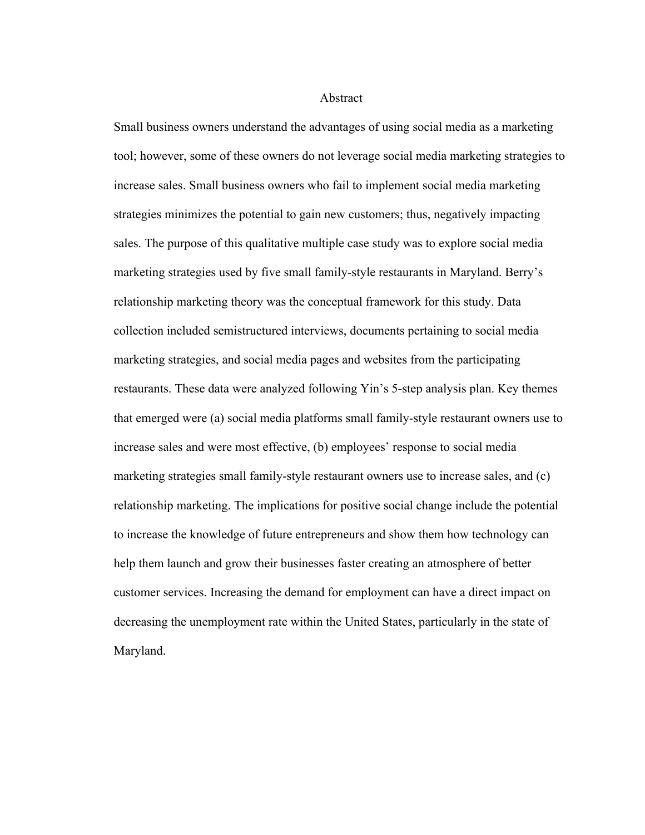#### Abstract

Small business owners understand the advantages of using social media as a marketing tool; however, some of these owners do not leverage social media marketing strategies to increase sales. Small business owners who fail to implement social media marketing strategies minimizes the potential to gain new customers; thus, negatively impacting sales. The purpose of this qualitative multiple case study was to explore social media marketing strategies used by five small family-style restaurants in Maryland. Berry's relationship marketing theory was the conceptual framework for this study. Data collection included semistructured interviews, documents pertaining to social media marketing strategies, and social media pages and websites from the participating restaurants. These data were analyzed following Yin's 5-step analysis plan. Key themes that emerged were (a) social media platforms small family-style restaurant owners use to increase sales and were most effective, (b) employees' response to social media marketing strategies small family-style restaurant owners use to increase sales, and (c) relationship marketing. The implications for positive social change include the potential to increase the knowledge of future entrepreneurs and show them how technology can help them launch and grow their businesses faster creating an atmosphere of better customer services. Increasing the demand for employment can have a direct impact on decreasing the unemployment rate within the United States, particularly in the state of Maryland.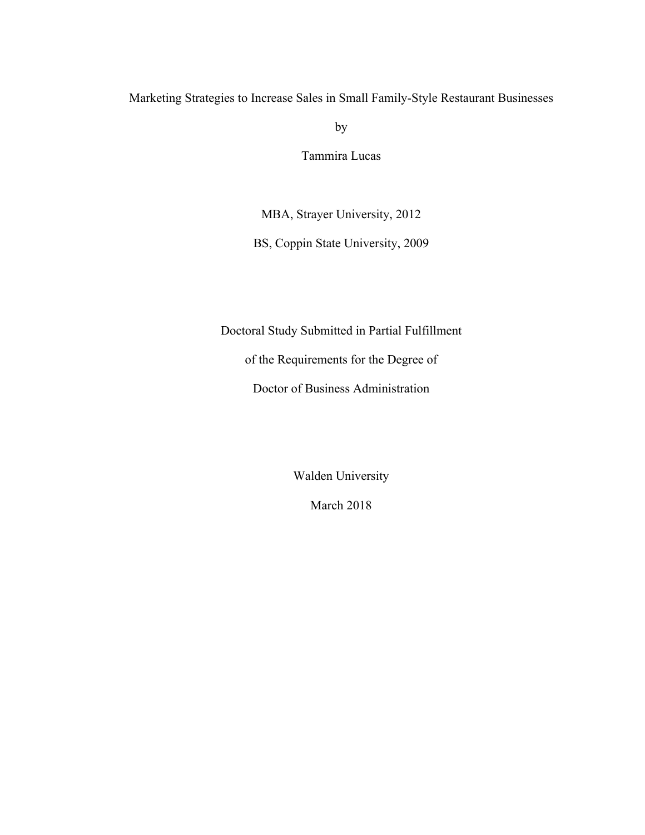Marketing Strategies to Increase Sales in Small Family-Style Restaurant Businesses

by

Tammira Lucas

MBA, Strayer University, 2012

BS, Coppin State University, 2009

Doctoral Study Submitted in Partial Fulfillment

of the Requirements for the Degree of

Doctor of Business Administration

Walden University

March 2018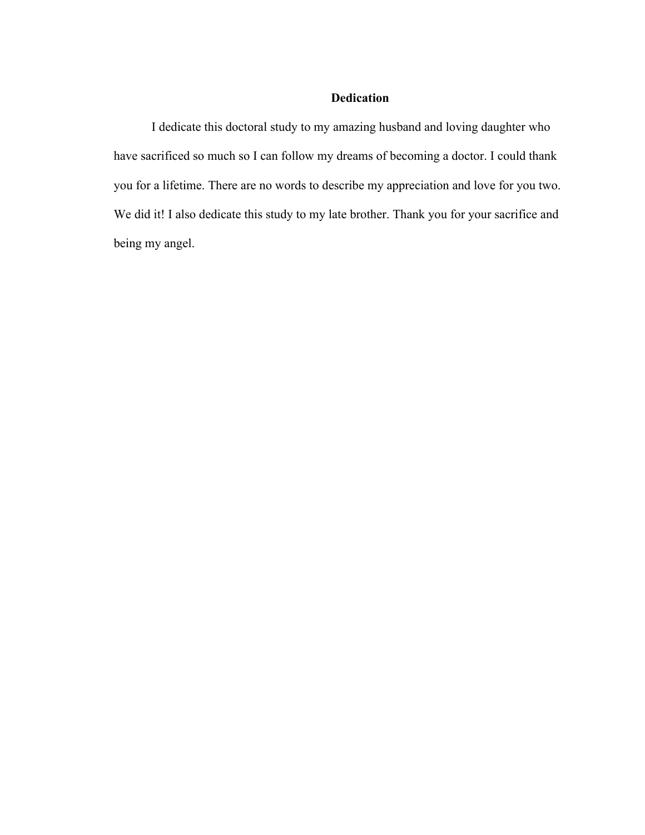## **Dedication**

I dedicate this doctoral study to my amazing husband and loving daughter who have sacrificed so much so I can follow my dreams of becoming a doctor. I could thank you for a lifetime. There are no words to describe my appreciation and love for you two. We did it! I also dedicate this study to my late brother. Thank you for your sacrifice and being my angel.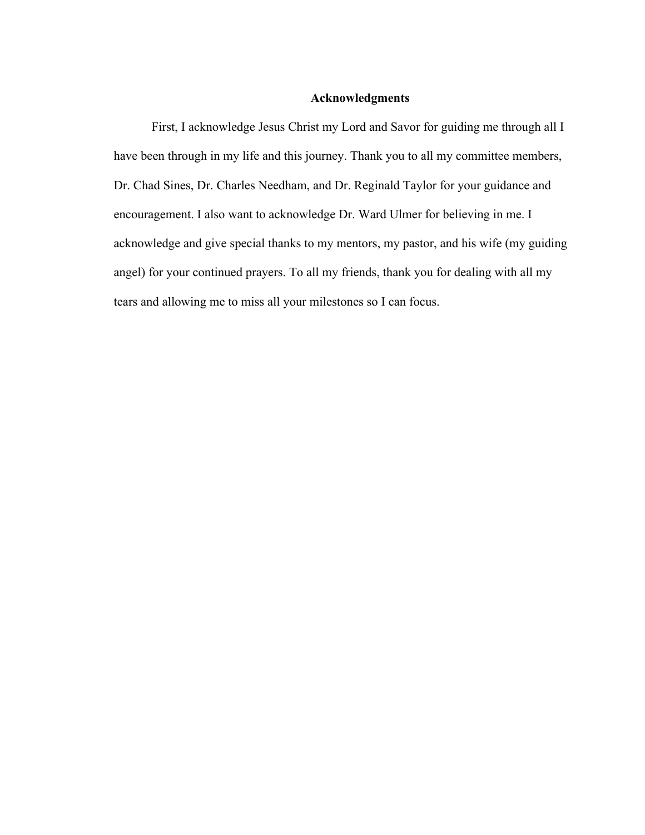#### **Acknowledgments**

First, I acknowledge Jesus Christ my Lord and Savor for guiding me through all I have been through in my life and this journey. Thank you to all my committee members, Dr. Chad Sines, Dr. Charles Needham, and Dr. Reginald Taylor for your guidance and encouragement. I also want to acknowledge Dr. Ward Ulmer for believing in me. I acknowledge and give special thanks to my mentors, my pastor, and his wife (my guiding angel) for your continued prayers. To all my friends, thank you for dealing with all my tears and allowing me to miss all your milestones so I can focus.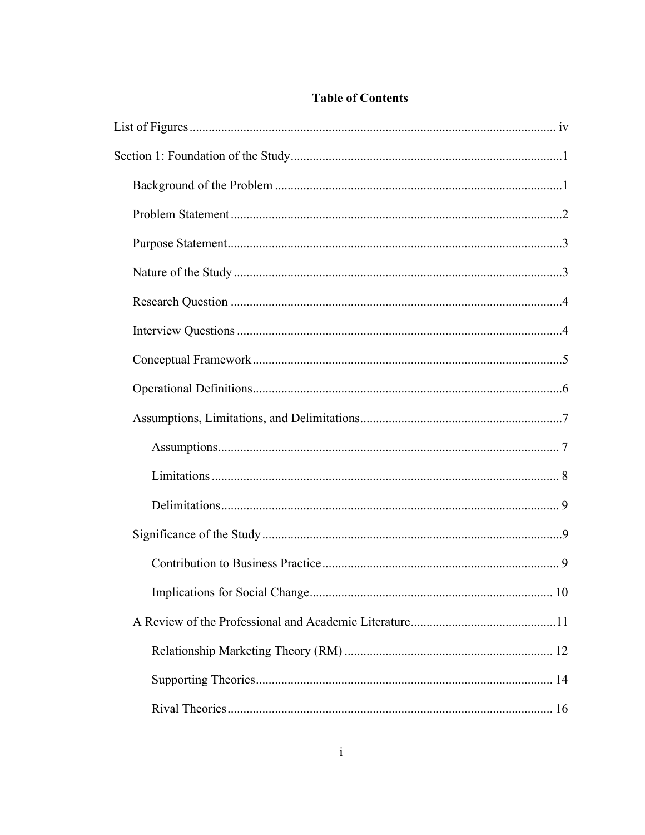# **Table of Contents**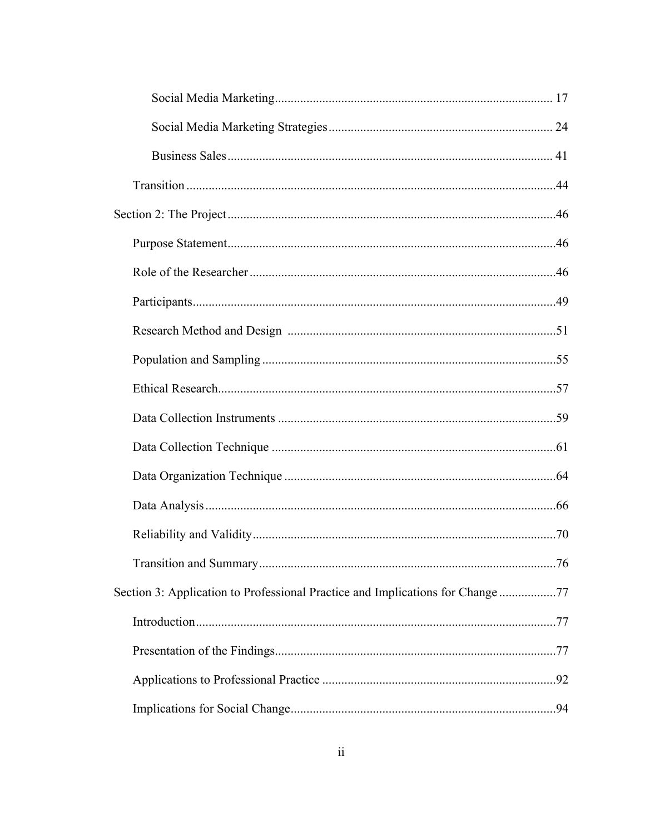| Section 3: Application to Professional Practice and Implications for Change 77 |  |
|--------------------------------------------------------------------------------|--|
|                                                                                |  |
|                                                                                |  |
|                                                                                |  |
|                                                                                |  |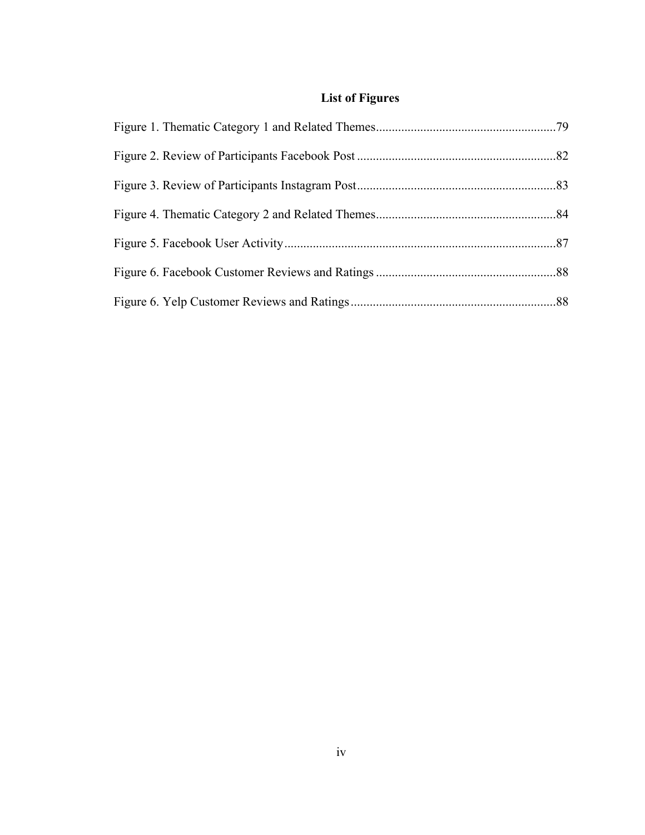# **List of Figures**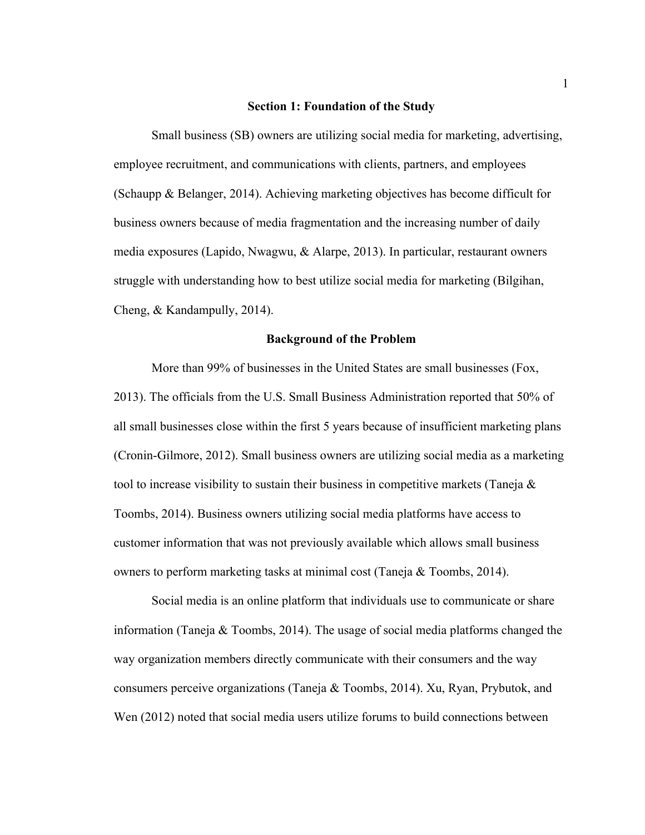#### **Section 1: Foundation of the Study**

Small business (SB) owners are utilizing social media for marketing, advertising, employee recruitment, and communications with clients, partners, and employees (Schaupp & Belanger, 2014). Achieving marketing objectives has become difficult for business owners because of media fragmentation and the increasing number of daily media exposures (Lapido, Nwagwu, & Alarpe, 2013). In particular, restaurant owners struggle with understanding how to best utilize social media for marketing (Bilgihan, Cheng, & Kandampully, 2014).

#### **Background of the Problem**

More than 99% of businesses in the United States are small businesses (Fox, 2013). The officials from the U.S. Small Business Administration reported that 50% of all small businesses close within the first 5 years because of insufficient marketing plans (Cronin-Gilmore, 2012). Small business owners are utilizing social media as a marketing tool to increase visibility to sustain their business in competitive markets (Taneja  $\&$ Toombs, 2014). Business owners utilizing social media platforms have access to customer information that was not previously available which allows small business owners to perform marketing tasks at minimal cost (Taneja & Toombs, 2014).

Social media is an online platform that individuals use to communicate or share information (Taneja & Toombs, 2014). The usage of social media platforms changed the way organization members directly communicate with their consumers and the way consumers perceive organizations (Taneja & Toombs, 2014). Xu, Ryan, Prybutok, and Wen (2012) noted that social media users utilize forums to build connections between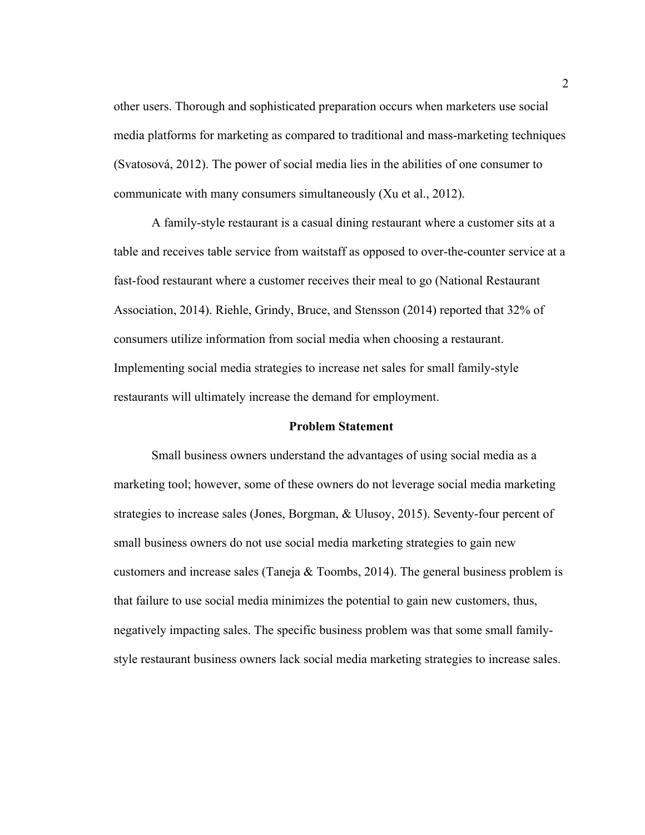other users. Thorough and sophisticated preparation occurs when marketers use social media platforms for marketing as compared to traditional and mass-marketing techniques (Svatosová, 2012). The power of social media lies in the abilities of one consumer to communicate with many consumers simultaneously (Xu et al., 2012).

A family-style restaurant is a casual dining restaurant where a customer sits at a table and receives table service from waitstaff as opposed to over-the-counter service at a fast-food restaurant where a customer receives their meal to go (National Restaurant Association, 2014). Riehle, Grindy, Bruce, and Stensson (2014) reported that 32% of consumers utilize information from social media when choosing a restaurant. Implementing social media strategies to increase net sales for small family-style restaurants will ultimately increase the demand for employment.

#### **Problem Statement**

Small business owners understand the advantages of using social media as a marketing tool; however, some of these owners do not leverage social media marketing strategies to increase sales (Jones, Borgman, & Ulusoy, 2015). Seventy-four percent of small business owners do not use social media marketing strategies to gain new customers and increase sales (Taneja & Toombs, 2014). The general business problem is that failure to use social media minimizes the potential to gain new customers, thus, negatively impacting sales. The specific business problem was that some small familystyle restaurant business owners lack social media marketing strategies to increase sales.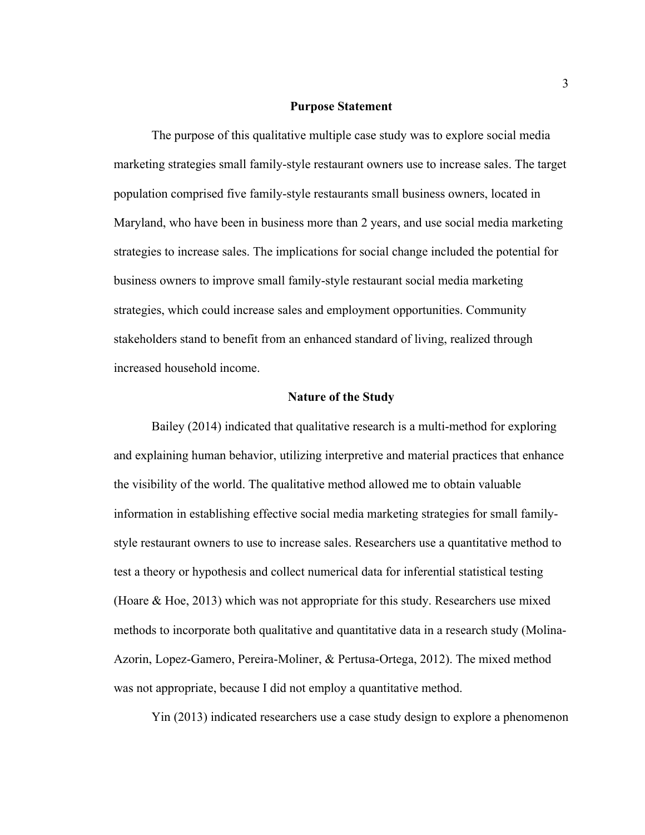#### **Purpose Statement**

The purpose of this qualitative multiple case study was to explore social media marketing strategies small family-style restaurant owners use to increase sales. The target population comprised five family-style restaurants small business owners, located in Maryland, who have been in business more than 2 years, and use social media marketing strategies to increase sales. The implications for social change included the potential for business owners to improve small family-style restaurant social media marketing strategies, which could increase sales and employment opportunities. Community stakeholders stand to benefit from an enhanced standard of living, realized through increased household income.

#### **Nature of the Study**

Bailey (2014) indicated that qualitative research is a multi-method for exploring and explaining human behavior, utilizing interpretive and material practices that enhance the visibility of the world. The qualitative method allowed me to obtain valuable information in establishing effective social media marketing strategies for small familystyle restaurant owners to use to increase sales. Researchers use a quantitative method to test a theory or hypothesis and collect numerical data for inferential statistical testing (Hoare & Hoe, 2013) which was not appropriate for this study. Researchers use mixed methods to incorporate both qualitative and quantitative data in a research study (Molina-Azorin, Lopez-Gamero, Pereira-Moliner, & Pertusa-Ortega, 2012). The mixed method was not appropriate, because I did not employ a quantitative method.

Yin (2013) indicated researchers use a case study design to explore a phenomenon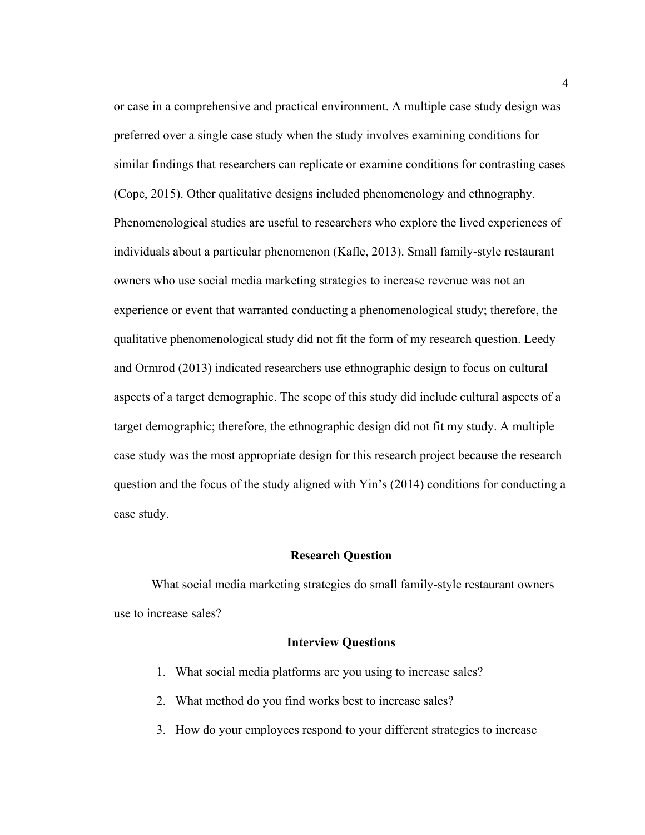or case in a comprehensive and practical environment. A multiple case study design was preferred over a single case study when the study involves examining conditions for similar findings that researchers can replicate or examine conditions for contrasting cases (Cope, 2015). Other qualitative designs included phenomenology and ethnography. Phenomenological studies are useful to researchers who explore the lived experiences of individuals about a particular phenomenon (Kafle, 2013). Small family-style restaurant owners who use social media marketing strategies to increase revenue was not an experience or event that warranted conducting a phenomenological study; therefore, the qualitative phenomenological study did not fit the form of my research question. Leedy and Ormrod (2013) indicated researchers use ethnographic design to focus on cultural aspects of a target demographic. The scope of this study did include cultural aspects of a target demographic; therefore, the ethnographic design did not fit my study. A multiple case study was the most appropriate design for this research project because the research question and the focus of the study aligned with Yin's (2014) conditions for conducting a case study.

#### **Research Question**

What social media marketing strategies do small family-style restaurant owners use to increase sales?

#### **Interview Questions**

- 1. What social media platforms are you using to increase sales?
- 2. What method do you find works best to increase sales?
- 3. How do your employees respond to your different strategies to increase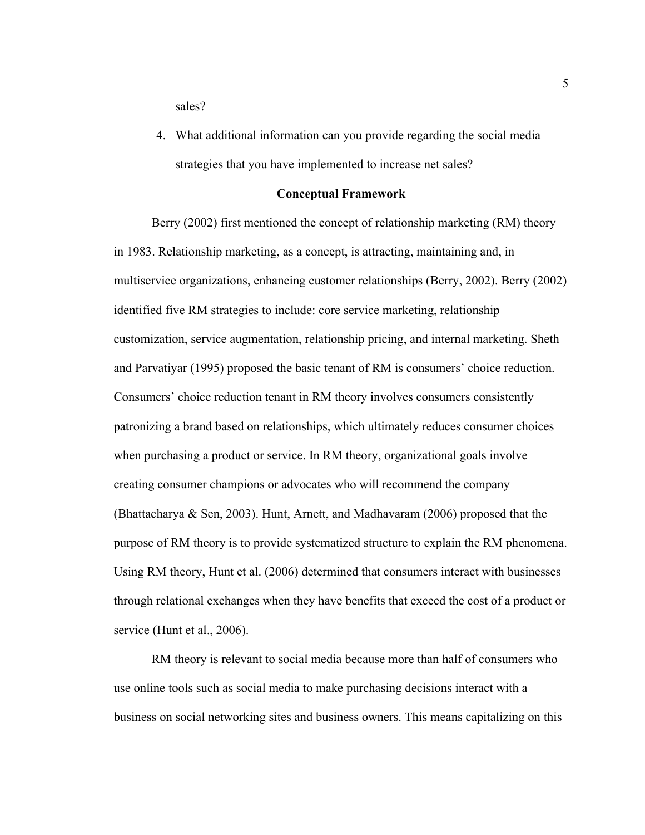sales?

4. What additional information can you provide regarding the social media strategies that you have implemented to increase net sales?

#### **Conceptual Framework**

Berry (2002) first mentioned the concept of relationship marketing (RM) theory in 1983. Relationship marketing, as a concept, is attracting, maintaining and, in multiservice organizations, enhancing customer relationships (Berry, 2002). Berry (2002) identified five RM strategies to include: core service marketing, relationship customization, service augmentation, relationship pricing, and internal marketing. Sheth and Parvatiyar (1995) proposed the basic tenant of RM is consumers' choice reduction. Consumers' choice reduction tenant in RM theory involves consumers consistently patronizing a brand based on relationships, which ultimately reduces consumer choices when purchasing a product or service. In RM theory, organizational goals involve creating consumer champions or advocates who will recommend the company (Bhattacharya & Sen, 2003). Hunt, Arnett, and Madhavaram (2006) proposed that the purpose of RM theory is to provide systematized structure to explain the RM phenomena. Using RM theory, Hunt et al. (2006) determined that consumers interact with businesses through relational exchanges when they have benefits that exceed the cost of a product or service (Hunt et al., 2006).

RM theory is relevant to social media because more than half of consumers who use online tools such as social media to make purchasing decisions interact with a business on social networking sites and business owners. This means capitalizing on this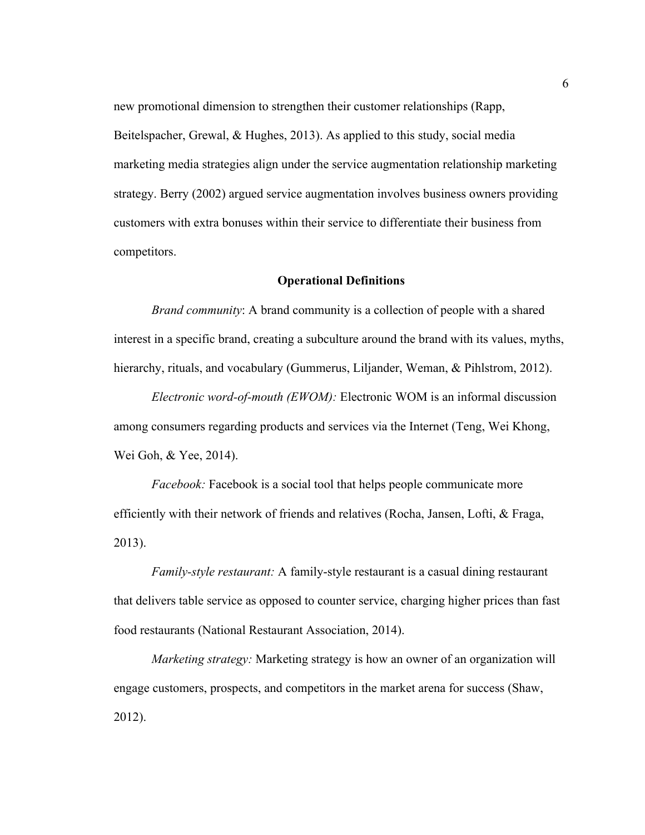new promotional dimension to strengthen their customer relationships (Rapp, Beitelspacher, Grewal, & Hughes, 2013). As applied to this study, social media marketing media strategies align under the service augmentation relationship marketing strategy. Berry (2002) argued service augmentation involves business owners providing customers with extra bonuses within their service to differentiate their business from competitors.

#### **Operational Definitions**

*Brand community*: A brand community is a collection of people with a shared interest in a specific brand, creating a subculture around the brand with its values, myths, hierarchy, rituals, and vocabulary (Gummerus, Liljander, Weman, & Pihlstrom, 2012).

*Electronic word-of-mouth (EWOM):* Electronic WOM is an informal discussion among consumers regarding products and services via the Internet (Teng, Wei Khong, Wei Goh, & Yee, 2014).

*Facebook:* Facebook is a social tool that helps people communicate more efficiently with their network of friends and relatives (Rocha, Jansen, Lofti, & Fraga, 2013).

*Family-style restaurant:* A family-style restaurant is a casual dining restaurant that delivers table service as opposed to counter service, charging higher prices than fast food restaurants (National Restaurant Association, 2014).

*Marketing strategy:* Marketing strategy is how an owner of an organization will engage customers, prospects, and competitors in the market arena for success (Shaw, 2012).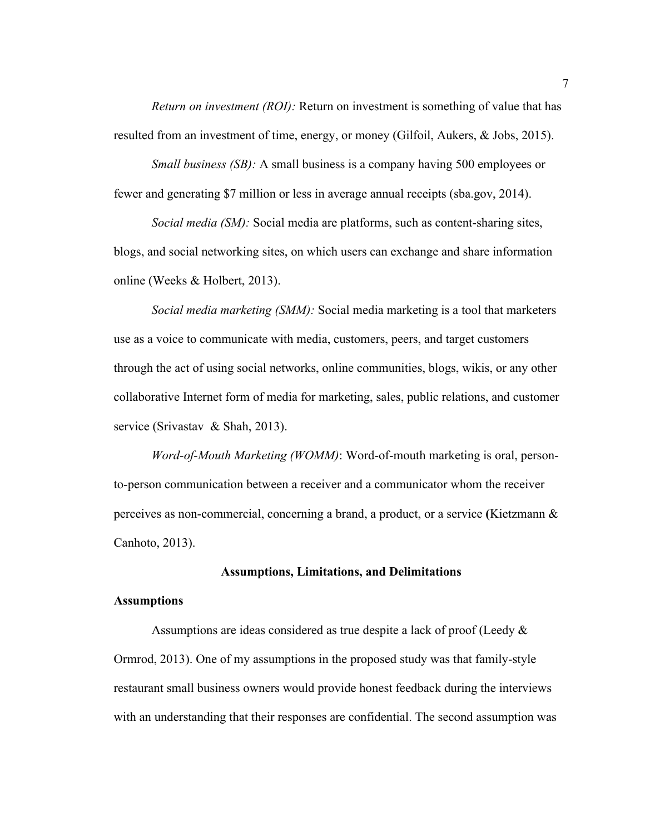*Return on investment (ROI):* Return on investment is something of value that has resulted from an investment of time, energy, or money (Gilfoil, Aukers, & Jobs, 2015).

*Small business (SB):* A small business is a company having 500 employees or fewer and generating \$7 million or less in average annual receipts (sba.gov, 2014).

*Social media (SM):* Social media are platforms, such as content-sharing sites, blogs, and social networking sites, on which users can exchange and share information online (Weeks & Holbert, 2013).

*Social media marketing (SMM):* Social media marketing is a tool that marketers use as a voice to communicate with media, customers, peers, and target customers through the act of using social networks, online communities, blogs, wikis, or any other collaborative Internet form of media for marketing, sales, public relations, and customer service (Srivastav & Shah, 2013).

*Word-of-Mouth Marketing (WOMM)*: Word-of-mouth marketing is oral, personto-person communication between a receiver and a communicator whom the receiver perceives as non-commercial, concerning a brand, a product, or a service **(**Kietzmann & Canhoto, 2013).

#### **Assumptions, Limitations, and Delimitations**

#### **Assumptions**

Assumptions are ideas considered as true despite a lack of proof (Leedy & Ormrod, 2013). One of my assumptions in the proposed study was that family-style restaurant small business owners would provide honest feedback during the interviews with an understanding that their responses are confidential. The second assumption was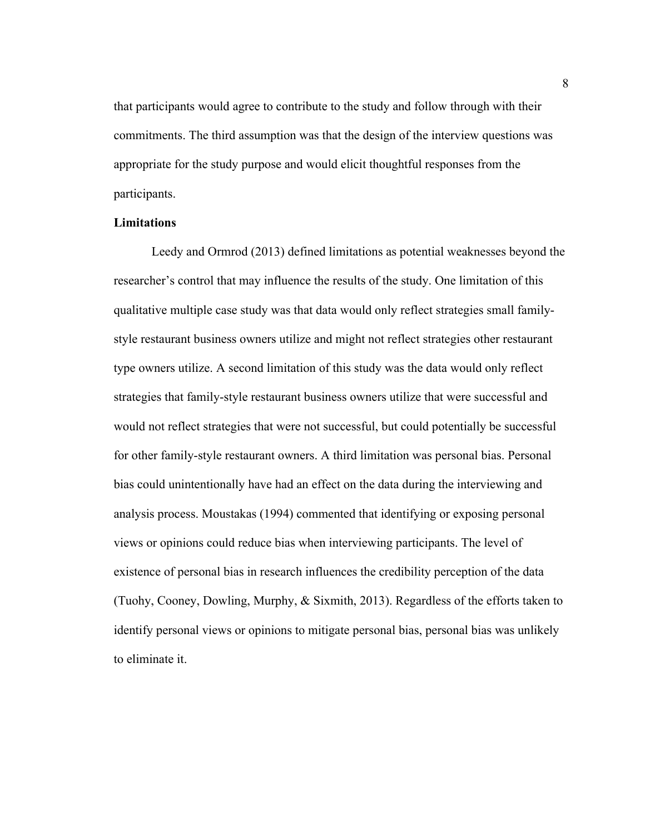that participants would agree to contribute to the study and follow through with their commitments. The third assumption was that the design of the interview questions was appropriate for the study purpose and would elicit thoughtful responses from the participants.

### **Limitations**

Leedy and Ormrod (2013) defined limitations as potential weaknesses beyond the researcher's control that may influence the results of the study. One limitation of this qualitative multiple case study was that data would only reflect strategies small familystyle restaurant business owners utilize and might not reflect strategies other restaurant type owners utilize. A second limitation of this study was the data would only reflect strategies that family-style restaurant business owners utilize that were successful and would not reflect strategies that were not successful, but could potentially be successful for other family-style restaurant owners. A third limitation was personal bias. Personal bias could unintentionally have had an effect on the data during the interviewing and analysis process. Moustakas (1994) commented that identifying or exposing personal views or opinions could reduce bias when interviewing participants. The level of existence of personal bias in research influences the credibility perception of the data (Tuohy, Cooney, Dowling, Murphy, & Sixmith, 2013). Regardless of the efforts taken to identify personal views or opinions to mitigate personal bias, personal bias was unlikely to eliminate it.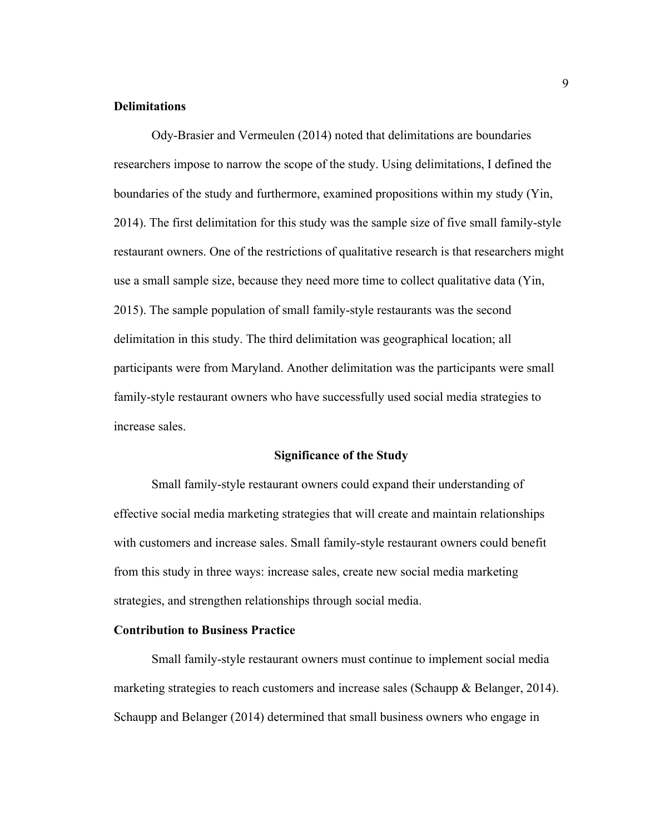#### **Delimitations**

Ody-Brasier and Vermeulen (2014) noted that delimitations are boundaries researchers impose to narrow the scope of the study. Using delimitations, I defined the boundaries of the study and furthermore, examined propositions within my study (Yin, 2014). The first delimitation for this study was the sample size of five small family-style restaurant owners. One of the restrictions of qualitative research is that researchers might use a small sample size, because they need more time to collect qualitative data (Yin, 2015). The sample population of small family-style restaurants was the second delimitation in this study. The third delimitation was geographical location; all participants were from Maryland. Another delimitation was the participants were small family-style restaurant owners who have successfully used social media strategies to increase sales.

#### **Significance of the Study**

Small family-style restaurant owners could expand their understanding of effective social media marketing strategies that will create and maintain relationships with customers and increase sales. Small family-style restaurant owners could benefit from this study in three ways: increase sales, create new social media marketing strategies, and strengthen relationships through social media.

#### **Contribution to Business Practice**

Small family-style restaurant owners must continue to implement social media marketing strategies to reach customers and increase sales (Schaupp  $\&$  Belanger, 2014). Schaupp and Belanger (2014) determined that small business owners who engage in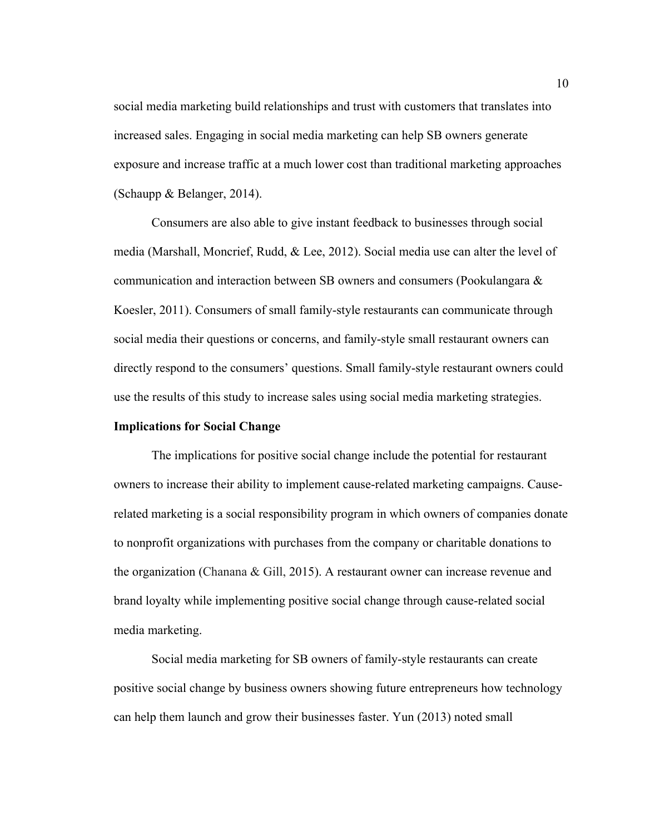social media marketing build relationships and trust with customers that translates into increased sales. Engaging in social media marketing can help SB owners generate exposure and increase traffic at a much lower cost than traditional marketing approaches (Schaupp & Belanger, 2014).

Consumers are also able to give instant feedback to businesses through social media (Marshall, Moncrief, Rudd, & Lee, 2012). Social media use can alter the level of communication and interaction between SB owners and consumers (Pookulangara & Koesler, 2011). Consumers of small family-style restaurants can communicate through social media their questions or concerns, and family-style small restaurant owners can directly respond to the consumers' questions. Small family-style restaurant owners could use the results of this study to increase sales using social media marketing strategies.

#### **Implications for Social Change**

The implications for positive social change include the potential for restaurant owners to increase their ability to implement cause-related marketing campaigns. Causerelated marketing is a social responsibility program in which owners of companies donate to nonprofit organizations with purchases from the company or charitable donations to the organization (Chanana & Gill, 2015). A restaurant owner can increase revenue and brand loyalty while implementing positive social change through cause-related social media marketing.

Social media marketing for SB owners of family-style restaurants can create positive social change by business owners showing future entrepreneurs how technology can help them launch and grow their businesses faster. Yun (2013) noted small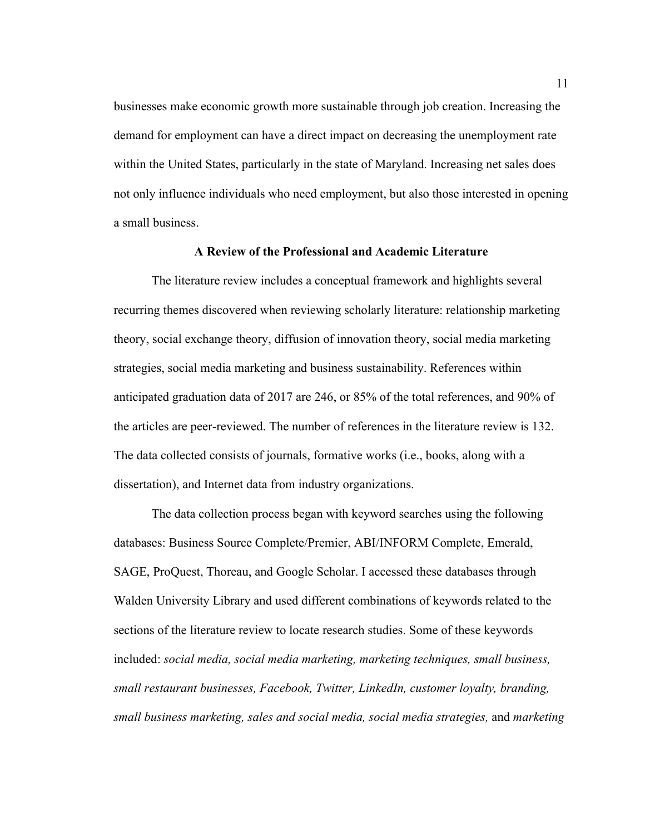businesses make economic growth more sustainable through job creation. Increasing the demand for employment can have a direct impact on decreasing the unemployment rate within the United States, particularly in the state of Maryland. Increasing net sales does not only influence individuals who need employment, but also those interested in opening a small business.

## **A Review of the Professional and Academic Literature**

The literature review includes a conceptual framework and highlights several recurring themes discovered when reviewing scholarly literature: relationship marketing theory, social exchange theory, diffusion of innovation theory, social media marketing strategies, social media marketing and business sustainability. References within anticipated graduation data of 2017 are 246, or 85% of the total references, and 90% of the articles are peer-reviewed. The number of references in the literature review is 132. The data collected consists of journals, formative works (i.e., books, along with a dissertation), and Internet data from industry organizations.

The data collection process began with keyword searches using the following databases: Business Source Complete/Premier, ABI/INFORM Complete, Emerald, SAGE, ProQuest, Thoreau, and Google Scholar. I accessed these databases through Walden University Library and used different combinations of keywords related to the sections of the literature review to locate research studies. Some of these keywords included: *social media, social media marketing, marketing techniques, small business, small restaurant businesses, Facebook, Twitter, LinkedIn, customer loyalty, branding, small business marketing, sales and social media, social media strategies,* and *marketing*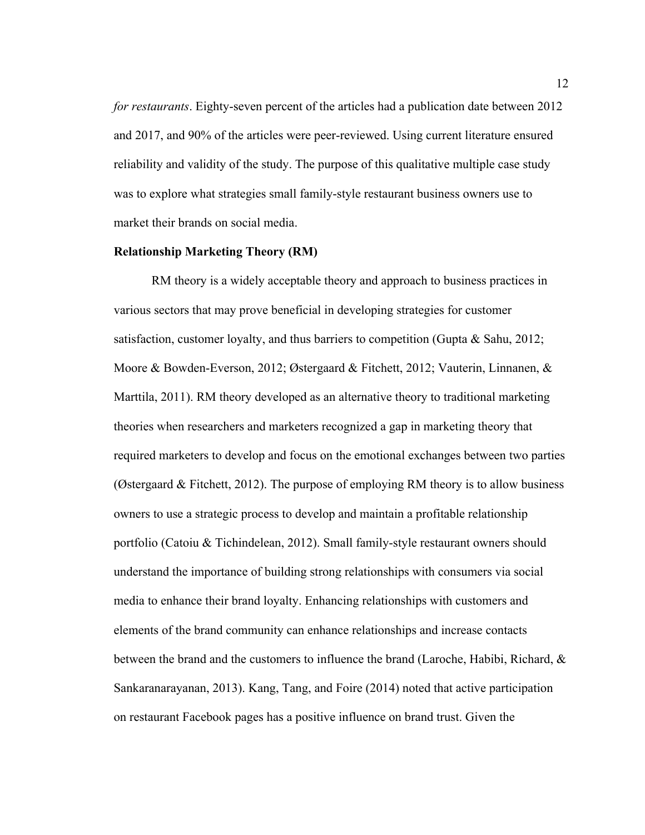*for restaurants*. Eighty-seven percent of the articles had a publication date between 2012 and 2017, and 90% of the articles were peer-reviewed. Using current literature ensured reliability and validity of the study. The purpose of this qualitative multiple case study was to explore what strategies small family-style restaurant business owners use to market their brands on social media.

#### **Relationship Marketing Theory (RM)**

RM theory is a widely acceptable theory and approach to business practices in various sectors that may prove beneficial in developing strategies for customer satisfaction, customer loyalty, and thus barriers to competition (Gupta & Sahu, 2012; Moore & Bowden-Everson, 2012; Østergaard & Fitchett, 2012; Vauterin, Linnanen, & Marttila, 2011). RM theory developed as an alternative theory to traditional marketing theories when researchers and marketers recognized a gap in marketing theory that required marketers to develop and focus on the emotional exchanges between two parties (Østergaard & Fitchett, 2012). The purpose of employing RM theory is to allow business owners to use a strategic process to develop and maintain a profitable relationship portfolio (Catoiu & Tichindelean, 2012). Small family-style restaurant owners should understand the importance of building strong relationships with consumers via social media to enhance their brand loyalty. Enhancing relationships with customers and elements of the brand community can enhance relationships and increase contacts between the brand and the customers to influence the brand (Laroche, Habibi, Richard, & Sankaranarayanan, 2013). Kang, Tang, and Foire (2014) noted that active participation on restaurant Facebook pages has a positive influence on brand trust. Given the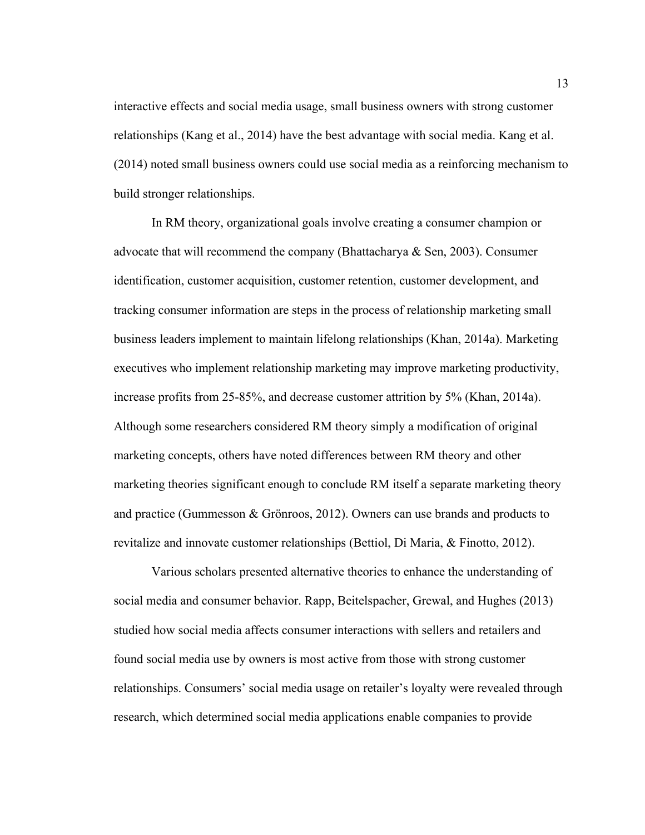interactive effects and social media usage, small business owners with strong customer relationships (Kang et al., 2014) have the best advantage with social media. Kang et al. (2014) noted small business owners could use social media as a reinforcing mechanism to build stronger relationships.

In RM theory, organizational goals involve creating a consumer champion or advocate that will recommend the company (Bhattacharya  $\&$  Sen, 2003). Consumer identification, customer acquisition, customer retention, customer development, and tracking consumer information are steps in the process of relationship marketing small business leaders implement to maintain lifelong relationships (Khan, 2014a). Marketing executives who implement relationship marketing may improve marketing productivity, increase profits from 25-85%, and decrease customer attrition by 5% (Khan, 2014a). Although some researchers considered RM theory simply a modification of original marketing concepts, others have noted differences between RM theory and other marketing theories significant enough to conclude RM itself a separate marketing theory and practice (Gummesson & Grönroos, 2012). Owners can use brands and products to revitalize and innovate customer relationships (Bettiol, Di Maria, & Finotto, 2012).

Various scholars presented alternative theories to enhance the understanding of social media and consumer behavior. Rapp, Beitelspacher, Grewal, and Hughes (2013) studied how social media affects consumer interactions with sellers and retailers and found social media use by owners is most active from those with strong customer relationships. Consumers' social media usage on retailer's loyalty were revealed through research, which determined social media applications enable companies to provide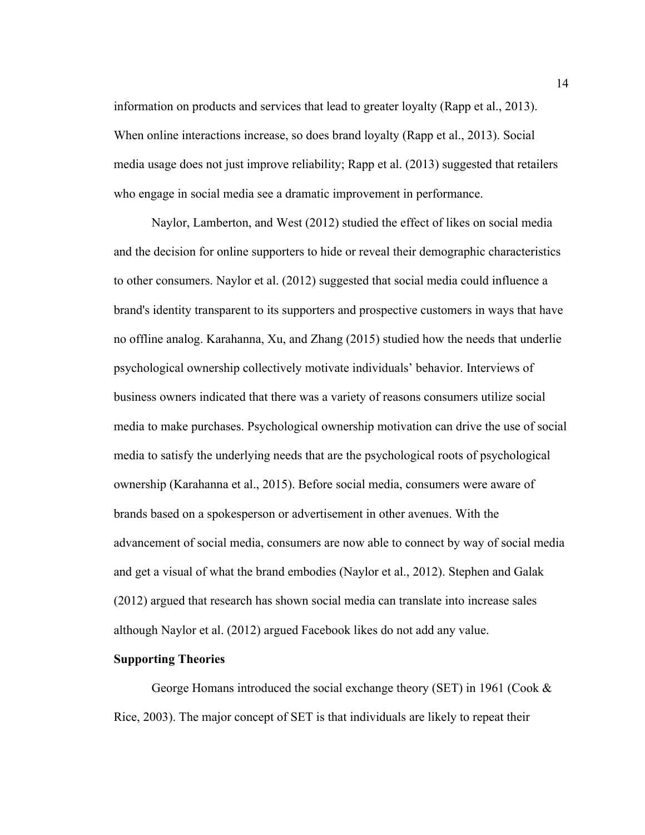information on products and services that lead to greater loyalty (Rapp et al., 2013). When online interactions increase, so does brand loyalty (Rapp et al., 2013). Social media usage does not just improve reliability; Rapp et al. (2013) suggested that retailers who engage in social media see a dramatic improvement in performance.

Naylor, Lamberton, and West (2012) studied the effect of likes on social media and the decision for online supporters to hide or reveal their demographic characteristics to other consumers. Naylor et al. (2012) suggested that social media could influence a brand's identity transparent to its supporters and prospective customers in ways that have no offline analog. Karahanna, Xu, and Zhang (2015) studied how the needs that underlie psychological ownership collectively motivate individuals' behavior. Interviews of business owners indicated that there was a variety of reasons consumers utilize social media to make purchases. Psychological ownership motivation can drive the use of social media to satisfy the underlying needs that are the psychological roots of psychological ownership (Karahanna et al., 2015). Before social media, consumers were aware of brands based on a spokesperson or advertisement in other avenues. With the advancement of social media, consumers are now able to connect by way of social media and get a visual of what the brand embodies (Naylor et al., 2012). Stephen and Galak (2012) argued that research has shown social media can translate into increase sales although Naylor et al. (2012) argued Facebook likes do not add any value.

#### **Supporting Theories**

George Homans introduced the social exchange theory (SET) in 1961 (Cook & Rice, 2003). The major concept of SET is that individuals are likely to repeat their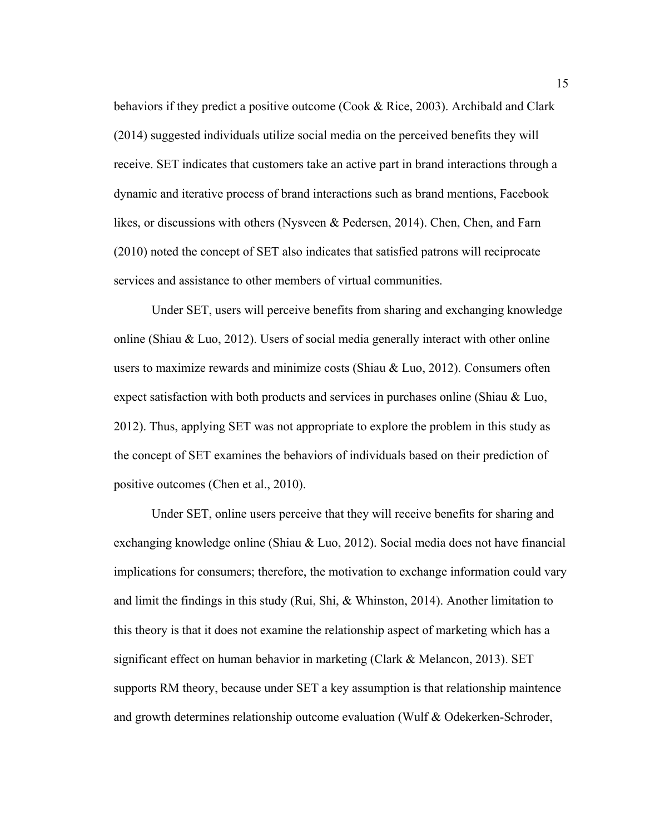behaviors if they predict a positive outcome (Cook & Rice, 2003). Archibald and Clark (2014) suggested individuals utilize social media on the perceived benefits they will receive. SET indicates that customers take an active part in brand interactions through a dynamic and iterative process of brand interactions such as brand mentions, Facebook likes, or discussions with others (Nysveen & Pedersen, 2014). Chen, Chen, and Farn (2010) noted the concept of SET also indicates that satisfied patrons will reciprocate services and assistance to other members of virtual communities.

Under SET, users will perceive benefits from sharing and exchanging knowledge online (Shiau  $&\&$  Luo, 2012). Users of social media generally interact with other online users to maximize rewards and minimize costs (Shiau & Luo, 2012). Consumers often expect satisfaction with both products and services in purchases online (Shiau  $& \& \text{Luo}$ , 2012). Thus, applying SET was not appropriate to explore the problem in this study as the concept of SET examines the behaviors of individuals based on their prediction of positive outcomes (Chen et al., 2010).

Under SET, online users perceive that they will receive benefits for sharing and exchanging knowledge online (Shiau & Luo, 2012). Social media does not have financial implications for consumers; therefore, the motivation to exchange information could vary and limit the findings in this study (Rui, Shi,  $\&$  Whinston, 2014). Another limitation to this theory is that it does not examine the relationship aspect of marketing which has a significant effect on human behavior in marketing (Clark & Melancon, 2013). SET supports RM theory, because under SET a key assumption is that relationship maintence and growth determines relationship outcome evaluation (Wulf & Odekerken-Schroder,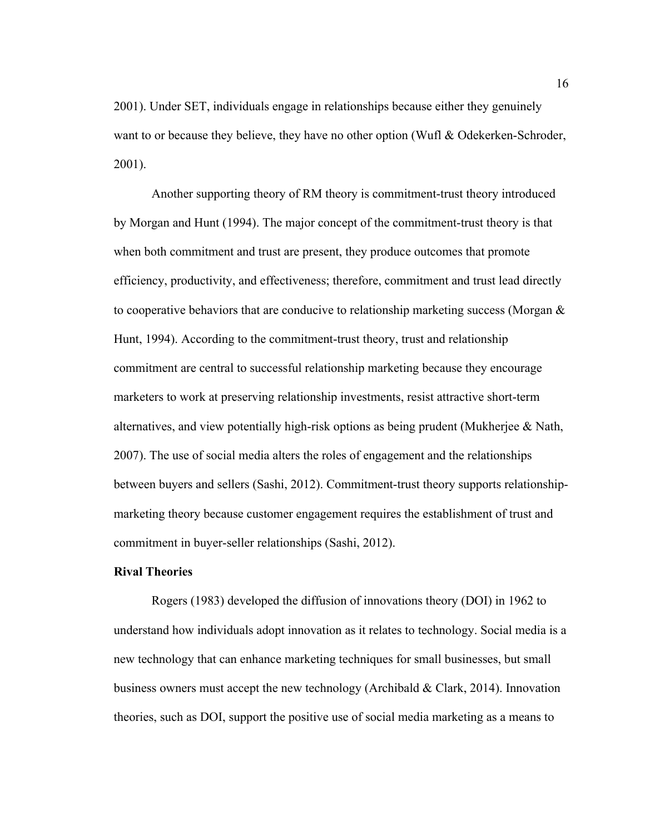2001). Under SET, individuals engage in relationships because either they genuinely want to or because they believe, they have no other option (Wufl & Odekerken-Schroder, 2001).

Another supporting theory of RM theory is commitment-trust theory introduced by Morgan and Hunt (1994). The major concept of the commitment-trust theory is that when both commitment and trust are present, they produce outcomes that promote efficiency, productivity, and effectiveness; therefore, commitment and trust lead directly to cooperative behaviors that are conducive to relationship marketing success (Morgan  $\&$ Hunt, 1994). According to the commitment-trust theory, trust and relationship commitment are central to successful relationship marketing because they encourage marketers to work at preserving relationship investments, resist attractive short-term alternatives, and view potentially high-risk options as being prudent (Mukherjee  $\&$  Nath, 2007). The use of social media alters the roles of engagement and the relationships between buyers and sellers (Sashi, 2012). Commitment-trust theory supports relationshipmarketing theory because customer engagement requires the establishment of trust and commitment in buyer-seller relationships (Sashi, 2012).

#### **Rival Theories**

Rogers (1983) developed the diffusion of innovations theory (DOI) in 1962 to understand how individuals adopt innovation as it relates to technology. Social media is a new technology that can enhance marketing techniques for small businesses, but small business owners must accept the new technology (Archibald & Clark, 2014). Innovation theories, such as DOI, support the positive use of social media marketing as a means to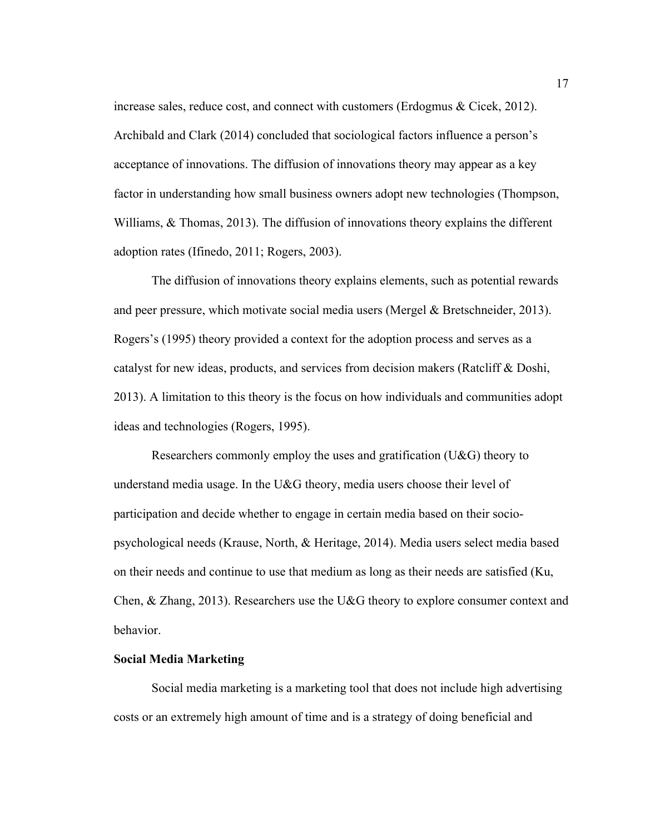increase sales, reduce cost, and connect with customers (Erdogmus & Cicek, 2012). Archibald and Clark (2014) concluded that sociological factors influence a person's acceptance of innovations. The diffusion of innovations theory may appear as a key factor in understanding how small business owners adopt new technologies (Thompson, Williams, & Thomas, 2013). The diffusion of innovations theory explains the different adoption rates (Ifinedo, 2011; Rogers, 2003).

The diffusion of innovations theory explains elements, such as potential rewards and peer pressure, which motivate social media users (Mergel & Bretschneider, 2013). Rogers's (1995) theory provided a context for the adoption process and serves as a catalyst for new ideas, products, and services from decision makers (Ratcliff & Doshi, 2013). A limitation to this theory is the focus on how individuals and communities adopt ideas and technologies (Rogers, 1995).

Researchers commonly employ the uses and gratification (U&G) theory to understand media usage. In the U&G theory, media users choose their level of participation and decide whether to engage in certain media based on their sociopsychological needs (Krause, North, & Heritage, 2014). Media users select media based on their needs and continue to use that medium as long as their needs are satisfied (Ku, Chen, & Zhang, 2013). Researchers use the U&G theory to explore consumer context and behavior.

#### **Social Media Marketing**

Social media marketing is a marketing tool that does not include high advertising costs or an extremely high amount of time and is a strategy of doing beneficial and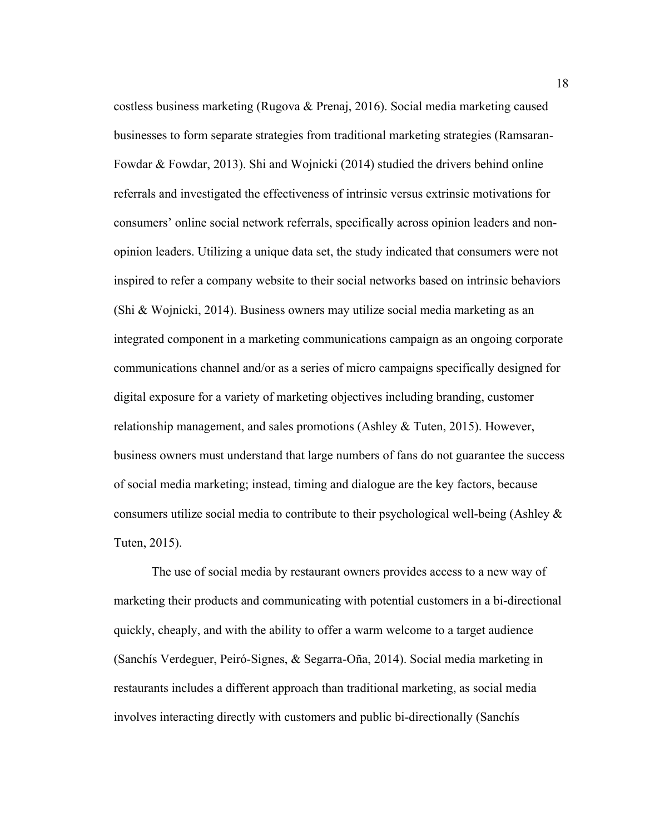costless business marketing (Rugova & Prenaj, 2016). Social media marketing caused businesses to form separate strategies from traditional marketing strategies (Ramsaran-Fowdar & Fowdar, 2013). Shi and Wojnicki (2014) studied the drivers behind online referrals and investigated the effectiveness of intrinsic versus extrinsic motivations for consumers' online social network referrals, specifically across opinion leaders and nonopinion leaders. Utilizing a unique data set, the study indicated that consumers were not inspired to refer a company website to their social networks based on intrinsic behaviors (Shi & Wojnicki, 2014). Business owners may utilize social media marketing as an integrated component in a marketing communications campaign as an ongoing corporate communications channel and/or as a series of micro campaigns specifically designed for digital exposure for a variety of marketing objectives including branding, customer relationship management, and sales promotions (Ashley & Tuten, 2015). However, business owners must understand that large numbers of fans do not guarantee the success of social media marketing; instead, timing and dialogue are the key factors, because consumers utilize social media to contribute to their psychological well-being (Ashley  $\&$ Tuten, 2015).

The use of social media by restaurant owners provides access to a new way of marketing their products and communicating with potential customers in a bi-directional quickly, cheaply, and with the ability to offer a warm welcome to a target audience (Sanchís Verdeguer, Peiró-Signes, & Segarra-Oña, 2014). Social media marketing in restaurants includes a different approach than traditional marketing, as social media involves interacting directly with customers and public bi-directionally (Sanchís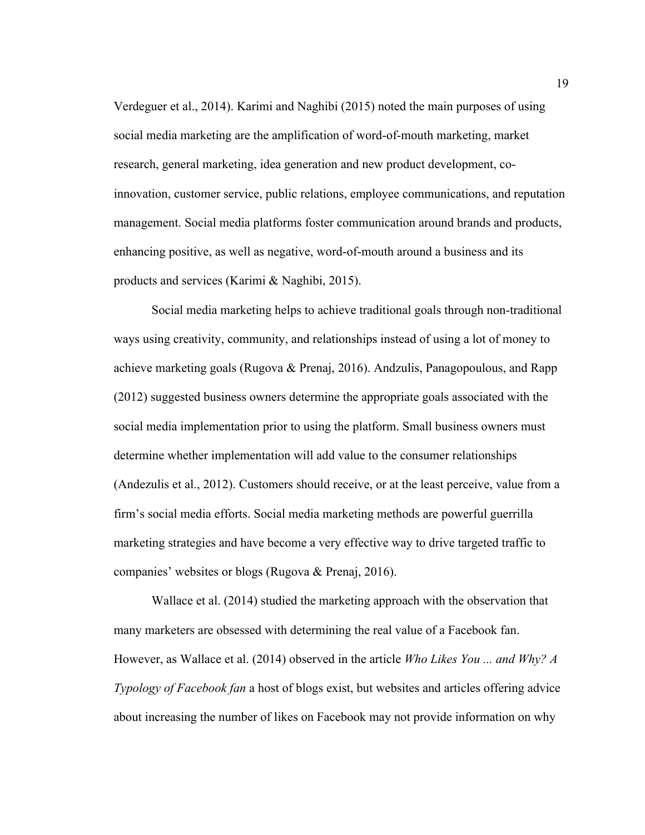Verdeguer et al., 2014). Karimi and Naghibi (2015) noted the main purposes of using social media marketing are the amplification of word-of-mouth marketing, market research, general marketing, idea generation and new product development, coinnovation, customer service, public relations, employee communications, and reputation management. Social media platforms foster communication around brands and products, enhancing positive, as well as negative, word-of-mouth around a business and its products and services (Karimi & Naghibi, 2015).

Social media marketing helps to achieve traditional goals through non-traditional ways using creativity, community, and relationships instead of using a lot of money to achieve marketing goals (Rugova & Prenaj, 2016). Andzulis, Panagopoulous, and Rapp (2012) suggested business owners determine the appropriate goals associated with the social media implementation prior to using the platform. Small business owners must determine whether implementation will add value to the consumer relationships (Andezulis et al., 2012). Customers should receive, or at the least perceive, value from a firm's social media efforts. Social media marketing methods are powerful guerrilla marketing strategies and have become a very effective way to drive targeted traffic to companies' websites or blogs (Rugova & Prenaj, 2016).

Wallace et al. (2014) studied the marketing approach with the observation that many marketers are obsessed with determining the real value of a Facebook fan. However, as Wallace et al. (2014) observed in the article *Who Likes You ... and Why? A Typology of Facebook fan* a host of blogs exist, but websites and articles offering advice about increasing the number of likes on Facebook may not provide information on why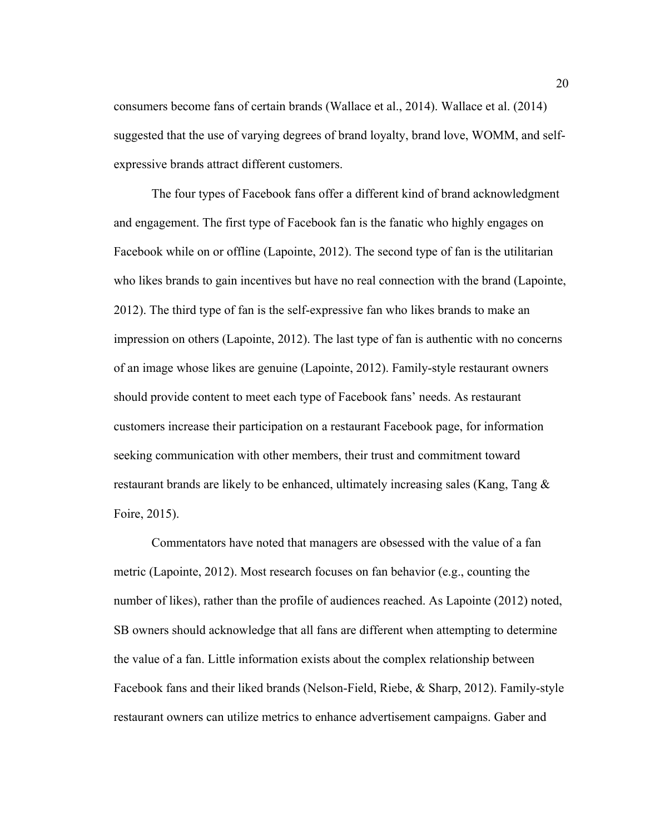consumers become fans of certain brands (Wallace et al., 2014). Wallace et al. (2014) suggested that the use of varying degrees of brand loyalty, brand love, WOMM, and selfexpressive brands attract different customers.

The four types of Facebook fans offer a different kind of brand acknowledgment and engagement. The first type of Facebook fan is the fanatic who highly engages on Facebook while on or offline (Lapointe, 2012). The second type of fan is the utilitarian who likes brands to gain incentives but have no real connection with the brand (Lapointe, 2012). The third type of fan is the self-expressive fan who likes brands to make an impression on others (Lapointe, 2012). The last type of fan is authentic with no concerns of an image whose likes are genuine (Lapointe, 2012). Family-style restaurant owners should provide content to meet each type of Facebook fans' needs. As restaurant customers increase their participation on a restaurant Facebook page, for information seeking communication with other members, their trust and commitment toward restaurant brands are likely to be enhanced, ultimately increasing sales (Kang, Tang  $\&$ Foire, 2015).

Commentators have noted that managers are obsessed with the value of a fan metric (Lapointe, 2012). Most research focuses on fan behavior (e.g., counting the number of likes), rather than the profile of audiences reached. As Lapointe (2012) noted, SB owners should acknowledge that all fans are different when attempting to determine the value of a fan. Little information exists about the complex relationship between Facebook fans and their liked brands (Nelson-Field, Riebe, & Sharp, 2012). Family-style restaurant owners can utilize metrics to enhance advertisement campaigns. Gaber and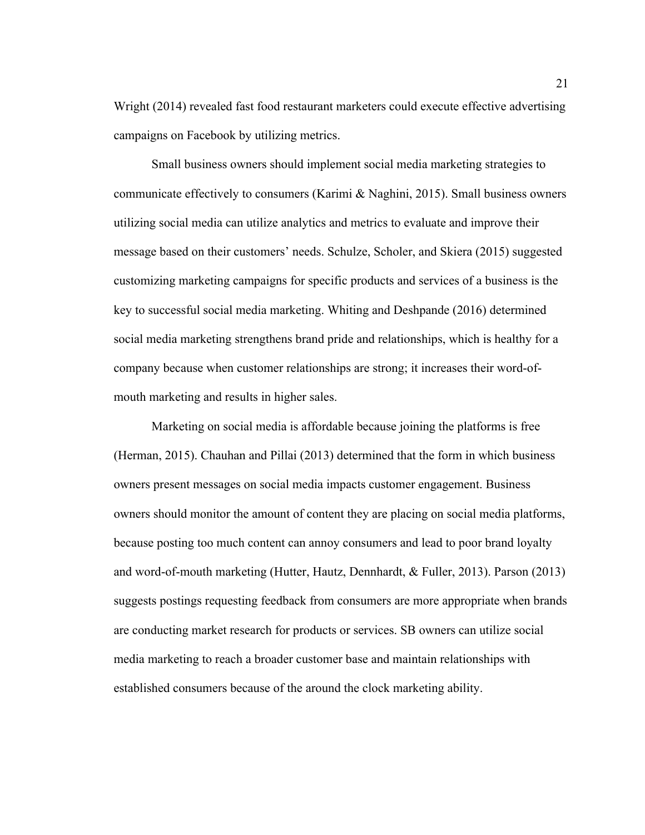Wright (2014) revealed fast food restaurant marketers could execute effective advertising campaigns on Facebook by utilizing metrics.

Small business owners should implement social media marketing strategies to communicate effectively to consumers (Karimi  $\&$  Naghini, 2015). Small business owners utilizing social media can utilize analytics and metrics to evaluate and improve their message based on their customers' needs. Schulze, Scholer, and Skiera (2015) suggested customizing marketing campaigns for specific products and services of a business is the key to successful social media marketing. Whiting and Deshpande (2016) determined social media marketing strengthens brand pride and relationships, which is healthy for a company because when customer relationships are strong; it increases their word-ofmouth marketing and results in higher sales.

Marketing on social media is affordable because joining the platforms is free (Herman, 2015). Chauhan and Pillai (2013) determined that the form in which business owners present messages on social media impacts customer engagement. Business owners should monitor the amount of content they are placing on social media platforms, because posting too much content can annoy consumers and lead to poor brand loyalty and word-of-mouth marketing (Hutter, Hautz, Dennhardt, & Fuller, 2013). Parson (2013) suggests postings requesting feedback from consumers are more appropriate when brands are conducting market research for products or services. SB owners can utilize social media marketing to reach a broader customer base and maintain relationships with established consumers because of the around the clock marketing ability.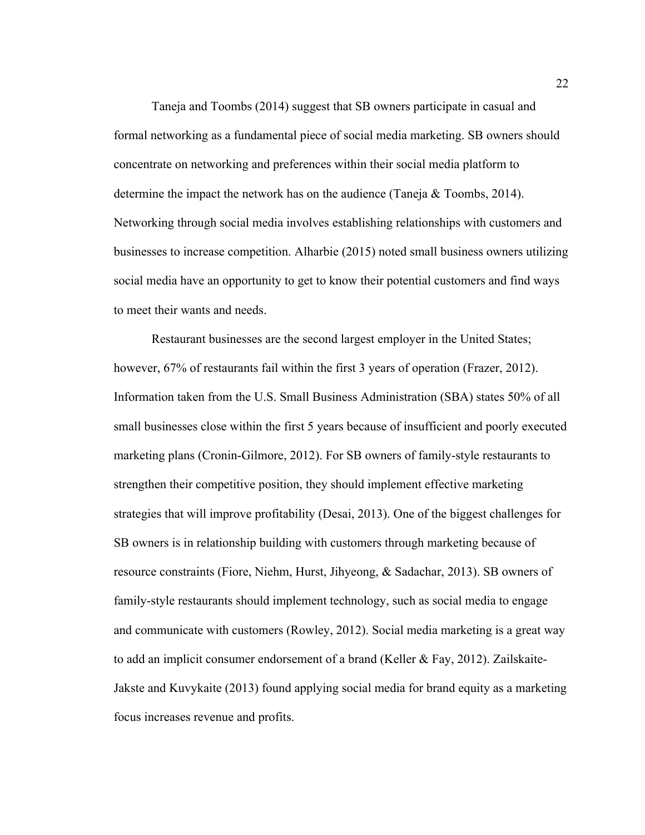Taneja and Toombs (2014) suggest that SB owners participate in casual and formal networking as a fundamental piece of social media marketing. SB owners should concentrate on networking and preferences within their social media platform to determine the impact the network has on the audience (Taneja & Toombs, 2014). Networking through social media involves establishing relationships with customers and businesses to increase competition. Alharbie (2015) noted small business owners utilizing social media have an opportunity to get to know their potential customers and find ways to meet their wants and needs.

Restaurant businesses are the second largest employer in the United States; however, 67% of restaurants fail within the first 3 years of operation (Frazer, 2012). Information taken from the U.S. Small Business Administration (SBA) states 50% of all small businesses close within the first 5 years because of insufficient and poorly executed marketing plans (Cronin-Gilmore, 2012). For SB owners of family-style restaurants to strengthen their competitive position, they should implement effective marketing strategies that will improve profitability (Desai, 2013). One of the biggest challenges for SB owners is in relationship building with customers through marketing because of resource constraints (Fiore, Niehm, Hurst, Jihyeong, & Sadachar, 2013). SB owners of family-style restaurants should implement technology, such as social media to engage and communicate with customers (Rowley, 2012). Social media marketing is a great way to add an implicit consumer endorsement of a brand (Keller & Fay, 2012). Zailskaite-Jakste and Kuvykaite (2013) found applying social media for brand equity as a marketing focus increases revenue and profits.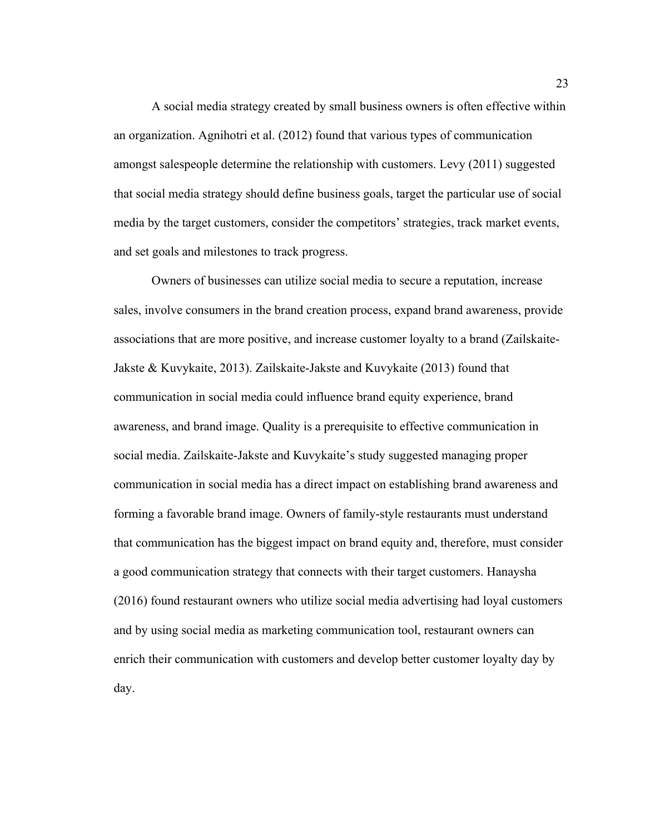A social media strategy created by small business owners is often effective within an organization. Agnihotri et al. (2012) found that various types of communication amongst salespeople determine the relationship with customers. Levy (2011) suggested that social media strategy should define business goals, target the particular use of social media by the target customers, consider the competitors' strategies, track market events, and set goals and milestones to track progress.

Owners of businesses can utilize social media to secure a reputation, increase sales, involve consumers in the brand creation process, expand brand awareness, provide associations that are more positive, and increase customer loyalty to a brand (Zailskaite-Jakste & Kuvykaite, 2013). Zailskaite-Jakste and Kuvykaite (2013) found that communication in social media could influence brand equity experience, brand awareness, and brand image. Quality is a prerequisite to effective communication in social media. Zailskaite-Jakste and Kuvykaite's study suggested managing proper communication in social media has a direct impact on establishing brand awareness and forming a favorable brand image. Owners of family-style restaurants must understand that communication has the biggest impact on brand equity and, therefore, must consider a good communication strategy that connects with their target customers. Hanaysha (2016) found restaurant owners who utilize social media advertising had loyal customers and by using social media as marketing communication tool, restaurant owners can enrich their communication with customers and develop better customer loyalty day by day.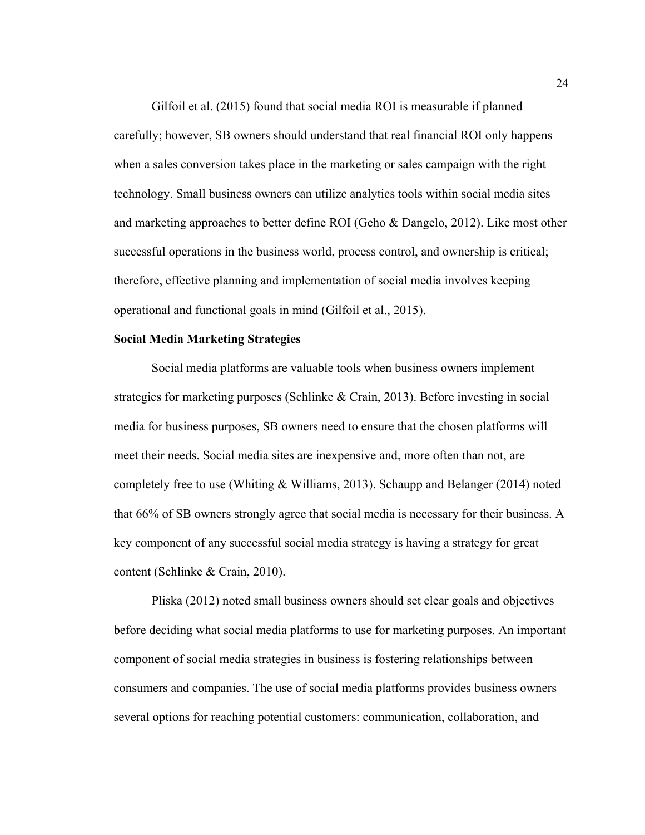Gilfoil et al. (2015) found that social media ROI is measurable if planned carefully; however, SB owners should understand that real financial ROI only happens when a sales conversion takes place in the marketing or sales campaign with the right technology. Small business owners can utilize analytics tools within social media sites and marketing approaches to better define ROI (Geho & Dangelo, 2012). Like most other successful operations in the business world, process control, and ownership is critical; therefore, effective planning and implementation of social media involves keeping operational and functional goals in mind (Gilfoil et al., 2015).

#### **Social Media Marketing Strategies**

Social media platforms are valuable tools when business owners implement strategies for marketing purposes (Schlinke & Crain, 2013). Before investing in social media for business purposes, SB owners need to ensure that the chosen platforms will meet their needs. Social media sites are inexpensive and, more often than not, are completely free to use (Whiting & Williams, 2013). Schaupp and Belanger (2014) noted that 66% of SB owners strongly agree that social media is necessary for their business. A key component of any successful social media strategy is having a strategy for great content (Schlinke & Crain, 2010).

Pliska (2012) noted small business owners should set clear goals and objectives before deciding what social media platforms to use for marketing purposes. An important component of social media strategies in business is fostering relationships between consumers and companies. The use of social media platforms provides business owners several options for reaching potential customers: communication, collaboration, and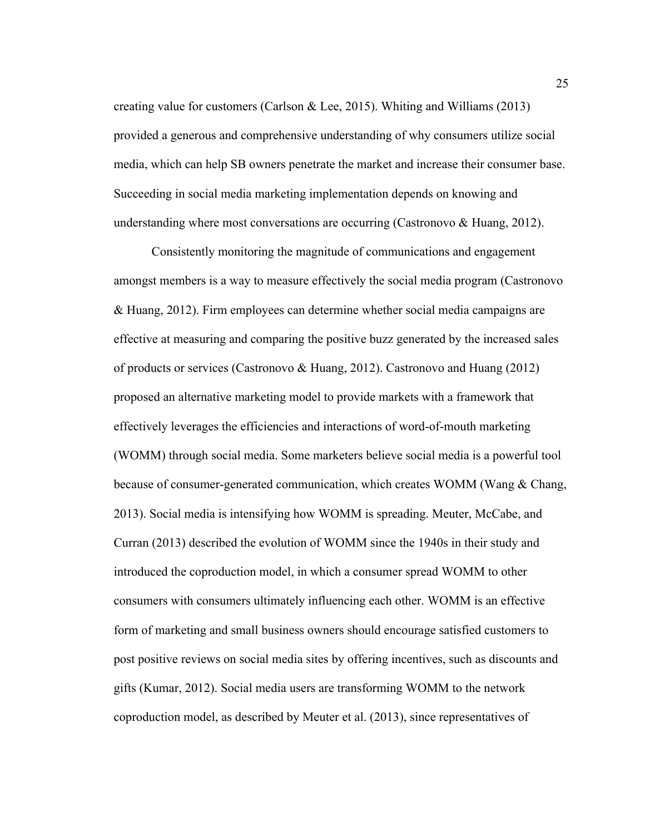creating value for customers (Carlson & Lee, 2015). Whiting and Williams (2013) provided a generous and comprehensive understanding of why consumers utilize social media, which can help SB owners penetrate the market and increase their consumer base. Succeeding in social media marketing implementation depends on knowing and understanding where most conversations are occurring (Castronovo & Huang, 2012).

Consistently monitoring the magnitude of communications and engagement amongst members is a way to measure effectively the social media program (Castronovo & Huang, 2012). Firm employees can determine whether social media campaigns are effective at measuring and comparing the positive buzz generated by the increased sales of products or services (Castronovo & Huang, 2012). Castronovo and Huang (2012) proposed an alternative marketing model to provide markets with a framework that effectively leverages the efficiencies and interactions of word-of-mouth marketing (WOMM) through social media. Some marketers believe social media is a powerful tool because of consumer-generated communication, which creates WOMM (Wang & Chang, 2013). Social media is intensifying how WOMM is spreading. Meuter, McCabe, and Curran (2013) described the evolution of WOMM since the 1940s in their study and introduced the coproduction model, in which a consumer spread WOMM to other consumers with consumers ultimately influencing each other. WOMM is an effective form of marketing and small business owners should encourage satisfied customers to post positive reviews on social media sites by offering incentives, such as discounts and gifts (Kumar, 2012). Social media users are transforming WOMM to the network coproduction model, as described by Meuter et al. (2013), since representatives of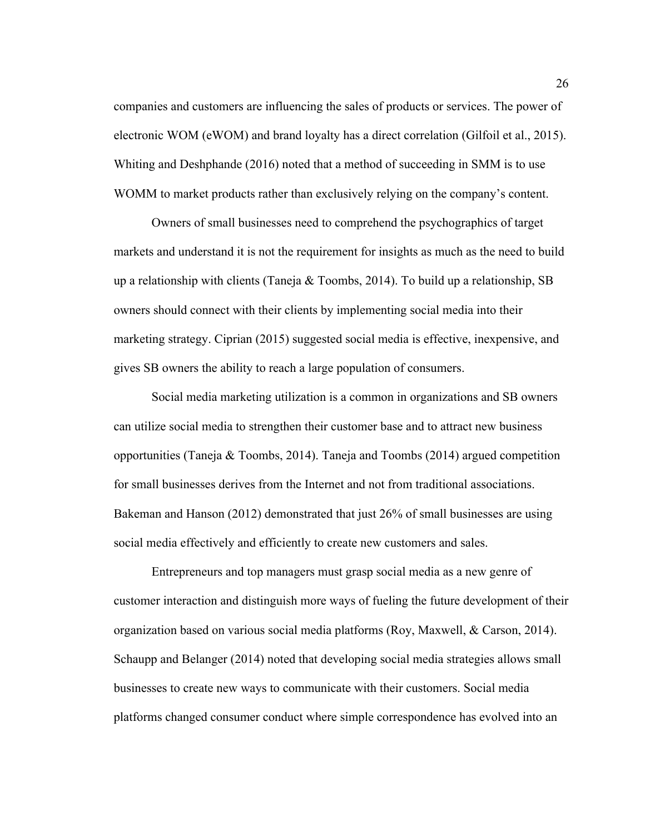companies and customers are influencing the sales of products or services. The power of electronic WOM (eWOM) and brand loyalty has a direct correlation (Gilfoil et al., 2015). Whiting and Deshphande (2016) noted that a method of succeeding in SMM is to use WOMM to market products rather than exclusively relying on the company's content.

Owners of small businesses need to comprehend the psychographics of target markets and understand it is not the requirement for insights as much as the need to build up a relationship with clients (Taneja & Toombs, 2014). To build up a relationship, SB owners should connect with their clients by implementing social media into their marketing strategy. Ciprian (2015) suggested social media is effective, inexpensive, and gives SB owners the ability to reach a large population of consumers.

Social media marketing utilization is a common in organizations and SB owners can utilize social media to strengthen their customer base and to attract new business opportunities (Taneja & Toombs, 2014). Taneja and Toombs (2014) argued competition for small businesses derives from the Internet and not from traditional associations. Bakeman and Hanson (2012) demonstrated that just 26% of small businesses are using social media effectively and efficiently to create new customers and sales.

Entrepreneurs and top managers must grasp social media as a new genre of customer interaction and distinguish more ways of fueling the future development of their organization based on various social media platforms (Roy, Maxwell, & Carson, 2014). Schaupp and Belanger (2014) noted that developing social media strategies allows small businesses to create new ways to communicate with their customers. Social media platforms changed consumer conduct where simple correspondence has evolved into an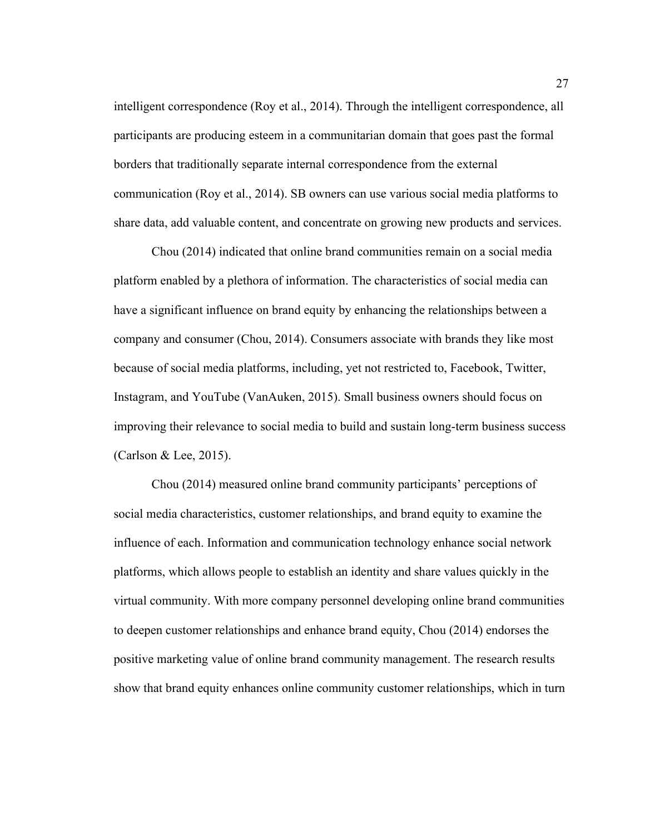intelligent correspondence (Roy et al., 2014). Through the intelligent correspondence, all participants are producing esteem in a communitarian domain that goes past the formal borders that traditionally separate internal correspondence from the external communication (Roy et al., 2014). SB owners can use various social media platforms to share data, add valuable content, and concentrate on growing new products and services.

Chou (2014) indicated that online brand communities remain on a social media platform enabled by a plethora of information. The characteristics of social media can have a significant influence on brand equity by enhancing the relationships between a company and consumer (Chou, 2014). Consumers associate with brands they like most because of social media platforms, including, yet not restricted to, Facebook, Twitter, Instagram, and YouTube (VanAuken, 2015). Small business owners should focus on improving their relevance to social media to build and sustain long-term business success (Carlson & Lee, 2015).

Chou (2014) measured online brand community participants' perceptions of social media characteristics, customer relationships, and brand equity to examine the influence of each. Information and communication technology enhance social network platforms, which allows people to establish an identity and share values quickly in the virtual community. With more company personnel developing online brand communities to deepen customer relationships and enhance brand equity, Chou (2014) endorses the positive marketing value of online brand community management. The research results show that brand equity enhances online community customer relationships, which in turn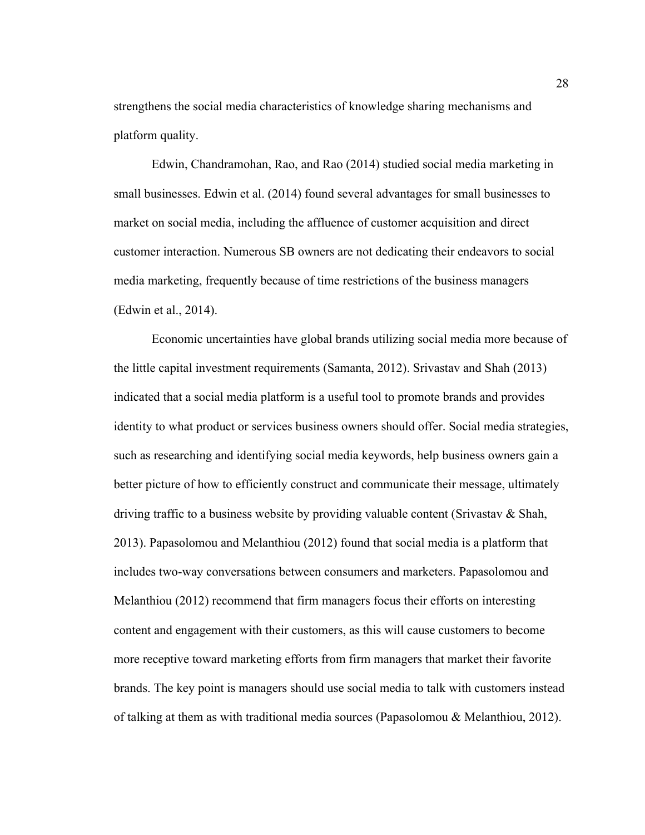strengthens the social media characteristics of knowledge sharing mechanisms and platform quality.

Edwin, Chandramohan, Rao, and Rao (2014) studied social media marketing in small businesses. Edwin et al. (2014) found several advantages for small businesses to market on social media, including the affluence of customer acquisition and direct customer interaction. Numerous SB owners are not dedicating their endeavors to social media marketing, frequently because of time restrictions of the business managers (Edwin et al., 2014).

Economic uncertainties have global brands utilizing social media more because of the little capital investment requirements (Samanta, 2012). Srivastav and Shah (2013) indicated that a social media platform is a useful tool to promote brands and provides identity to what product or services business owners should offer. Social media strategies, such as researching and identifying social media keywords, help business owners gain a better picture of how to efficiently construct and communicate their message, ultimately driving traffic to a business website by providing valuable content (Srivastav & Shah, 2013). Papasolomou and Melanthiou (2012) found that social media is a platform that includes two-way conversations between consumers and marketers. Papasolomou and Melanthiou (2012) recommend that firm managers focus their efforts on interesting content and engagement with their customers, as this will cause customers to become more receptive toward marketing efforts from firm managers that market their favorite brands. The key point is managers should use social media to talk with customers instead of talking at them as with traditional media sources (Papasolomou & Melanthiou, 2012).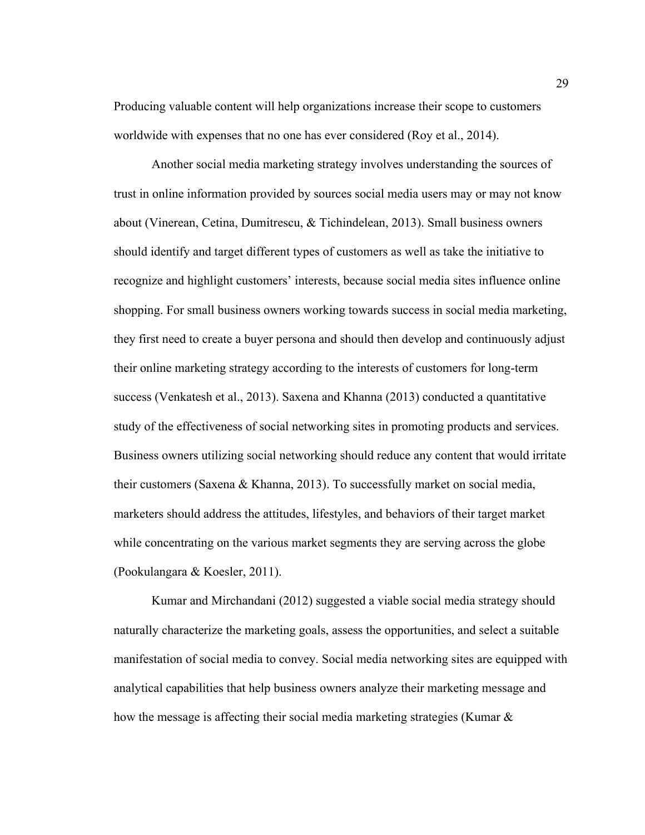Producing valuable content will help organizations increase their scope to customers worldwide with expenses that no one has ever considered (Roy et al., 2014).

Another social media marketing strategy involves understanding the sources of trust in online information provided by sources social media users may or may not know about (Vinerean, Cetina, Dumitrescu, & Tichindelean, 2013). Small business owners should identify and target different types of customers as well as take the initiative to recognize and highlight customers' interests, because social media sites influence online shopping. For small business owners working towards success in social media marketing, they first need to create a buyer persona and should then develop and continuously adjust their online marketing strategy according to the interests of customers for long-term success (Venkatesh et al., 2013). Saxena and Khanna (2013) conducted a quantitative study of the effectiveness of social networking sites in promoting products and services. Business owners utilizing social networking should reduce any content that would irritate their customers (Saxena & Khanna, 2013). To successfully market on social media, marketers should address the attitudes, lifestyles, and behaviors of their target market while concentrating on the various market segments they are serving across the globe (Pookulangara & Koesler, 2011).

Kumar and Mirchandani (2012) suggested a viable social media strategy should naturally characterize the marketing goals, assess the opportunities, and select a suitable manifestation of social media to convey. Social media networking sites are equipped with analytical capabilities that help business owners analyze their marketing message and how the message is affecting their social media marketing strategies (Kumar  $\&$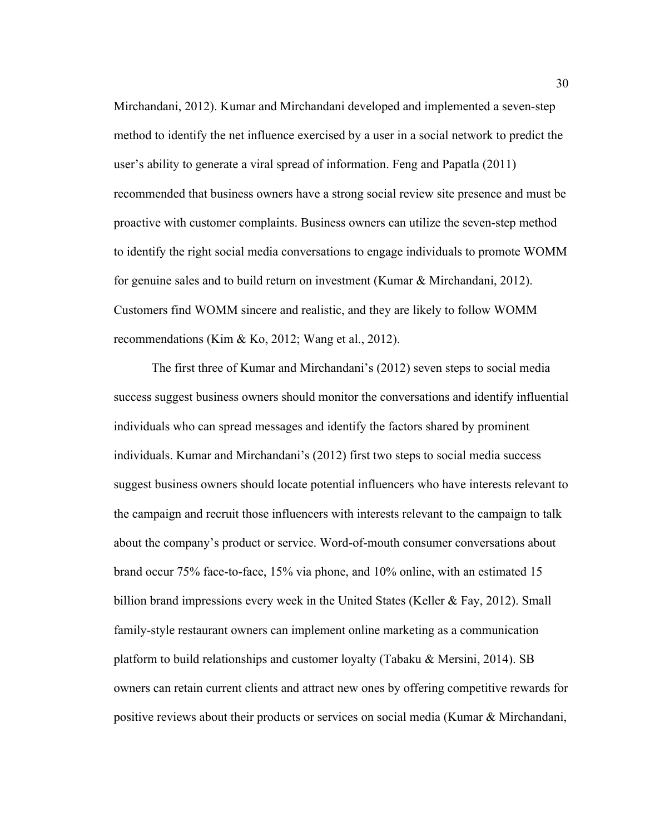Mirchandani, 2012). Kumar and Mirchandani developed and implemented a seven-step method to identify the net influence exercised by a user in a social network to predict the user's ability to generate a viral spread of information. Feng and Papatla (2011) recommended that business owners have a strong social review site presence and must be proactive with customer complaints. Business owners can utilize the seven-step method to identify the right social media conversations to engage individuals to promote WOMM for genuine sales and to build return on investment (Kumar & Mirchandani, 2012). Customers find WOMM sincere and realistic, and they are likely to follow WOMM recommendations (Kim & Ko, 2012; Wang et al., 2012).

The first three of Kumar and Mirchandani's (2012) seven steps to social media success suggest business owners should monitor the conversations and identify influential individuals who can spread messages and identify the factors shared by prominent individuals. Kumar and Mirchandani's (2012) first two steps to social media success suggest business owners should locate potential influencers who have interests relevant to the campaign and recruit those influencers with interests relevant to the campaign to talk about the company's product or service. Word-of-mouth consumer conversations about brand occur 75% face-to-face, 15% via phone, and 10% online, with an estimated 15 billion brand impressions every week in the United States (Keller  $\&$  Fay, 2012). Small family-style restaurant owners can implement online marketing as a communication platform to build relationships and customer loyalty (Tabaku & Mersini, 2014). SB owners can retain current clients and attract new ones by offering competitive rewards for positive reviews about their products or services on social media (Kumar  $\&$  Mirchandani,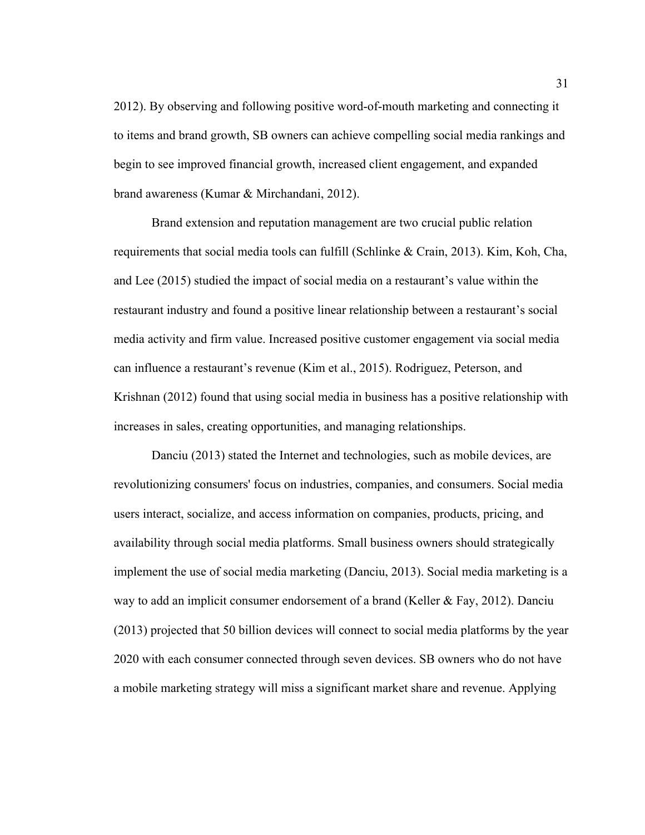2012). By observing and following positive word-of-mouth marketing and connecting it to items and brand growth, SB owners can achieve compelling social media rankings and begin to see improved financial growth, increased client engagement, and expanded brand awareness (Kumar & Mirchandani, 2012).

Brand extension and reputation management are two crucial public relation requirements that social media tools can fulfill (Schlinke & Crain, 2013). Kim, Koh, Cha, and Lee (2015) studied the impact of social media on a restaurant's value within the restaurant industry and found a positive linear relationship between a restaurant's social media activity and firm value. Increased positive customer engagement via social media can influence a restaurant's revenue (Kim et al., 2015). Rodriguez, Peterson, and Krishnan (2012) found that using social media in business has a positive relationship with increases in sales, creating opportunities, and managing relationships.

Danciu (2013) stated the Internet and technologies, such as mobile devices, are revolutionizing consumers' focus on industries, companies, and consumers. Social media users interact, socialize, and access information on companies, products, pricing, and availability through social media platforms. Small business owners should strategically implement the use of social media marketing (Danciu, 2013). Social media marketing is a way to add an implicit consumer endorsement of a brand (Keller & Fay, 2012). Danciu (2013) projected that 50 billion devices will connect to social media platforms by the year 2020 with each consumer connected through seven devices. SB owners who do not have a mobile marketing strategy will miss a significant market share and revenue. Applying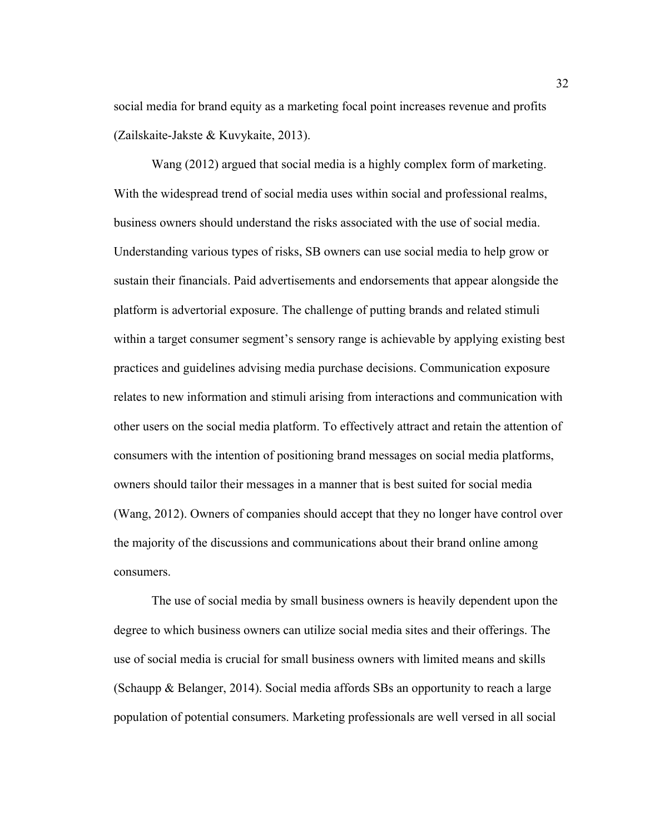social media for brand equity as a marketing focal point increases revenue and profits (Zailskaite-Jakste & Kuvykaite, 2013).

Wang (2012) argued that social media is a highly complex form of marketing. With the widespread trend of social media uses within social and professional realms, business owners should understand the risks associated with the use of social media. Understanding various types of risks, SB owners can use social media to help grow or sustain their financials. Paid advertisements and endorsements that appear alongside the platform is advertorial exposure. The challenge of putting brands and related stimuli within a target consumer segment's sensory range is achievable by applying existing best practices and guidelines advising media purchase decisions. Communication exposure relates to new information and stimuli arising from interactions and communication with other users on the social media platform. To effectively attract and retain the attention of consumers with the intention of positioning brand messages on social media platforms, owners should tailor their messages in a manner that is best suited for social media (Wang, 2012). Owners of companies should accept that they no longer have control over the majority of the discussions and communications about their brand online among consumers.

The use of social media by small business owners is heavily dependent upon the degree to which business owners can utilize social media sites and their offerings. The use of social media is crucial for small business owners with limited means and skills (Schaupp & Belanger, 2014). Social media affords SBs an opportunity to reach a large population of potential consumers. Marketing professionals are well versed in all social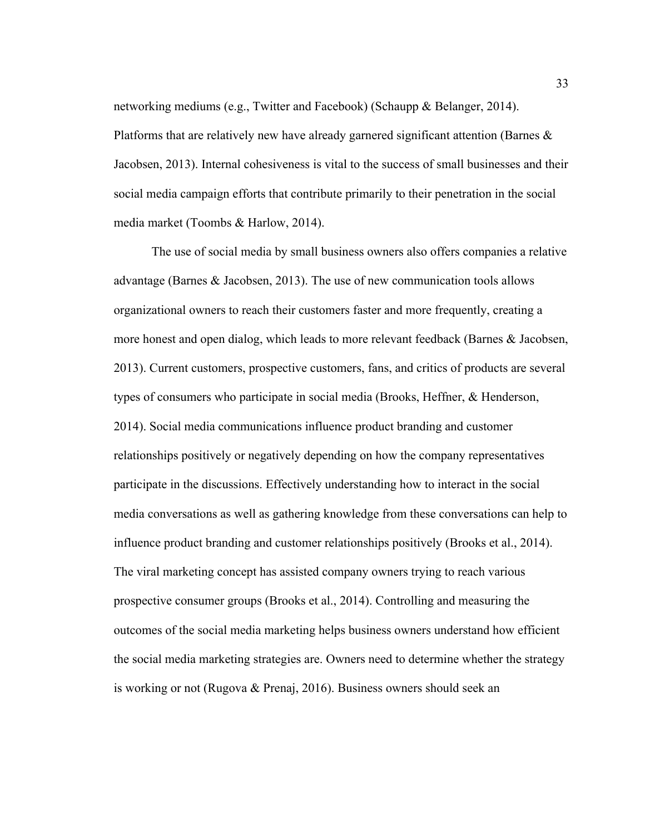networking mediums (e.g., Twitter and Facebook) (Schaupp & Belanger, 2014). Platforms that are relatively new have already garnered significant attention (Barnes  $\&$ Jacobsen, 2013). Internal cohesiveness is vital to the success of small businesses and their social media campaign efforts that contribute primarily to their penetration in the social media market (Toombs & Harlow, 2014).

The use of social media by small business owners also offers companies a relative advantage (Barnes & Jacobsen, 2013). The use of new communication tools allows organizational owners to reach their customers faster and more frequently, creating a more honest and open dialog, which leads to more relevant feedback (Barnes & Jacobsen, 2013). Current customers, prospective customers, fans, and critics of products are several types of consumers who participate in social media (Brooks, Heffner, & Henderson, 2014). Social media communications influence product branding and customer relationships positively or negatively depending on how the company representatives participate in the discussions. Effectively understanding how to interact in the social media conversations as well as gathering knowledge from these conversations can help to influence product branding and customer relationships positively (Brooks et al., 2014). The viral marketing concept has assisted company owners trying to reach various prospective consumer groups (Brooks et al., 2014). Controlling and measuring the outcomes of the social media marketing helps business owners understand how efficient the social media marketing strategies are. Owners need to determine whether the strategy is working or not (Rugova & Prenaj, 2016). Business owners should seek an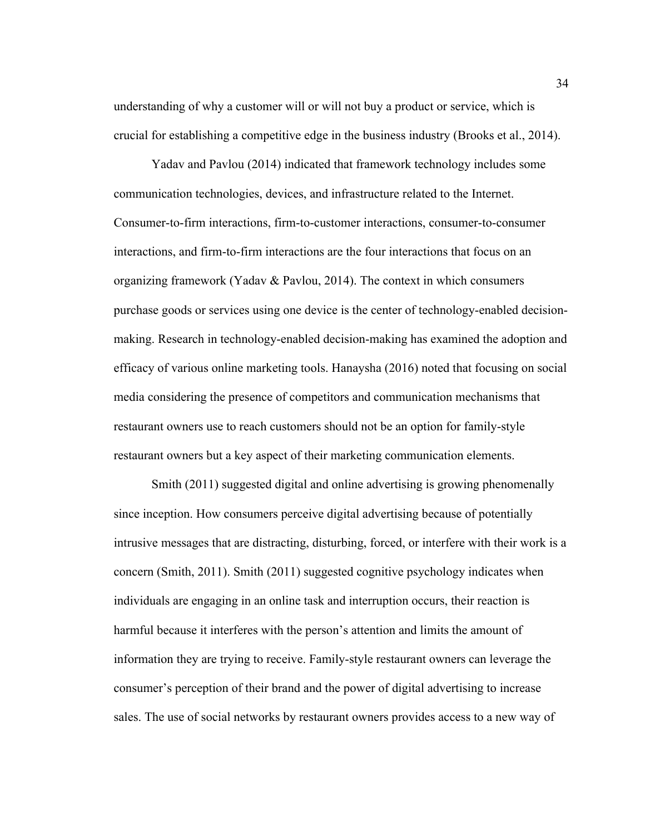understanding of why a customer will or will not buy a product or service, which is crucial for establishing a competitive edge in the business industry (Brooks et al., 2014).

Yadav and Pavlou (2014) indicated that framework technology includes some communication technologies, devices, and infrastructure related to the Internet. Consumer-to-firm interactions, firm-to-customer interactions, consumer-to-consumer interactions, and firm-to-firm interactions are the four interactions that focus on an organizing framework (Yadav & Pavlou, 2014). The context in which consumers purchase goods or services using one device is the center of technology-enabled decisionmaking. Research in technology-enabled decision-making has examined the adoption and efficacy of various online marketing tools. Hanaysha (2016) noted that focusing on social media considering the presence of competitors and communication mechanisms that restaurant owners use to reach customers should not be an option for family-style restaurant owners but a key aspect of their marketing communication elements.

Smith (2011) suggested digital and online advertising is growing phenomenally since inception. How consumers perceive digital advertising because of potentially intrusive messages that are distracting, disturbing, forced, or interfere with their work is a concern (Smith, 2011). Smith (2011) suggested cognitive psychology indicates when individuals are engaging in an online task and interruption occurs, their reaction is harmful because it interferes with the person's attention and limits the amount of information they are trying to receive. Family-style restaurant owners can leverage the consumer's perception of their brand and the power of digital advertising to increase sales. The use of social networks by restaurant owners provides access to a new way of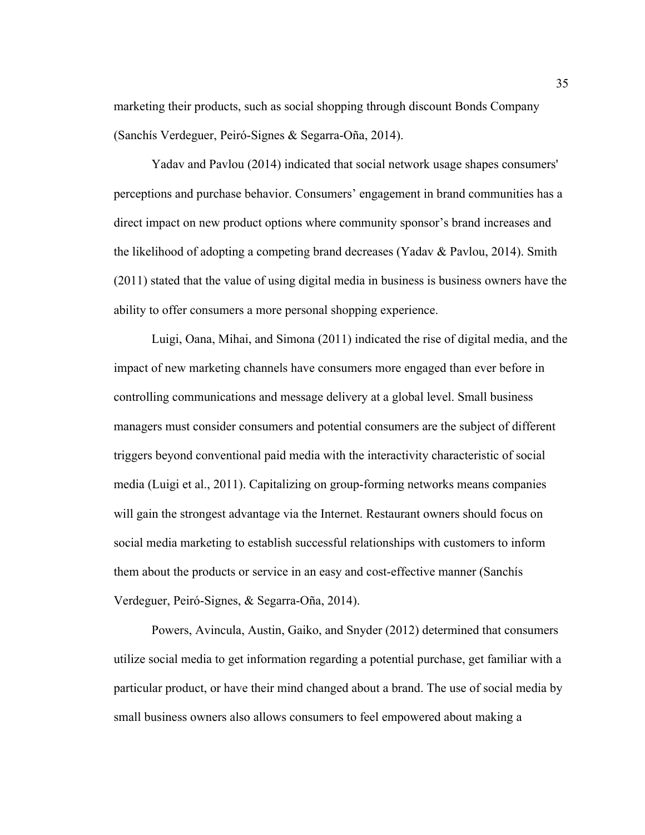marketing their products, such as social shopping through discount Bonds Company (Sanchís Verdeguer, Peiró-Signes & Segarra-Oña, 2014).

Yadav and Pavlou (2014) indicated that social network usage shapes consumers' perceptions and purchase behavior. Consumers' engagement in brand communities has a direct impact on new product options where community sponsor's brand increases and the likelihood of adopting a competing brand decreases (Yadav & Pavlou, 2014). Smith (2011) stated that the value of using digital media in business is business owners have the ability to offer consumers a more personal shopping experience.

Luigi, Oana, Mihai, and Simona (2011) indicated the rise of digital media, and the impact of new marketing channels have consumers more engaged than ever before in controlling communications and message delivery at a global level. Small business managers must consider consumers and potential consumers are the subject of different triggers beyond conventional paid media with the interactivity characteristic of social media (Luigi et al., 2011). Capitalizing on group-forming networks means companies will gain the strongest advantage via the Internet. Restaurant owners should focus on social media marketing to establish successful relationships with customers to inform them about the products or service in an easy and cost-effective manner (Sanchís Verdeguer, Peiró-Signes, & Segarra-Oña, 2014).

Powers, Avincula, Austin, Gaiko, and Snyder (2012) determined that consumers utilize social media to get information regarding a potential purchase, get familiar with a particular product, or have their mind changed about a brand. The use of social media by small business owners also allows consumers to feel empowered about making a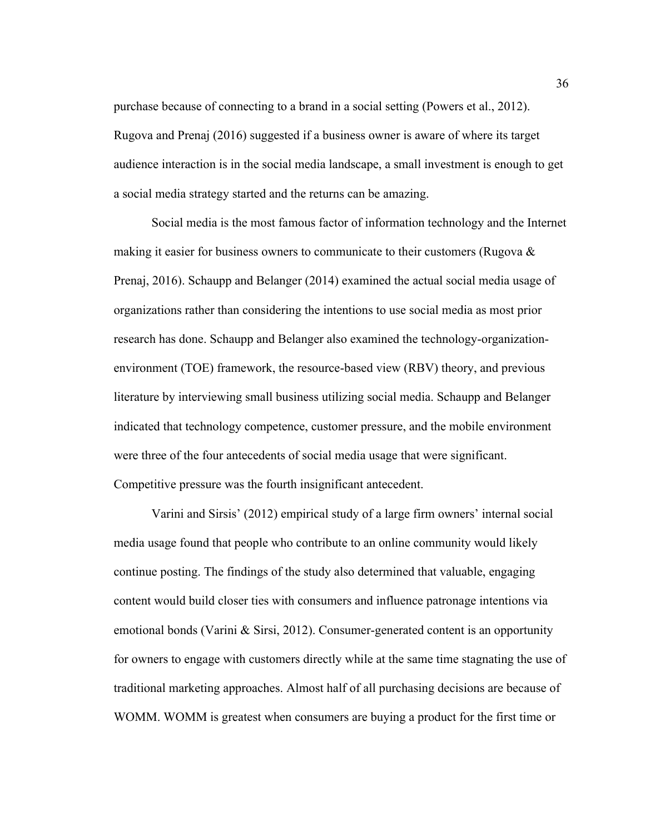purchase because of connecting to a brand in a social setting (Powers et al., 2012). Rugova and Prenaj (2016) suggested if a business owner is aware of where its target audience interaction is in the social media landscape, a small investment is enough to get a social media strategy started and the returns can be amazing.

Social media is the most famous factor of information technology and the Internet making it easier for business owners to communicate to their customers (Rugova  $\&$ Prenaj, 2016). Schaupp and Belanger (2014) examined the actual social media usage of organizations rather than considering the intentions to use social media as most prior research has done. Schaupp and Belanger also examined the technology-organizationenvironment (TOE) framework, the resource-based view (RBV) theory, and previous literature by interviewing small business utilizing social media. Schaupp and Belanger indicated that technology competence, customer pressure, and the mobile environment were three of the four antecedents of social media usage that were significant. Competitive pressure was the fourth insignificant antecedent.

Varini and Sirsis' (2012) empirical study of a large firm owners' internal social media usage found that people who contribute to an online community would likely continue posting. The findings of the study also determined that valuable, engaging content would build closer ties with consumers and influence patronage intentions via emotional bonds (Varini & Sirsi, 2012). Consumer-generated content is an opportunity for owners to engage with customers directly while at the same time stagnating the use of traditional marketing approaches. Almost half of all purchasing decisions are because of WOMM. WOMM is greatest when consumers are buying a product for the first time or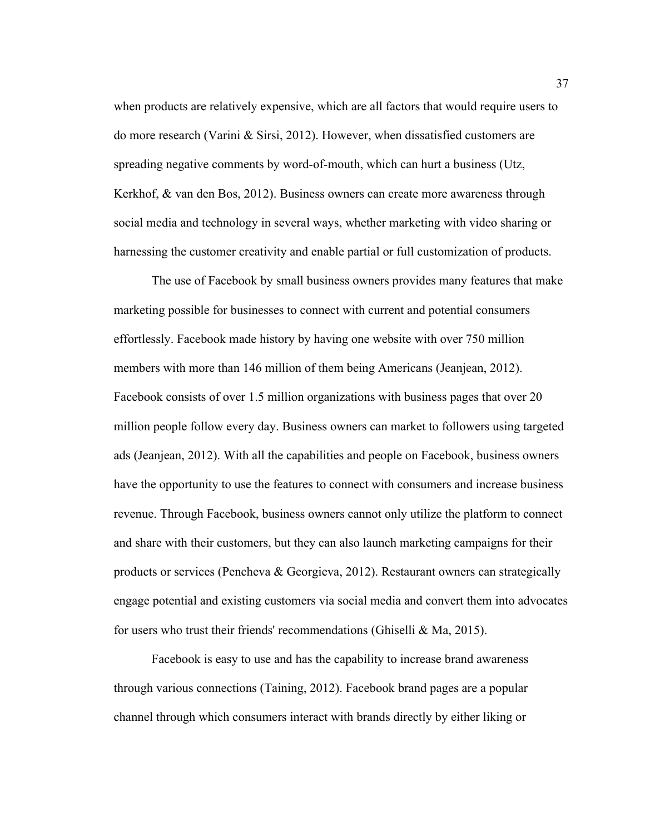when products are relatively expensive, which are all factors that would require users to do more research (Varini & Sirsi, 2012). However, when dissatisfied customers are spreading negative comments by word-of-mouth, which can hurt a business (Utz, Kerkhof, & van den Bos, 2012). Business owners can create more awareness through social media and technology in several ways, whether marketing with video sharing or harnessing the customer creativity and enable partial or full customization of products.

The use of Facebook by small business owners provides many features that make marketing possible for businesses to connect with current and potential consumers effortlessly. Facebook made history by having one website with over 750 million members with more than 146 million of them being Americans (Jeanjean, 2012). Facebook consists of over 1.5 million organizations with business pages that over 20 million people follow every day. Business owners can market to followers using targeted ads (Jeanjean, 2012). With all the capabilities and people on Facebook, business owners have the opportunity to use the features to connect with consumers and increase business revenue. Through Facebook, business owners cannot only utilize the platform to connect and share with their customers, but they can also launch marketing campaigns for their products or services (Pencheva & Georgieva, 2012). Restaurant owners can strategically engage potential and existing customers via social media and convert them into advocates for users who trust their friends' recommendations (Ghiselli & Ma, 2015).

Facebook is easy to use and has the capability to increase brand awareness through various connections (Taining, 2012). Facebook brand pages are a popular channel through which consumers interact with brands directly by either liking or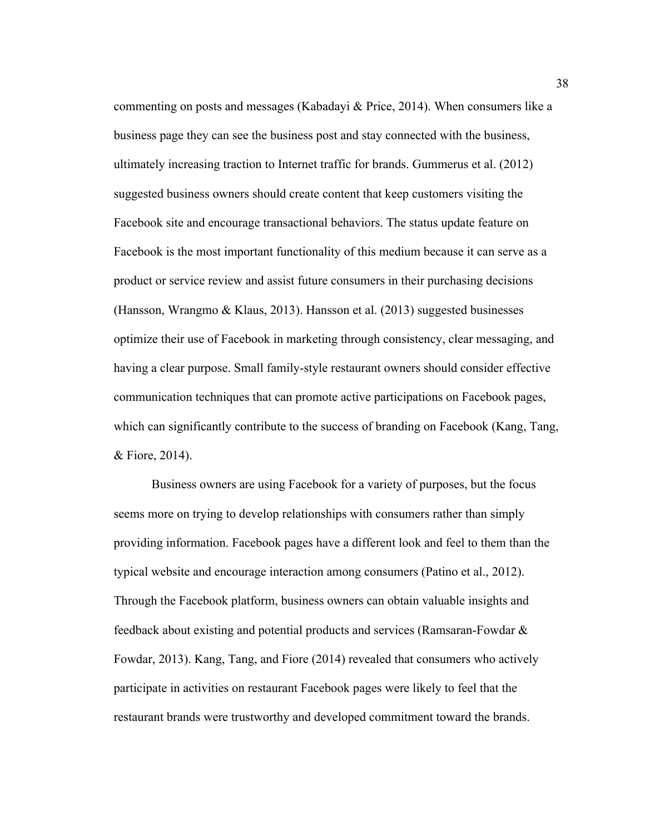commenting on posts and messages (Kabadayi & Price, 2014). When consumers like a business page they can see the business post and stay connected with the business, ultimately increasing traction to Internet traffic for brands. Gummerus et al. (2012) suggested business owners should create content that keep customers visiting the Facebook site and encourage transactional behaviors. The status update feature on Facebook is the most important functionality of this medium because it can serve as a product or service review and assist future consumers in their purchasing decisions (Hansson, Wrangmo & Klaus, 2013). Hansson et al. (2013) suggested businesses optimize their use of Facebook in marketing through consistency, clear messaging, and having a clear purpose. Small family-style restaurant owners should consider effective communication techniques that can promote active participations on Facebook pages, which can significantly contribute to the success of branding on Facebook (Kang, Tang, & Fiore, 2014).

Business owners are using Facebook for a variety of purposes, but the focus seems more on trying to develop relationships with consumers rather than simply providing information. Facebook pages have a different look and feel to them than the typical website and encourage interaction among consumers (Patino et al., 2012). Through the Facebook platform, business owners can obtain valuable insights and feedback about existing and potential products and services (Ramsaran-Fowdar & Fowdar, 2013). Kang, Tang, and Fiore (2014) revealed that consumers who actively participate in activities on restaurant Facebook pages were likely to feel that the restaurant brands were trustworthy and developed commitment toward the brands.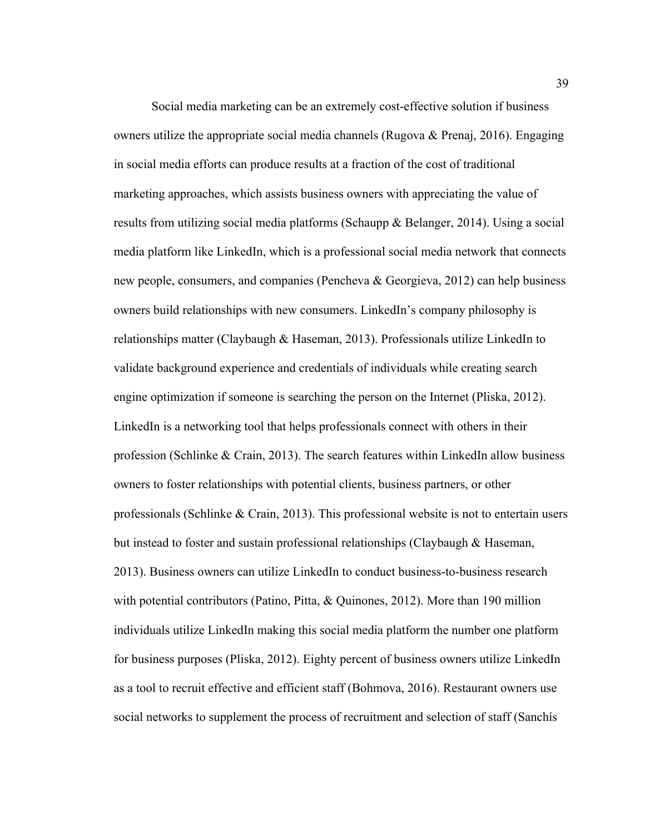Social media marketing can be an extremely cost-effective solution if business owners utilize the appropriate social media channels (Rugova & Prenaj, 2016). Engaging in social media efforts can produce results at a fraction of the cost of traditional marketing approaches, which assists business owners with appreciating the value of results from utilizing social media platforms (Schaupp & Belanger, 2014). Using a social media platform like LinkedIn, which is a professional social media network that connects new people, consumers, and companies (Pencheva & Georgieva, 2012) can help business owners build relationships with new consumers. LinkedIn's company philosophy is relationships matter (Claybaugh & Haseman, 2013). Professionals utilize LinkedIn to validate background experience and credentials of individuals while creating search engine optimization if someone is searching the person on the Internet (Pliska, 2012). LinkedIn is a networking tool that helps professionals connect with others in their profession (Schlinke  $& Crain, 2013$ ). The search features within LinkedIn allow business owners to foster relationships with potential clients, business partners, or other professionals (Schlinke  $\&$  Crain, 2013). This professional website is not to entertain users but instead to foster and sustain professional relationships (Claybaugh & Haseman, 2013). Business owners can utilize LinkedIn to conduct business-to-business research with potential contributors (Patino, Pitta, & Quinones, 2012). More than 190 million individuals utilize LinkedIn making this social media platform the number one platform for business purposes (Pliska, 2012). Eighty percent of business owners utilize LinkedIn as a tool to recruit effective and efficient staff (Bohmova, 2016). Restaurant owners use social networks to supplement the process of recruitment and selection of staff (Sanchís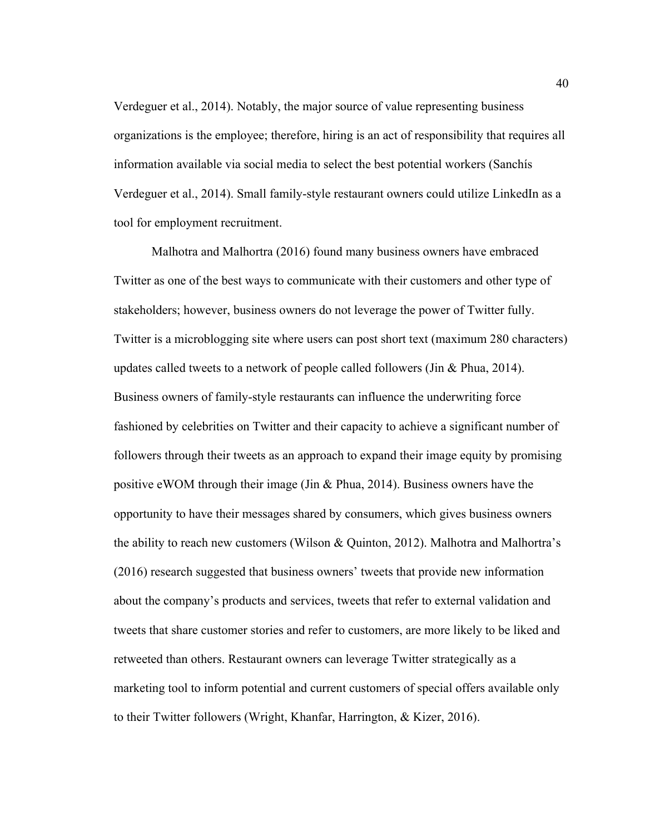Verdeguer et al., 2014). Notably, the major source of value representing business organizations is the employee; therefore, hiring is an act of responsibility that requires all information available via social media to select the best potential workers (Sanchís Verdeguer et al., 2014). Small family-style restaurant owners could utilize LinkedIn as a tool for employment recruitment.

Malhotra and Malhortra (2016) found many business owners have embraced Twitter as one of the best ways to communicate with their customers and other type of stakeholders; however, business owners do not leverage the power of Twitter fully. Twitter is a microblogging site where users can post short text (maximum 280 characters) updates called tweets to a network of people called followers (Jin & Phua, 2014). Business owners of family-style restaurants can influence the underwriting force fashioned by celebrities on Twitter and their capacity to achieve a significant number of followers through their tweets as an approach to expand their image equity by promising positive eWOM through their image (Jin & Phua, 2014). Business owners have the opportunity to have their messages shared by consumers, which gives business owners the ability to reach new customers (Wilson & Quinton, 2012). Malhotra and Malhortra's (2016) research suggested that business owners' tweets that provide new information about the company's products and services, tweets that refer to external validation and tweets that share customer stories and refer to customers, are more likely to be liked and retweeted than others. Restaurant owners can leverage Twitter strategically as a marketing tool to inform potential and current customers of special offers available only to their Twitter followers (Wright, Khanfar, Harrington, & Kizer, 2016).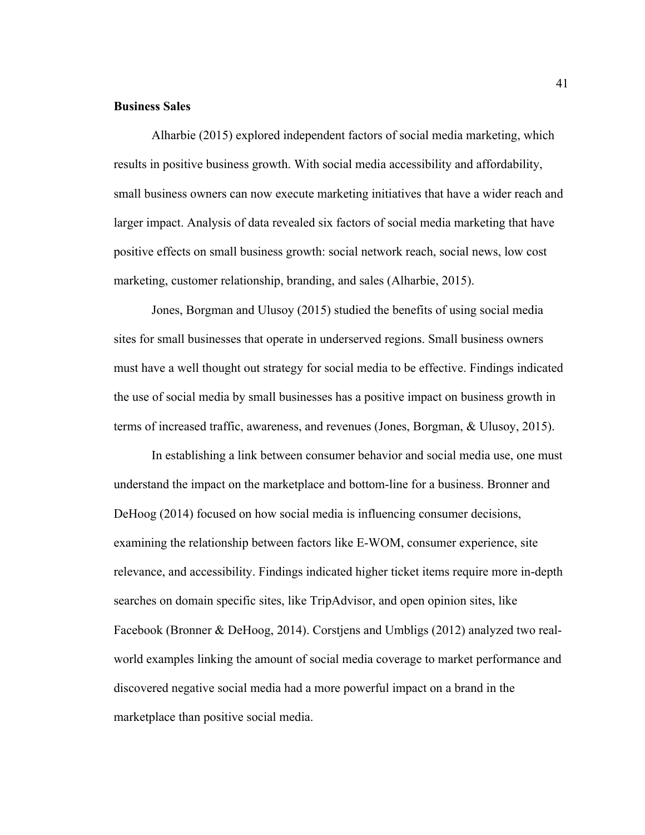## **Business Sales**

Alharbie (2015) explored independent factors of social media marketing, which results in positive business growth. With social media accessibility and affordability, small business owners can now execute marketing initiatives that have a wider reach and larger impact. Analysis of data revealed six factors of social media marketing that have positive effects on small business growth: social network reach, social news, low cost marketing, customer relationship, branding, and sales (Alharbie, 2015).

Jones, Borgman and Ulusoy (2015) studied the benefits of using social media sites for small businesses that operate in underserved regions. Small business owners must have a well thought out strategy for social media to be effective. Findings indicated the use of social media by small businesses has a positive impact on business growth in terms of increased traffic, awareness, and revenues (Jones, Borgman, & Ulusoy, 2015).

In establishing a link between consumer behavior and social media use, one must understand the impact on the marketplace and bottom-line for a business. Bronner and DeHoog (2014) focused on how social media is influencing consumer decisions, examining the relationship between factors like E-WOM, consumer experience, site relevance, and accessibility. Findings indicated higher ticket items require more in-depth searches on domain specific sites, like TripAdvisor, and open opinion sites, like Facebook (Bronner & DeHoog, 2014). Corstjens and Umbligs (2012) analyzed two realworld examples linking the amount of social media coverage to market performance and discovered negative social media had a more powerful impact on a brand in the marketplace than positive social media.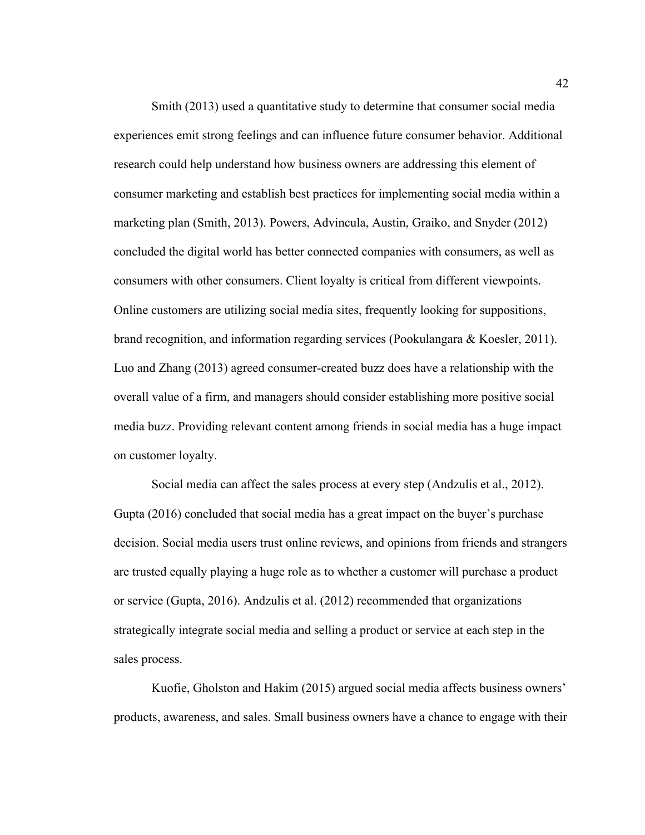Smith (2013) used a quantitative study to determine that consumer social media experiences emit strong feelings and can influence future consumer behavior. Additional research could help understand how business owners are addressing this element of consumer marketing and establish best practices for implementing social media within a marketing plan (Smith, 2013). Powers, Advincula, Austin, Graiko, and Snyder (2012) concluded the digital world has better connected companies with consumers, as well as consumers with other consumers. Client loyalty is critical from different viewpoints. Online customers are utilizing social media sites, frequently looking for suppositions, brand recognition, and information regarding services (Pookulangara & Koesler, 2011). Luo and Zhang (2013) agreed consumer-created buzz does have a relationship with the overall value of a firm, and managers should consider establishing more positive social media buzz. Providing relevant content among friends in social media has a huge impact on customer loyalty.

Social media can affect the sales process at every step (Andzulis et al., 2012). Gupta (2016) concluded that social media has a great impact on the buyer's purchase decision. Social media users trust online reviews, and opinions from friends and strangers are trusted equally playing a huge role as to whether a customer will purchase a product or service (Gupta, 2016). Andzulis et al. (2012) recommended that organizations strategically integrate social media and selling a product or service at each step in the sales process.

Kuofie, Gholston and Hakim (2015) argued social media affects business owners' products, awareness, and sales. Small business owners have a chance to engage with their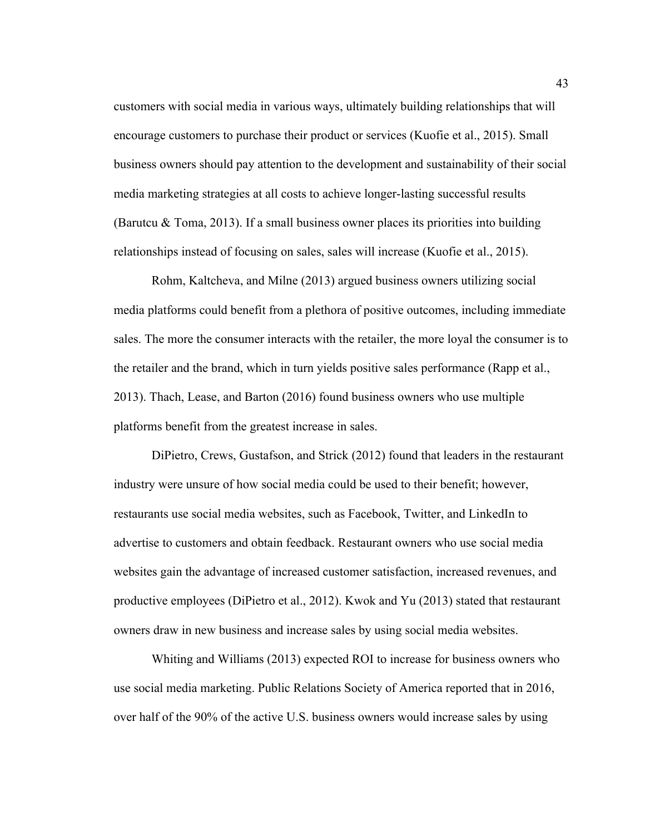customers with social media in various ways, ultimately building relationships that will encourage customers to purchase their product or services (Kuofie et al., 2015). Small business owners should pay attention to the development and sustainability of their social media marketing strategies at all costs to achieve longer-lasting successful results (Barutcu  $\&$  Toma, 2013). If a small business owner places its priorities into building relationships instead of focusing on sales, sales will increase (Kuofie et al., 2015).

Rohm, Kaltcheva, and Milne (2013) argued business owners utilizing social media platforms could benefit from a plethora of positive outcomes, including immediate sales. The more the consumer interacts with the retailer, the more loyal the consumer is to the retailer and the brand, which in turn yields positive sales performance (Rapp et al., 2013). Thach, Lease, and Barton (2016) found business owners who use multiple platforms benefit from the greatest increase in sales.

DiPietro, Crews, Gustafson, and Strick (2012) found that leaders in the restaurant industry were unsure of how social media could be used to their benefit; however, restaurants use social media websites, such as Facebook, Twitter, and LinkedIn to advertise to customers and obtain feedback. Restaurant owners who use social media websites gain the advantage of increased customer satisfaction, increased revenues, and productive employees (DiPietro et al., 2012). Kwok and Yu (2013) stated that restaurant owners draw in new business and increase sales by using social media websites.

Whiting and Williams (2013) expected ROI to increase for business owners who use social media marketing. Public Relations Society of America reported that in 2016, over half of the 90% of the active U.S. business owners would increase sales by using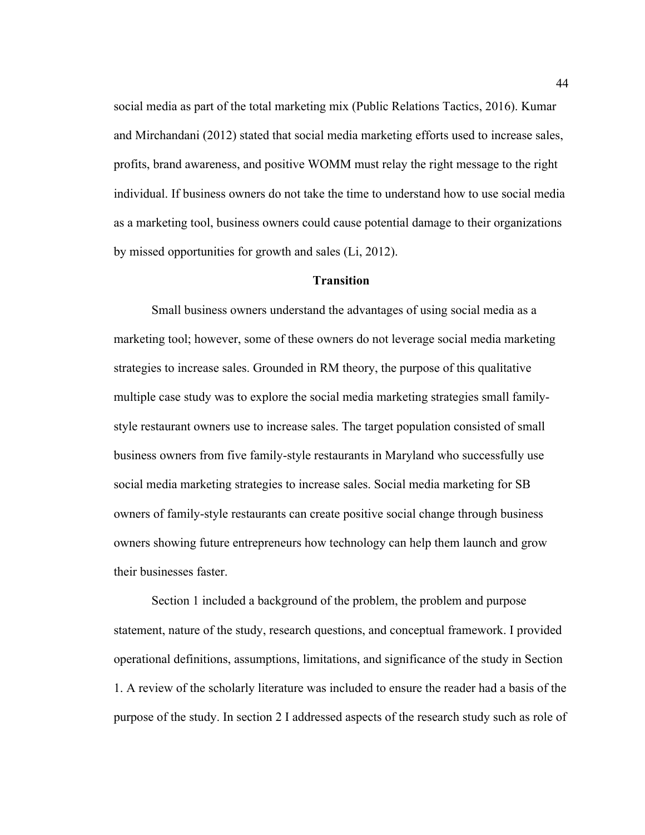social media as part of the total marketing mix (Public Relations Tactics, 2016). Kumar and Mirchandani (2012) stated that social media marketing efforts used to increase sales, profits, brand awareness, and positive WOMM must relay the right message to the right individual. If business owners do not take the time to understand how to use social media as a marketing tool, business owners could cause potential damage to their organizations by missed opportunities for growth and sales (Li, 2012).

# **Transition**

Small business owners understand the advantages of using social media as a marketing tool; however, some of these owners do not leverage social media marketing strategies to increase sales. Grounded in RM theory, the purpose of this qualitative multiple case study was to explore the social media marketing strategies small familystyle restaurant owners use to increase sales. The target population consisted of small business owners from five family-style restaurants in Maryland who successfully use social media marketing strategies to increase sales. Social media marketing for SB owners of family-style restaurants can create positive social change through business owners showing future entrepreneurs how technology can help them launch and grow their businesses faster.

Section 1 included a background of the problem, the problem and purpose statement, nature of the study, research questions, and conceptual framework. I provided operational definitions, assumptions, limitations, and significance of the study in Section 1. A review of the scholarly literature was included to ensure the reader had a basis of the purpose of the study. In section 2 I addressed aspects of the research study such as role of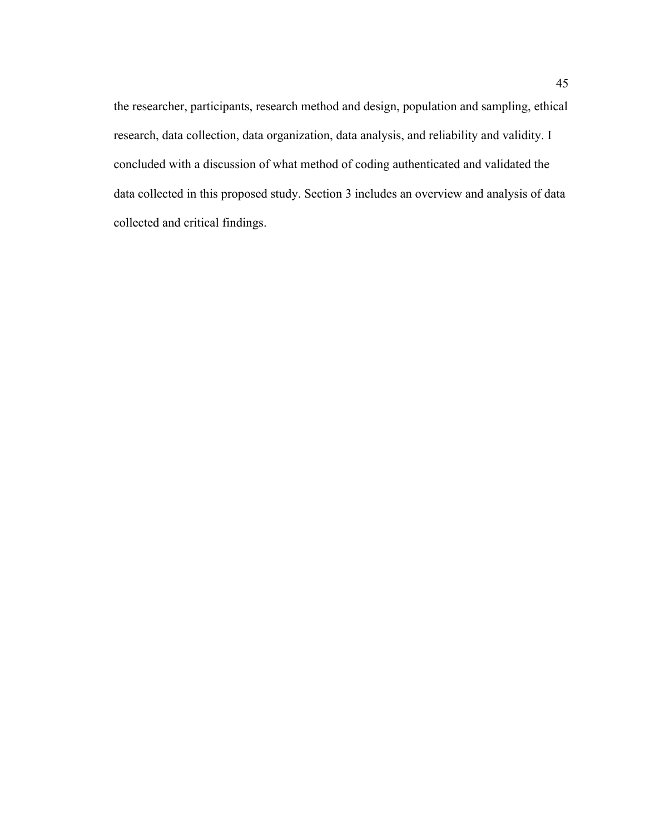the researcher, participants, research method and design, population and sampling, ethical research, data collection, data organization, data analysis, and reliability and validity. I concluded with a discussion of what method of coding authenticated and validated the data collected in this proposed study. Section 3 includes an overview and analysis of data collected and critical findings.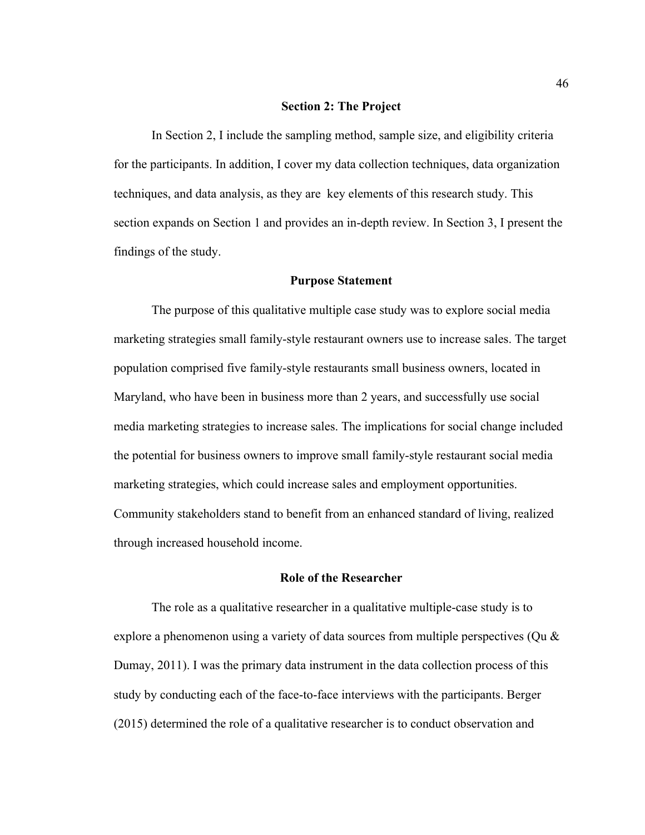#### **Section 2: The Project**

In Section 2, I include the sampling method, sample size, and eligibility criteria for the participants. In addition, I cover my data collection techniques, data organization techniques, and data analysis, as they are key elements of this research study. This section expands on Section 1 and provides an in-depth review. In Section 3, I present the findings of the study.

## **Purpose Statement**

The purpose of this qualitative multiple case study was to explore social media marketing strategies small family-style restaurant owners use to increase sales. The target population comprised five family-style restaurants small business owners, located in Maryland, who have been in business more than 2 years, and successfully use social media marketing strategies to increase sales. The implications for social change included the potential for business owners to improve small family-style restaurant social media marketing strategies, which could increase sales and employment opportunities. Community stakeholders stand to benefit from an enhanced standard of living, realized through increased household income.

### **Role of the Researcher**

The role as a qualitative researcher in a qualitative multiple-case study is to explore a phenomenon using a variety of data sources from multiple perspectives (Qu & Dumay, 2011). I was the primary data instrument in the data collection process of this study by conducting each of the face-to-face interviews with the participants. Berger (2015) determined the role of a qualitative researcher is to conduct observation and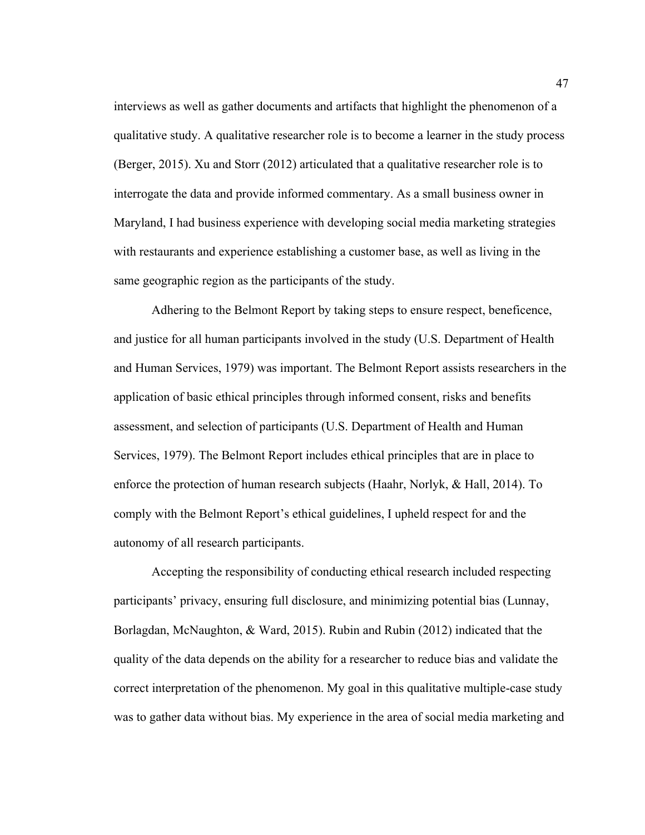interviews as well as gather documents and artifacts that highlight the phenomenon of a qualitative study. A qualitative researcher role is to become a learner in the study process (Berger, 2015). Xu and Storr (2012) articulated that a qualitative researcher role is to interrogate the data and provide informed commentary. As a small business owner in Maryland, I had business experience with developing social media marketing strategies with restaurants and experience establishing a customer base, as well as living in the same geographic region as the participants of the study.

Adhering to the Belmont Report by taking steps to ensure respect, beneficence, and justice for all human participants involved in the study (U.S. Department of Health and Human Services, 1979) was important. The Belmont Report assists researchers in the application of basic ethical principles through informed consent, risks and benefits assessment, and selection of participants (U.S. Department of Health and Human Services, 1979). The Belmont Report includes ethical principles that are in place to enforce the protection of human research subjects (Haahr, Norlyk, & Hall, 2014). To comply with the Belmont Report's ethical guidelines, I upheld respect for and the autonomy of all research participants.

Accepting the responsibility of conducting ethical research included respecting participants' privacy, ensuring full disclosure, and minimizing potential bias (Lunnay, Borlagdan, McNaughton, & Ward, 2015). Rubin and Rubin (2012) indicated that the quality of the data depends on the ability for a researcher to reduce bias and validate the correct interpretation of the phenomenon. My goal in this qualitative multiple-case study was to gather data without bias. My experience in the area of social media marketing and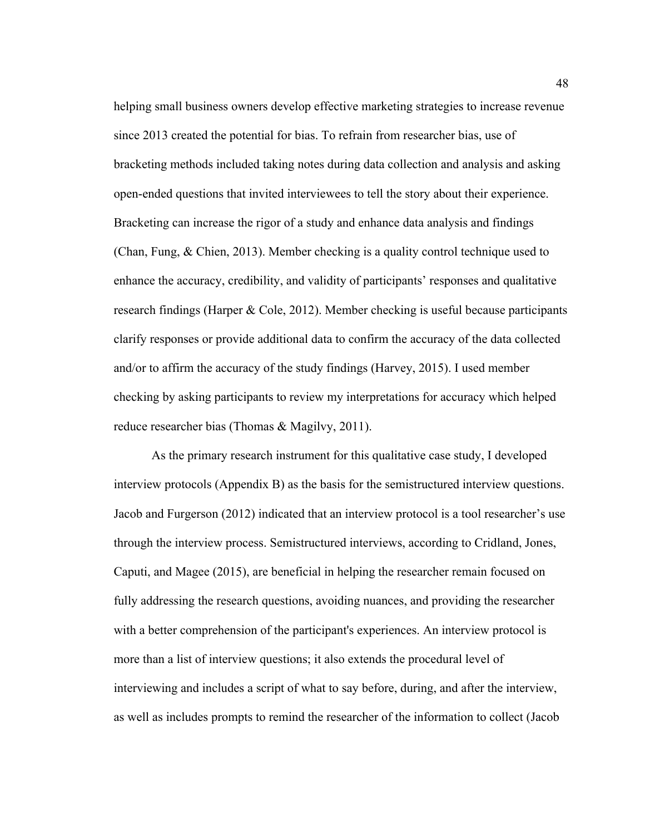helping small business owners develop effective marketing strategies to increase revenue since 2013 created the potential for bias. To refrain from researcher bias, use of bracketing methods included taking notes during data collection and analysis and asking open-ended questions that invited interviewees to tell the story about their experience. Bracketing can increase the rigor of a study and enhance data analysis and findings (Chan, Fung, & Chien, 2013). Member checking is a quality control technique used to enhance the accuracy, credibility, and validity of participants' responses and qualitative research findings (Harper & Cole, 2012). Member checking is useful because participants clarify responses or provide additional data to confirm the accuracy of the data collected and/or to affirm the accuracy of the study findings (Harvey, 2015). I used member checking by asking participants to review my interpretations for accuracy which helped reduce researcher bias (Thomas & Magilvy, 2011).

As the primary research instrument for this qualitative case study, I developed interview protocols (Appendix B) as the basis for the semistructured interview questions. Jacob and Furgerson (2012) indicated that an interview protocol is a tool researcher's use through the interview process. Semistructured interviews, according to Cridland, Jones, Caputi, and Magee (2015), are beneficial in helping the researcher remain focused on fully addressing the research questions, avoiding nuances, and providing the researcher with a better comprehension of the participant's experiences. An interview protocol is more than a list of interview questions; it also extends the procedural level of interviewing and includes a script of what to say before, during, and after the interview, as well as includes prompts to remind the researcher of the information to collect (Jacob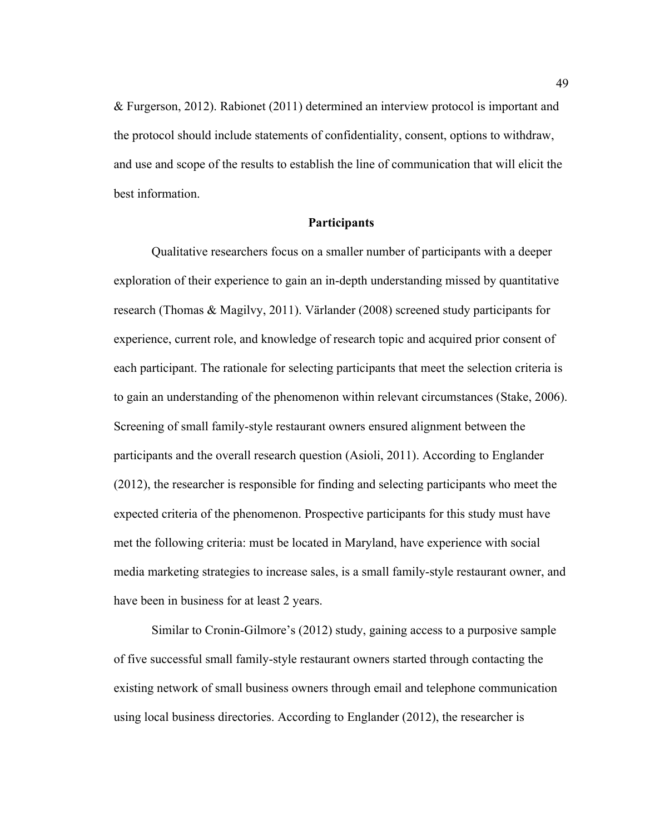& Furgerson, 2012). Rabionet (2011) determined an interview protocol is important and the protocol should include statements of confidentiality, consent, options to withdraw, and use and scope of the results to establish the line of communication that will elicit the best information.

### **Participants**

Qualitative researchers focus on a smaller number of participants with a deeper exploration of their experience to gain an in-depth understanding missed by quantitative research (Thomas & Magilvy, 2011). Värlander (2008) screened study participants for experience, current role, and knowledge of research topic and acquired prior consent of each participant. The rationale for selecting participants that meet the selection criteria is to gain an understanding of the phenomenon within relevant circumstances (Stake, 2006). Screening of small family-style restaurant owners ensured alignment between the participants and the overall research question (Asioli, 2011). According to Englander (2012), the researcher is responsible for finding and selecting participants who meet the expected criteria of the phenomenon. Prospective participants for this study must have met the following criteria: must be located in Maryland, have experience with social media marketing strategies to increase sales, is a small family-style restaurant owner, and have been in business for at least 2 years.

Similar to Cronin-Gilmore's (2012) study, gaining access to a purposive sample of five successful small family-style restaurant owners started through contacting the existing network of small business owners through email and telephone communication using local business directories. According to Englander (2012), the researcher is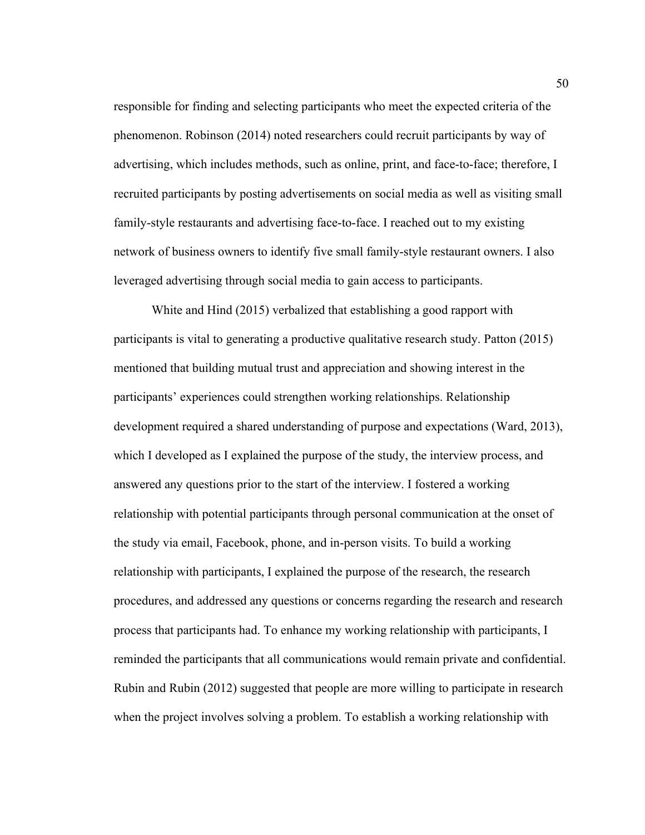responsible for finding and selecting participants who meet the expected criteria of the phenomenon. Robinson (2014) noted researchers could recruit participants by way of advertising, which includes methods, such as online, print, and face-to-face; therefore, I recruited participants by posting advertisements on social media as well as visiting small family-style restaurants and advertising face-to-face. I reached out to my existing network of business owners to identify five small family-style restaurant owners. I also leveraged advertising through social media to gain access to participants.

White and Hind (2015) verbalized that establishing a good rapport with participants is vital to generating a productive qualitative research study. Patton (2015) mentioned that building mutual trust and appreciation and showing interest in the participants' experiences could strengthen working relationships. Relationship development required a shared understanding of purpose and expectations (Ward, 2013), which I developed as I explained the purpose of the study, the interview process, and answered any questions prior to the start of the interview. I fostered a working relationship with potential participants through personal communication at the onset of the study via email, Facebook, phone, and in-person visits. To build a working relationship with participants, I explained the purpose of the research, the research procedures, and addressed any questions or concerns regarding the research and research process that participants had. To enhance my working relationship with participants, I reminded the participants that all communications would remain private and confidential. Rubin and Rubin (2012) suggested that people are more willing to participate in research when the project involves solving a problem. To establish a working relationship with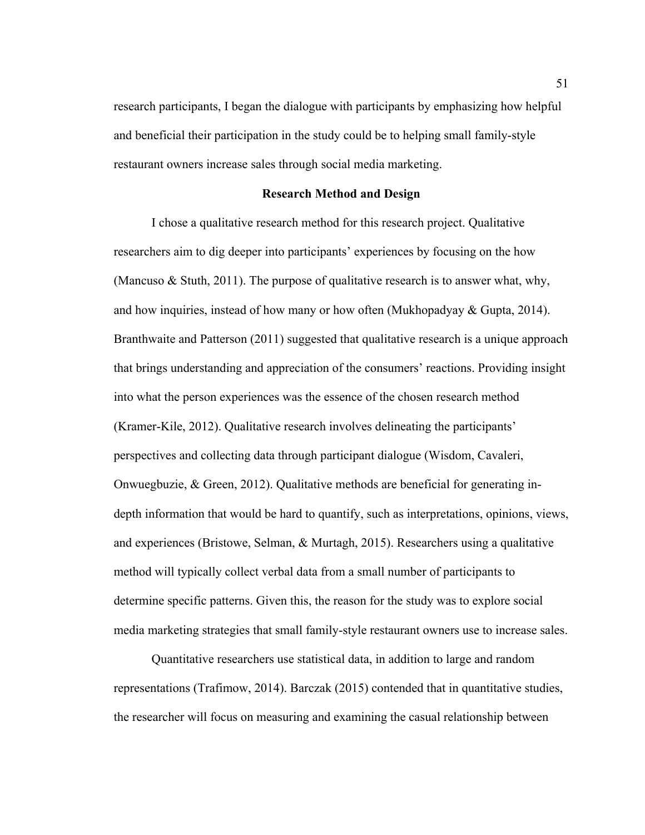research participants, I began the dialogue with participants by emphasizing how helpful and beneficial their participation in the study could be to helping small family-style restaurant owners increase sales through social media marketing.

## **Research Method and Design**

I chose a qualitative research method for this research project. Qualitative researchers aim to dig deeper into participants' experiences by focusing on the how (Mancuso & Stuth, 2011). The purpose of qualitative research is to answer what, why, and how inquiries, instead of how many or how often (Mukhopadyay & Gupta, 2014). Branthwaite and Patterson (2011) suggested that qualitative research is a unique approach that brings understanding and appreciation of the consumers' reactions. Providing insight into what the person experiences was the essence of the chosen research method (Kramer-Kile, 2012). Qualitative research involves delineating the participants' perspectives and collecting data through participant dialogue (Wisdom, Cavaleri, Onwuegbuzie, & Green, 2012). Qualitative methods are beneficial for generating indepth information that would be hard to quantify, such as interpretations, opinions, views, and experiences (Bristowe, Selman, & Murtagh, 2015). Researchers using a qualitative method will typically collect verbal data from a small number of participants to determine specific patterns. Given this, the reason for the study was to explore social media marketing strategies that small family-style restaurant owners use to increase sales.

Quantitative researchers use statistical data, in addition to large and random representations (Trafimow, 2014). Barczak (2015) contended that in quantitative studies, the researcher will focus on measuring and examining the casual relationship between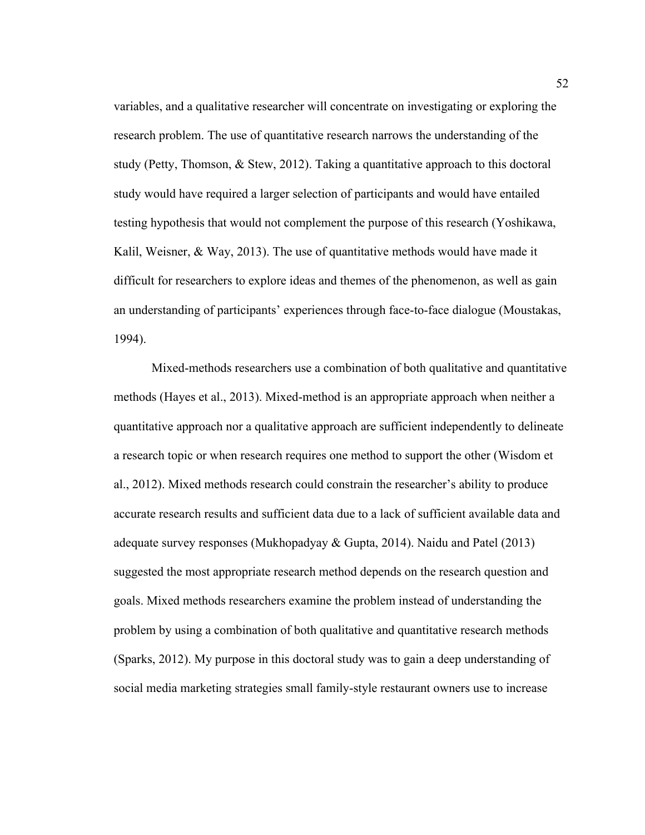variables, and a qualitative researcher will concentrate on investigating or exploring the research problem. The use of quantitative research narrows the understanding of the study (Petty, Thomson, & Stew, 2012). Taking a quantitative approach to this doctoral study would have required a larger selection of participants and would have entailed testing hypothesis that would not complement the purpose of this research (Yoshikawa, Kalil, Weisner, & Way, 2013). The use of quantitative methods would have made it difficult for researchers to explore ideas and themes of the phenomenon, as well as gain an understanding of participants' experiences through face-to-face dialogue (Moustakas, 1994).

Mixed-methods researchers use a combination of both qualitative and quantitative methods (Hayes et al., 2013). Mixed-method is an appropriate approach when neither a quantitative approach nor a qualitative approach are sufficient independently to delineate a research topic or when research requires one method to support the other (Wisdom et al., 2012). Mixed methods research could constrain the researcher's ability to produce accurate research results and sufficient data due to a lack of sufficient available data and adequate survey responses (Mukhopadyay & Gupta, 2014). Naidu and Patel (2013) suggested the most appropriate research method depends on the research question and goals. Mixed methods researchers examine the problem instead of understanding the problem by using a combination of both qualitative and quantitative research methods (Sparks, 2012). My purpose in this doctoral study was to gain a deep understanding of social media marketing strategies small family-style restaurant owners use to increase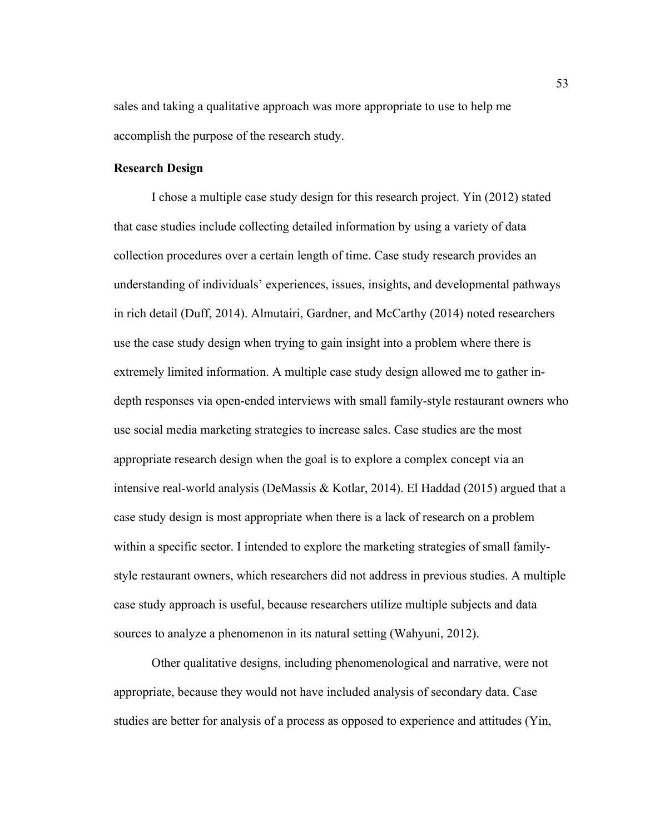sales and taking a qualitative approach was more appropriate to use to help me accomplish the purpose of the research study.

# **Research Design**

I chose a multiple case study design for this research project. Yin (2012) stated that case studies include collecting detailed information by using a variety of data collection procedures over a certain length of time. Case study research provides an understanding of individuals' experiences, issues, insights, and developmental pathways in rich detail (Duff, 2014). Almutairi, Gardner, and McCarthy (2014) noted researchers use the case study design when trying to gain insight into a problem where there is extremely limited information. A multiple case study design allowed me to gather indepth responses via open-ended interviews with small family-style restaurant owners who use social media marketing strategies to increase sales. Case studies are the most appropriate research design when the goal is to explore a complex concept via an intensive real-world analysis (DeMassis & Kotlar, 2014). El Haddad (2015) argued that a case study design is most appropriate when there is a lack of research on a problem within a specific sector. I intended to explore the marketing strategies of small familystyle restaurant owners, which researchers did not address in previous studies. A multiple case study approach is useful, because researchers utilize multiple subjects and data sources to analyze a phenomenon in its natural setting (Wahyuni, 2012).

Other qualitative designs, including phenomenological and narrative, were not appropriate, because they would not have included analysis of secondary data. Case studies are better for analysis of a process as opposed to experience and attitudes (Yin,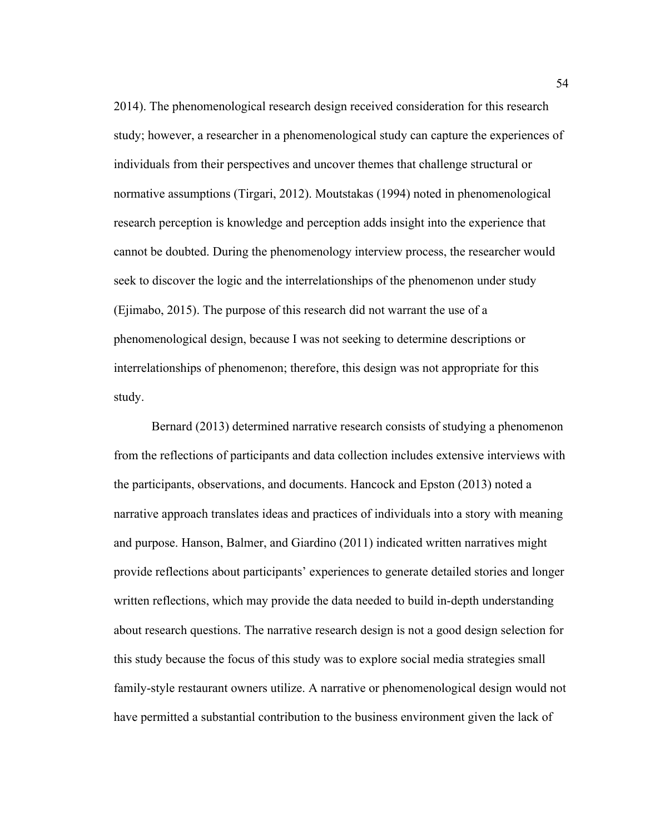2014). The phenomenological research design received consideration for this research study; however, a researcher in a phenomenological study can capture the experiences of individuals from their perspectives and uncover themes that challenge structural or normative assumptions (Tirgari, 2012). Moutstakas (1994) noted in phenomenological research perception is knowledge and perception adds insight into the experience that cannot be doubted. During the phenomenology interview process, the researcher would seek to discover the logic and the interrelationships of the phenomenon under study (Ejimabo, 2015). The purpose of this research did not warrant the use of a phenomenological design, because I was not seeking to determine descriptions or interrelationships of phenomenon; therefore, this design was not appropriate for this study.

Bernard (2013) determined narrative research consists of studying a phenomenon from the reflections of participants and data collection includes extensive interviews with the participants, observations, and documents. Hancock and Epston (2013) noted a narrative approach translates ideas and practices of individuals into a story with meaning and purpose. Hanson, Balmer, and Giardino (2011) indicated written narratives might provide reflections about participants' experiences to generate detailed stories and longer written reflections, which may provide the data needed to build in-depth understanding about research questions. The narrative research design is not a good design selection for this study because the focus of this study was to explore social media strategies small family-style restaurant owners utilize. A narrative or phenomenological design would not have permitted a substantial contribution to the business environment given the lack of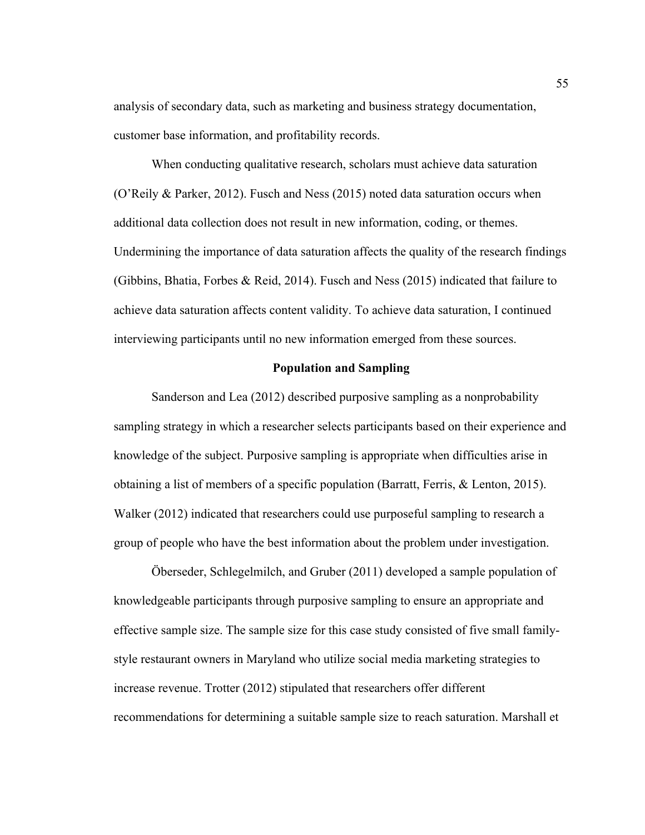analysis of secondary data, such as marketing and business strategy documentation, customer base information, and profitability records.

When conducting qualitative research, scholars must achieve data saturation (O'Reily & Parker, 2012). Fusch and Ness (2015) noted data saturation occurs when additional data collection does not result in new information, coding, or themes. Undermining the importance of data saturation affects the quality of the research findings (Gibbins, Bhatia, Forbes & Reid, 2014). Fusch and Ness (2015) indicated that failure to achieve data saturation affects content validity. To achieve data saturation, I continued interviewing participants until no new information emerged from these sources.

## **Population and Sampling**

Sanderson and Lea (2012) described purposive sampling as a nonprobability sampling strategy in which a researcher selects participants based on their experience and knowledge of the subject. Purposive sampling is appropriate when difficulties arise in obtaining a list of members of a specific population (Barratt, Ferris, & Lenton, 2015). Walker (2012) indicated that researchers could use purposeful sampling to research a group of people who have the best information about the problem under investigation.

Öberseder, Schlegelmilch, and Gruber (2011) developed a sample population of knowledgeable participants through purposive sampling to ensure an appropriate and effective sample size. The sample size for this case study consisted of five small familystyle restaurant owners in Maryland who utilize social media marketing strategies to increase revenue. Trotter (2012) stipulated that researchers offer different recommendations for determining a suitable sample size to reach saturation. Marshall et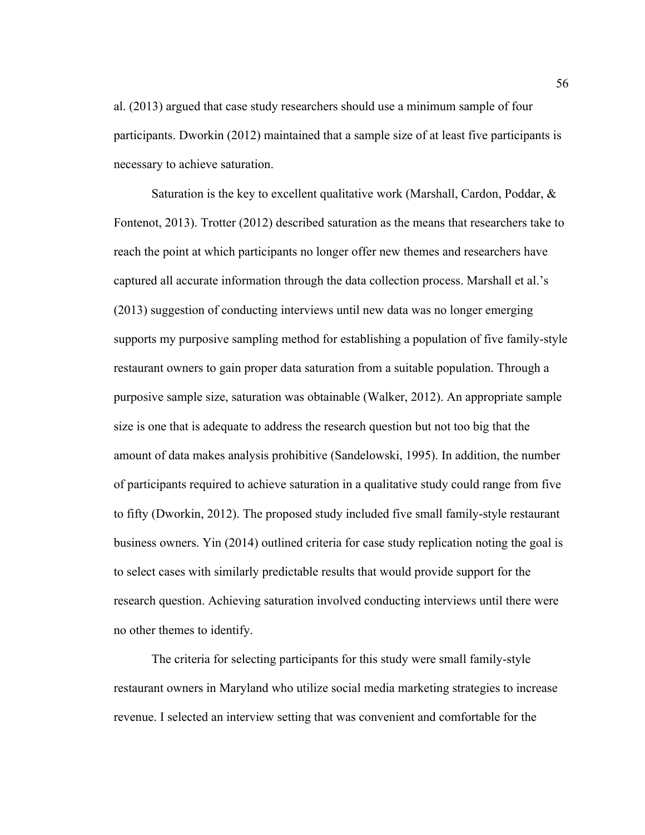al. (2013) argued that case study researchers should use a minimum sample of four participants. Dworkin (2012) maintained that a sample size of at least five participants is necessary to achieve saturation.

Saturation is the key to excellent qualitative work (Marshall, Cardon, Poddar, & Fontenot, 2013). Trotter (2012) described saturation as the means that researchers take to reach the point at which participants no longer offer new themes and researchers have captured all accurate information through the data collection process. Marshall et al.'s (2013) suggestion of conducting interviews until new data was no longer emerging supports my purposive sampling method for establishing a population of five family-style restaurant owners to gain proper data saturation from a suitable population. Through a purposive sample size, saturation was obtainable (Walker, 2012). An appropriate sample size is one that is adequate to address the research question but not too big that the amount of data makes analysis prohibitive (Sandelowski, 1995). In addition, the number of participants required to achieve saturation in a qualitative study could range from five to fifty (Dworkin, 2012). The proposed study included five small family-style restaurant business owners. Yin (2014) outlined criteria for case study replication noting the goal is to select cases with similarly predictable results that would provide support for the research question. Achieving saturation involved conducting interviews until there were no other themes to identify.

The criteria for selecting participants for this study were small family-style restaurant owners in Maryland who utilize social media marketing strategies to increase revenue. I selected an interview setting that was convenient and comfortable for the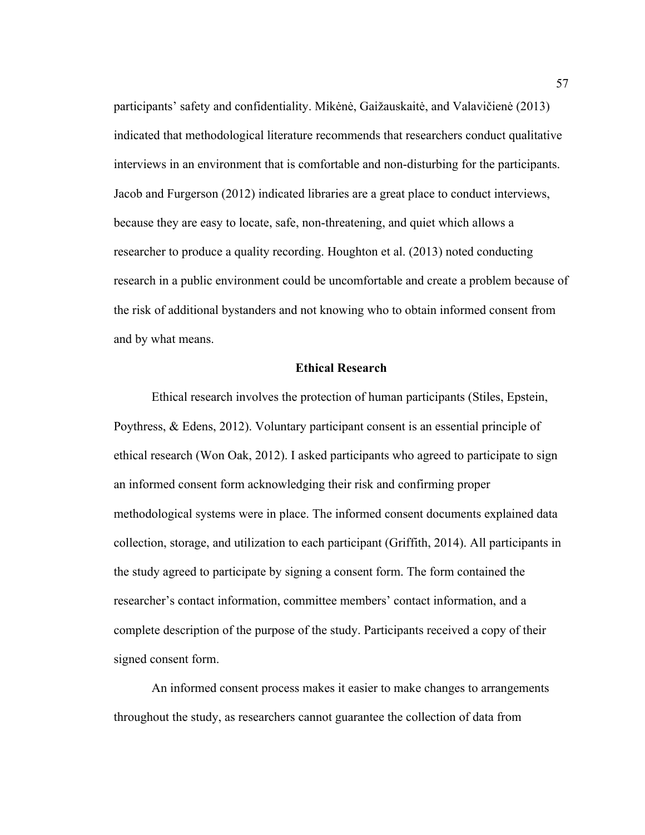participants' safety and confidentiality. Mikėnė, Gaižauskaitė, and Valavičienė (2013) indicated that methodological literature recommends that researchers conduct qualitative interviews in an environment that is comfortable and non-disturbing for the participants. Jacob and Furgerson (2012) indicated libraries are a great place to conduct interviews, because they are easy to locate, safe, non-threatening, and quiet which allows a researcher to produce a quality recording. Houghton et al. (2013) noted conducting research in a public environment could be uncomfortable and create a problem because of the risk of additional bystanders and not knowing who to obtain informed consent from and by what means.

## **Ethical Research**

Ethical research involves the protection of human participants (Stiles, Epstein, Poythress, & Edens, 2012). Voluntary participant consent is an essential principle of ethical research (Won Oak, 2012). I asked participants who agreed to participate to sign an informed consent form acknowledging their risk and confirming proper methodological systems were in place. The informed consent documents explained data collection, storage, and utilization to each participant (Griffith, 2014). All participants in the study agreed to participate by signing a consent form. The form contained the researcher's contact information, committee members' contact information, and a complete description of the purpose of the study. Participants received a copy of their signed consent form.

An informed consent process makes it easier to make changes to arrangements throughout the study, as researchers cannot guarantee the collection of data from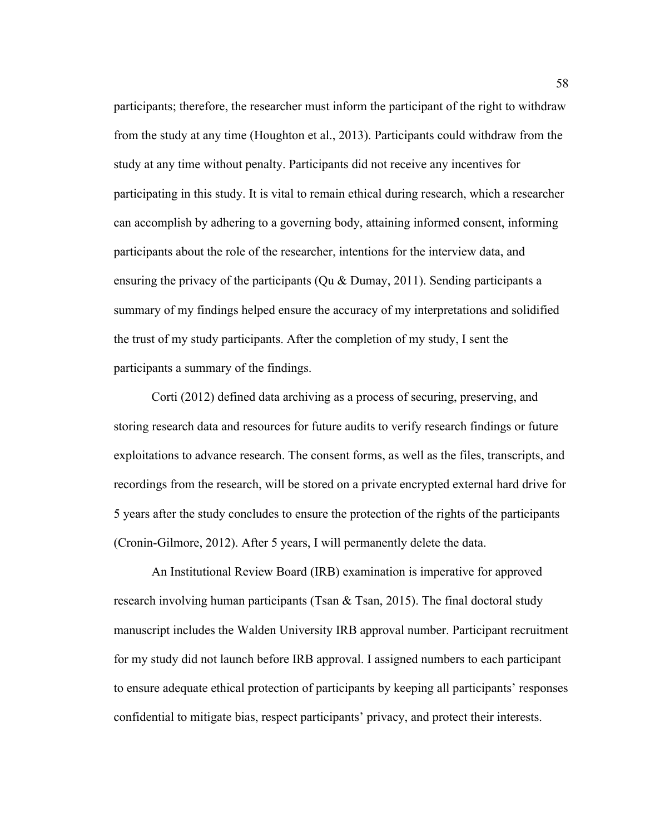participants; therefore, the researcher must inform the participant of the right to withdraw from the study at any time (Houghton et al., 2013). Participants could withdraw from the study at any time without penalty. Participants did not receive any incentives for participating in this study. It is vital to remain ethical during research, which a researcher can accomplish by adhering to a governing body, attaining informed consent, informing participants about the role of the researcher, intentions for the interview data, and ensuring the privacy of the participants (Qu & Dumay, 2011). Sending participants a summary of my findings helped ensure the accuracy of my interpretations and solidified the trust of my study participants. After the completion of my study, I sent the participants a summary of the findings.

Corti (2012) defined data archiving as a process of securing, preserving, and storing research data and resources for future audits to verify research findings or future exploitations to advance research. The consent forms, as well as the files, transcripts, and recordings from the research, will be stored on a private encrypted external hard drive for 5 years after the study concludes to ensure the protection of the rights of the participants (Cronin-Gilmore, 2012). After 5 years, I will permanently delete the data.

An Institutional Review Board (IRB) examination is imperative for approved research involving human participants (Tsan  $\&$  Tsan, 2015). The final doctoral study manuscript includes the Walden University IRB approval number. Participant recruitment for my study did not launch before IRB approval. I assigned numbers to each participant to ensure adequate ethical protection of participants by keeping all participants' responses confidential to mitigate bias, respect participants' privacy, and protect their interests.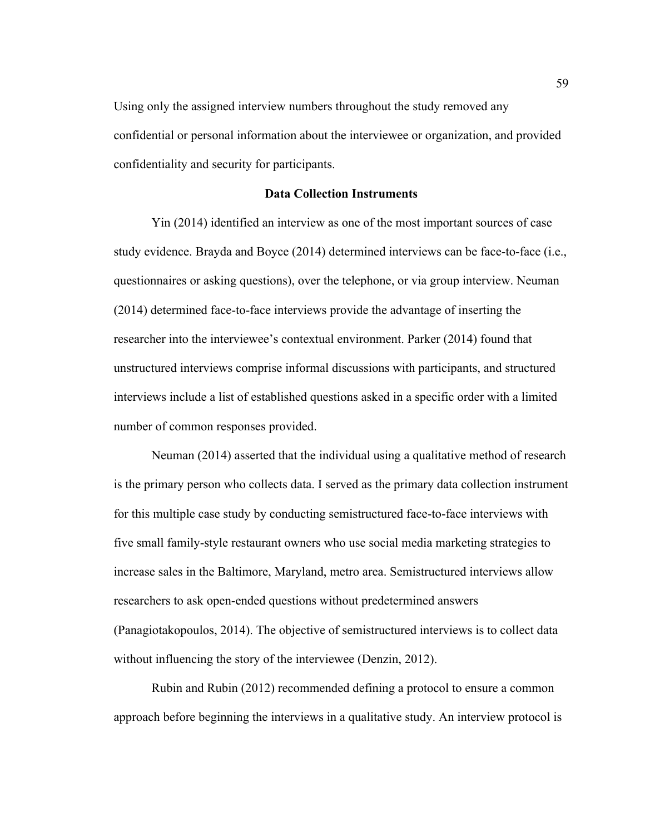Using only the assigned interview numbers throughout the study removed any confidential or personal information about the interviewee or organization, and provided confidentiality and security for participants.

## **Data Collection Instruments**

Yin (2014) identified an interview as one of the most important sources of case study evidence. Brayda and Boyce (2014) determined interviews can be face-to-face (i.e., questionnaires or asking questions), over the telephone, or via group interview. Neuman (2014) determined face-to-face interviews provide the advantage of inserting the researcher into the interviewee's contextual environment. Parker (2014) found that unstructured interviews comprise informal discussions with participants, and structured interviews include a list of established questions asked in a specific order with a limited number of common responses provided.

Neuman (2014) asserted that the individual using a qualitative method of research is the primary person who collects data. I served as the primary data collection instrument for this multiple case study by conducting semistructured face-to-face interviews with five small family-style restaurant owners who use social media marketing strategies to increase sales in the Baltimore, Maryland, metro area. Semistructured interviews allow researchers to ask open-ended questions without predetermined answers (Panagiotakopoulos, 2014). The objective of semistructured interviews is to collect data without influencing the story of the interviewee (Denzin, 2012).

Rubin and Rubin (2012) recommended defining a protocol to ensure a common approach before beginning the interviews in a qualitative study. An interview protocol is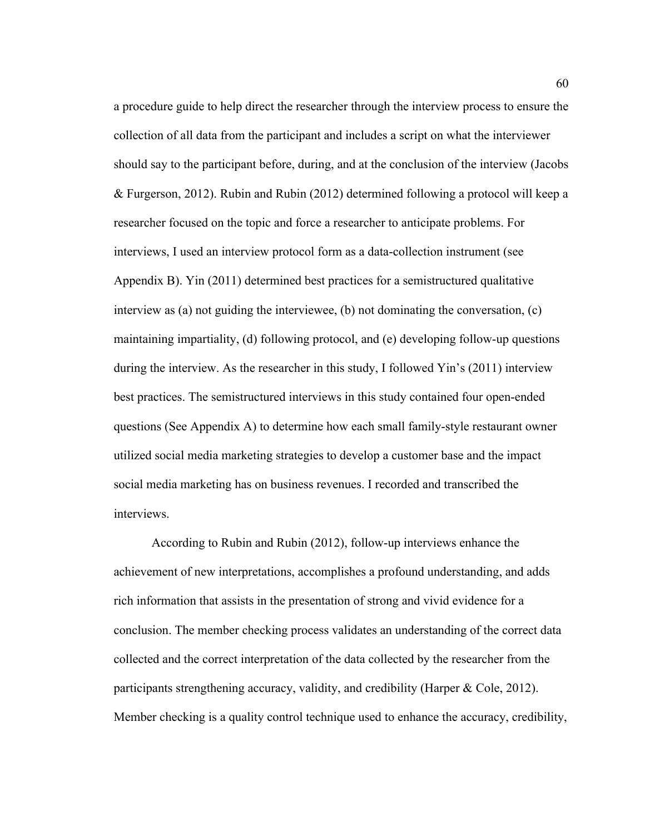a procedure guide to help direct the researcher through the interview process to ensure the collection of all data from the participant and includes a script on what the interviewer should say to the participant before, during, and at the conclusion of the interview (Jacobs & Furgerson, 2012). Rubin and Rubin (2012) determined following a protocol will keep a researcher focused on the topic and force a researcher to anticipate problems. For interviews, I used an interview protocol form as a data-collection instrument (see Appendix B). Yin (2011) determined best practices for a semistructured qualitative interview as (a) not guiding the interviewee, (b) not dominating the conversation, (c) maintaining impartiality, (d) following protocol, and (e) developing follow-up questions during the interview. As the researcher in this study, I followed Yin's (2011) interview best practices. The semistructured interviews in this study contained four open-ended questions (See Appendix A) to determine how each small family-style restaurant owner utilized social media marketing strategies to develop a customer base and the impact social media marketing has on business revenues. I recorded and transcribed the interviews.

According to Rubin and Rubin (2012), follow-up interviews enhance the achievement of new interpretations, accomplishes a profound understanding, and adds rich information that assists in the presentation of strong and vivid evidence for a conclusion. The member checking process validates an understanding of the correct data collected and the correct interpretation of the data collected by the researcher from the participants strengthening accuracy, validity, and credibility (Harper  $& \text{Cole}, 2012$ ). Member checking is a quality control technique used to enhance the accuracy, credibility,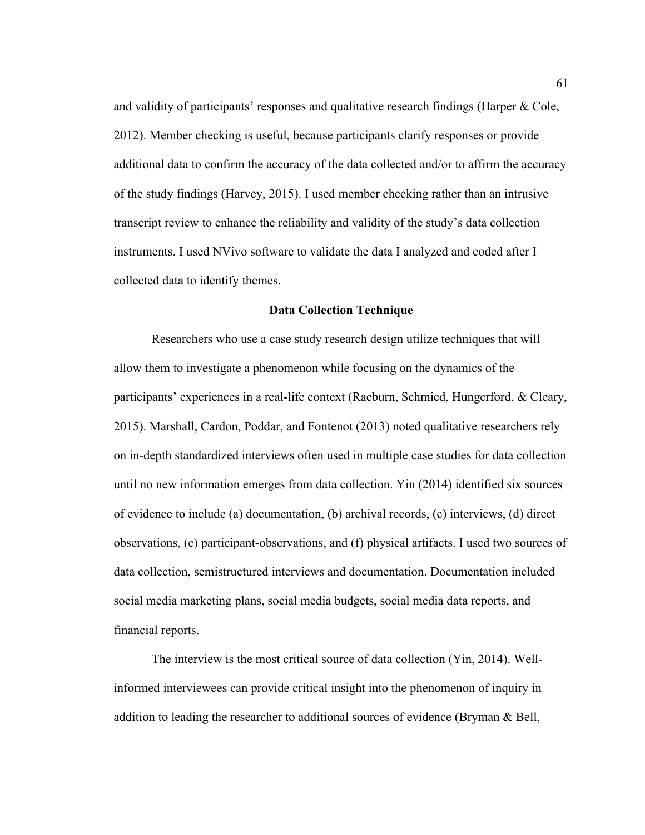and validity of participants' responses and qualitative research findings (Harper & Cole, 2012). Member checking is useful, because participants clarify responses or provide additional data to confirm the accuracy of the data collected and/or to affirm the accuracy of the study findings (Harvey, 2015). I used member checking rather than an intrusive transcript review to enhance the reliability and validity of the study's data collection instruments. I used NVivo software to validate the data I analyzed and coded after I collected data to identify themes.

#### **Data Collection Technique**

Researchers who use a case study research design utilize techniques that will allow them to investigate a phenomenon while focusing on the dynamics of the participants' experiences in a real-life context (Raeburn, Schmied, Hungerford, & Cleary, 2015). Marshall, Cardon, Poddar, and Fontenot (2013) noted qualitative researchers rely on in-depth standardized interviews often used in multiple case studies for data collection until no new information emerges from data collection. Yin (2014) identified six sources of evidence to include (a) documentation, (b) archival records, (c) interviews, (d) direct observations, (e) participant-observations, and (f) physical artifacts. I used two sources of data collection, semistructured interviews and documentation. Documentation included social media marketing plans, social media budgets, social media data reports, and financial reports.

The interview is the most critical source of data collection (Yin, 2014). Wellinformed interviewees can provide critical insight into the phenomenon of inquiry in addition to leading the researcher to additional sources of evidence (Bryman & Bell,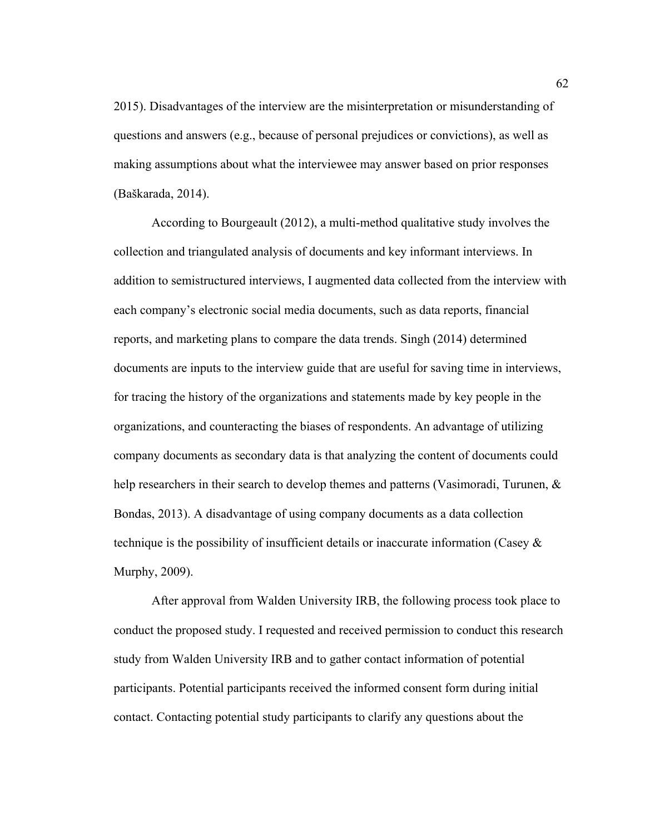2015). Disadvantages of the interview are the misinterpretation or misunderstanding of questions and answers (e.g., because of personal prejudices or convictions), as well as making assumptions about what the interviewee may answer based on prior responses (Baškarada, 2014).

According to Bourgeault (2012), a multi-method qualitative study involves the collection and triangulated analysis of documents and key informant interviews. In addition to semistructured interviews, I augmented data collected from the interview with each company's electronic social media documents, such as data reports, financial reports, and marketing plans to compare the data trends. Singh (2014) determined documents are inputs to the interview guide that are useful for saving time in interviews, for tracing the history of the organizations and statements made by key people in the organizations, and counteracting the biases of respondents. An advantage of utilizing company documents as secondary data is that analyzing the content of documents could help researchers in their search to develop themes and patterns (Vasimoradi, Turunen, & Bondas, 2013). A disadvantage of using company documents as a data collection technique is the possibility of insufficient details or inaccurate information (Casey  $\&$ Murphy, 2009).

After approval from Walden University IRB, the following process took place to conduct the proposed study. I requested and received permission to conduct this research study from Walden University IRB and to gather contact information of potential participants. Potential participants received the informed consent form during initial contact. Contacting potential study participants to clarify any questions about the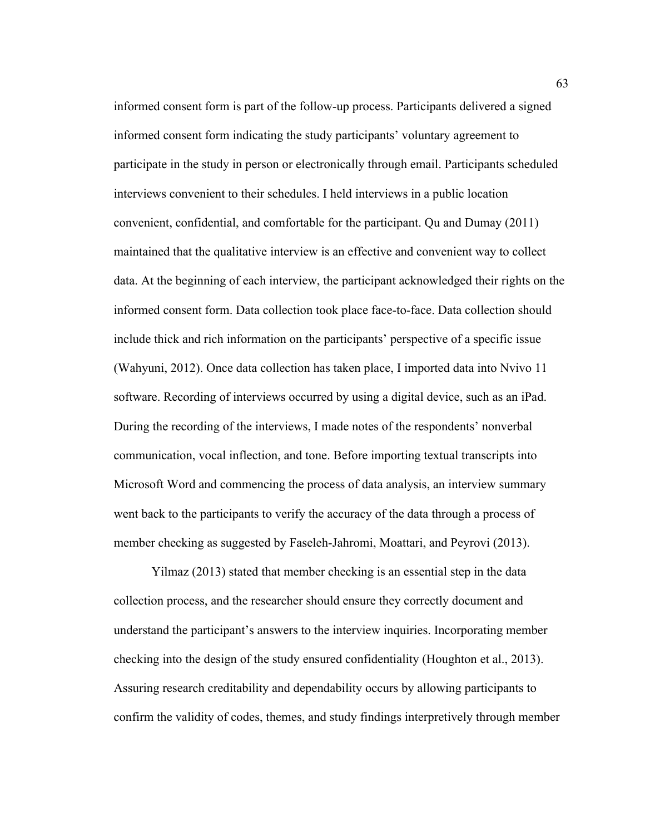informed consent form is part of the follow-up process. Participants delivered a signed informed consent form indicating the study participants' voluntary agreement to participate in the study in person or electronically through email. Participants scheduled interviews convenient to their schedules. I held interviews in a public location convenient, confidential, and comfortable for the participant. Qu and Dumay (2011) maintained that the qualitative interview is an effective and convenient way to collect data. At the beginning of each interview, the participant acknowledged their rights on the informed consent form. Data collection took place face-to-face. Data collection should include thick and rich information on the participants' perspective of a specific issue (Wahyuni, 2012). Once data collection has taken place, I imported data into Nvivo 11 software. Recording of interviews occurred by using a digital device, such as an iPad. During the recording of the interviews, I made notes of the respondents' nonverbal communication, vocal inflection, and tone. Before importing textual transcripts into Microsoft Word and commencing the process of data analysis, an interview summary went back to the participants to verify the accuracy of the data through a process of member checking as suggested by Faseleh-Jahromi, Moattari, and Peyrovi (2013).

Yilmaz (2013) stated that member checking is an essential step in the data collection process, and the researcher should ensure they correctly document and understand the participant's answers to the interview inquiries. Incorporating member checking into the design of the study ensured confidentiality (Houghton et al., 2013). Assuring research creditability and dependability occurs by allowing participants to confirm the validity of codes, themes, and study findings interpretively through member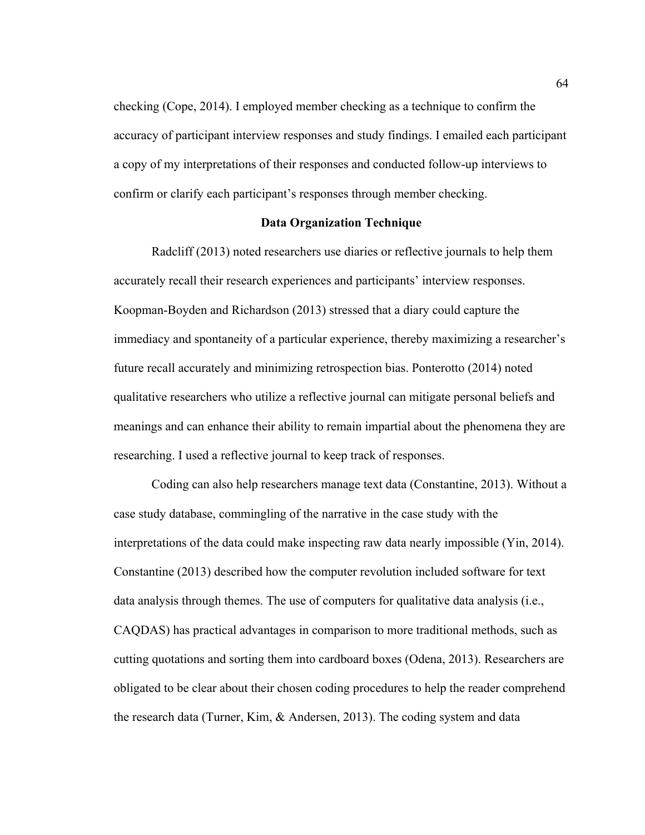checking (Cope, 2014). I employed member checking as a technique to confirm the accuracy of participant interview responses and study findings. I emailed each participant a copy of my interpretations of their responses and conducted follow-up interviews to confirm or clarify each participant's responses through member checking.

# **Data Organization Technique**

Radcliff (2013) noted researchers use diaries or reflective journals to help them accurately recall their research experiences and participants' interview responses. Koopman-Boyden and Richardson (2013) stressed that a diary could capture the immediacy and spontaneity of a particular experience, thereby maximizing a researcher's future recall accurately and minimizing retrospection bias. Ponterotto (2014) noted qualitative researchers who utilize a reflective journal can mitigate personal beliefs and meanings and can enhance their ability to remain impartial about the phenomena they are researching. I used a reflective journal to keep track of responses.

Coding can also help researchers manage text data (Constantine, 2013). Without a case study database, commingling of the narrative in the case study with the interpretations of the data could make inspecting raw data nearly impossible (Yin, 2014). Constantine (2013) described how the computer revolution included software for text data analysis through themes. The use of computers for qualitative data analysis (i.e., CAQDAS) has practical advantages in comparison to more traditional methods, such as cutting quotations and sorting them into cardboard boxes (Odena, 2013). Researchers are obligated to be clear about their chosen coding procedures to help the reader comprehend the research data (Turner, Kim, & Andersen, 2013). The coding system and data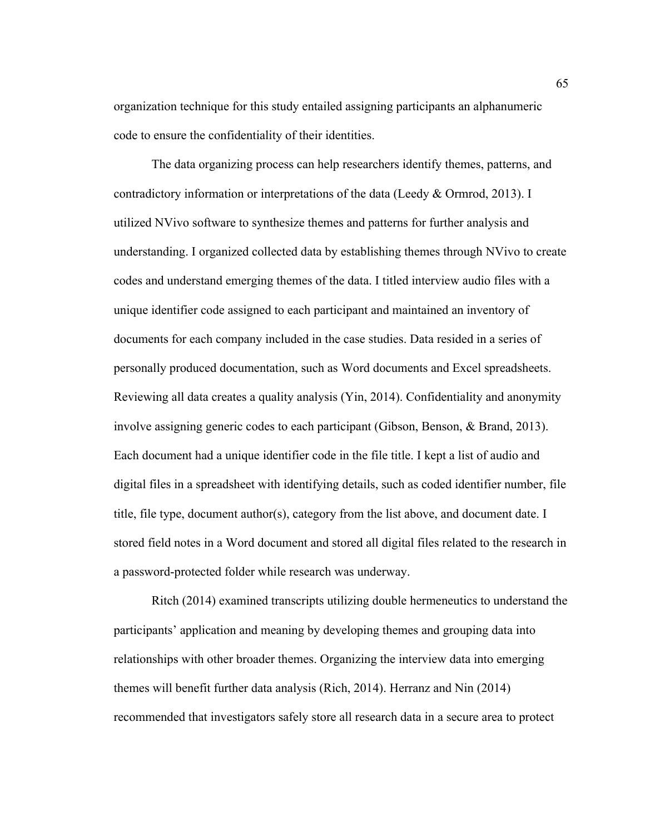organization technique for this study entailed assigning participants an alphanumeric code to ensure the confidentiality of their identities.

The data organizing process can help researchers identify themes, patterns, and contradictory information or interpretations of the data (Leedy & Ormrod, 2013). I utilized NVivo software to synthesize themes and patterns for further analysis and understanding. I organized collected data by establishing themes through NVivo to create codes and understand emerging themes of the data. I titled interview audio files with a unique identifier code assigned to each participant and maintained an inventory of documents for each company included in the case studies. Data resided in a series of personally produced documentation, such as Word documents and Excel spreadsheets. Reviewing all data creates a quality analysis (Yin, 2014). Confidentiality and anonymity involve assigning generic codes to each participant (Gibson, Benson, & Brand, 2013). Each document had a unique identifier code in the file title. I kept a list of audio and digital files in a spreadsheet with identifying details, such as coded identifier number, file title, file type, document author(s), category from the list above, and document date. I stored field notes in a Word document and stored all digital files related to the research in a password-protected folder while research was underway.

Ritch (2014) examined transcripts utilizing double hermeneutics to understand the participants' application and meaning by developing themes and grouping data into relationships with other broader themes. Organizing the interview data into emerging themes will benefit further data analysis (Rich, 2014). Herranz and Nin (2014) recommended that investigators safely store all research data in a secure area to protect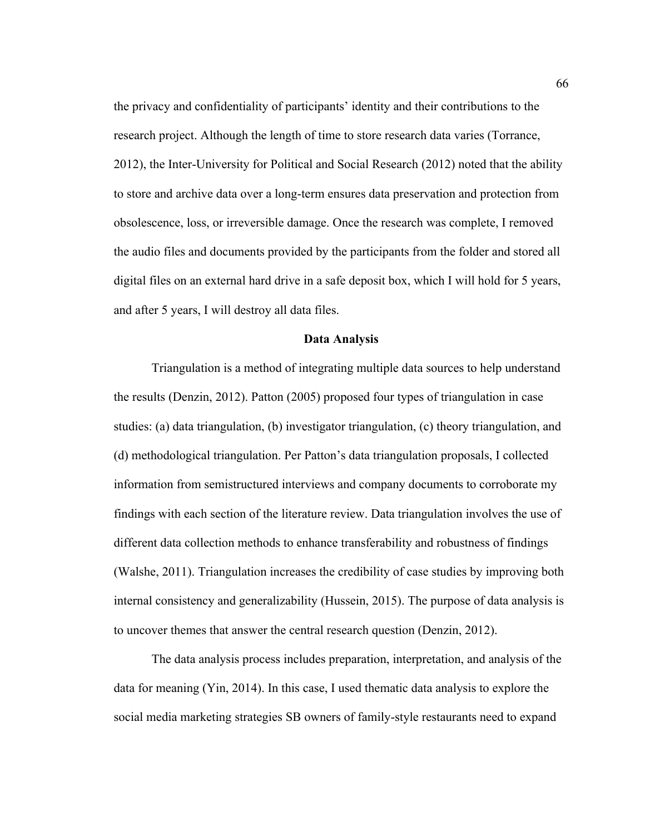the privacy and confidentiality of participants' identity and their contributions to the research project. Although the length of time to store research data varies (Torrance, 2012), the Inter-University for Political and Social Research (2012) noted that the ability to store and archive data over a long-term ensures data preservation and protection from obsolescence, loss, or irreversible damage. Once the research was complete, I removed the audio files and documents provided by the participants from the folder and stored all digital files on an external hard drive in a safe deposit box, which I will hold for 5 years, and after 5 years, I will destroy all data files.

### **Data Analysis**

Triangulation is a method of integrating multiple data sources to help understand the results (Denzin, 2012). Patton (2005) proposed four types of triangulation in case studies: (a) data triangulation, (b) investigator triangulation, (c) theory triangulation, and (d) methodological triangulation. Per Patton's data triangulation proposals, I collected information from semistructured interviews and company documents to corroborate my findings with each section of the literature review. Data triangulation involves the use of different data collection methods to enhance transferability and robustness of findings (Walshe, 2011). Triangulation increases the credibility of case studies by improving both internal consistency and generalizability (Hussein, 2015). The purpose of data analysis is to uncover themes that answer the central research question (Denzin, 2012).

The data analysis process includes preparation, interpretation, and analysis of the data for meaning (Yin, 2014). In this case, I used thematic data analysis to explore the social media marketing strategies SB owners of family-style restaurants need to expand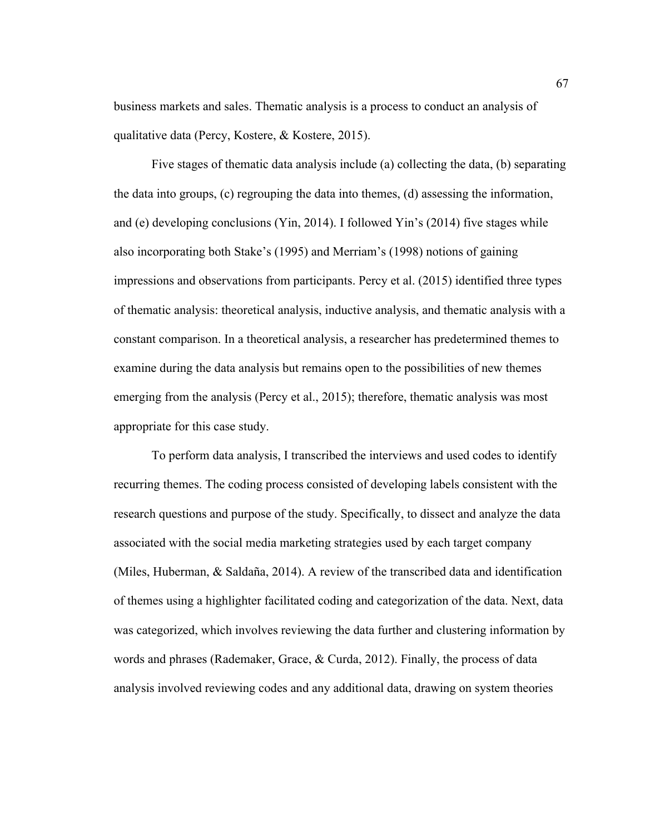business markets and sales. Thematic analysis is a process to conduct an analysis of qualitative data (Percy, Kostere, & Kostere, 2015).

Five stages of thematic data analysis include (a) collecting the data, (b) separating the data into groups, (c) regrouping the data into themes, (d) assessing the information, and (e) developing conclusions (Yin, 2014). I followed Yin's (2014) five stages while also incorporating both Stake's (1995) and Merriam's (1998) notions of gaining impressions and observations from participants. Percy et al. (2015) identified three types of thematic analysis: theoretical analysis, inductive analysis, and thematic analysis with a constant comparison. In a theoretical analysis, a researcher has predetermined themes to examine during the data analysis but remains open to the possibilities of new themes emerging from the analysis (Percy et al., 2015); therefore, thematic analysis was most appropriate for this case study.

To perform data analysis, I transcribed the interviews and used codes to identify recurring themes. The coding process consisted of developing labels consistent with the research questions and purpose of the study. Specifically, to dissect and analyze the data associated with the social media marketing strategies used by each target company (Miles, Huberman, & Saldaña, 2014). A review of the transcribed data and identification of themes using a highlighter facilitated coding and categorization of the data. Next, data was categorized, which involves reviewing the data further and clustering information by words and phrases (Rademaker, Grace, & Curda, 2012). Finally, the process of data analysis involved reviewing codes and any additional data, drawing on system theories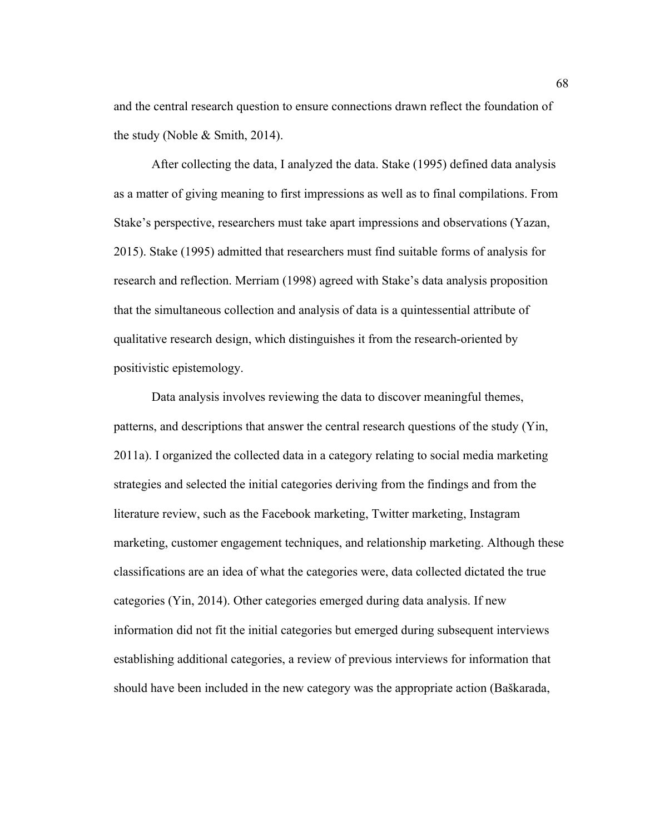and the central research question to ensure connections drawn reflect the foundation of the study (Noble & Smith, 2014).

After collecting the data, I analyzed the data. Stake (1995) defined data analysis as a matter of giving meaning to first impressions as well as to final compilations. From Stake's perspective, researchers must take apart impressions and observations (Yazan, 2015). Stake (1995) admitted that researchers must find suitable forms of analysis for research and reflection. Merriam (1998) agreed with Stake's data analysis proposition that the simultaneous collection and analysis of data is a quintessential attribute of qualitative research design, which distinguishes it from the research-oriented by positivistic epistemology.

Data analysis involves reviewing the data to discover meaningful themes, patterns, and descriptions that answer the central research questions of the study (Yin, 2011a). I organized the collected data in a category relating to social media marketing strategies and selected the initial categories deriving from the findings and from the literature review, such as the Facebook marketing, Twitter marketing, Instagram marketing, customer engagement techniques, and relationship marketing. Although these classifications are an idea of what the categories were, data collected dictated the true categories (Yin, 2014). Other categories emerged during data analysis. If new information did not fit the initial categories but emerged during subsequent interviews establishing additional categories, a review of previous interviews for information that should have been included in the new category was the appropriate action (Baškarada,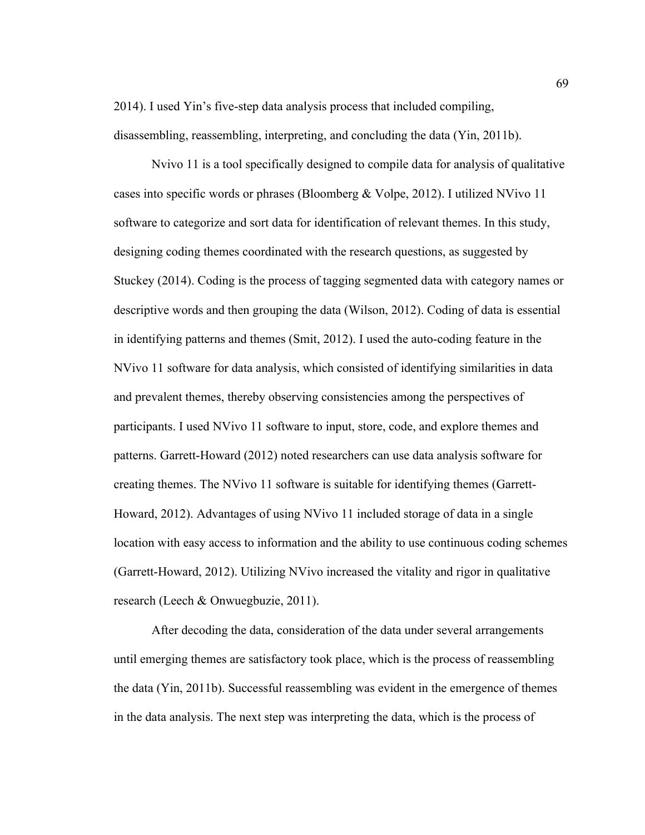2014). I used Yin's five-step data analysis process that included compiling, disassembling, reassembling, interpreting, and concluding the data (Yin, 2011b).

Nvivo 11 is a tool specifically designed to compile data for analysis of qualitative cases into specific words or phrases (Bloomberg & Volpe, 2012). I utilized NVivo 11 software to categorize and sort data for identification of relevant themes. In this study, designing coding themes coordinated with the research questions, as suggested by Stuckey (2014). Coding is the process of tagging segmented data with category names or descriptive words and then grouping the data (Wilson, 2012). Coding of data is essential in identifying patterns and themes (Smit, 2012). I used the auto-coding feature in the NVivo 11 software for data analysis, which consisted of identifying similarities in data and prevalent themes, thereby observing consistencies among the perspectives of participants. I used NVivo 11 software to input, store, code, and explore themes and patterns. Garrett-Howard (2012) noted researchers can use data analysis software for creating themes. The NVivo 11 software is suitable for identifying themes (Garrett-Howard, 2012). Advantages of using NVivo 11 included storage of data in a single location with easy access to information and the ability to use continuous coding schemes (Garrett-Howard, 2012). Utilizing NVivo increased the vitality and rigor in qualitative research (Leech & Onwuegbuzie, 2011).

After decoding the data, consideration of the data under several arrangements until emerging themes are satisfactory took place, which is the process of reassembling the data (Yin, 2011b). Successful reassembling was evident in the emergence of themes in the data analysis. The next step was interpreting the data, which is the process of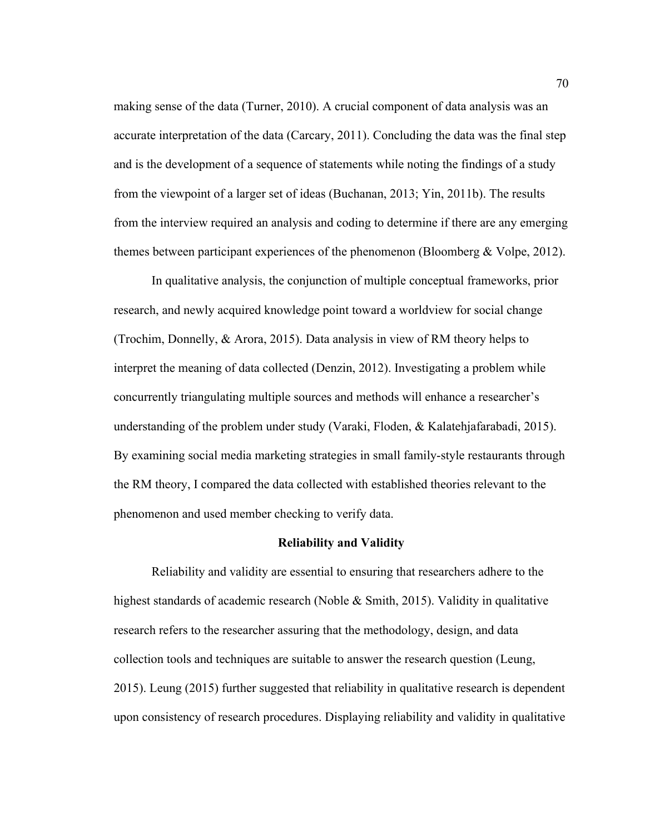making sense of the data (Turner, 2010). A crucial component of data analysis was an accurate interpretation of the data (Carcary, 2011). Concluding the data was the final step and is the development of a sequence of statements while noting the findings of a study from the viewpoint of a larger set of ideas (Buchanan, 2013; Yin, 2011b). The results from the interview required an analysis and coding to determine if there are any emerging themes between participant experiences of the phenomenon (Bloomberg & Volpe, 2012).

In qualitative analysis, the conjunction of multiple conceptual frameworks, prior research, and newly acquired knowledge point toward a worldview for social change (Trochim, Donnelly, & Arora, 2015). Data analysis in view of RM theory helps to interpret the meaning of data collected (Denzin, 2012). Investigating a problem while concurrently triangulating multiple sources and methods will enhance a researcher's understanding of the problem under study (Varaki, Floden,  $\&$  Kalatehjafarabadi, 2015). By examining social media marketing strategies in small family-style restaurants through the RM theory, I compared the data collected with established theories relevant to the phenomenon and used member checking to verify data.

## **Reliability and Validity**

Reliability and validity are essential to ensuring that researchers adhere to the highest standards of academic research (Noble  $\&$  Smith, 2015). Validity in qualitative research refers to the researcher assuring that the methodology, design, and data collection tools and techniques are suitable to answer the research question (Leung, 2015). Leung (2015) further suggested that reliability in qualitative research is dependent upon consistency of research procedures. Displaying reliability and validity in qualitative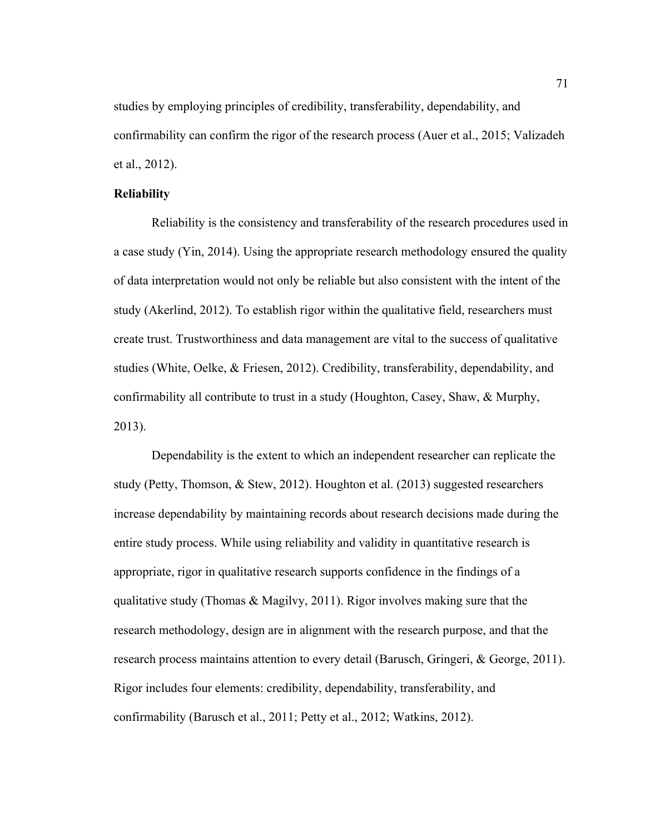studies by employing principles of credibility, transferability, dependability, and confirmability can confirm the rigor of the research process (Auer et al., 2015; Valizadeh et al., 2012).

# **Reliability**

Reliability is the consistency and transferability of the research procedures used in a case study (Yin, 2014). Using the appropriate research methodology ensured the quality of data interpretation would not only be reliable but also consistent with the intent of the study (Akerlind, 2012). To establish rigor within the qualitative field, researchers must create trust. Trustworthiness and data management are vital to the success of qualitative studies (White, Oelke, & Friesen, 2012). Credibility, transferability, dependability, and confirmability all contribute to trust in a study (Houghton, Casey, Shaw, & Murphy, 2013).

Dependability is the extent to which an independent researcher can replicate the study (Petty, Thomson, & Stew, 2012). Houghton et al. (2013) suggested researchers increase dependability by maintaining records about research decisions made during the entire study process. While using reliability and validity in quantitative research is appropriate, rigor in qualitative research supports confidence in the findings of a qualitative study (Thomas & Magilvy, 2011). Rigor involves making sure that the research methodology, design are in alignment with the research purpose, and that the research process maintains attention to every detail (Barusch, Gringeri, & George, 2011). Rigor includes four elements: credibility, dependability, transferability, and confirmability (Barusch et al., 2011; Petty et al., 2012; Watkins, 2012).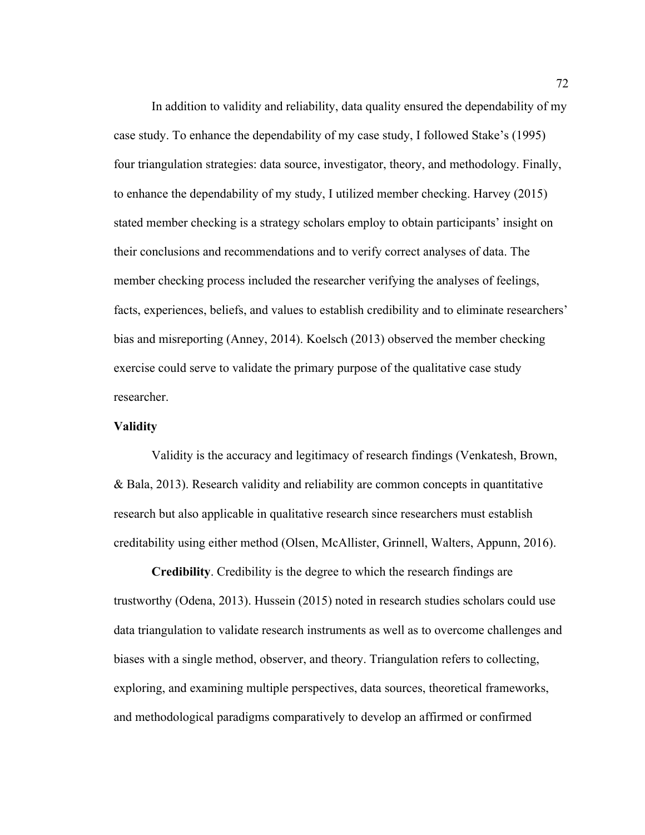In addition to validity and reliability, data quality ensured the dependability of my case study. To enhance the dependability of my case study, I followed Stake's (1995) four triangulation strategies: data source, investigator, theory, and methodology. Finally, to enhance the dependability of my study, I utilized member checking. Harvey (2015) stated member checking is a strategy scholars employ to obtain participants' insight on their conclusions and recommendations and to verify correct analyses of data. The member checking process included the researcher verifying the analyses of feelings, facts, experiences, beliefs, and values to establish credibility and to eliminate researchers' bias and misreporting (Anney, 2014). Koelsch (2013) observed the member checking exercise could serve to validate the primary purpose of the qualitative case study researcher.

# **Validity**

Validity is the accuracy and legitimacy of research findings (Venkatesh, Brown, & Bala, 2013). Research validity and reliability are common concepts in quantitative research but also applicable in qualitative research since researchers must establish creditability using either method (Olsen, McAllister, Grinnell, Walters, Appunn, 2016).

**Credibility**. Credibility is the degree to which the research findings are trustworthy (Odena, 2013). Hussein (2015) noted in research studies scholars could use data triangulation to validate research instruments as well as to overcome challenges and biases with a single method, observer, and theory. Triangulation refers to collecting, exploring, and examining multiple perspectives, data sources, theoretical frameworks, and methodological paradigms comparatively to develop an affirmed or confirmed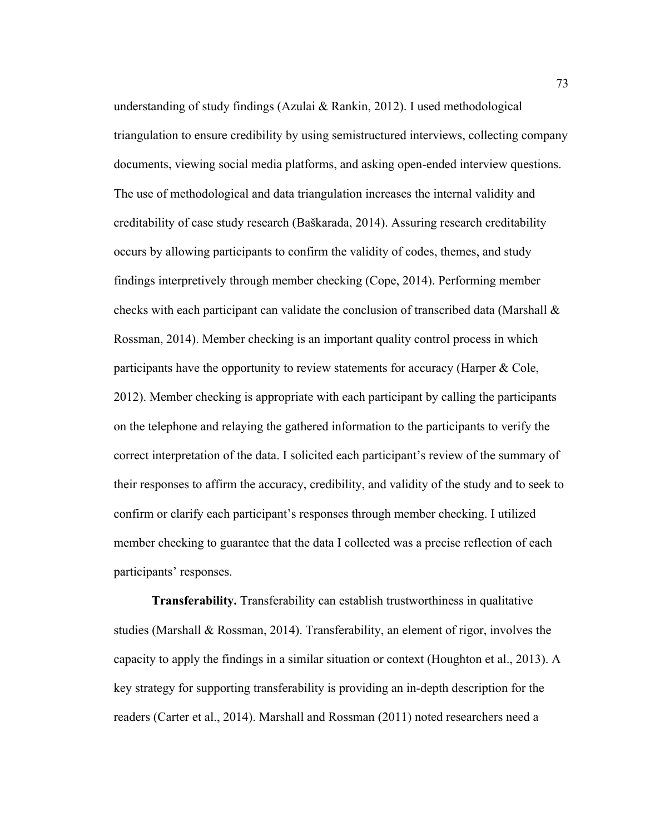understanding of study findings (Azulai & Rankin, 2012). I used methodological triangulation to ensure credibility by using semistructured interviews, collecting company documents, viewing social media platforms, and asking open-ended interview questions. The use of methodological and data triangulation increases the internal validity and creditability of case study research (Baškarada, 2014). Assuring research creditability occurs by allowing participants to confirm the validity of codes, themes, and study findings interpretively through member checking (Cope, 2014). Performing member checks with each participant can validate the conclusion of transcribed data (Marshall & Rossman, 2014). Member checking is an important quality control process in which participants have the opportunity to review statements for accuracy (Harper & Cole, 2012). Member checking is appropriate with each participant by calling the participants on the telephone and relaying the gathered information to the participants to verify the correct interpretation of the data. I solicited each participant's review of the summary of their responses to affirm the accuracy, credibility, and validity of the study and to seek to confirm or clarify each participant's responses through member checking. I utilized member checking to guarantee that the data I collected was a precise reflection of each participants' responses.

**Transferability.** Transferability can establish trustworthiness in qualitative studies (Marshall & Rossman, 2014). Transferability, an element of rigor, involves the capacity to apply the findings in a similar situation or context (Houghton et al., 2013). A key strategy for supporting transferability is providing an in-depth description for the readers (Carter et al., 2014). Marshall and Rossman (2011) noted researchers need a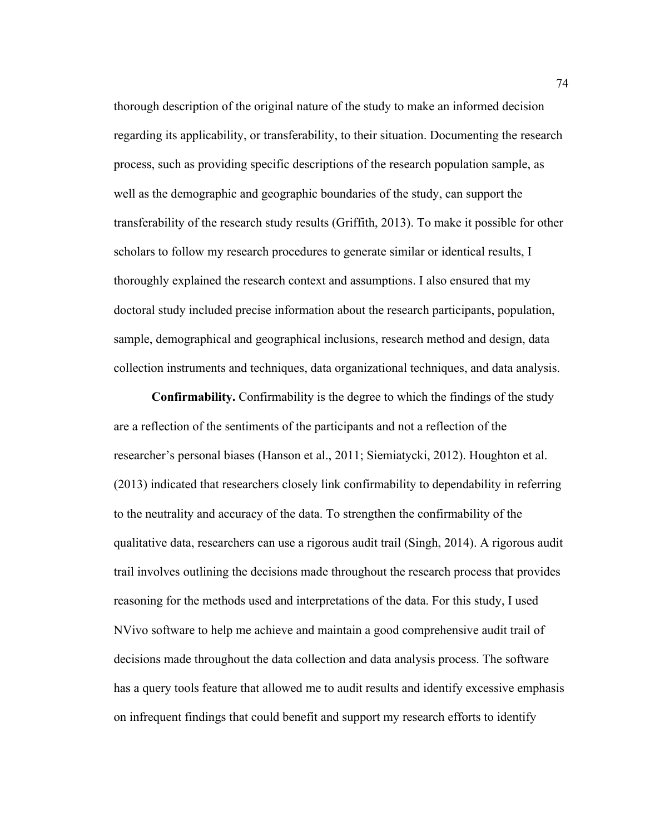thorough description of the original nature of the study to make an informed decision regarding its applicability, or transferability, to their situation. Documenting the research process, such as providing specific descriptions of the research population sample, as well as the demographic and geographic boundaries of the study, can support the transferability of the research study results (Griffith, 2013). To make it possible for other scholars to follow my research procedures to generate similar or identical results, I thoroughly explained the research context and assumptions. I also ensured that my doctoral study included precise information about the research participants, population, sample, demographical and geographical inclusions, research method and design, data collection instruments and techniques, data organizational techniques, and data analysis.

**Confirmability.** Confirmability is the degree to which the findings of the study are a reflection of the sentiments of the participants and not a reflection of the researcher's personal biases (Hanson et al., 2011; Siemiatycki, 2012). Houghton et al. (2013) indicated that researchers closely link confirmability to dependability in referring to the neutrality and accuracy of the data. To strengthen the confirmability of the qualitative data, researchers can use a rigorous audit trail (Singh, 2014). A rigorous audit trail involves outlining the decisions made throughout the research process that provides reasoning for the methods used and interpretations of the data. For this study, I used NVivo software to help me achieve and maintain a good comprehensive audit trail of decisions made throughout the data collection and data analysis process. The software has a query tools feature that allowed me to audit results and identify excessive emphasis on infrequent findings that could benefit and support my research efforts to identify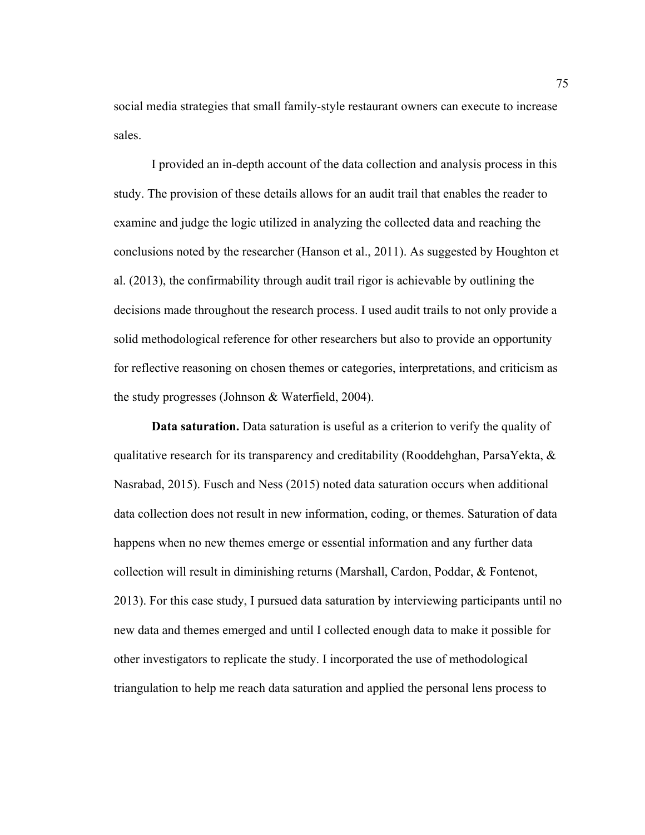social media strategies that small family-style restaurant owners can execute to increase sales.

I provided an in-depth account of the data collection and analysis process in this study. The provision of these details allows for an audit trail that enables the reader to examine and judge the logic utilized in analyzing the collected data and reaching the conclusions noted by the researcher (Hanson et al., 2011). As suggested by Houghton et al. (2013), the confirmability through audit trail rigor is achievable by outlining the decisions made throughout the research process. I used audit trails to not only provide a solid methodological reference for other researchers but also to provide an opportunity for reflective reasoning on chosen themes or categories, interpretations, and criticism as the study progresses (Johnson & Waterfield, 2004).

**Data saturation.** Data saturation is useful as a criterion to verify the quality of qualitative research for its transparency and creditability (Rooddehghan, ParsaYekta, & Nasrabad, 2015). Fusch and Ness (2015) noted data saturation occurs when additional data collection does not result in new information, coding, or themes. Saturation of data happens when no new themes emerge or essential information and any further data collection will result in diminishing returns (Marshall, Cardon, Poddar, & Fontenot, 2013). For this case study, I pursued data saturation by interviewing participants until no new data and themes emerged and until I collected enough data to make it possible for other investigators to replicate the study. I incorporated the use of methodological triangulation to help me reach data saturation and applied the personal lens process to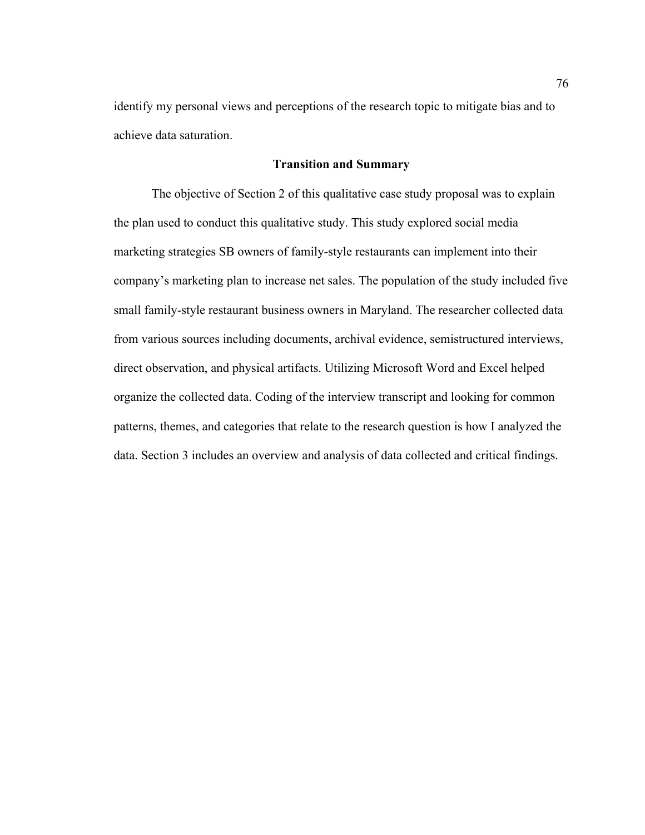identify my personal views and perceptions of the research topic to mitigate bias and to achieve data saturation.

# **Transition and Summary**

The objective of Section 2 of this qualitative case study proposal was to explain the plan used to conduct this qualitative study. This study explored social media marketing strategies SB owners of family-style restaurants can implement into their company's marketing plan to increase net sales. The population of the study included five small family-style restaurant business owners in Maryland. The researcher collected data from various sources including documents, archival evidence, semistructured interviews, direct observation, and physical artifacts. Utilizing Microsoft Word and Excel helped organize the collected data. Coding of the interview transcript and looking for common patterns, themes, and categories that relate to the research question is how I analyzed the data. Section 3 includes an overview and analysis of data collected and critical findings.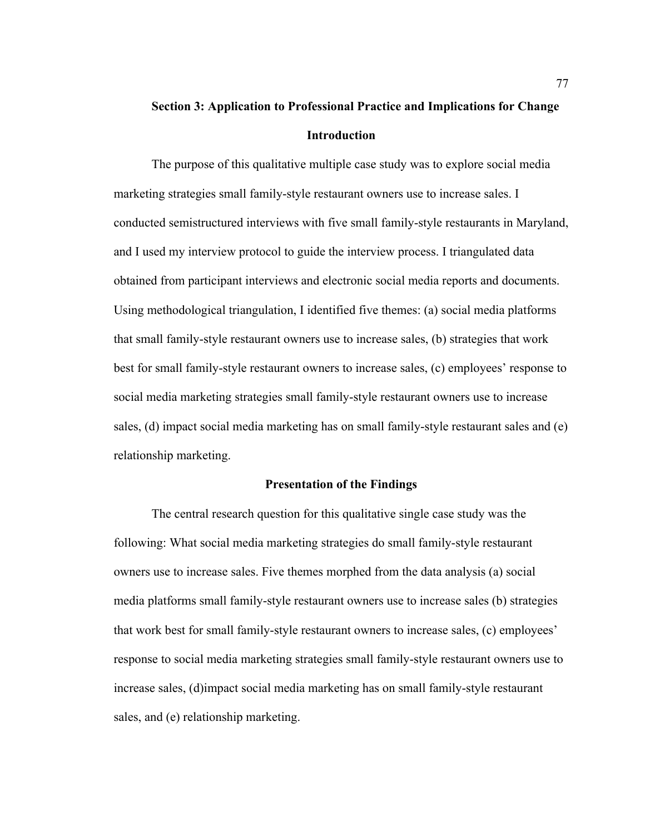# **Section 3: Application to Professional Practice and Implications for Change Introduction**

The purpose of this qualitative multiple case study was to explore social media marketing strategies small family-style restaurant owners use to increase sales. I conducted semistructured interviews with five small family-style restaurants in Maryland, and I used my interview protocol to guide the interview process. I triangulated data obtained from participant interviews and electronic social media reports and documents. Using methodological triangulation, I identified five themes: (a) social media platforms that small family-style restaurant owners use to increase sales, (b) strategies that work best for small family-style restaurant owners to increase sales, (c) employees' response to social media marketing strategies small family-style restaurant owners use to increase sales, (d) impact social media marketing has on small family-style restaurant sales and (e) relationship marketing.

### **Presentation of the Findings**

The central research question for this qualitative single case study was the following: What social media marketing strategies do small family-style restaurant owners use to increase sales. Five themes morphed from the data analysis (a) social media platforms small family-style restaurant owners use to increase sales (b) strategies that work best for small family-style restaurant owners to increase sales, (c) employees' response to social media marketing strategies small family-style restaurant owners use to increase sales, (d)impact social media marketing has on small family-style restaurant sales, and (e) relationship marketing.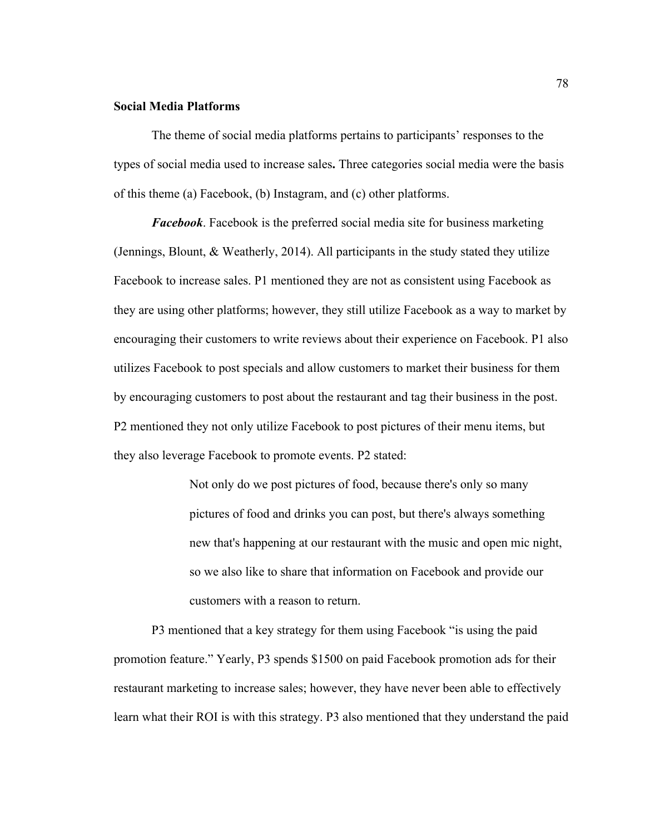# **Social Media Platforms**

The theme of social media platforms pertains to participants' responses to the types of social media used to increase sales**.** Three categories social media were the basis of this theme (a) Facebook, (b) Instagram, and (c) other platforms.

*Facebook*. Facebook is the preferred social media site for business marketing (Jennings, Blount, & Weatherly, 2014). All participants in the study stated they utilize Facebook to increase sales. P1 mentioned they are not as consistent using Facebook as they are using other platforms; however, they still utilize Facebook as a way to market by encouraging their customers to write reviews about their experience on Facebook. P1 also utilizes Facebook to post specials and allow customers to market their business for them by encouraging customers to post about the restaurant and tag their business in the post. P2 mentioned they not only utilize Facebook to post pictures of their menu items, but they also leverage Facebook to promote events. P2 stated:

> Not only do we post pictures of food, because there's only so many pictures of food and drinks you can post, but there's always something new that's happening at our restaurant with the music and open mic night, so we also like to share that information on Facebook and provide our customers with a reason to return.

P3 mentioned that a key strategy for them using Facebook "is using the paid promotion feature." Yearly, P3 spends \$1500 on paid Facebook promotion ads for their restaurant marketing to increase sales; however, they have never been able to effectively learn what their ROI is with this strategy. P3 also mentioned that they understand the paid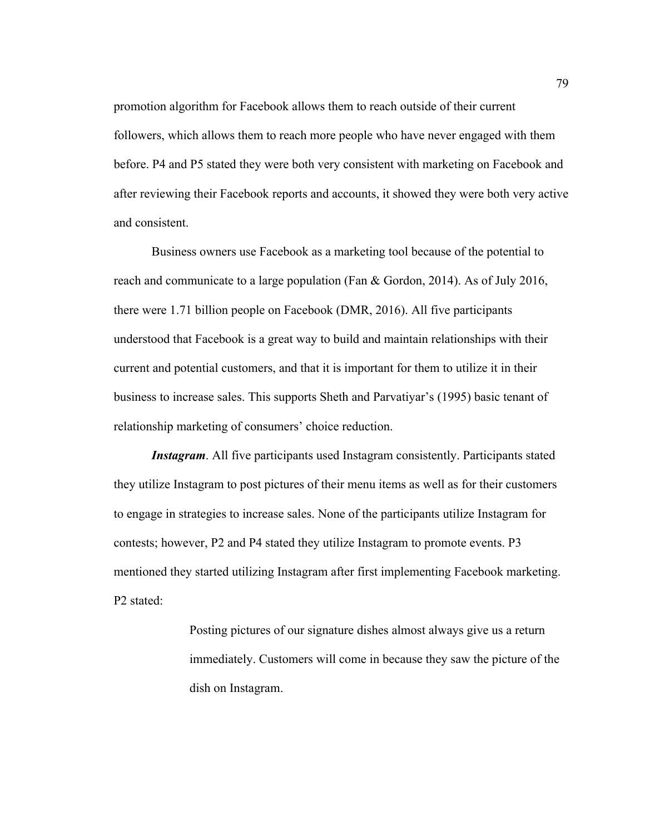promotion algorithm for Facebook allows them to reach outside of their current followers, which allows them to reach more people who have never engaged with them before. P4 and P5 stated they were both very consistent with marketing on Facebook and after reviewing their Facebook reports and accounts, it showed they were both very active and consistent.

Business owners use Facebook as a marketing tool because of the potential to reach and communicate to a large population (Fan & Gordon, 2014). As of July 2016, there were 1.71 billion people on Facebook (DMR, 2016). All five participants understood that Facebook is a great way to build and maintain relationships with their current and potential customers, and that it is important for them to utilize it in their business to increase sales. This supports Sheth and Parvatiyar's (1995) basic tenant of relationship marketing of consumers' choice reduction.

*Instagram*. All five participants used Instagram consistently. Participants stated they utilize Instagram to post pictures of their menu items as well as for their customers to engage in strategies to increase sales. None of the participants utilize Instagram for contests; however, P2 and P4 stated they utilize Instagram to promote events. P3 mentioned they started utilizing Instagram after first implementing Facebook marketing. P2 stated:

> Posting pictures of our signature dishes almost always give us a return immediately. Customers will come in because they saw the picture of the dish on Instagram.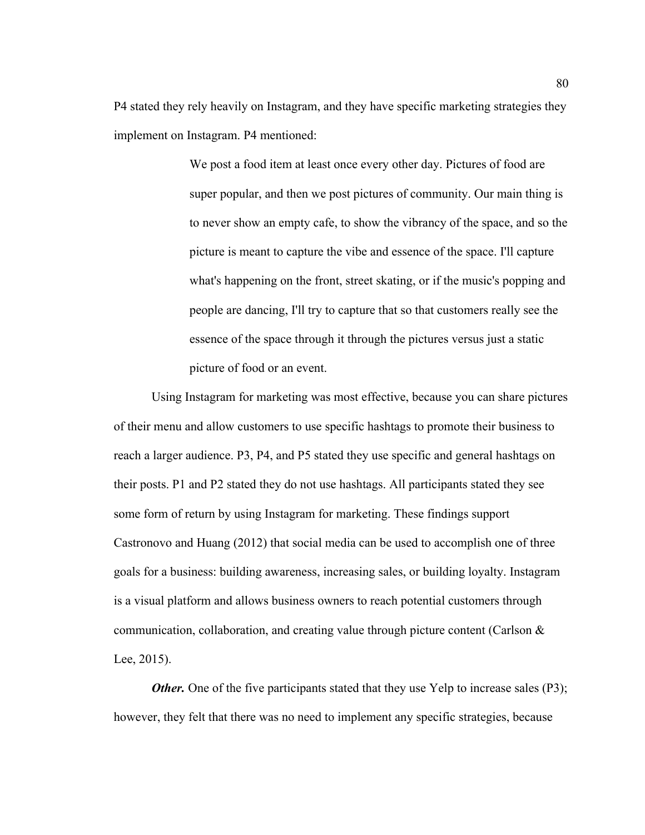P4 stated they rely heavily on Instagram, and they have specific marketing strategies they implement on Instagram. P4 mentioned:

> We post a food item at least once every other day. Pictures of food are super popular, and then we post pictures of community. Our main thing is to never show an empty cafe, to show the vibrancy of the space, and so the picture is meant to capture the vibe and essence of the space. I'll capture what's happening on the front, street skating, or if the music's popping and people are dancing, I'll try to capture that so that customers really see the essence of the space through it through the pictures versus just a static picture of food or an event.

Using Instagram for marketing was most effective, because you can share pictures of their menu and allow customers to use specific hashtags to promote their business to reach a larger audience. P3, P4, and P5 stated they use specific and general hashtags on their posts. P1 and P2 stated they do not use hashtags. All participants stated they see some form of return by using Instagram for marketing. These findings support Castronovo and Huang (2012) that social media can be used to accomplish one of three goals for a business: building awareness, increasing sales, or building loyalty. Instagram is a visual platform and allows business owners to reach potential customers through communication, collaboration, and creating value through picture content (Carlson & Lee, 2015).

*Other.* One of the five participants stated that they use Yelp to increase sales (P3); however, they felt that there was no need to implement any specific strategies, because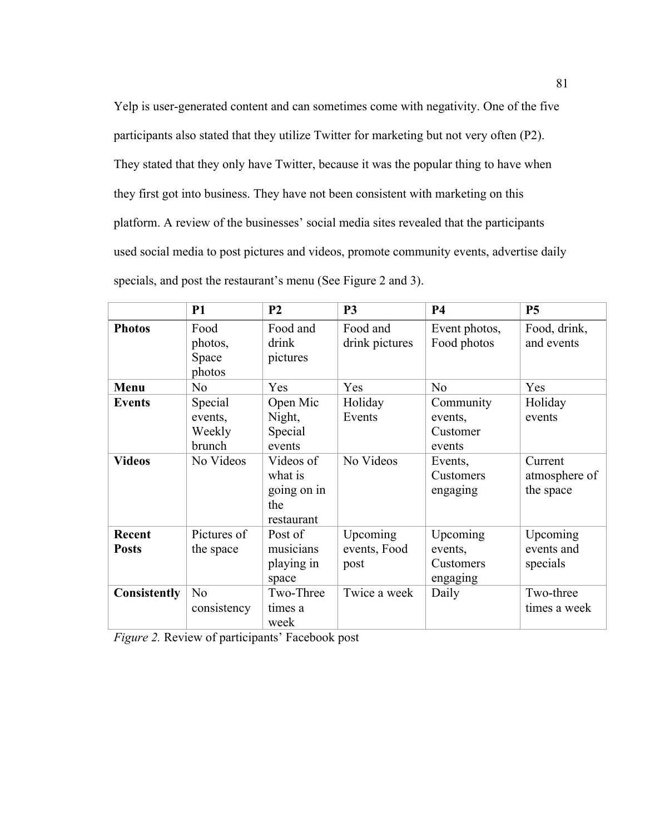Yelp is user-generated content and can sometimes come with negativity. One of the five participants also stated that they utilize Twitter for marketing but not very often (P2). They stated that they only have Twitter, because it was the popular thing to have when they first got into business. They have not been consistent with marketing on this platform. A review of the businesses' social media sites revealed that the participants used social media to post pictures and videos, promote community events, advertise daily specials, and post the restaurant's menu (See Figure 2 and 3).

|                        | <b>P1</b>                              | P <sub>2</sub>                                           | P <sub>3</sub>                   | <b>P4</b>                                    | <b>P5</b>                             |
|------------------------|----------------------------------------|----------------------------------------------------------|----------------------------------|----------------------------------------------|---------------------------------------|
| <b>Photos</b>          | Food<br>photos,<br>Space<br>photos     | Food and<br>drink<br>pictures                            | Food and<br>drink pictures       | Event photos,<br>Food photos                 | Food, drink,<br>and events            |
| Menu                   | N <sub>0</sub>                         | Yes                                                      | Yes                              | N <sub>o</sub>                               | Yes                                   |
| <b>Events</b>          | Special<br>events,<br>Weekly<br>brunch | Open Mic<br>Night,<br>Special<br>events                  | Holiday<br>Events                | Community<br>events,<br>Customer<br>events   | Holiday<br>events                     |
| <b>Videos</b>          | No Videos                              | Videos of<br>what is<br>going on in<br>the<br>restaurant | No Videos                        | Events,<br>Customers<br>engaging             | Current<br>atmosphere of<br>the space |
| Recent<br><b>Posts</b> | Pictures of<br>the space               | Post of<br>musicians<br>playing in<br>space              | Upcoming<br>events, Food<br>post | Upcoming<br>events,<br>Customers<br>engaging | Upcoming<br>events and<br>specials    |
| Consistently           | N <sub>0</sub><br>consistency          | Two-Three<br>times a<br>week                             | Twice a week                     | Daily                                        | Two-three<br>times a week             |

*Figure 2.* Review of participants' Facebook post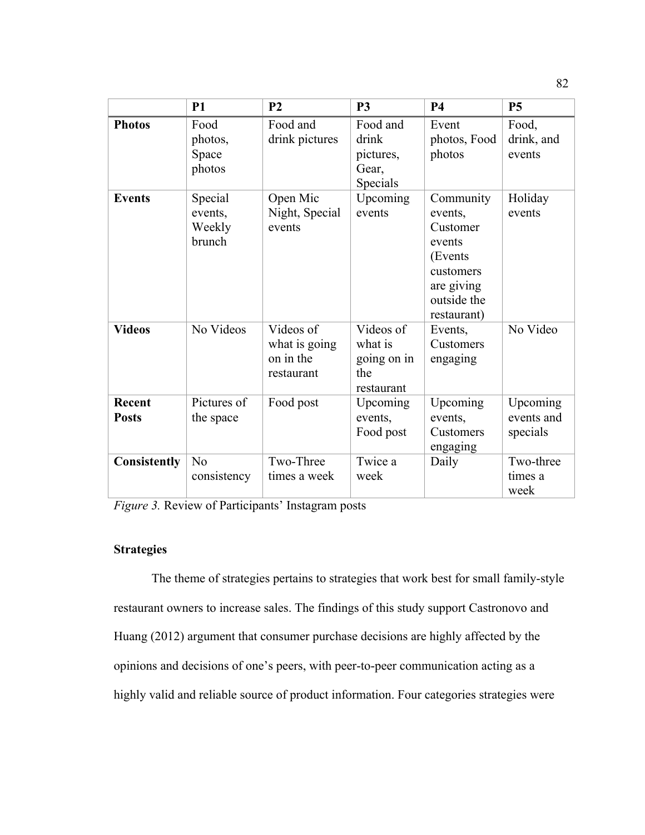|                               | <b>P1</b>                              | P <sub>2</sub>                                        | <b>P3</b>                                                | <b>P4</b>                                                                                                      | <b>P5</b>                          |
|-------------------------------|----------------------------------------|-------------------------------------------------------|----------------------------------------------------------|----------------------------------------------------------------------------------------------------------------|------------------------------------|
| <b>Photos</b>                 | Food<br>photos,<br>Space<br>photos     | Food and<br>drink pictures                            | Food and<br>drink<br>pictures,<br>Gear,<br>Specials      | Event<br>photos, Food<br>photos                                                                                | Food,<br>drink, and<br>events      |
| <b>Events</b>                 | Special<br>events,<br>Weekly<br>brunch | Open Mic<br>Night, Special<br>events                  | Upcoming<br>events                                       | Community<br>events,<br>Customer<br>events<br>(Events<br>customers<br>are giving<br>outside the<br>restaurant) | Holiday<br>events                  |
| <b>Videos</b>                 | No Videos                              | Videos of<br>what is going<br>on in the<br>restaurant | Videos of<br>what is<br>going on in<br>the<br>restaurant | Events,<br>Customers<br>engaging                                                                               | No Video                           |
| <b>Recent</b><br><b>Posts</b> | Pictures of<br>the space               | Food post                                             | Upcoming<br>events,<br>Food post                         | Upcoming<br>events,<br>Customers<br>engaging                                                                   | Upcoming<br>events and<br>specials |
| <b>Consistently</b>           | N <sub>o</sub><br>consistency          | Two-Three<br>times a week                             | Twice a<br>week                                          | Daily                                                                                                          | Two-three<br>times a<br>week       |

*Figure 3.* Review of Participants' Instagram posts

# **Strategies**

The theme of strategies pertains to strategies that work best for small family-style restaurant owners to increase sales. The findings of this study support Castronovo and Huang (2012) argument that consumer purchase decisions are highly affected by the opinions and decisions of one's peers, with peer-to-peer communication acting as a highly valid and reliable source of product information. Four categories strategies were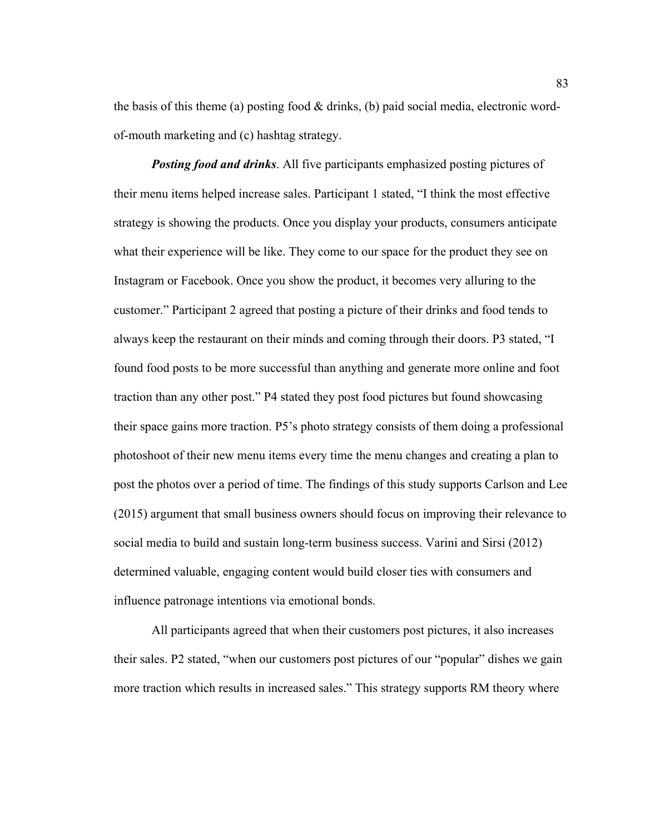the basis of this theme (a) posting food  $&$  drinks, (b) paid social media, electronic wordof-mouth marketing and (c) hashtag strategy.

*Posting food and drinks*. All five participants emphasized posting pictures of their menu items helped increase sales. Participant 1 stated, "I think the most effective strategy is showing the products. Once you display your products, consumers anticipate what their experience will be like. They come to our space for the product they see on Instagram or Facebook. Once you show the product, it becomes very alluring to the customer." Participant 2 agreed that posting a picture of their drinks and food tends to always keep the restaurant on their minds and coming through their doors. P3 stated, "I found food posts to be more successful than anything and generate more online and foot traction than any other post." P4 stated they post food pictures but found showcasing their space gains more traction. P5's photo strategy consists of them doing a professional photoshoot of their new menu items every time the menu changes and creating a plan to post the photos over a period of time. The findings of this study supports Carlson and Lee (2015) argument that small business owners should focus on improving their relevance to social media to build and sustain long-term business success. Varini and Sirsi (2012) determined valuable, engaging content would build closer ties with consumers and influence patronage intentions via emotional bonds.

All participants agreed that when their customers post pictures, it also increases their sales. P2 stated, "when our customers post pictures of our "popular" dishes we gain more traction which results in increased sales." This strategy supports RM theory where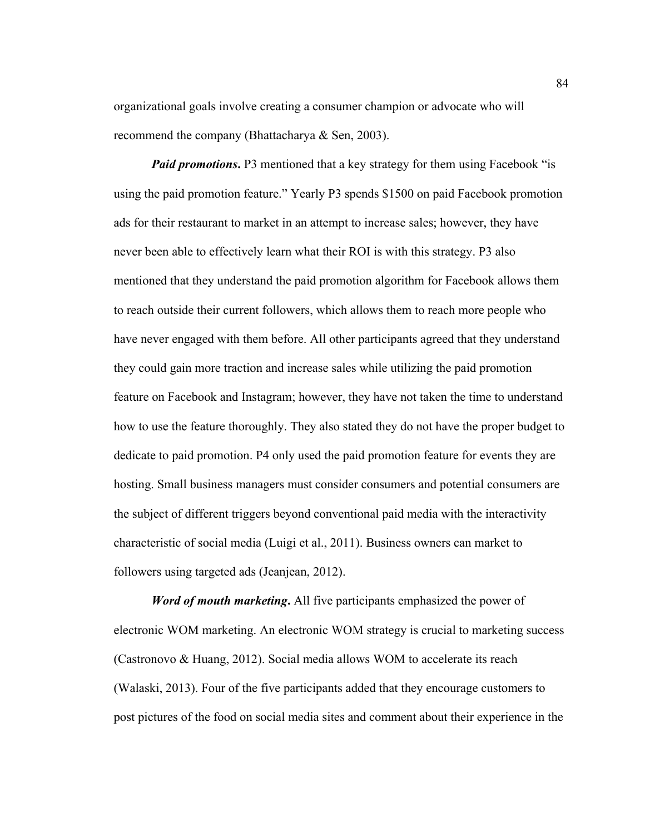organizational goals involve creating a consumer champion or advocate who will recommend the company (Bhattacharya & Sen, 2003).

*Paid promotions*. P3 mentioned that a key strategy for them using Facebook "is using the paid promotion feature." Yearly P3 spends \$1500 on paid Facebook promotion ads for their restaurant to market in an attempt to increase sales; however, they have never been able to effectively learn what their ROI is with this strategy. P3 also mentioned that they understand the paid promotion algorithm for Facebook allows them to reach outside their current followers, which allows them to reach more people who have never engaged with them before. All other participants agreed that they understand they could gain more traction and increase sales while utilizing the paid promotion feature on Facebook and Instagram; however, they have not taken the time to understand how to use the feature thoroughly. They also stated they do not have the proper budget to dedicate to paid promotion. P4 only used the paid promotion feature for events they are hosting. Small business managers must consider consumers and potential consumers are the subject of different triggers beyond conventional paid media with the interactivity characteristic of social media (Luigi et al., 2011). Business owners can market to followers using targeted ads (Jeanjean, 2012).

*Word of mouth marketing***.** All five participants emphasized the power of electronic WOM marketing. An electronic WOM strategy is crucial to marketing success (Castronovo & Huang, 2012). Social media allows WOM to accelerate its reach (Walaski, 2013). Four of the five participants added that they encourage customers to post pictures of the food on social media sites and comment about their experience in the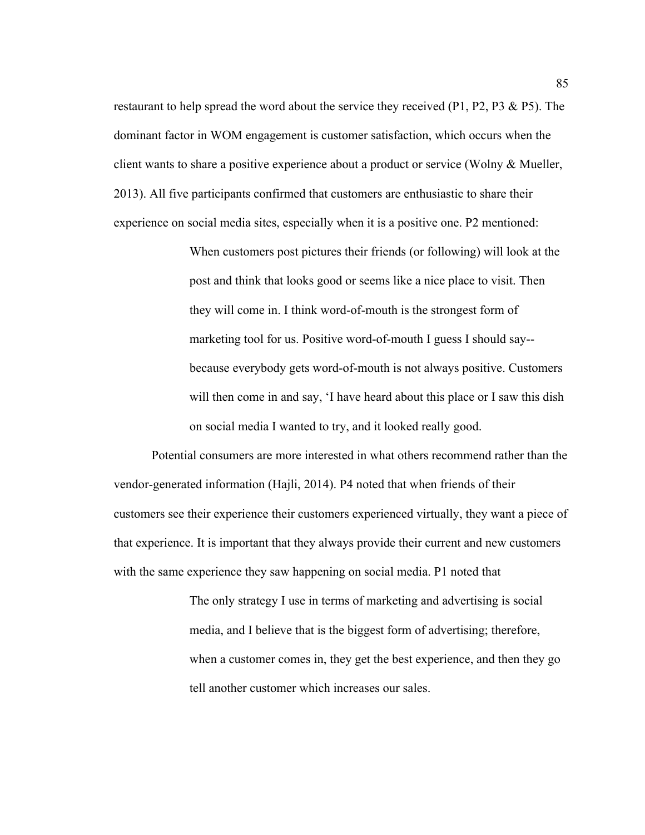restaurant to help spread the word about the service they received (P1, P2, P3 & P5). The dominant factor in WOM engagement is customer satisfaction, which occurs when the client wants to share a positive experience about a product or service (Wolny & Mueller, 2013). All five participants confirmed that customers are enthusiastic to share their experience on social media sites, especially when it is a positive one. P2 mentioned:

> When customers post pictures their friends (or following) will look at the post and think that looks good or seems like a nice place to visit. Then they will come in. I think word-of-mouth is the strongest form of marketing tool for us. Positive word-of-mouth I guess I should say- because everybody gets word-of-mouth is not always positive. Customers will then come in and say, 'I have heard about this place or I saw this dish on social media I wanted to try, and it looked really good.

Potential consumers are more interested in what others recommend rather than the vendor-generated information (Hajli, 2014). P4 noted that when friends of their customers see their experience their customers experienced virtually, they want a piece of that experience. It is important that they always provide their current and new customers with the same experience they saw happening on social media. P1 noted that

> The only strategy I use in terms of marketing and advertising is social media, and I believe that is the biggest form of advertising; therefore, when a customer comes in, they get the best experience, and then they go tell another customer which increases our sales.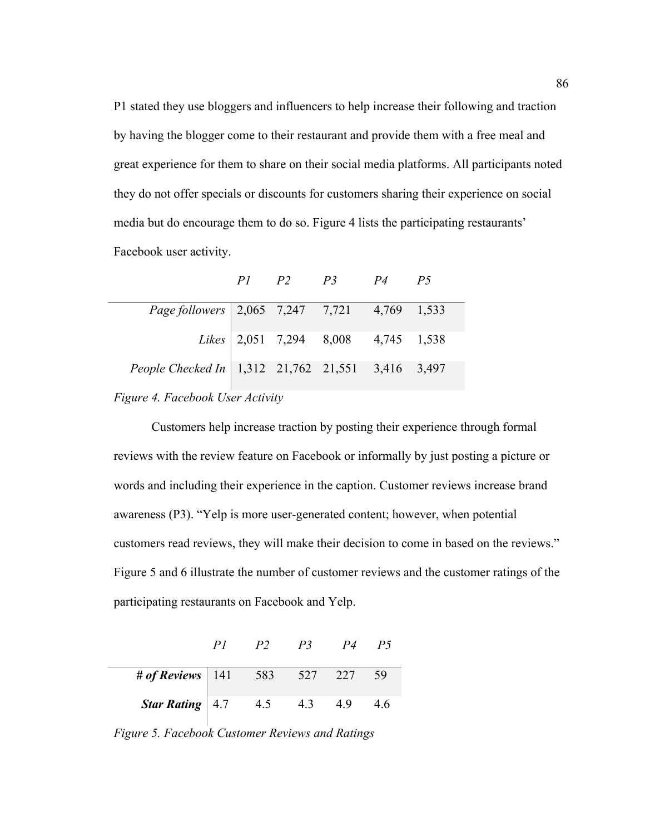P1 stated they use bloggers and influencers to help increase their following and traction by having the blogger come to their restaurant and provide them with a free meal and great experience for them to share on their social media platforms. All participants noted they do not offer specials or discounts for customers sharing their experience on social media but do encourage them to do so. Figure 4 lists the participating restaurants' Facebook user activity.

|  |  | P1 P2 P3 P4 P5<br>Page followers $\vert 2,065 \vert 7,247 \vert 7,721 \vert 4,769 \vert 1,533$<br><i>Likes</i> $\begin{array}{ l} 2,051 & 7,294 \end{array}$ 8,008 4,745 1,538<br>People Checked In   1,312 21,762 21,551 3,416 3,497 |
|--|--|---------------------------------------------------------------------------------------------------------------------------------------------------------------------------------------------------------------------------------------|

*Figure 4. Facebook User Activity* 

Customers help increase traction by posting their experience through formal reviews with the review feature on Facebook or informally by just posting a picture or words and including their experience in the caption. Customer reviews increase brand awareness (P3). "Yelp is more user-generated content; however, when potential customers read reviews, they will make their decision to come in based on the reviews." Figure 5 and 6 illustrate the number of customer reviews and the customer ratings of the participating restaurants on Facebook and Yelp.

|                                                                          | P2 | P3 P4 P5 |      |
|--------------------------------------------------------------------------|----|----------|------|
| # of Reviews   141 $583$ $527$ 227                                       |    |          | - 59 |
| <b>Star Rating</b> $\begin{array}{ l} 4.7 & 4.5 & 4.3 & 4.9 \end{array}$ |    |          | 46   |

*Figure 5. Facebook Customer Reviews and Ratings*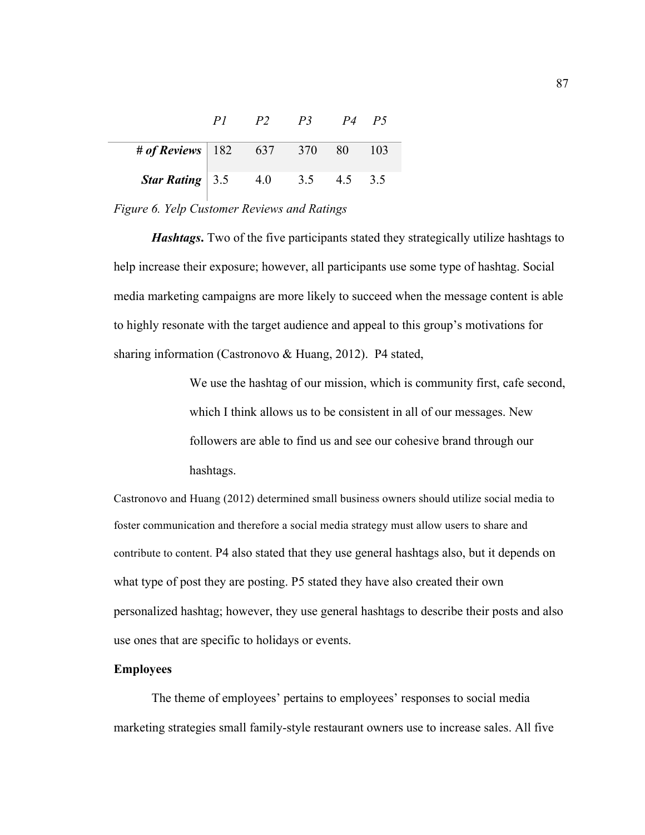|                                             | P <sup>2</sup> | $P3 \qquad P4$    | P5   |
|---------------------------------------------|----------------|-------------------|------|
| # of Reviews   182 637 370 80               |                |                   | -103 |
| <b>Star Rating</b> $\left  3.5 \right  4.0$ |                | $3.5$ $4.5$ $3.5$ |      |

# *Figure 6. Yelp Customer Reviews and Ratings*

*Hashtags*. Two of the five participants stated they strategically utilize hashtags to help increase their exposure; however, all participants use some type of hashtag. Social media marketing campaigns are more likely to succeed when the message content is able to highly resonate with the target audience and appeal to this group's motivations for sharing information (Castronovo & Huang, 2012). P4 stated,

> We use the hashtag of our mission, which is community first, cafe second, which I think allows us to be consistent in all of our messages. New followers are able to find us and see our cohesive brand through our hashtags.

Castronovo and Huang (2012) determined small business owners should utilize social media to foster communication and therefore a social media strategy must allow users to share and contribute to content. P4 also stated that they use general hashtags also, but it depends on what type of post they are posting. P5 stated they have also created their own personalized hashtag; however, they use general hashtags to describe their posts and also use ones that are specific to holidays or events.

# **Employees**

The theme of employees' pertains to employees' responses to social media marketing strategies small family-style restaurant owners use to increase sales. All five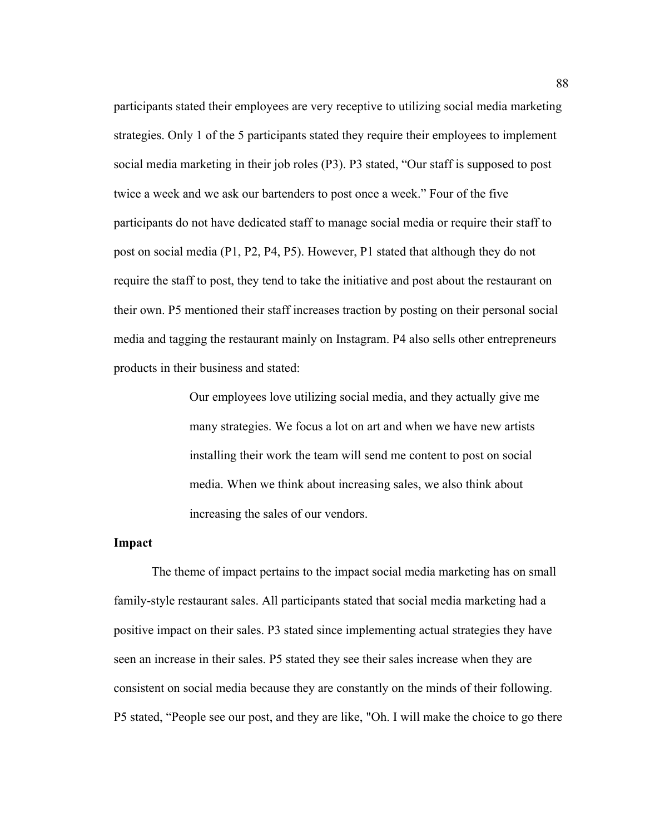participants stated their employees are very receptive to utilizing social media marketing strategies. Only 1 of the 5 participants stated they require their employees to implement social media marketing in their job roles (P3). P3 stated, "Our staff is supposed to post twice a week and we ask our bartenders to post once a week." Four of the five participants do not have dedicated staff to manage social media or require their staff to post on social media (P1, P2, P4, P5). However, P1 stated that although they do not require the staff to post, they tend to take the initiative and post about the restaurant on their own. P5 mentioned their staff increases traction by posting on their personal social media and tagging the restaurant mainly on Instagram. P4 also sells other entrepreneurs products in their business and stated:

> Our employees love utilizing social media, and they actually give me many strategies. We focus a lot on art and when we have new artists installing their work the team will send me content to post on social media. When we think about increasing sales, we also think about increasing the sales of our vendors.

### **Impact**

The theme of impact pertains to the impact social media marketing has on small family-style restaurant sales. All participants stated that social media marketing had a positive impact on their sales. P3 stated since implementing actual strategies they have seen an increase in their sales. P5 stated they see their sales increase when they are consistent on social media because they are constantly on the minds of their following. P5 stated, "People see our post, and they are like, "Oh. I will make the choice to go there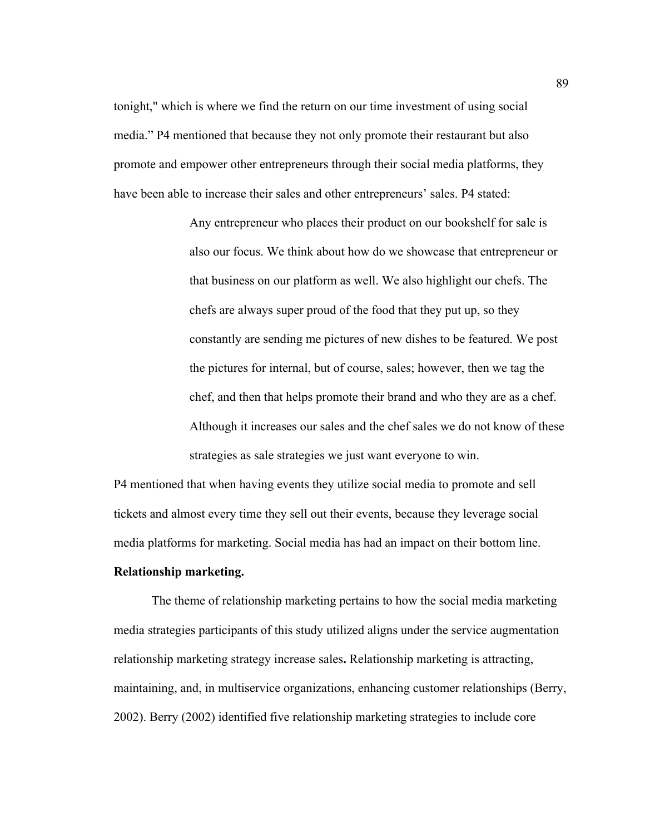tonight," which is where we find the return on our time investment of using social media." P4 mentioned that because they not only promote their restaurant but also promote and empower other entrepreneurs through their social media platforms, they have been able to increase their sales and other entrepreneurs' sales. P4 stated:

> Any entrepreneur who places their product on our bookshelf for sale is also our focus. We think about how do we showcase that entrepreneur or that business on our platform as well. We also highlight our chefs. The chefs are always super proud of the food that they put up, so they constantly are sending me pictures of new dishes to be featured. We post the pictures for internal, but of course, sales; however, then we tag the chef, and then that helps promote their brand and who they are as a chef. Although it increases our sales and the chef sales we do not know of these strategies as sale strategies we just want everyone to win.

P4 mentioned that when having events they utilize social media to promote and sell tickets and almost every time they sell out their events, because they leverage social media platforms for marketing. Social media has had an impact on their bottom line.

### **Relationship marketing.**

The theme of relationship marketing pertains to how the social media marketing media strategies participants of this study utilized aligns under the service augmentation relationship marketing strategy increase sales**.** Relationship marketing is attracting, maintaining, and, in multiservice organizations, enhancing customer relationships (Berry, 2002). Berry (2002) identified five relationship marketing strategies to include core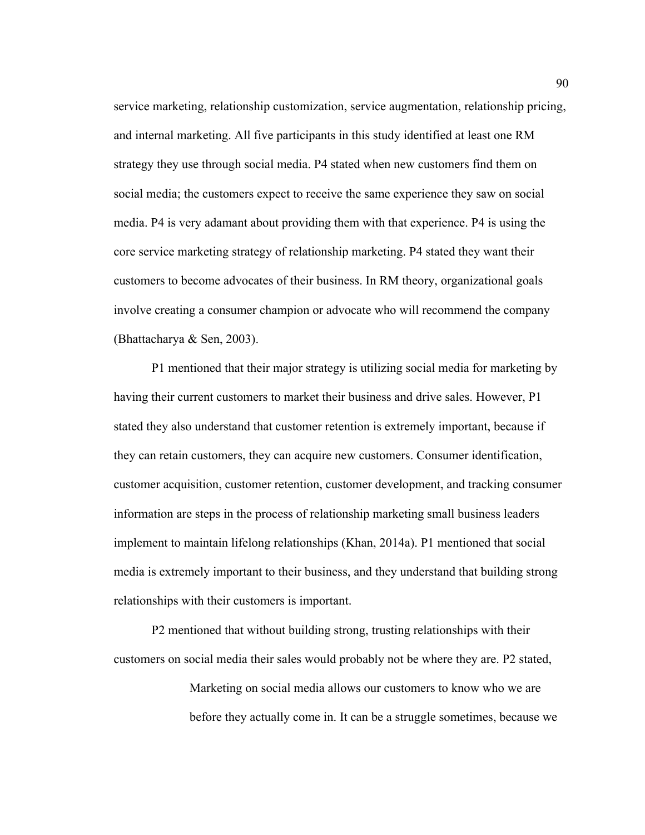service marketing, relationship customization, service augmentation, relationship pricing, and internal marketing. All five participants in this study identified at least one RM strategy they use through social media. P4 stated when new customers find them on social media; the customers expect to receive the same experience they saw on social media. P4 is very adamant about providing them with that experience. P4 is using the core service marketing strategy of relationship marketing. P4 stated they want their customers to become advocates of their business. In RM theory, organizational goals involve creating a consumer champion or advocate who will recommend the company (Bhattacharya & Sen, 2003).

P1 mentioned that their major strategy is utilizing social media for marketing by having their current customers to market their business and drive sales. However, P1 stated they also understand that customer retention is extremely important, because if they can retain customers, they can acquire new customers. Consumer identification, customer acquisition, customer retention, customer development, and tracking consumer information are steps in the process of relationship marketing small business leaders implement to maintain lifelong relationships (Khan, 2014a). P1 mentioned that social media is extremely important to their business, and they understand that building strong relationships with their customers is important.

P2 mentioned that without building strong, trusting relationships with their customers on social media their sales would probably not be where they are. P2 stated,

> Marketing on social media allows our customers to know who we are before they actually come in. It can be a struggle sometimes, because we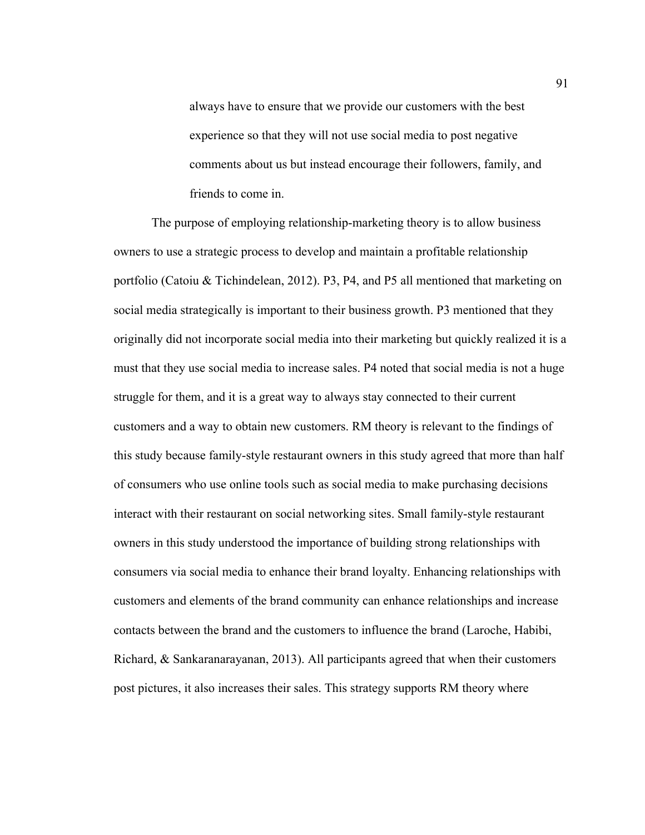always have to ensure that we provide our customers with the best experience so that they will not use social media to post negative comments about us but instead encourage their followers, family, and friends to come in.

The purpose of employing relationship-marketing theory is to allow business owners to use a strategic process to develop and maintain a profitable relationship portfolio (Catoiu & Tichindelean, 2012). P3, P4, and P5 all mentioned that marketing on social media strategically is important to their business growth. P3 mentioned that they originally did not incorporate social media into their marketing but quickly realized it is a must that they use social media to increase sales. P4 noted that social media is not a huge struggle for them, and it is a great way to always stay connected to their current customers and a way to obtain new customers. RM theory is relevant to the findings of this study because family-style restaurant owners in this study agreed that more than half of consumers who use online tools such as social media to make purchasing decisions interact with their restaurant on social networking sites. Small family-style restaurant owners in this study understood the importance of building strong relationships with consumers via social media to enhance their brand loyalty. Enhancing relationships with customers and elements of the brand community can enhance relationships and increase contacts between the brand and the customers to influence the brand (Laroche, Habibi, Richard, & Sankaranarayanan, 2013). All participants agreed that when their customers post pictures, it also increases their sales. This strategy supports RM theory where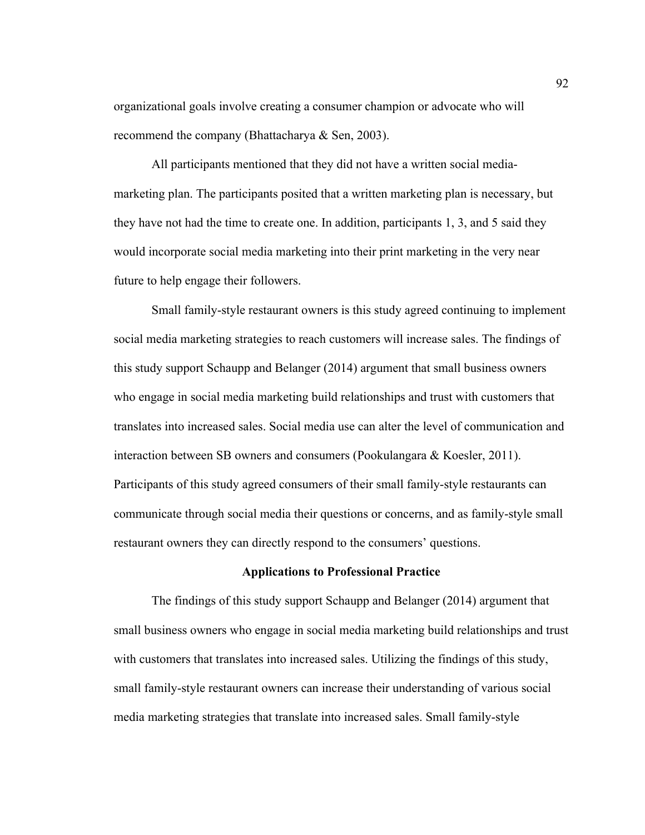organizational goals involve creating a consumer champion or advocate who will recommend the company (Bhattacharya & Sen, 2003).

All participants mentioned that they did not have a written social mediamarketing plan. The participants posited that a written marketing plan is necessary, but they have not had the time to create one. In addition, participants 1, 3, and 5 said they would incorporate social media marketing into their print marketing in the very near future to help engage their followers.

Small family-style restaurant owners is this study agreed continuing to implement social media marketing strategies to reach customers will increase sales. The findings of this study support Schaupp and Belanger (2014) argument that small business owners who engage in social media marketing build relationships and trust with customers that translates into increased sales. Social media use can alter the level of communication and interaction between SB owners and consumers (Pookulangara & Koesler, 2011). Participants of this study agreed consumers of their small family-style restaurants can communicate through social media their questions or concerns, and as family-style small restaurant owners they can directly respond to the consumers' questions.

### **Applications to Professional Practice**

The findings of this study support Schaupp and Belanger (2014) argument that small business owners who engage in social media marketing build relationships and trust with customers that translates into increased sales. Utilizing the findings of this study, small family-style restaurant owners can increase their understanding of various social media marketing strategies that translate into increased sales. Small family-style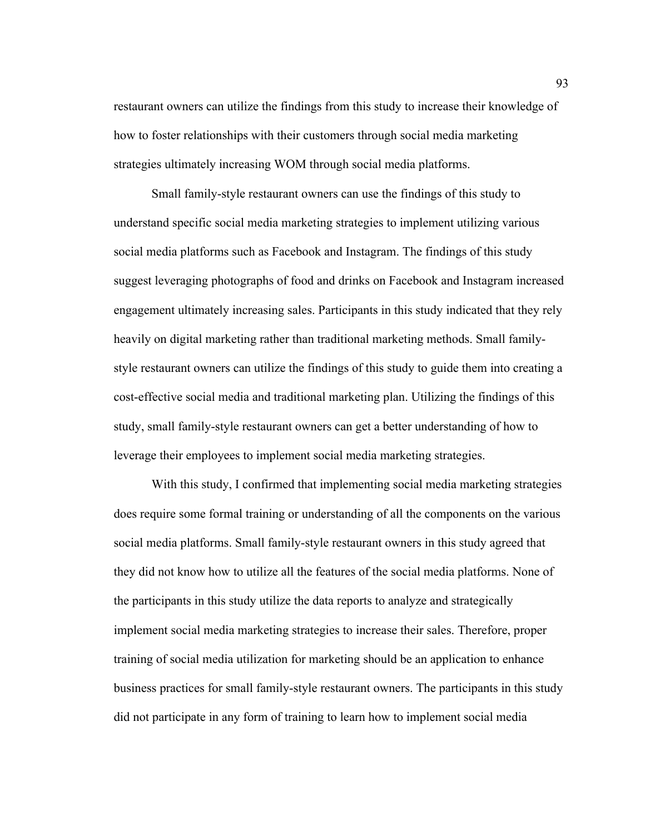restaurant owners can utilize the findings from this study to increase their knowledge of how to foster relationships with their customers through social media marketing strategies ultimately increasing WOM through social media platforms.

Small family-style restaurant owners can use the findings of this study to understand specific social media marketing strategies to implement utilizing various social media platforms such as Facebook and Instagram. The findings of this study suggest leveraging photographs of food and drinks on Facebook and Instagram increased engagement ultimately increasing sales. Participants in this study indicated that they rely heavily on digital marketing rather than traditional marketing methods. Small familystyle restaurant owners can utilize the findings of this study to guide them into creating a cost-effective social media and traditional marketing plan. Utilizing the findings of this study, small family-style restaurant owners can get a better understanding of how to leverage their employees to implement social media marketing strategies.

With this study, I confirmed that implementing social media marketing strategies does require some formal training or understanding of all the components on the various social media platforms. Small family-style restaurant owners in this study agreed that they did not know how to utilize all the features of the social media platforms. None of the participants in this study utilize the data reports to analyze and strategically implement social media marketing strategies to increase their sales. Therefore, proper training of social media utilization for marketing should be an application to enhance business practices for small family-style restaurant owners. The participants in this study did not participate in any form of training to learn how to implement social media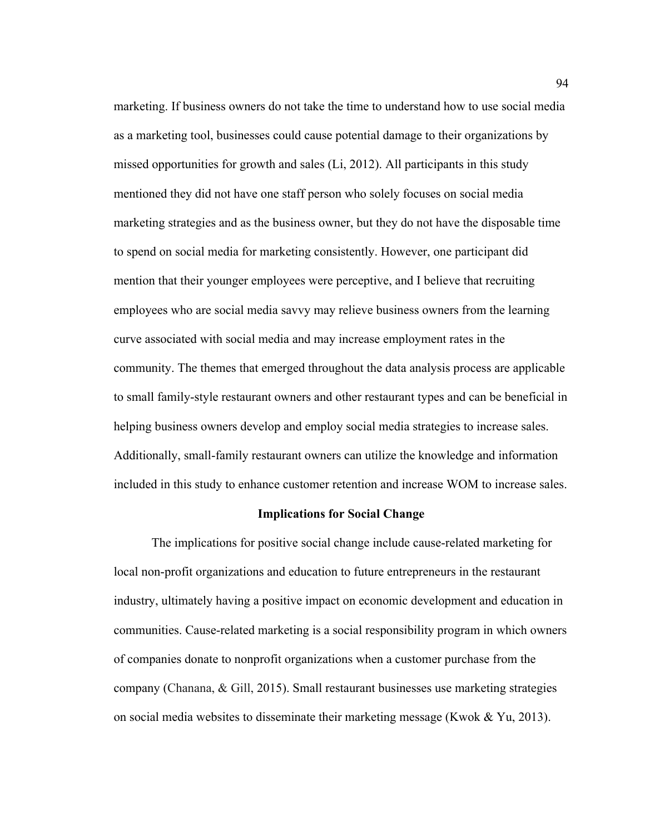marketing. If business owners do not take the time to understand how to use social media as a marketing tool, businesses could cause potential damage to their organizations by missed opportunities for growth and sales (Li, 2012). All participants in this study mentioned they did not have one staff person who solely focuses on social media marketing strategies and as the business owner, but they do not have the disposable time to spend on social media for marketing consistently. However, one participant did mention that their younger employees were perceptive, and I believe that recruiting employees who are social media savvy may relieve business owners from the learning curve associated with social media and may increase employment rates in the community. The themes that emerged throughout the data analysis process are applicable to small family-style restaurant owners and other restaurant types and can be beneficial in helping business owners develop and employ social media strategies to increase sales. Additionally, small-family restaurant owners can utilize the knowledge and information included in this study to enhance customer retention and increase WOM to increase sales.

### **Implications for Social Change**

The implications for positive social change include cause-related marketing for local non-profit organizations and education to future entrepreneurs in the restaurant industry, ultimately having a positive impact on economic development and education in communities. Cause-related marketing is a social responsibility program in which owners of companies donate to nonprofit organizations when a customer purchase from the company (Chanana, & Gill, 2015). Small restaurant businesses use marketing strategies on social media websites to disseminate their marketing message (Kwok & Yu, 2013).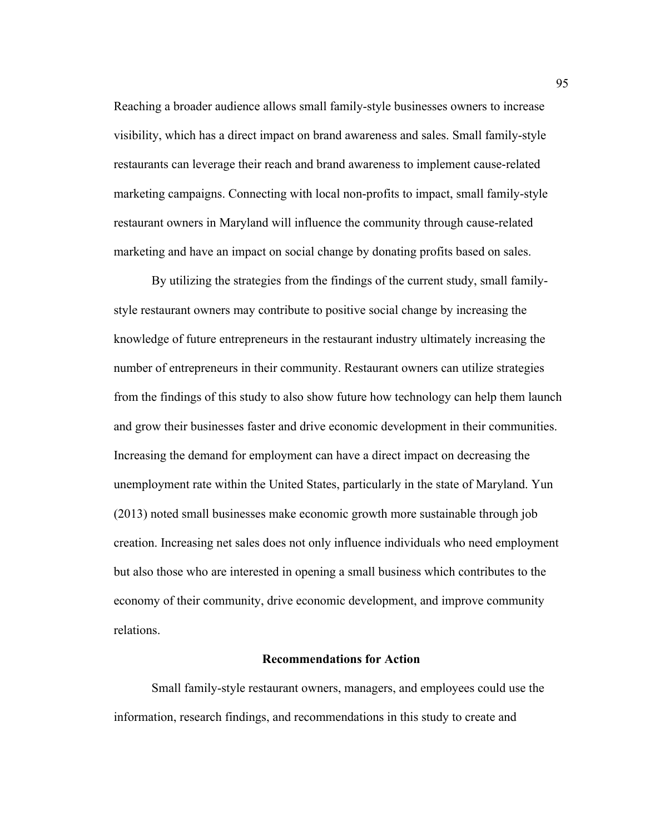Reaching a broader audience allows small family-style businesses owners to increase visibility, which has a direct impact on brand awareness and sales. Small family-style restaurants can leverage their reach and brand awareness to implement cause-related marketing campaigns. Connecting with local non-profits to impact, small family-style restaurant owners in Maryland will influence the community through cause-related marketing and have an impact on social change by donating profits based on sales.

By utilizing the strategies from the findings of the current study, small familystyle restaurant owners may contribute to positive social change by increasing the knowledge of future entrepreneurs in the restaurant industry ultimately increasing the number of entrepreneurs in their community. Restaurant owners can utilize strategies from the findings of this study to also show future how technology can help them launch and grow their businesses faster and drive economic development in their communities. Increasing the demand for employment can have a direct impact on decreasing the unemployment rate within the United States, particularly in the state of Maryland. Yun (2013) noted small businesses make economic growth more sustainable through job creation. Increasing net sales does not only influence individuals who need employment but also those who are interested in opening a small business which contributes to the economy of their community, drive economic development, and improve community relations.

### **Recommendations for Action**

Small family-style restaurant owners, managers, and employees could use the information, research findings, and recommendations in this study to create and

95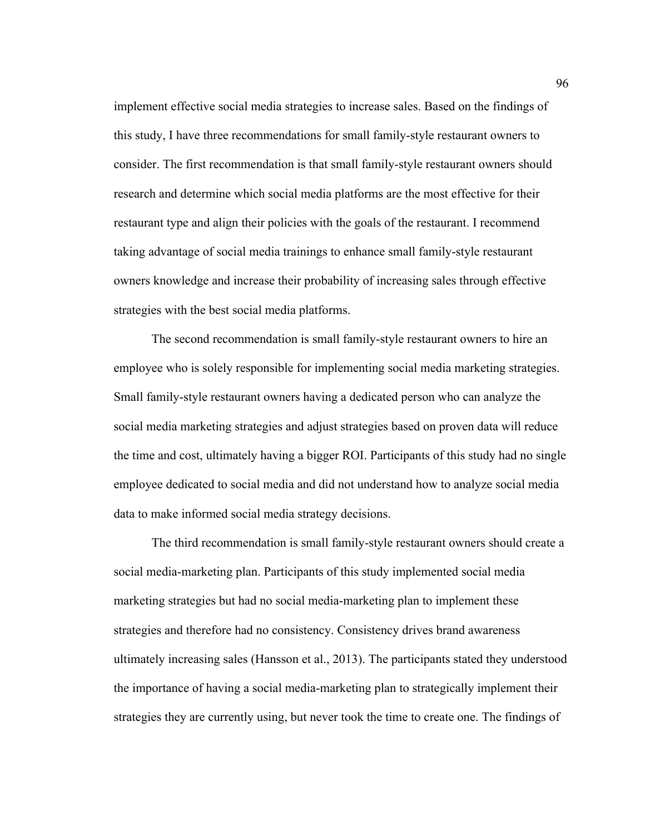implement effective social media strategies to increase sales. Based on the findings of this study, I have three recommendations for small family-style restaurant owners to consider. The first recommendation is that small family-style restaurant owners should research and determine which social media platforms are the most effective for their restaurant type and align their policies with the goals of the restaurant. I recommend taking advantage of social media trainings to enhance small family-style restaurant owners knowledge and increase their probability of increasing sales through effective strategies with the best social media platforms.

The second recommendation is small family-style restaurant owners to hire an employee who is solely responsible for implementing social media marketing strategies. Small family-style restaurant owners having a dedicated person who can analyze the social media marketing strategies and adjust strategies based on proven data will reduce the time and cost, ultimately having a bigger ROI. Participants of this study had no single employee dedicated to social media and did not understand how to analyze social media data to make informed social media strategy decisions.

The third recommendation is small family-style restaurant owners should create a social media-marketing plan. Participants of this study implemented social media marketing strategies but had no social media-marketing plan to implement these strategies and therefore had no consistency. Consistency drives brand awareness ultimately increasing sales (Hansson et al., 2013). The participants stated they understood the importance of having a social media-marketing plan to strategically implement their strategies they are currently using, but never took the time to create one. The findings of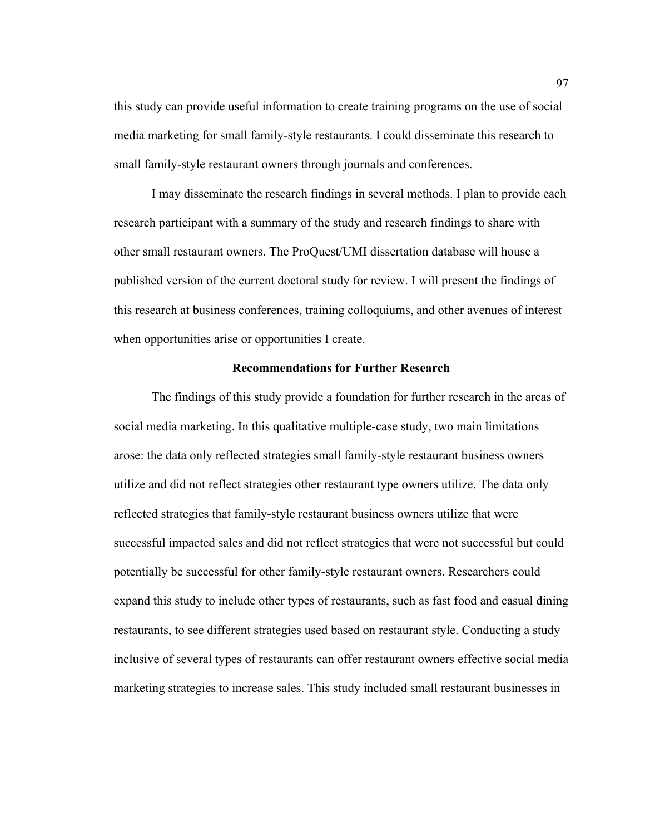this study can provide useful information to create training programs on the use of social media marketing for small family-style restaurants. I could disseminate this research to small family-style restaurant owners through journals and conferences.

I may disseminate the research findings in several methods. I plan to provide each research participant with a summary of the study and research findings to share with other small restaurant owners. The ProQuest/UMI dissertation database will house a published version of the current doctoral study for review. I will present the findings of this research at business conferences, training colloquiums, and other avenues of interest when opportunities arise or opportunities I create.

# **Recommendations for Further Research**

The findings of this study provide a foundation for further research in the areas of social media marketing. In this qualitative multiple-case study, two main limitations arose: the data only reflected strategies small family-style restaurant business owners utilize and did not reflect strategies other restaurant type owners utilize. The data only reflected strategies that family-style restaurant business owners utilize that were successful impacted sales and did not reflect strategies that were not successful but could potentially be successful for other family-style restaurant owners. Researchers could expand this study to include other types of restaurants, such as fast food and casual dining restaurants, to see different strategies used based on restaurant style. Conducting a study inclusive of several types of restaurants can offer restaurant owners effective social media marketing strategies to increase sales. This study included small restaurant businesses in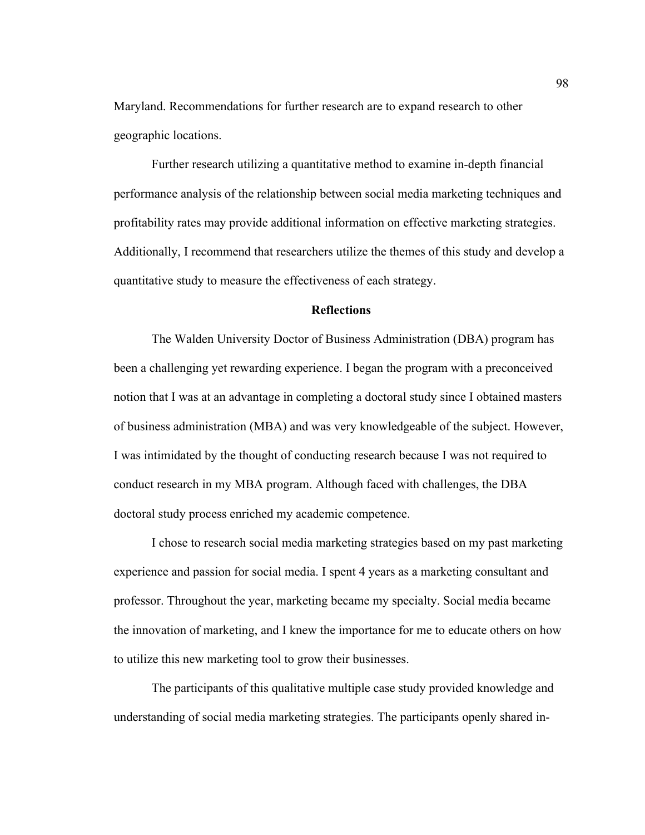Maryland. Recommendations for further research are to expand research to other geographic locations.

Further research utilizing a quantitative method to examine in-depth financial performance analysis of the relationship between social media marketing techniques and profitability rates may provide additional information on effective marketing strategies. Additionally, I recommend that researchers utilize the themes of this study and develop a quantitative study to measure the effectiveness of each strategy.

## **Reflections**

The Walden University Doctor of Business Administration (DBA) program has been a challenging yet rewarding experience. I began the program with a preconceived notion that I was at an advantage in completing a doctoral study since I obtained masters of business administration (MBA) and was very knowledgeable of the subject. However, I was intimidated by the thought of conducting research because I was not required to conduct research in my MBA program. Although faced with challenges, the DBA doctoral study process enriched my academic competence.

I chose to research social media marketing strategies based on my past marketing experience and passion for social media. I spent 4 years as a marketing consultant and professor. Throughout the year, marketing became my specialty. Social media became the innovation of marketing, and I knew the importance for me to educate others on how to utilize this new marketing tool to grow their businesses.

The participants of this qualitative multiple case study provided knowledge and understanding of social media marketing strategies. The participants openly shared in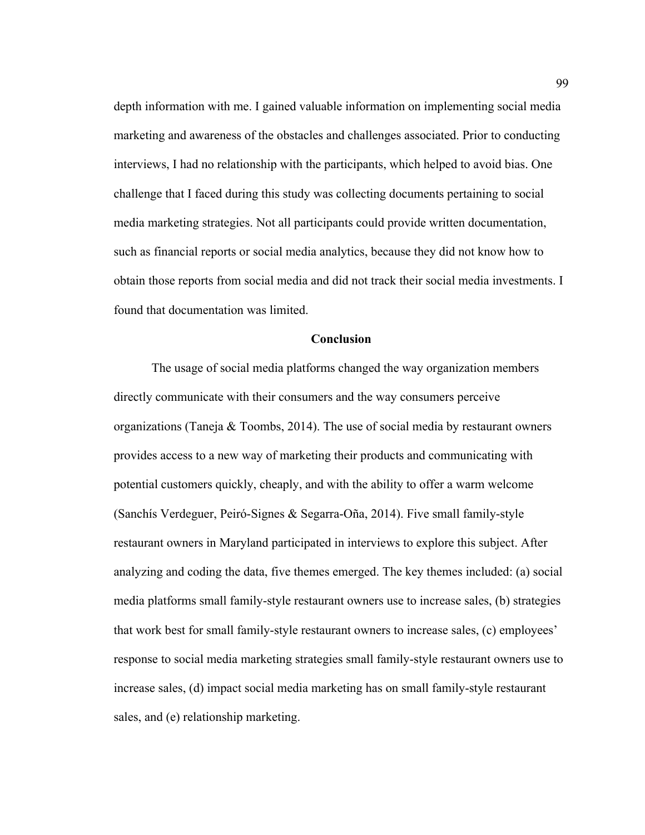depth information with me. I gained valuable information on implementing social media marketing and awareness of the obstacles and challenges associated. Prior to conducting interviews, I had no relationship with the participants, which helped to avoid bias. One challenge that I faced during this study was collecting documents pertaining to social media marketing strategies. Not all participants could provide written documentation, such as financial reports or social media analytics, because they did not know how to obtain those reports from social media and did not track their social media investments. I found that documentation was limited.

## **Conclusion**

The usage of social media platforms changed the way organization members directly communicate with their consumers and the way consumers perceive organizations (Taneja  $\&$  Toombs, 2014). The use of social media by restaurant owners provides access to a new way of marketing their products and communicating with potential customers quickly, cheaply, and with the ability to offer a warm welcome (Sanchís Verdeguer, Peiró-Signes & Segarra-Oña, 2014). Five small family-style restaurant owners in Maryland participated in interviews to explore this subject. After analyzing and coding the data, five themes emerged. The key themes included: (a) social media platforms small family-style restaurant owners use to increase sales, (b) strategies that work best for small family-style restaurant owners to increase sales, (c) employees' response to social media marketing strategies small family-style restaurant owners use to increase sales, (d) impact social media marketing has on small family-style restaurant sales, and (e) relationship marketing.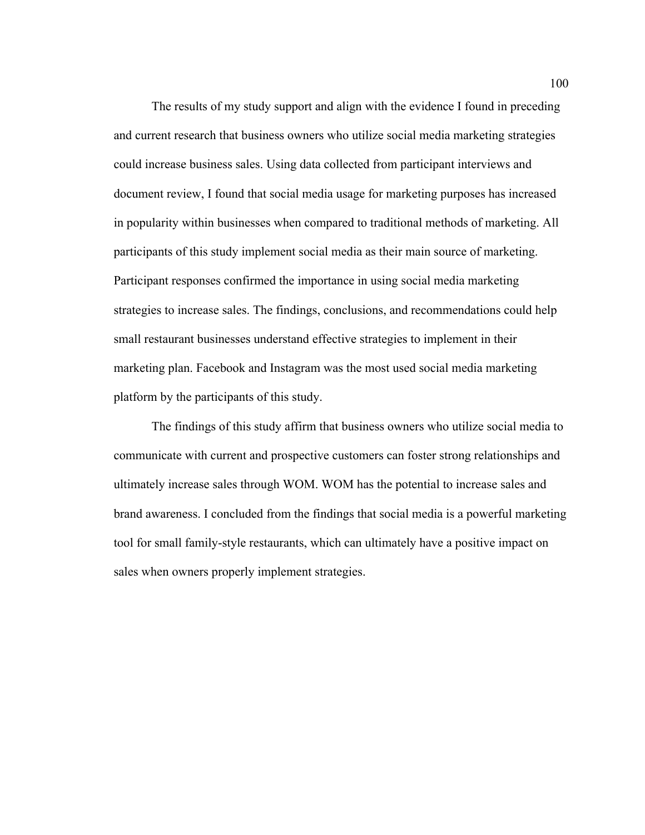The results of my study support and align with the evidence I found in preceding and current research that business owners who utilize social media marketing strategies could increase business sales. Using data collected from participant interviews and document review, I found that social media usage for marketing purposes has increased in popularity within businesses when compared to traditional methods of marketing. All participants of this study implement social media as their main source of marketing. Participant responses confirmed the importance in using social media marketing strategies to increase sales. The findings, conclusions, and recommendations could help small restaurant businesses understand effective strategies to implement in their marketing plan. Facebook and Instagram was the most used social media marketing platform by the participants of this study.

The findings of this study affirm that business owners who utilize social media to communicate with current and prospective customers can foster strong relationships and ultimately increase sales through WOM. WOM has the potential to increase sales and brand awareness. I concluded from the findings that social media is a powerful marketing tool for small family-style restaurants, which can ultimately have a positive impact on sales when owners properly implement strategies.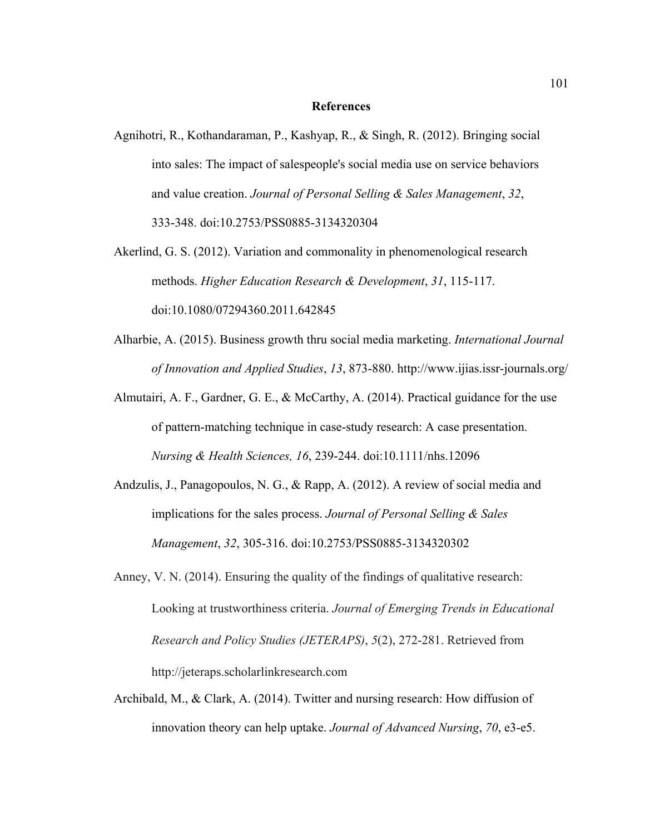## **References**

- Agnihotri, R., Kothandaraman, P., Kashyap, R., & Singh, R. (2012). Bringing social into sales: The impact of salespeople's social media use on service behaviors and value creation. *Journal of Personal Selling & Sales Management*, *32*, 333-348. doi:10.2753/PSS0885-3134320304
- Akerlind, G. S. (2012). Variation and commonality in phenomenological research methods. *Higher Education Research & Development*, *31*, 115-117. doi:10.1080/07294360.2011.642845
- Alharbie, A. (2015). Business growth thru social media marketing. *International Journal of Innovation and Applied Studies*, *13*, 873-880. http://www.ijias.issr-journals.org/
- Almutairi, A. F., Gardner, G. E., & McCarthy, A. (2014). Practical guidance for the use of pattern-matching technique in case-study research: A case presentation. *Nursing & Health Sciences, 16*, 239-244. doi:10.1111/nhs.12096
- Andzulis, J., Panagopoulos, N. G., & Rapp, A. (2012). A review of social media and implications for the sales process. *Journal of Personal Selling & Sales Management*, *32*, 305-316. doi:10.2753/PSS0885-3134320302
- Anney, V. N. (2014). Ensuring the quality of the findings of qualitative research: Looking at trustworthiness criteria. *Journal of Emerging Trends in Educational Research and Policy Studies (JETERAPS)*, *5*(2), 272-281. Retrieved from http://jeteraps.scholarlinkresearch.com
- Archibald, M., & Clark, A. (2014). Twitter and nursing research: How diffusion of innovation theory can help uptake. *Journal of Advanced Nursing*, *70*, e3-e5.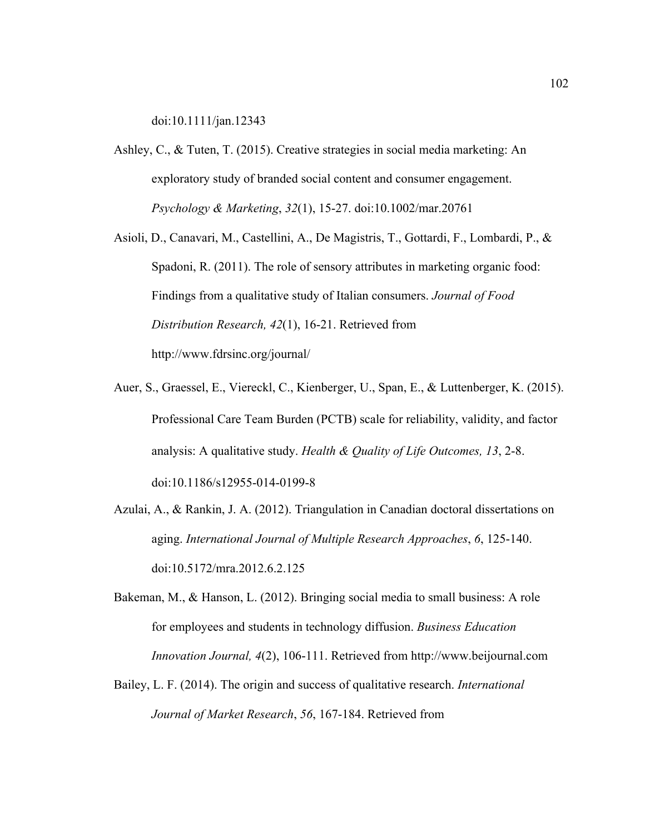doi:10.1111/jan.12343

- Ashley, C., & Tuten, T. (2015). Creative strategies in social media marketing: An exploratory study of branded social content and consumer engagement. *Psychology & Marketing*, *32*(1), 15-27. doi:10.1002/mar.20761
- Asioli, D., Canavari, M., Castellini, A., De Magistris, T., Gottardi, F., Lombardi, P., & Spadoni, R. (2011). The role of sensory attributes in marketing organic food: Findings from a qualitative study of Italian consumers. *Journal of Food Distribution Research, 42*(1), 16-21. Retrieved from http://www.fdrsinc.org/journal/
- Auer, S., Graessel, E., Viereckl, C., Kienberger, U., Span, E., & Luttenberger, K. (2015). Professional Care Team Burden (PCTB) scale for reliability, validity, and factor analysis: A qualitative study. *Health & Quality of Life Outcomes, 13*, 2-8. doi:10.1186/s12955-014-0199-8
- Azulai, A., & Rankin, J. A. (2012). Triangulation in Canadian doctoral dissertations on aging. *International Journal of Multiple Research Approaches*, *6*, 125-140. doi:10.5172/mra.2012.6.2.125
- Bakeman, M., & Hanson, L. (2012). Bringing social media to small business: A role for employees and students in technology diffusion. *Business Education Innovation Journal, 4*(2), 106-111. Retrieved from http://www.beijournal.com
- Bailey, L. F. (2014). The origin and success of qualitative research. *International Journal of Market Research*, *56*, 167-184. Retrieved from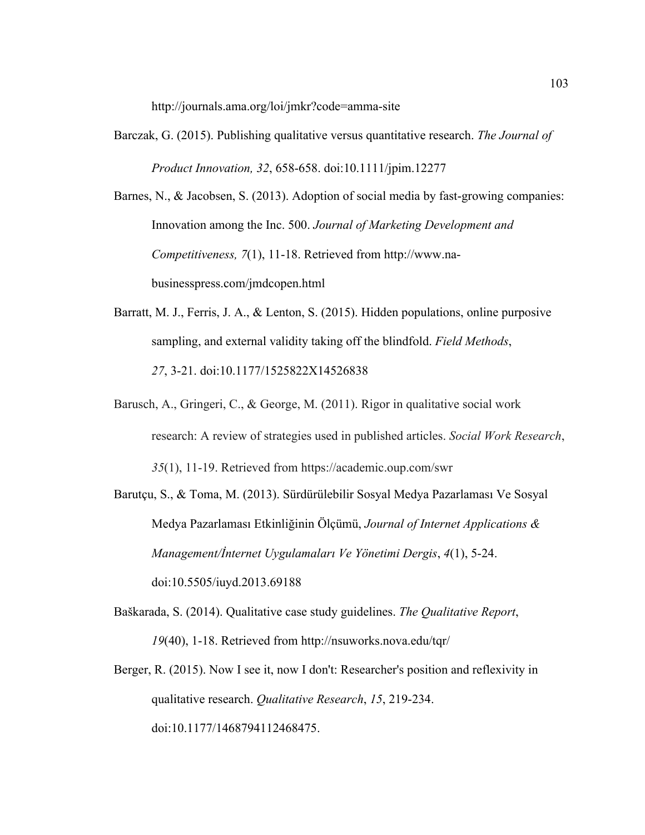http://journals.ama.org/loi/jmkr?code=amma-site

Barczak, G. (2015). Publishing qualitative versus quantitative research. *The Journal of Product Innovation, 32*, 658-658. doi:10.1111/jpim.12277

Barnes, N., & Jacobsen, S. (2013). Adoption of social media by fast-growing companies: Innovation among the Inc. 500. *Journal of Marketing Development and Competitiveness, 7*(1), 11-18. Retrieved from http://www.nabusinesspress.com/jmdcopen.html

- Barratt, M. J., Ferris, J. A., & Lenton, S. (2015). Hidden populations, online purposive sampling, and external validity taking off the blindfold. *Field Methods*, *27*, 3-21. doi:10.1177/1525822X14526838
- Barusch, A., Gringeri, C., & George, M. (2011). Rigor in qualitative social work research: A review of strategies used in published articles. *Social Work Research*, *35*(1), 11-19. Retrieved from https://academic.oup.com/swr
- Barutçu, S., & Toma, M. (2013). Sürdürülebilir Sosyal Medya Pazarlaması Ve Sosyal Medya Pazarlaması Etkinliğinin Ölçümü, *Journal of Internet Applications & Management/İnternet Uygulamaları Ve Yönetimi Dergis*, *4*(1), 5-24. doi:10.5505/iuyd.2013.69188
- Baškarada, S. (2014). Qualitative case study guidelines. *The Qualitative Report*, *19*(40), 1-18. Retrieved from http://nsuworks.nova.edu/tqr/
- Berger, R. (2015). Now I see it, now I don't: Researcher's position and reflexivity in qualitative research. *Qualitative Research*, *15*, 219-234. doi:10.1177/1468794112468475.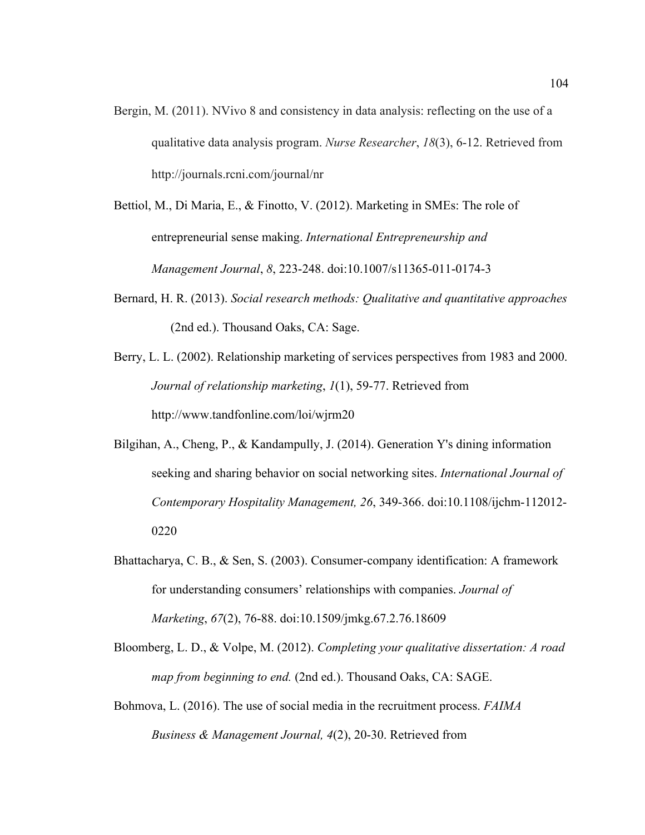- Bergin, M. (2011). NVivo 8 and consistency in data analysis: reflecting on the use of a qualitative data analysis program. *Nurse Researcher*, *18*(3), 6-12. Retrieved from http://journals.rcni.com/journal/nr
- Bettiol, M., Di Maria, E., & Finotto, V. (2012). Marketing in SMEs: The role of entrepreneurial sense making. *International Entrepreneurship and Management Journal*, *8*, 223-248. doi:10.1007/s11365-011-0174-3
- Bernard, H. R. (2013). *Social research methods: Qualitative and quantitative approaches* (2nd ed.). Thousand Oaks, CA: Sage.
- Berry, L. L. (2002). Relationship marketing of services perspectives from 1983 and 2000. *Journal of relationship marketing*, *1*(1), 59-77. Retrieved from http://www.tandfonline.com/loi/wjrm20
- Bilgihan, A., Cheng, P., & Kandampully, J. (2014). Generation Y's dining information seeking and sharing behavior on social networking sites. *International Journal of Contemporary Hospitality Management, 26*, 349-366. doi:10.1108/ijchm-112012- 0220
- Bhattacharya, C. B., & Sen, S. (2003). Consumer-company identification: A framework for understanding consumers' relationships with companies. *Journal of Marketing*, *67*(2), 76-88. doi:10.1509/jmkg.67.2.76.18609
- Bloomberg, L. D., & Volpe, M. (2012). *Completing your qualitative dissertation: A road map from beginning to end.* (2nd ed.). Thousand Oaks, CA: SAGE.
- Bohmova, L. (2016). The use of social media in the recruitment process. *FAIMA Business & Management Journal, 4*(2), 20-30. Retrieved from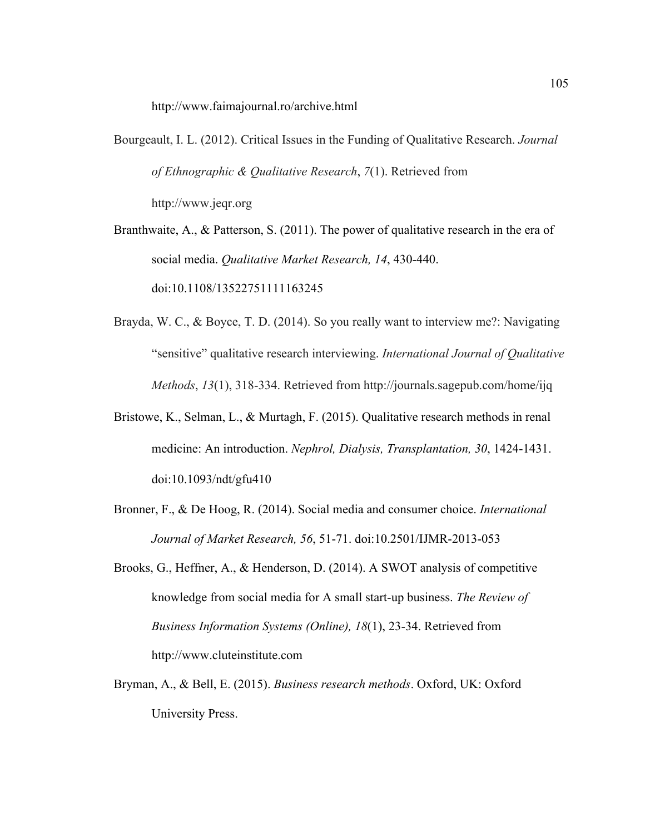http://www.faimajournal.ro/archive.html

Bourgeault, I. L. (2012). Critical Issues in the Funding of Qualitative Research. *Journal of Ethnographic & Qualitative Research*, *7*(1). Retrieved from http://www.jeqr.org

Branthwaite, A., & Patterson, S. (2011). The power of qualitative research in the era of social media. *Qualitative Market Research, 14*, 430-440. doi:10.1108/13522751111163245

- Brayda, W. C., & Boyce, T. D. (2014). So you really want to interview me?: Navigating "sensitive" qualitative research interviewing. *International Journal of Qualitative Methods*, *13*(1), 318-334. Retrieved from http://journals.sagepub.com/home/ijq
- Bristowe, K., Selman, L., & Murtagh, F. (2015). Qualitative research methods in renal medicine: An introduction. *Nephrol, Dialysis, Transplantation, 30*, 1424-1431. doi:10.1093/ndt/gfu410
- Bronner, F., & De Hoog, R. (2014). Social media and consumer choice. *International Journal of Market Research, 56*, 51-71. doi:10.2501/IJMR-2013-053
- Brooks, G., Heffner, A., & Henderson, D. (2014). A SWOT analysis of competitive knowledge from social media for A small start-up business. *The Review of Business Information Systems (Online), 18*(1), 23-34. Retrieved from http://www.cluteinstitute.com
- Bryman, A., & Bell, E. (2015). *Business research methods*. Oxford, UK: Oxford University Press.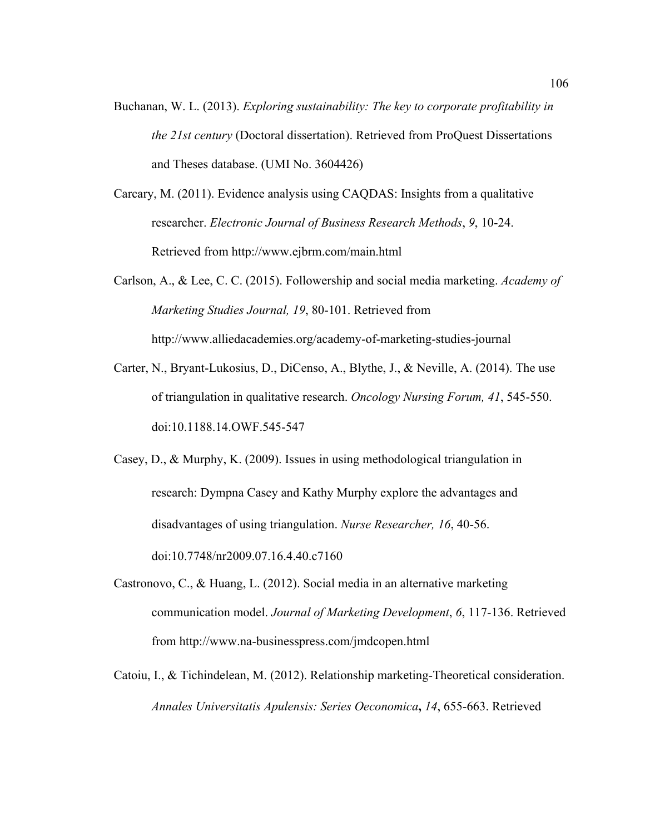- Buchanan, W. L. (2013). *Exploring sustainability: The key to corporate profitability in the 21st century* (Doctoral dissertation). Retrieved from ProQuest Dissertations and Theses database. (UMI No. 3604426)
- Carcary, M. (2011). Evidence analysis using CAQDAS: Insights from a qualitative researcher. *Electronic Journal of Business Research Methods*, *9*, 10-24. Retrieved from http://www.ejbrm.com/main.html
- Carlson, A., & Lee, C. C. (2015). Followership and social media marketing. *Academy of Marketing Studies Journal, 19*, 80-101. Retrieved from http://www.alliedacademies.org/academy-of-marketing-studies-journal
- Carter, N., Bryant-Lukosius, D., DiCenso, A., Blythe, J., & Neville, A. (2014). The use of triangulation in qualitative research. *Oncology Nursing Forum, 41*, 545-550. doi:10.1188.14.OWF.545-547
- Casey, D., & Murphy, K. (2009). Issues in using methodological triangulation in research: Dympna Casey and Kathy Murphy explore the advantages and disadvantages of using triangulation. *Nurse Researcher, 16*, 40-56. doi:10.7748/nr2009.07.16.4.40.c7160
- Castronovo, C., & Huang, L. (2012). Social media in an alternative marketing communication model. *Journal of Marketing Development*, *6*, 117-136. Retrieved from http://www.na-businesspress.com/jmdcopen.html
- Catoiu, I., & Tichindelean, M. (2012). Relationship marketing-Theoretical consideration. *Annales Universitatis Apulensis: Series Oeconomica***,** *14*, 655-663. Retrieved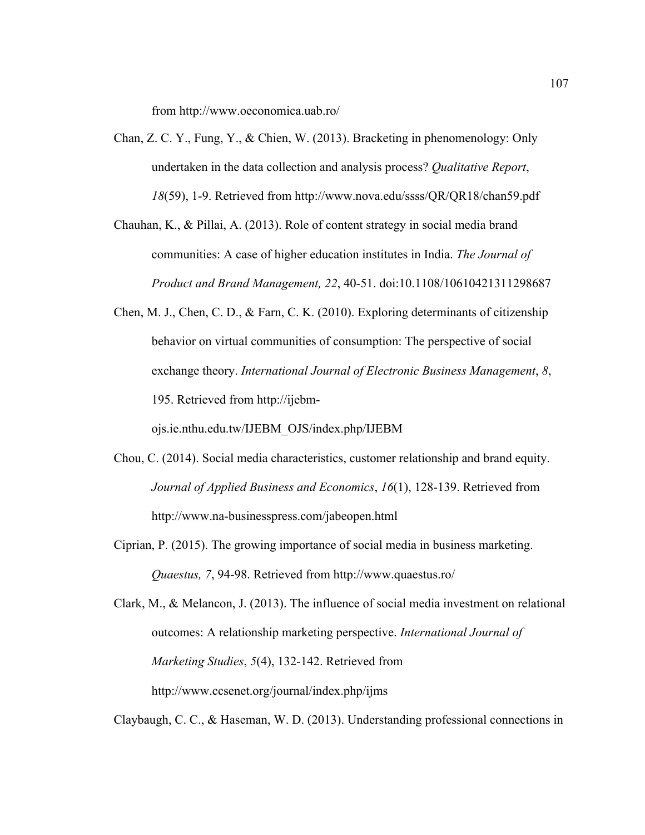from http://www.oeconomica.uab.ro/

Chan, Z. C. Y., Fung, Y., & Chien, W. (2013). Bracketing in phenomenology: Only undertaken in the data collection and analysis process? *Qualitative Report*, *18*(59), 1-9. Retrieved from http://www.nova.edu/ssss/QR/QR18/chan59.pdf

Chauhan, K., & Pillai, A. (2013). Role of content strategy in social media brand communities: A case of higher education institutes in India. *The Journal of Product and Brand Management, 22*, 40-51. doi:10.1108/10610421311298687

Chen, M. J., Chen, C. D., & Farn, C. K. (2010). Exploring determinants of citizenship behavior on virtual communities of consumption: The perspective of social exchange theory. *International Journal of Electronic Business Management*, *8*, 195. Retrieved from http://ijebm-

ojs.ie.nthu.edu.tw/IJEBM\_OJS/index.php/IJEBM

- Chou, C. (2014). Social media characteristics, customer relationship and brand equity. *Journal of Applied Business and Economics*, *16*(1), 128-139. Retrieved from http://www.na-businesspress.com/jabeopen.html
- Ciprian, P. (2015). The growing importance of social media in business marketing. *Quaestus, 7*, 94-98. Retrieved from http://www.quaestus.ro/

Clark, M., & Melancon, J. (2013). The influence of social media investment on relational outcomes: A relationship marketing perspective. *International Journal of Marketing Studies*, *5*(4), 132-142. Retrieved from http://www.ccsenet.org/journal/index.php/ijms

Claybaugh, C. C., & Haseman, W. D. (2013). Understanding professional connections in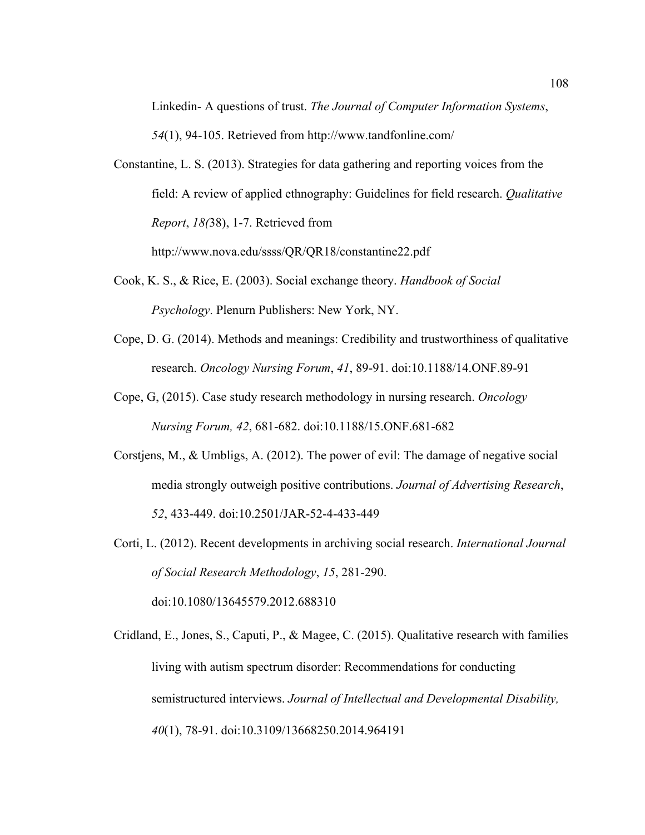Linkedin- A questions of trust. *The Journal of Computer Information Systems*, *54*(1), 94-105. Retrieved from http://www.tandfonline.com/

Constantine, L. S. (2013). Strategies for data gathering and reporting voices from the field: A review of applied ethnography: Guidelines for field research. *Qualitative Report*, *18(*38), 1-7. Retrieved from

http://www.nova.edu/ssss/QR/QR18/constantine22.pdf

- Cook, K. S., & Rice, E. (2003). Social exchange theory. *Handbook of Social Psychology*. Plenurn Publishers: New York, NY.
- Cope, D. G. (2014). Methods and meanings: Credibility and trustworthiness of qualitative research. *Oncology Nursing Forum*, *41*, 89-91. doi:10.1188/14.ONF.89-91
- Cope, G, (2015). Case study research methodology in nursing research. *Oncology Nursing Forum, 42*, 681-682. doi:10.1188/15.ONF.681-682
- Corstjens, M., & Umbligs, A. (2012). The power of evil: The damage of negative social media strongly outweigh positive contributions. *Journal of Advertising Research*, *52*, 433-449. doi:10.2501/JAR-52-4-433-449
- Corti, L. (2012). Recent developments in archiving social research. *International Journal of Social Research Methodology*, *15*, 281-290. doi:10.1080/13645579.2012.688310
- Cridland, E., Jones, S., Caputi, P., & Magee, C. (2015). Qualitative research with families living with autism spectrum disorder: Recommendations for conducting semistructured interviews. *Journal of Intellectual and Developmental Disability, 40*(1), 78-91. doi:10.3109/13668250.2014.964191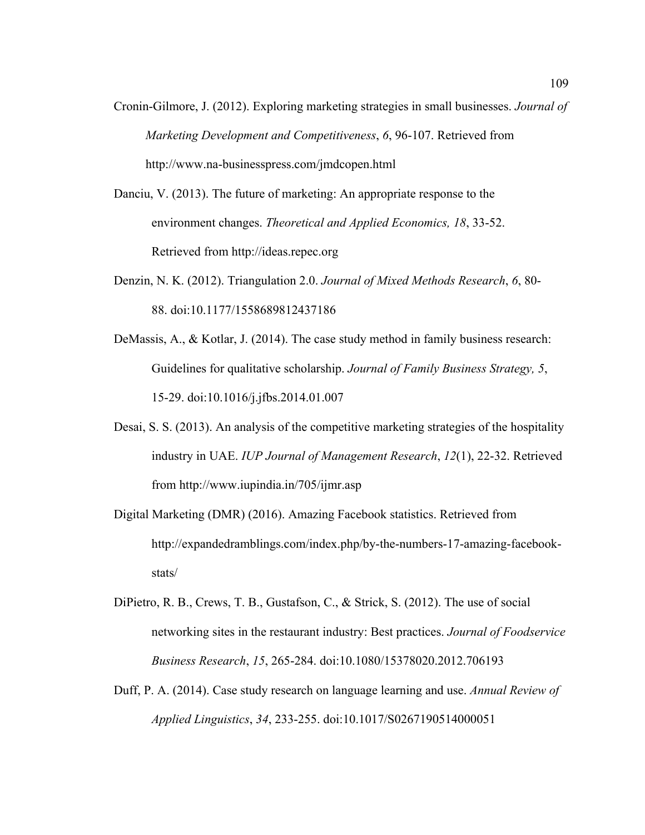- Cronin-Gilmore, J. (2012). Exploring marketing strategies in small businesses. *Journal of Marketing Development and Competitiveness*, *6*, 96-107. Retrieved from http://www.na-businesspress.com/jmdcopen.html
- Danciu, V. (2013). The future of marketing: An appropriate response to the environment changes. *Theoretical and Applied Economics, 18*, 33-52. Retrieved from http://ideas.repec.org
- Denzin, N. K. (2012). Triangulation 2.0. *Journal of Mixed Methods Research*, *6*, 80- 88. doi:10.1177/1558689812437186
- DeMassis, A., & Kotlar, J. (2014). The case study method in family business research: Guidelines for qualitative scholarship. *Journal of Family Business Strategy, 5*, 15-29. doi:10.1016/j.jfbs.2014.01.007
- Desai, S. S. (2013). An analysis of the competitive marketing strategies of the hospitality industry in UAE. *IUP Journal of Management Research*, *12*(1), 22-32. Retrieved from http://www.iupindia.in/705/ijmr.asp
- Digital Marketing (DMR) (2016). Amazing Facebook statistics. Retrieved from http://expandedramblings.com/index.php/by-the-numbers-17-amazing-facebookstats/
- DiPietro, R. B., Crews, T. B., Gustafson, C., & Strick, S. (2012). The use of social networking sites in the restaurant industry: Best practices. *Journal of Foodservice Business Research*, *15*, 265-284. doi:10.1080/15378020.2012.706193
- Duff, P. A. (2014). Case study research on language learning and use. *Annual Review of Applied Linguistics*, *34*, 233-255. doi:10.1017/S0267190514000051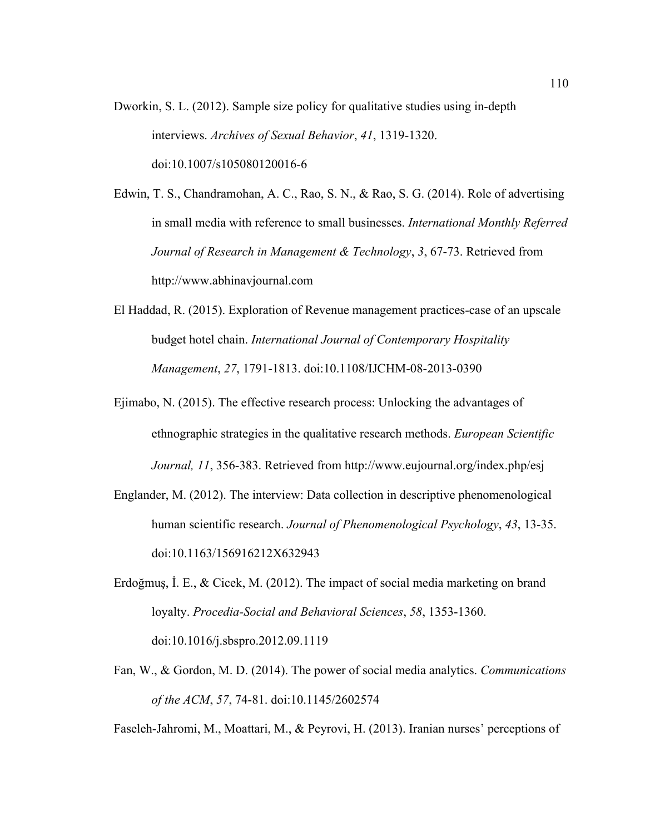Dworkin, S. L. (2012). Sample size policy for qualitative studies using in-depth interviews. *Archives of Sexual Behavior*, *41*, 1319-1320. doi:10.1007/s105080120016-6

Edwin, T. S., Chandramohan, A. C., Rao, S. N., & Rao, S. G. (2014). Role of advertising in small media with reference to small businesses. *International Monthly Referred Journal of Research in Management & Technology*, *3*, 67-73. Retrieved from http://www.abhinavjournal.com

- El Haddad, R. (2015). Exploration of Revenue management practices-case of an upscale budget hotel chain. *International Journal of Contemporary Hospitality Management*, *27*, 1791-1813. doi:10.1108/IJCHM-08-2013-0390
- Ejimabo, N. (2015). The effective research process: Unlocking the advantages of ethnographic strategies in the qualitative research methods. *European Scientific Journal, 11*, 356-383. Retrieved from http://www.eujournal.org/index.php/esj
- Englander, M. (2012). The interview: Data collection in descriptive phenomenological human scientific research. *Journal of Phenomenological Psychology*, *43*, 13-35. doi:10.1163/156916212X632943
- Erdoğmuş, İ. E., & Cicek, M. (2012). The impact of social media marketing on brand loyalty. *Procedia-Social and Behavioral Sciences*, *58*, 1353-1360. doi:10.1016/j.sbspro.2012.09.1119
- Fan, W., & Gordon, M. D. (2014). The power of social media analytics. *Communications of the ACM*, *57*, 74-81. doi:10.1145/2602574

Faseleh-Jahromi, M., Moattari, M., & Peyrovi, H. (2013). Iranian nurses' perceptions of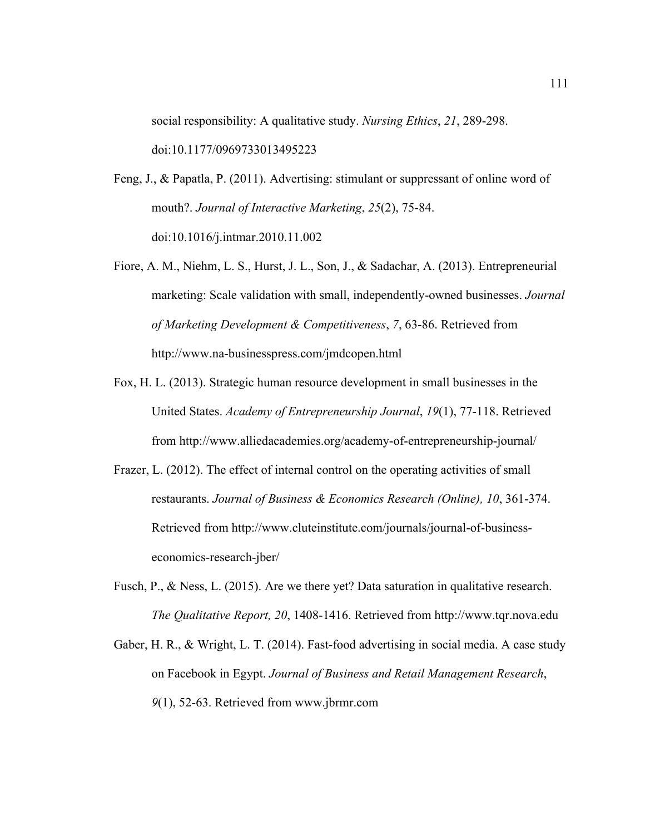social responsibility: A qualitative study. *Nursing Ethics*, *21*, 289-298. doi:10.1177/0969733013495223

Feng, J., & Papatla, P. (2011). Advertising: stimulant or suppressant of online word of mouth?. *Journal of Interactive Marketing*, *25*(2), 75-84. doi:10.1016/j.intmar.2010.11.002

- Fiore, A. M., Niehm, L. S., Hurst, J. L., Son, J., & Sadachar, A. (2013). Entrepreneurial marketing: Scale validation with small, independently-owned businesses. *Journal of Marketing Development & Competitiveness*, *7*, 63-86. Retrieved from http://www.na-businesspress.com/jmdcopen.html
- Fox, H. L. (2013). Strategic human resource development in small businesses in the United States. *Academy of Entrepreneurship Journal*, *19*(1), 77-118. Retrieved from http://www.alliedacademies.org/academy-of-entrepreneurship-journal/
- Frazer, L. (2012). The effect of internal control on the operating activities of small restaurants. *Journal of Business & Economics Research (Online), 10*, 361-374. Retrieved from http://www.cluteinstitute.com/journals/journal-of-businesseconomics-research-jber/
- Fusch, P., & Ness, L. (2015). Are we there yet? Data saturation in qualitative research. *The Qualitative Report, 20*, 1408-1416. Retrieved from http://www.tqr.nova.edu
- Gaber, H. R., & Wright, L. T. (2014). Fast-food advertising in social media. A case study on Facebook in Egypt. *Journal of Business and Retail Management Research*, *9*(1), 52-63. Retrieved from www.jbrmr.com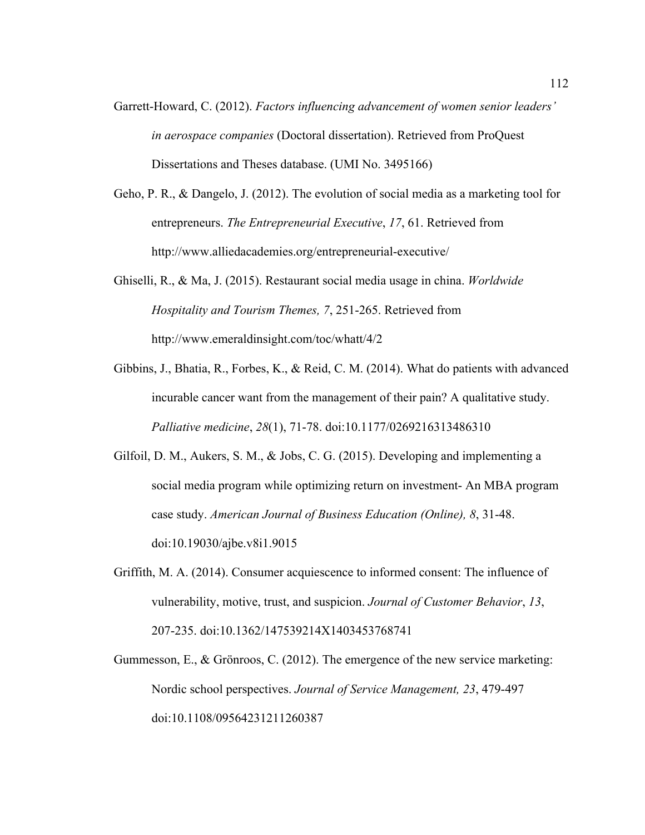- Garrett-Howard, C. (2012). *Factors influencing advancement of women senior leaders' in aerospace companies* (Doctoral dissertation). Retrieved from ProQuest Dissertations and Theses database. (UMI No. 3495166)
- Geho, P. R., & Dangelo, J. (2012). The evolution of social media as a marketing tool for entrepreneurs. *The Entrepreneurial Executive*, *17*, 61. Retrieved from http://www.alliedacademies.org/entrepreneurial-executive/
- Ghiselli, R., & Ma, J. (2015). Restaurant social media usage in china. *Worldwide Hospitality and Tourism Themes, 7*, 251-265. Retrieved from http://www.emeraldinsight.com/toc/whatt/4/2
- Gibbins, J., Bhatia, R., Forbes, K., & Reid, C. M. (2014). What do patients with advanced incurable cancer want from the management of their pain? A qualitative study. *Palliative medicine*, *28*(1), 71-78. doi:10.1177/0269216313486310
- Gilfoil, D. M., Aukers, S. M., & Jobs, C. G. (2015). Developing and implementing a social media program while optimizing return on investment- An MBA program case study. *American Journal of Business Education (Online), 8*, 31-48. doi:10.19030/ajbe.v8i1.9015
- Griffith, M. A. (2014). Consumer acquiescence to informed consent: The influence of vulnerability, motive, trust, and suspicion. *Journal of Customer Behavior*, *13*, 207-235. doi:10.1362/147539214X1403453768741
- Gummesson, E., & Grönroos, C. (2012). The emergence of the new service marketing: Nordic school perspectives. *Journal of Service Management, 23*, 479-497 doi:10.1108/09564231211260387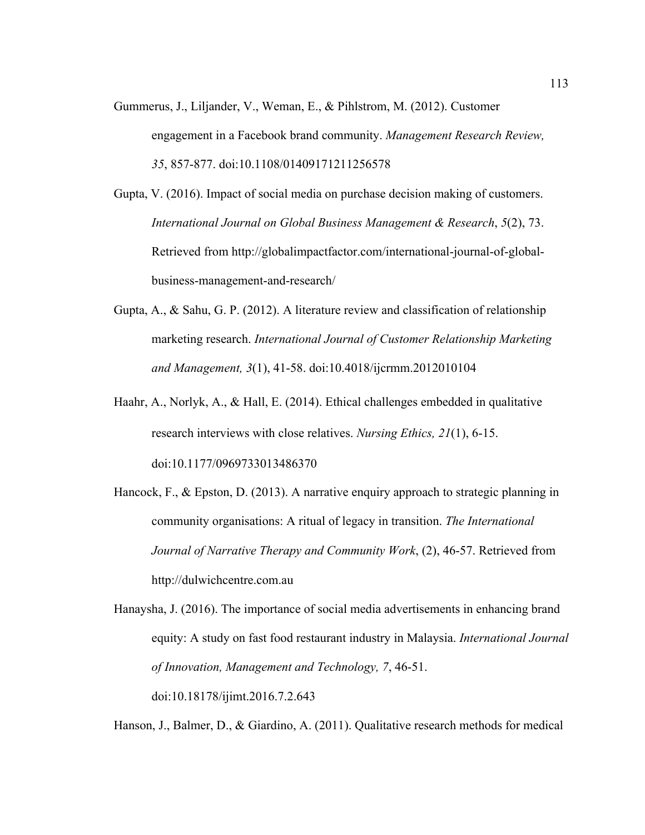Gummerus, J., Liljander, V., Weman, E., & Pihlstrom, M. (2012). Customer engagement in a Facebook brand community. *Management Research Review, 35*, 857-877. doi:10.1108/01409171211256578

Gupta, V. (2016). Impact of social media on purchase decision making of customers. *International Journal on Global Business Management & Research*, *5*(2), 73. Retrieved from http://globalimpactfactor.com/international-journal-of-globalbusiness-management-and-research/

Gupta, A., & Sahu, G. P. (2012). A literature review and classification of relationship marketing research. *International Journal of Customer Relationship Marketing and Management, 3*(1), 41-58. doi:10.4018/ijcrmm.2012010104

Haahr, A., Norlyk, A., & Hall, E. (2014). Ethical challenges embedded in qualitative research interviews with close relatives. *Nursing Ethics, 21*(1), 6-15. doi:10.1177/0969733013486370

Hancock, F., & Epston, D. (2013). A narrative enquiry approach to strategic planning in community organisations: A ritual of legacy in transition. *The International Journal of Narrative Therapy and Community Work*, (2), 46-57. Retrieved from http://dulwichcentre.com.au

Hanaysha, J. (2016). The importance of social media advertisements in enhancing brand equity: A study on fast food restaurant industry in Malaysia. *International Journal of Innovation, Management and Technology, 7*, 46-51. doi:10.18178/ijimt.2016.7.2.643

Hanson, J., Balmer, D., & Giardino, A. (2011). Qualitative research methods for medical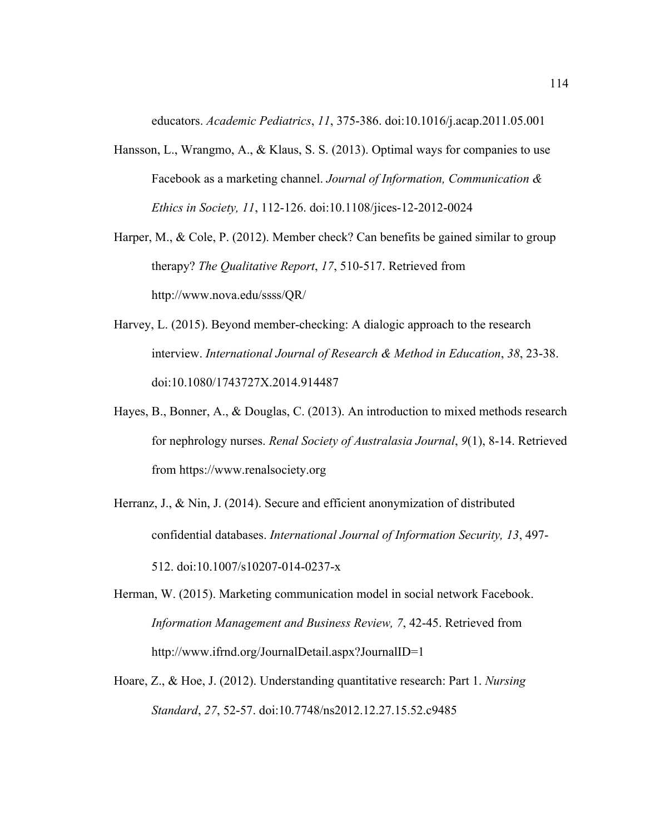educators. *Academic Pediatrics*, *11*, 375-386. doi:10.1016/j.acap.2011.05.001

- Hansson, L., Wrangmo, A., & Klaus, S. S. (2013). Optimal ways for companies to use Facebook as a marketing channel. *Journal of Information, Communication & Ethics in Society, 11*, 112-126. doi:10.1108/jices-12-2012-0024
- Harper, M., & Cole, P. (2012). Member check? Can benefits be gained similar to group therapy? *The Qualitative Report*, *17*, 510-517. Retrieved from http://www.nova.edu/ssss/QR/
- Harvey, L. (2015). Beyond member-checking: A dialogic approach to the research interview. *International Journal of Research & Method in Education*, *38*, 23-38. doi:10.1080/1743727X.2014.914487
- Hayes, B., Bonner, A., & Douglas, C. (2013). An introduction to mixed methods research for nephrology nurses. *Renal Society of Australasia Journal*, *9*(1), 8-14. Retrieved from https://www.renalsociety.org
- Herranz, J., & Nin, J. (2014). Secure and efficient anonymization of distributed confidential databases. *International Journal of Information Security, 13*, 497- 512. doi:10.1007/s10207-014-0237-x
- Herman, W. (2015). Marketing communication model in social network Facebook. *Information Management and Business Review, 7*, 42-45. Retrieved from http://www.ifrnd.org/JournalDetail.aspx?JournalID=1
- Hoare, Z., & Hoe, J. (2012). Understanding quantitative research: Part 1. *Nursing Standard*, *27*, 52-57. doi:10.7748/ns2012.12.27.15.52.c9485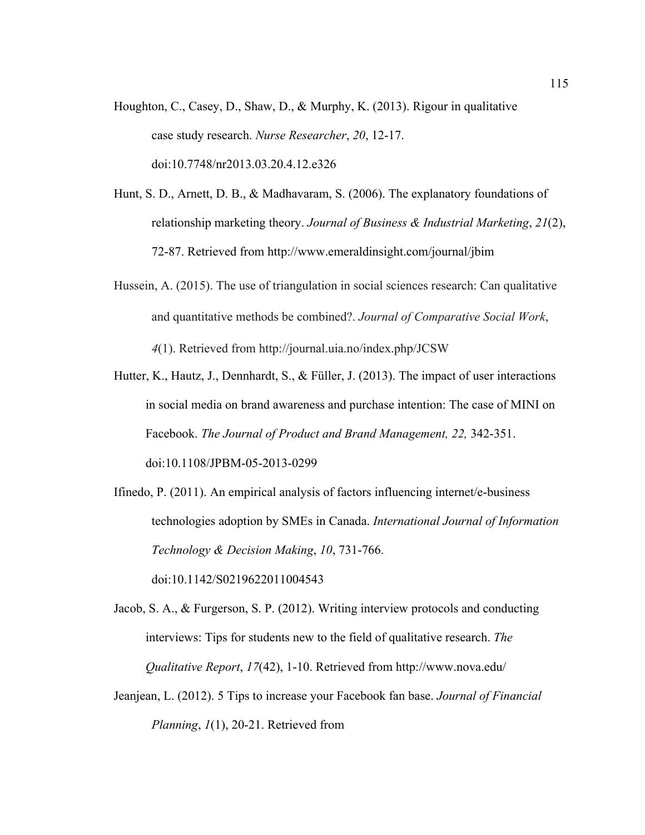- Houghton, C., Casey, D., Shaw, D., & Murphy, K. (2013). Rigour in qualitative case study research. *Nurse Researcher*, *20*, 12-17. doi:10.7748/nr2013.03.20.4.12.e326
- Hunt, S. D., Arnett, D. B., & Madhavaram, S. (2006). The explanatory foundations of relationship marketing theory. *Journal of Business & Industrial Marketing*, *21*(2), 72-87. Retrieved from http://www.emeraldinsight.com/journal/jbim
- Hussein, A. (2015). The use of triangulation in social sciences research: Can qualitative and quantitative methods be combined?. *Journal of Comparative Social Work*, *4*(1). Retrieved from http://journal.uia.no/index.php/JCSW
- Hutter, K., Hautz, J., Dennhardt, S., & Füller, J. (2013). The impact of user interactions in social media on brand awareness and purchase intention: The case of MINI on Facebook. *The Journal of Product and Brand Management, 22,* 342-351. doi:10.1108/JPBM-05-2013-0299
- Ifinedo, P. (2011). An empirical analysis of factors influencing internet/e-business technologies adoption by SMEs in Canada. *International Journal of Information Technology & Decision Making*, *10*, 731-766. doi:10.1142/S0219622011004543

Jacob, S. A., & Furgerson, S. P. (2012). Writing interview protocols and conducting interviews: Tips for students new to the field of qualitative research. *The Qualitative Report*, *17*(42), 1-10. Retrieved from http://www.nova.edu/

Jeanjean, L. (2012). 5 Tips to increase your Facebook fan base. *Journal of Financial Planning*, *1*(1), 20-21. Retrieved from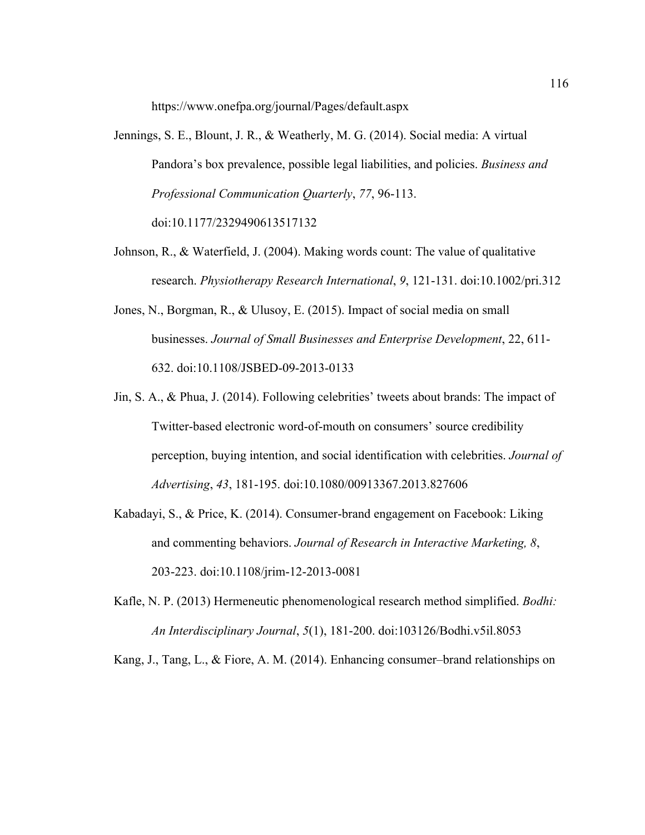https://www.onefpa.org/journal/Pages/default.aspx

- Jennings, S. E., Blount, J. R., & Weatherly, M. G. (2014). Social media: A virtual Pandora's box prevalence, possible legal liabilities, and policies. *Business and Professional Communication Quarterly*, *77*, 96-113. doi:10.1177/2329490613517132
- Johnson, R., & Waterfield, J. (2004). Making words count: The value of qualitative research. *Physiotherapy Research International*, *9*, 121-131. doi:10.1002/pri.312
- Jones, N., Borgman, R., & Ulusoy, E. (2015). Impact of social media on small businesses. *Journal of Small Businesses and Enterprise Development*, 22, 611- 632. doi:10.1108/JSBED-09-2013-0133
- Jin, S. A., & Phua, J. (2014). Following celebrities' tweets about brands: The impact of Twitter-based electronic word-of-mouth on consumers' source credibility perception, buying intention, and social identification with celebrities. *Journal of Advertising*, *43*, 181-195. doi:10.1080/00913367.2013.827606
- Kabadayi, S., & Price, K. (2014). Consumer-brand engagement on Facebook: Liking and commenting behaviors. *Journal of Research in Interactive Marketing, 8*, 203-223. doi:10.1108/jrim-12-2013-0081
- Kafle, N. P. (2013) Hermeneutic phenomenological research method simplified. *Bodhi: An Interdisciplinary Journal*, *5*(1), 181-200. doi:103126/Bodhi.v5il.8053

Kang, J., Tang, L., & Fiore, A. M. (2014). Enhancing consumer–brand relationships on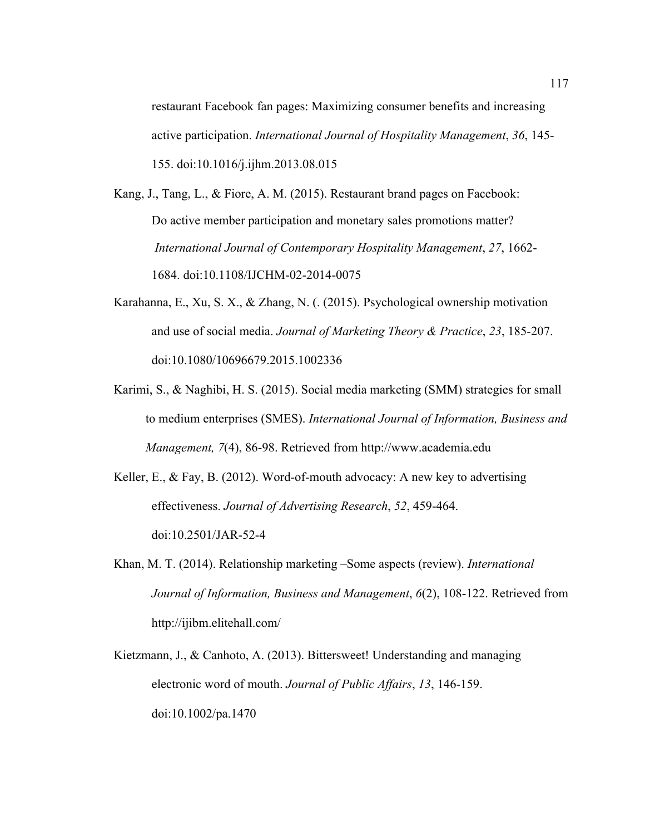restaurant Facebook fan pages: Maximizing consumer benefits and increasing active participation. *International Journal of Hospitality Management*, *36*, 145- 155. doi:10.1016/j.ijhm.2013.08.015

- Kang, J., Tang, L., & Fiore, A. M. (2015). Restaurant brand pages on Facebook: Do active member participation and monetary sales promotions matter? *International Journal of Contemporary Hospitality Management*, *27*, 1662- 1684. doi:10.1108/IJCHM-02-2014-0075
- Karahanna, E., Xu, S. X., & Zhang, N. (. (2015). Psychological ownership motivation and use of social media. *Journal of Marketing Theory & Practice*, *23*, 185-207. doi:10.1080/10696679.2015.1002336
- Karimi, S., & Naghibi, H. S. (2015). Social media marketing (SMM) strategies for small to medium enterprises (SMES). *International Journal of Information, Business and Management, 7*(4), 86-98. Retrieved from http://www.academia.edu

Keller, E., & Fay, B. (2012). Word-of-mouth advocacy: A new key to advertising effectiveness. *Journal of Advertising Research*, *52*, 459-464. doi:10.2501/JAR-52-4

- Khan, M. T. (2014). Relationship marketing –Some aspects (review). *International Journal of Information, Business and Management*, *6*(2), 108-122. Retrieved from http://ijibm.elitehall.com/
- Kietzmann, J., & Canhoto, A. (2013). Bittersweet! Understanding and managing electronic word of mouth. *Journal of Public Affairs*, *13*, 146-159. doi:10.1002/pa.1470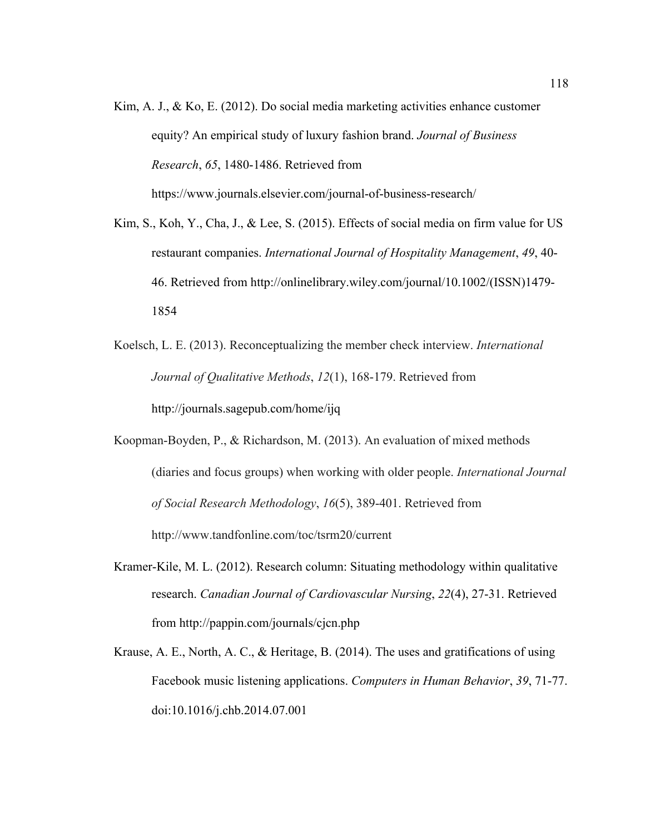- Kim, A. J., & Ko, E. (2012). Do social media marketing activities enhance customer equity? An empirical study of luxury fashion brand. *Journal of Business Research*, *65*, 1480-1486. Retrieved from https://www.journals.elsevier.com/journal-of-business-research/
- Kim, S., Koh, Y., Cha, J., & Lee, S. (2015). Effects of social media on firm value for US restaurant companies. *International Journal of Hospitality Management*, *49*, 40- 46. Retrieved from http://onlinelibrary.wiley.com/journal/10.1002/(ISSN)1479- 1854
- Koelsch, L. E. (2013). Reconceptualizing the member check interview. *International Journal of Qualitative Methods*, *12*(1), 168-179. Retrieved from http://journals.sagepub.com/home/ijq
- Koopman-Boyden, P., & Richardson, M. (2013). An evaluation of mixed methods (diaries and focus groups) when working with older people. *International Journal of Social Research Methodology*, *16*(5), 389-401. Retrieved from http://www.tandfonline.com/toc/tsrm20/current
- Kramer-Kile, M. L. (2012). Research column: Situating methodology within qualitative research. *Canadian Journal of Cardiovascular Nursing*, *22*(4), 27-31. Retrieved from http://pappin.com/journals/cjcn.php
- Krause, A. E., North, A. C., & Heritage, B. (2014). The uses and gratifications of using Facebook music listening applications. *Computers in Human Behavior*, *39*, 71-77. doi:10.1016/j.chb.2014.07.001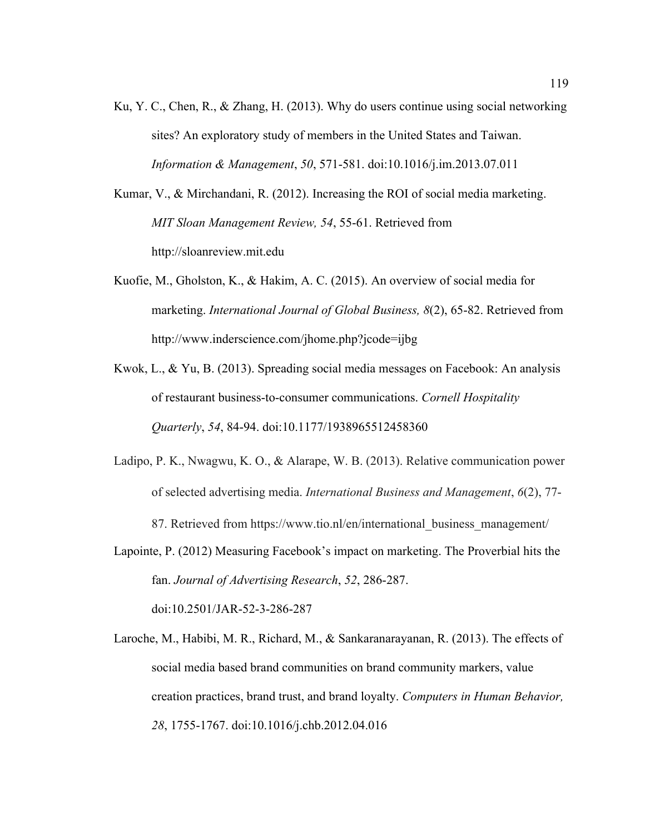Ku, Y. C., Chen, R., & Zhang, H. (2013). Why do users continue using social networking sites? An exploratory study of members in the United States and Taiwan. *Information & Management*, *50*, 571-581. doi:10.1016/j.im.2013.07.011

Kumar, V., & Mirchandani, R. (2012). Increasing the ROI of social media marketing. *MIT Sloan Management Review, 54*, 55-61. Retrieved from http://sloanreview.mit.edu

- Kuofie, M., Gholston, K., & Hakim, A. C. (2015). An overview of social media for marketing. *International Journal of Global Business, 8*(2), 65-82. Retrieved from http://www.inderscience.com/jhome.php?jcode=ijbg
- Kwok, L., & Yu, B. (2013). Spreading social media messages on Facebook: An analysis of restaurant business-to-consumer communications. *Cornell Hospitality Quarterly*, *54*, 84-94. doi:10.1177/1938965512458360
- Ladipo, P. K., Nwagwu, K. O., & Alarape, W. B. (2013). Relative communication power of selected advertising media. *International Business and Management*, *6*(2), 77- 87. Retrieved from https://www.tio.nl/en/international\_business\_management/
- Lapointe, P. (2012) Measuring Facebook's impact on marketing. The Proverbial hits the fan. *Journal of Advertising Research*, *52*, 286-287. doi:10.2501/JAR-52-3-286-287
- Laroche, M., Habibi, M. R., Richard, M., & Sankaranarayanan, R. (2013). The effects of social media based brand communities on brand community markers, value creation practices, brand trust, and brand loyalty. *Computers in Human Behavior, 28*, 1755-1767. doi:10.1016/j.chb.2012.04.016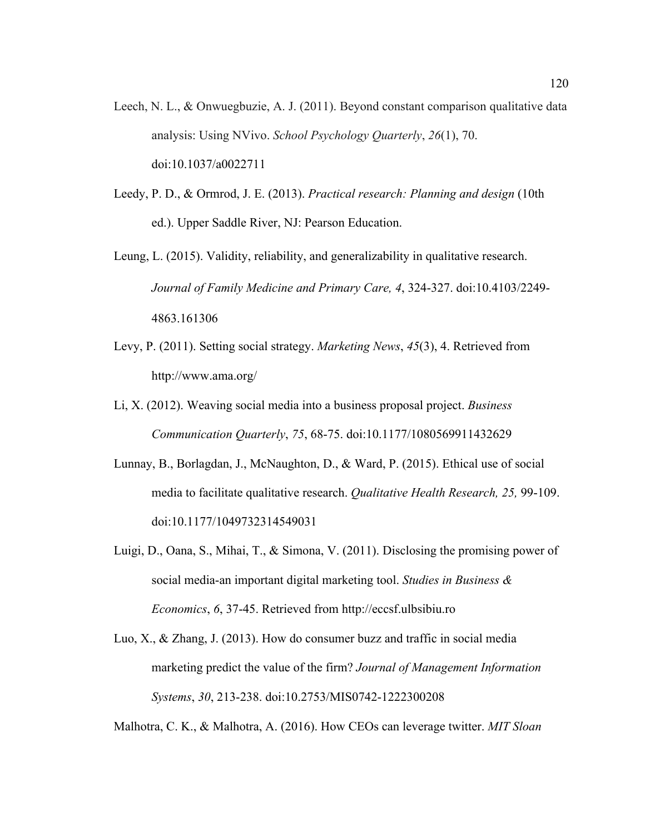- Leech, N. L., & Onwuegbuzie, A. J. (2011). Beyond constant comparison qualitative data analysis: Using NVivo. *School Psychology Quarterly*, *26*(1), 70. doi:10.1037/a0022711
- Leedy, P. D., & Ormrod, J. E. (2013). *Practical research: Planning and design* (10th ed.). Upper Saddle River, NJ: Pearson Education.
- Leung, L. (2015). Validity, reliability, and generalizability in qualitative research. *Journal of Family Medicine and Primary Care, 4*, 324-327. doi:10.4103/2249- 4863.161306
- Levy, P. (2011). Setting social strategy. *Marketing News*, *45*(3), 4. Retrieved from http://www.ama.org/
- Li, X. (2012). Weaving social media into a business proposal project. *Business Communication Quarterly*, *75*, 68-75. doi:10.1177/1080569911432629
- Lunnay, B., Borlagdan, J., McNaughton, D., & Ward, P. (2015). Ethical use of social media to facilitate qualitative research. *Qualitative Health Research, 25,* 99-109. doi:10.1177/1049732314549031
- Luigi, D., Oana, S., Mihai, T., & Simona, V. (2011). Disclosing the promising power of social media-an important digital marketing tool. *Studies in Business & Economics*, *6*, 37-45. Retrieved from http://eccsf.ulbsibiu.ro
- Luo, X., & Zhang, J. (2013). How do consumer buzz and traffic in social media marketing predict the value of the firm? *Journal of Management Information Systems*, *30*, 213-238. doi:10.2753/MIS0742-1222300208

Malhotra, C. K., & Malhotra, A. (2016). How CEOs can leverage twitter. *MIT Sloan*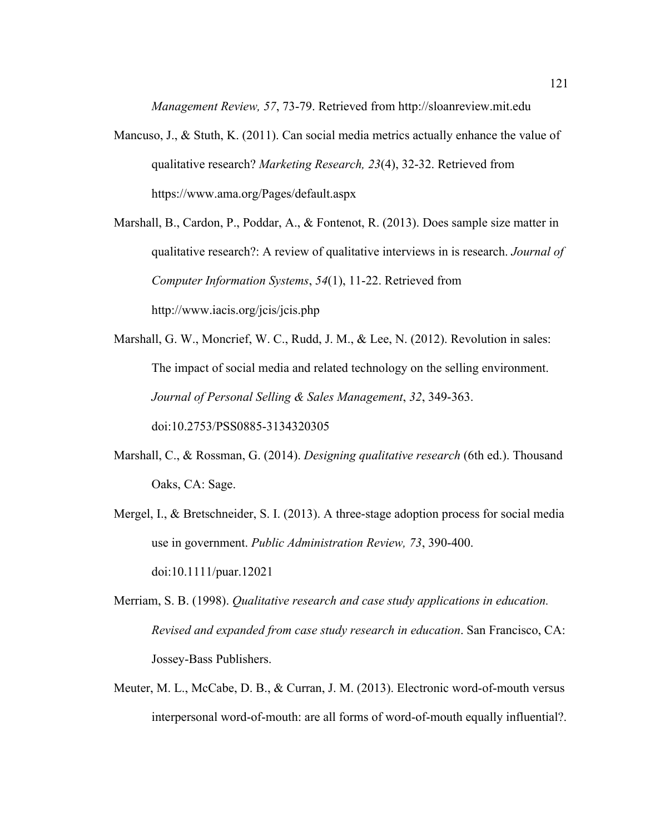*Management Review, 57*, 73-79. Retrieved from http://sloanreview.mit.edu

Mancuso, J., & Stuth, K. (2011). Can social media metrics actually enhance the value of qualitative research? *Marketing Research, 23*(4), 32-32. Retrieved from https://www.ama.org/Pages/default.aspx

Marshall, B., Cardon, P., Poddar, A., & Fontenot, R. (2013). Does sample size matter in qualitative research?: A review of qualitative interviews in is research. *Journal of Computer Information Systems*, *54*(1), 11-22. Retrieved from http://www.iacis.org/jcis/jcis.php

Marshall, G. W., Moncrief, W. C., Rudd, J. M., & Lee, N. (2012). Revolution in sales: The impact of social media and related technology on the selling environment. *Journal of Personal Selling & Sales Management*, *32*, 349-363. doi:10.2753/PSS0885-3134320305

- Marshall, C., & Rossman, G. (2014). *Designing qualitative research* (6th ed.). Thousand Oaks, CA: Sage.
- Mergel, I., & Bretschneider, S. I. (2013). A three-stage adoption process for social media use in government. *Public Administration Review, 73*, 390-400. doi:10.1111/puar.12021
- Merriam, S. B. (1998). *Qualitative research and case study applications in education. Revised and expanded from case study research in education*. San Francisco, CA: Jossey-Bass Publishers.
- Meuter, M. L., McCabe, D. B., & Curran, J. M. (2013). Electronic word-of-mouth versus interpersonal word-of-mouth: are all forms of word-of-mouth equally influential?.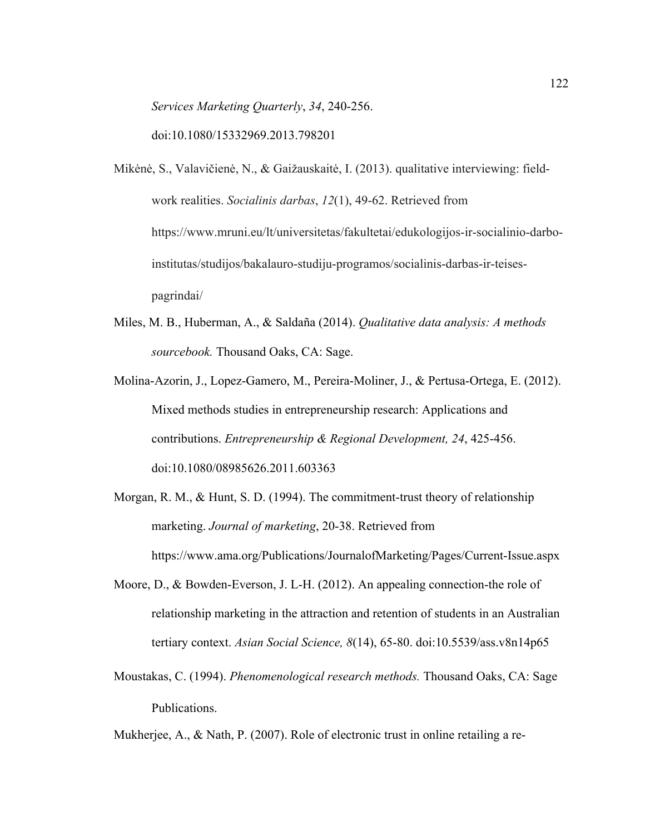*Services Marketing Quarterly*, *34*, 240-256. doi:10.1080/15332969.2013.798201

- Mikėnė, S., Valavičienė, N., & Gaižauskaitė, I. (2013). qualitative interviewing: fieldwork realities. *Socialinis darbas*, *12*(1), 49-62. Retrieved from https://www.mruni.eu/lt/universitetas/fakultetai/edukologijos-ir-socialinio-darboinstitutas/studijos/bakalauro-studiju-programos/socialinis-darbas-ir-teisespagrindai/
- Miles, M. B., Huberman, A., & Saldaña (2014). *Qualitative data analysis: A methods sourcebook.* Thousand Oaks, CA: Sage.
- Molina-Azorin, J., Lopez-Gamero, M., Pereira-Moliner, J., & Pertusa-Ortega, E. (2012). Mixed methods studies in entrepreneurship research: Applications and contributions. *Entrepreneurship & Regional Development, 24*, 425-456. doi:10.1080/08985626.2011.603363
- Morgan, R. M., & Hunt, S. D. (1994). The commitment-trust theory of relationship marketing. *Journal of marketing*, 20-38. Retrieved from https://www.ama.org/Publications/JournalofMarketing/Pages/Current-Issue.aspx
- Moore, D., & Bowden-Everson, J. L-H. (2012). An appealing connection-the role of relationship marketing in the attraction and retention of students in an Australian tertiary context. *Asian Social Science, 8*(14), 65-80. doi:10.5539/ass.v8n14p65
- Moustakas, C. (1994). *Phenomenological research methods.* Thousand Oaks, CA: Sage Publications.

Mukherjee, A., & Nath, P. (2007). Role of electronic trust in online retailing a re-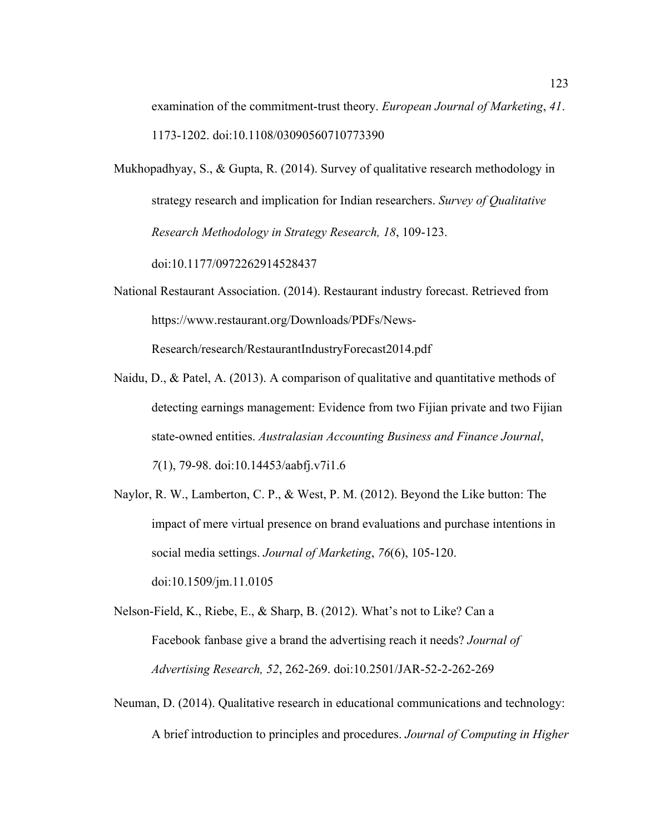examination of the commitment-trust theory. *European Journal of Marketing*, *41*. 1173-1202. doi:10.1108/03090560710773390

Mukhopadhyay, S., & Gupta, R. (2014). Survey of qualitative research methodology in strategy research and implication for Indian researchers. *Survey of Qualitative Research Methodology in Strategy Research, 18*, 109-123.

doi:10.1177/0972262914528437

- National Restaurant Association. (2014). Restaurant industry forecast. Retrieved from https://www.restaurant.org/Downloads/PDFs/News-Research/research/RestaurantIndustryForecast2014.pdf
- Naidu, D., & Patel, A. (2013). A comparison of qualitative and quantitative methods of detecting earnings management: Evidence from two Fijian private and two Fijian state-owned entities. *Australasian Accounting Business and Finance Journal*, *7*(1), 79-98. doi:10.14453/aabfj.v7i1.6
- Naylor, R. W., Lamberton, C. P., & West, P. M. (2012). Beyond the Like button: The impact of mere virtual presence on brand evaluations and purchase intentions in social media settings. *Journal of Marketing*, *76*(6), 105-120. doi:10.1509/jm.11.0105
- Nelson-Field, K., Riebe, E., & Sharp, B. (2012). What's not to Like? Can a Facebook fanbase give a brand the advertising reach it needs? *Journal of Advertising Research, 52*, 262-269. doi:10.2501/JAR-52-2-262-269
- Neuman, D. (2014). Qualitative research in educational communications and technology:

A brief introduction to principles and procedures. *Journal of Computing in Higher*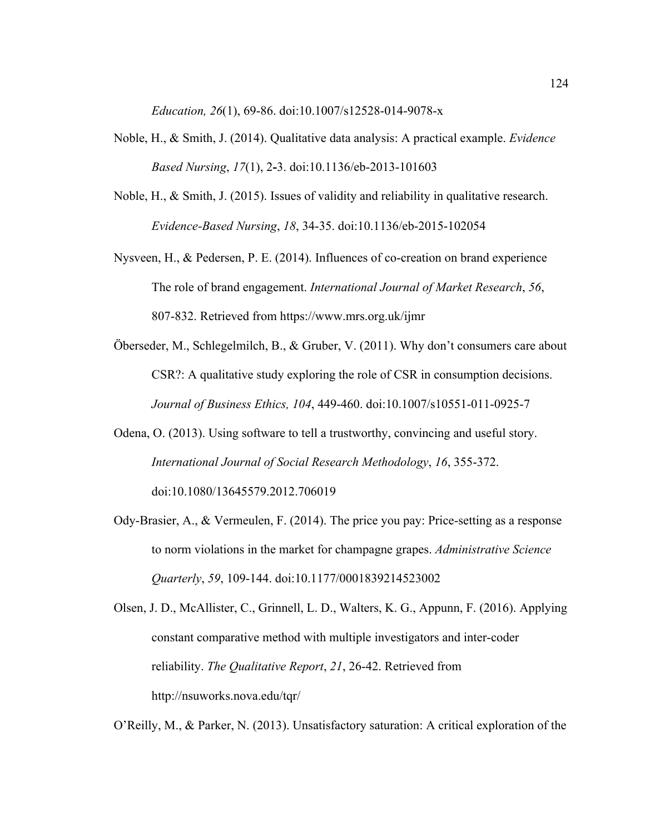*Education, 26*(1), 69-86. doi:10.1007/s12528-014-9078-x

- Noble, H., & Smith, J. (2014). Qualitative data analysis: A practical example. *Evidence Based Nursing*, *17*(1), 2**-**3. doi:10.1136/eb-2013-101603
- Noble, H., & Smith, J. (2015). Issues of validity and reliability in qualitative research. *Evidence-Based Nursing*, *18*, 34-35. doi:10.1136/eb-2015-102054
- Nysveen, H., & Pedersen, P. E. (2014). Influences of co-creation on brand experience The role of brand engagement. *International Journal of Market Research*, *56*, 807-832. Retrieved from https://www.mrs.org.uk/ijmr
- Öberseder, M., Schlegelmilch, B., & Gruber, V. (2011). Why don't consumers care about CSR?: A qualitative study exploring the role of CSR in consumption decisions. *Journal of Business Ethics, 104*, 449-460. doi:10.1007/s10551-011-0925-7
- Odena, O. (2013). Using software to tell a trustworthy, convincing and useful story. *International Journal of Social Research Methodology*, *16*, 355-372. doi:10.1080/13645579.2012.706019
- Ody-Brasier, A., & Vermeulen, F. (2014). The price you pay: Price-setting as a response to norm violations in the market for champagne grapes. *Administrative Science Quarterly*, *59*, 109-144. doi:10.1177/0001839214523002

Olsen, J. D., McAllister, C., Grinnell, L. D., Walters, K. G., Appunn, F. (2016). Applying constant comparative method with multiple investigators and inter-coder reliability. *The Qualitative Report*, *21*, 26-42. Retrieved from http://nsuworks.nova.edu/tqr/

O'Reilly, M., & Parker, N. (2013). Unsatisfactory saturation: A critical exploration of the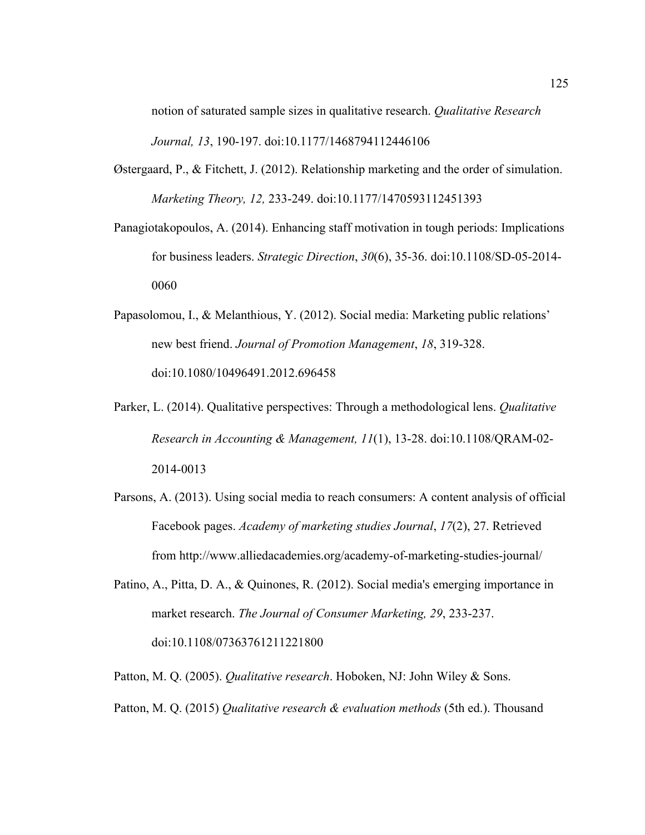notion of saturated sample sizes in qualitative research. *Qualitative Research Journal, 13*, 190-197. doi:10.1177/1468794112446106

- Østergaard, P., & Fitchett, J. (2012). Relationship marketing and the order of simulation. *Marketing Theory, 12,* 233-249. doi:10.1177/1470593112451393
- Panagiotakopoulos, A. (2014). Enhancing staff motivation in tough periods: Implications for business leaders. *Strategic Direction*, *30*(6), 35-36. doi:10.1108/SD-05-2014- 0060
- Papasolomou, I., & Melanthious, Y. (2012). Social media: Marketing public relations' new best friend. *Journal of Promotion Management*, *18*, 319-328. doi:10.1080/10496491.2012.696458
- Parker, L. (2014). Qualitative perspectives: Through a methodological lens. *Qualitative Research in Accounting & Management, 11*(1), 13-28. doi:10.1108/QRAM-02- 2014-0013
- Parsons, A. (2013). Using social media to reach consumers: A content analysis of official Facebook pages. *Academy of marketing studies Journal*, *17*(2), 27. Retrieved from http://www.alliedacademies.org/academy-of-marketing-studies-journal/
- Patino, A., Pitta, D. A., & Quinones, R. (2012). Social media's emerging importance in market research. *The Journal of Consumer Marketing, 29*, 233-237. doi:10.1108/07363761211221800
- Patton, M. Q. (2005). *Qualitative research*. Hoboken, NJ: John Wiley & Sons.
- Patton, M. Q. (2015) *Qualitative research & evaluation methods* (5th ed.). Thousand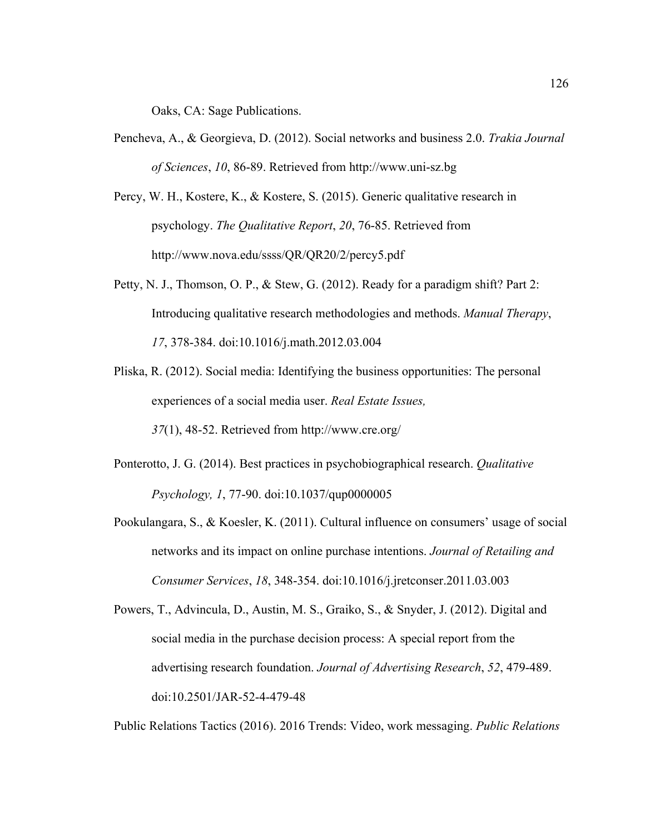Oaks, CA: Sage Publications.

- Pencheva, A., & Georgieva, D. (2012). Social networks and business 2.0. *Trakia Journal of Sciences*, *10*, 86-89. Retrieved from http://www.uni-sz.bg
- Percy, W. H., Kostere, K., & Kostere, S. (2015). Generic qualitative research in psychology. *The Qualitative Report*, *20*, 76-85. Retrieved from http://www.nova.edu/ssss/QR/QR20/2/percy5.pdf
- Petty, N. J., Thomson, O. P., & Stew, G. (2012). Ready for a paradigm shift? Part 2: Introducing qualitative research methodologies and methods. *Manual Therapy*, *17*, 378-384. doi:10.1016/j.math.2012.03.004
- Pliska, R. (2012). Social media: Identifying the business opportunities: The personal experiences of a social media user. *Real Estate Issues,*

*37*(1), 48-52. Retrieved from http://www.cre.org/

- Ponterotto, J. G. (2014). Best practices in psychobiographical research. *Qualitative Psychology, 1*, 77-90. doi:10.1037/qup0000005
- Pookulangara, S., & Koesler, K. (2011). Cultural influence on consumers' usage of social networks and its impact on online purchase intentions. *Journal of Retailing and Consumer Services*, *18*, 348-354. doi:10.1016/j.jretconser.2011.03.003
- Powers, T., Advincula, D., Austin, M. S., Graiko, S., & Snyder, J. (2012). Digital and social media in the purchase decision process: A special report from the advertising research foundation. *Journal of Advertising Research*, *52*, 479-489. doi:10.2501/JAR-52-4-479-48

Public Relations Tactics (2016). 2016 Trends: Video, work messaging. *Public Relations*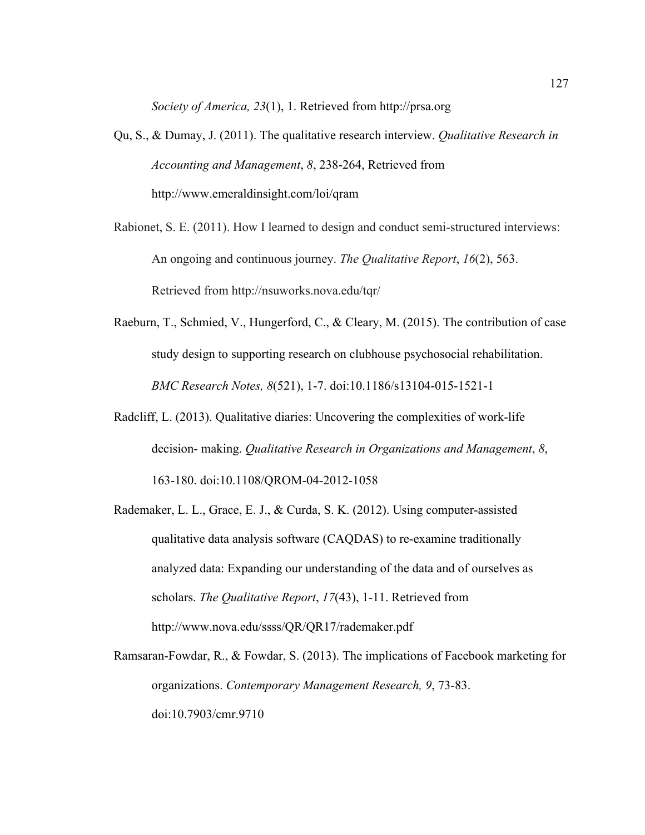*Society of America, 23*(1), 1. Retrieved from http://prsa.org

- Qu, S., & Dumay, J. (2011). The qualitative research interview. *Qualitative Research in Accounting and Management*, *8*, 238-264, Retrieved from http://www.emeraldinsight.com/loi/qram
- Rabionet, S. E. (2011). How I learned to design and conduct semi-structured interviews: An ongoing and continuous journey. *The Qualitative Report*, *16*(2), 563. Retrieved from http://nsuworks.nova.edu/tqr/
- Raeburn, T., Schmied, V., Hungerford, C., & Cleary, M. (2015). The contribution of case study design to supporting research on clubhouse psychosocial rehabilitation. *BMC Research Notes, 8*(521), 1-7. doi:10.1186/s13104-015-1521-1
- Radcliff, L. (2013). Qualitative diaries: Uncovering the complexities of work-life decision- making. *Qualitative Research in Organizations and Management*, *8*, 163-180. doi:10.1108/QROM-04-2012-1058
- Rademaker, L. L., Grace, E. J., & Curda, S. K. (2012). Using computer-assisted qualitative data analysis software (CAQDAS) to re-examine traditionally analyzed data: Expanding our understanding of the data and of ourselves as scholars. *The Qualitative Report*, *17*(43), 1-11. Retrieved from http://www.nova.edu/ssss/QR/QR17/rademaker.pdf
- Ramsaran-Fowdar, R., & Fowdar, S. (2013). The implications of Facebook marketing for organizations. *Contemporary Management Research, 9*, 73-83. doi:10.7903/cmr.9710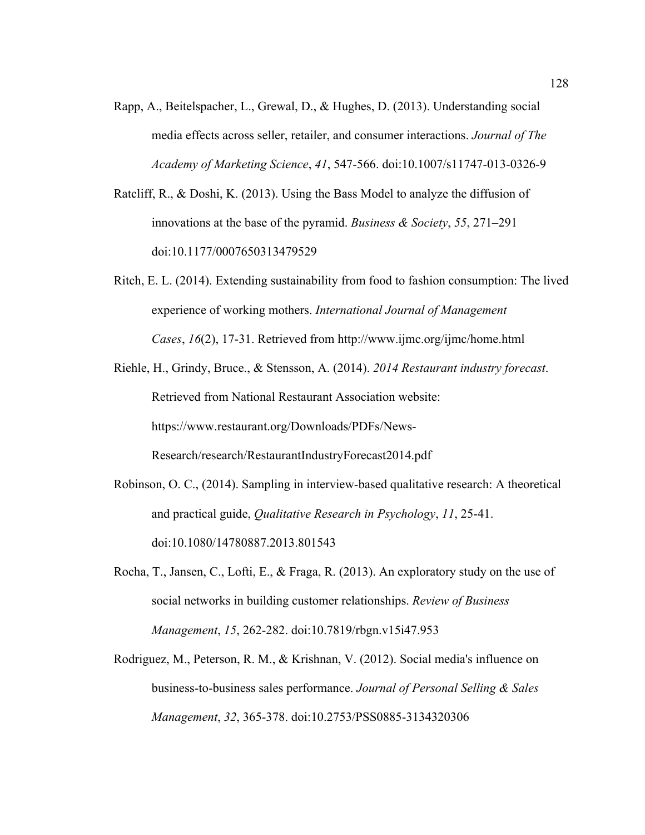- Rapp, A., Beitelspacher, L., Grewal, D., & Hughes, D. (2013). Understanding social media effects across seller, retailer, and consumer interactions. *Journal of The Academy of Marketing Science*, *41*, 547-566. doi:10.1007/s11747-013-0326-9
- Ratcliff, R., & Doshi, K. (2013). Using the Bass Model to analyze the diffusion of innovations at the base of the pyramid. *Business & Society*, *55*, 271–291 doi:10.1177/0007650313479529
- Ritch, E. L. (2014). Extending sustainability from food to fashion consumption: The lived experience of working mothers. *International Journal of Management Cases*, *16*(2), 17-31. Retrieved from http://www.ijmc.org/ijmc/home.html
- Riehle, H., Grindy, Bruce., & Stensson, A. (2014). *2014 Restaurant industry forecast*. Retrieved from National Restaurant Association website: https://www.restaurant.org/Downloads/PDFs/News-Research/research/RestaurantIndustryForecast2014.pdf
- Robinson, O. C., (2014). Sampling in interview-based qualitative research: A theoretical and practical guide, *Qualitative Research in Psychology*, *11*, 25-41. doi:10.1080/14780887.2013.801543
- Rocha, T., Jansen, C., Lofti, E., & Fraga, R. (2013). An exploratory study on the use of social networks in building customer relationships. *Review of Business Management*, *15*, 262-282. doi:10.7819/rbgn.v15i47.953
- Rodriguez, M., Peterson, R. M., & Krishnan, V. (2012). Social media's influence on business-to-business sales performance. *Journal of Personal Selling & Sales Management*, *32*, 365-378. doi:10.2753/PSS0885-3134320306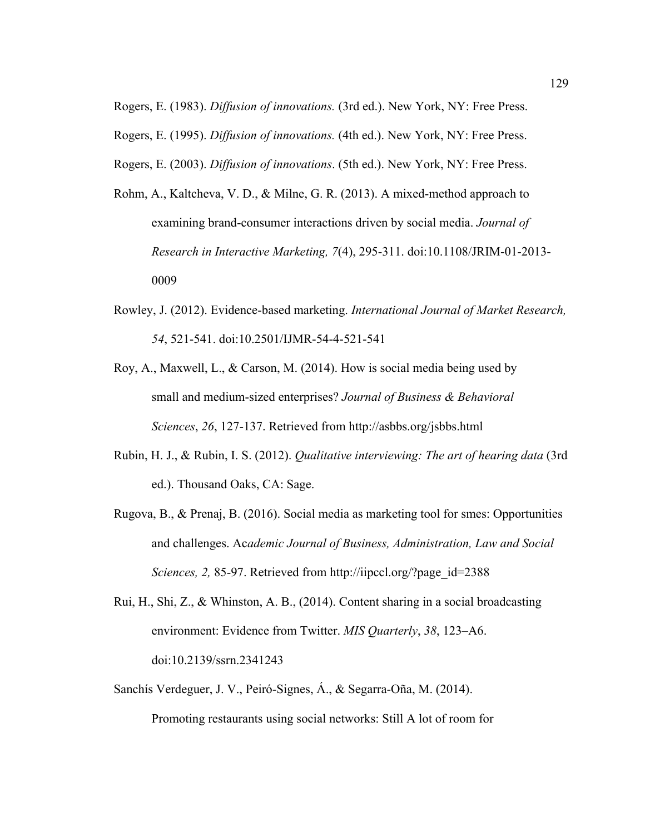Rogers, E. (1983). *Diffusion of innovations.* (3rd ed.). New York, NY: Free Press.

Rogers, E. (1995). *Diffusion of innovations.* (4th ed.). New York, NY: Free Press.

Rogers, E. (2003). *Diffusion of innovations*. (5th ed.). New York, NY: Free Press.

- Rohm, A., Kaltcheva, V. D., & Milne, G. R. (2013). A mixed-method approach to examining brand-consumer interactions driven by social media. *Journal of Research in Interactive Marketing, 7*(4), 295-311. doi:10.1108/JRIM-01-2013- 0009
- Rowley, J. (2012). Evidence-based marketing. *International Journal of Market Research, 54*, 521-541. doi:10.2501/IJMR-54-4-521-541
- Roy, A., Maxwell, L., & Carson, M. (2014). How is social media being used by small and medium-sized enterprises? *Journal of Business & Behavioral Sciences*, *26*, 127-137. Retrieved from http://asbbs.org/jsbbs.html
- Rubin, H. J., & Rubin, I. S. (2012). *Qualitative interviewing: The art of hearing data* (3rd ed.). Thousand Oaks, CA: Sage.
- Rugova, B., & Prenaj, B. (2016). Social media as marketing tool for smes: Opportunities and challenges. Ac*ademic Journal of Business, Administration, Law and Social Sciences, 2,* 85-97. Retrieved from http://iipccl.org/?page\_id=2388
- Rui, H., Shi, Z., & Whinston, A. B., (2014). Content sharing in a social broadcasting environment: Evidence from Twitter. *MIS Quarterly*, *38*, 123–A6. doi:10.2139/ssrn.2341243
- Sanchís Verdeguer, J. V., Peiró-Signes, Á., & Segarra-Oña, M. (2014). Promoting restaurants using social networks: Still A lot of room for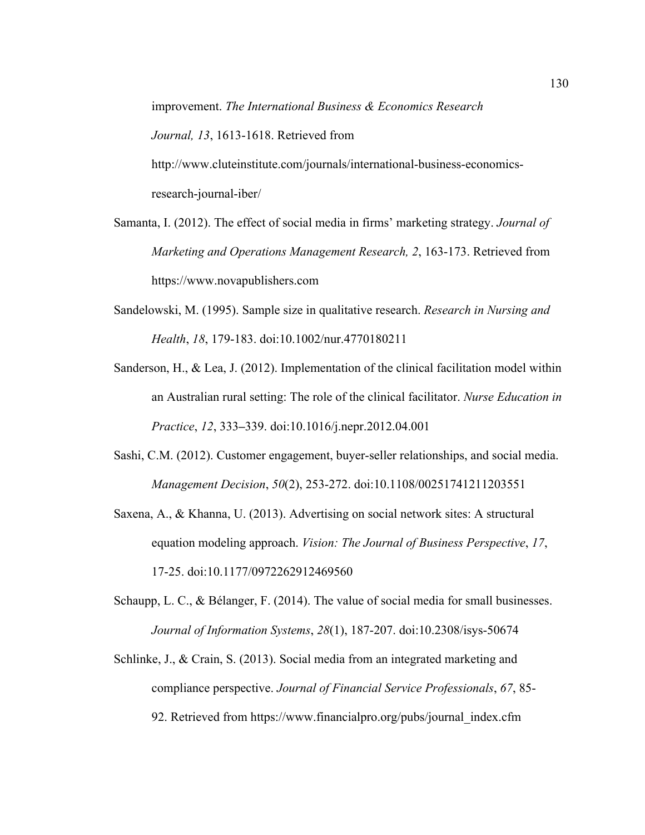improvement. *The International Business & Economics Research Journal, 13*, 1613-1618. Retrieved from http://www.cluteinstitute.com/journals/international-business-economics-

research-journal-iber/

- Samanta, I. (2012). The effect of social media in firms' marketing strategy. *Journal of Marketing and Operations Management Research, 2*, 163-173. Retrieved from https://www.novapublishers.com
- Sandelowski, M. (1995). Sample size in qualitative research. *Research in Nursing and Health*, *18*, 179-183. doi:10.1002/nur.4770180211
- Sanderson, H., & Lea, J. (2012). Implementation of the clinical facilitation model within an Australian rural setting: The role of the clinical facilitator. *Nurse Education in Practice*, *12*, 333**–**339. doi:10.1016/j.nepr.2012.04.001
- Sashi, C.M. (2012). Customer engagement, buyer-seller relationships, and social media. *Management Decision*, *50*(2), 253-272. doi:10.1108/00251741211203551
- Saxena, A., & Khanna, U. (2013). Advertising on social network sites: A structural equation modeling approach. *Vision: The Journal of Business Perspective*, *17*, 17-25. doi:10.1177/0972262912469560
- Schaupp, L. C., & Bélanger, F. (2014). The value of social media for small businesses. *Journal of Information Systems*, *28*(1), 187-207. doi:10.2308/isys-50674
- Schlinke, J., & Crain, S. (2013). Social media from an integrated marketing and compliance perspective. *Journal of Financial Service Professionals*, *67*, 85- 92. Retrieved from https://www.financialpro.org/pubs/journal\_index.cfm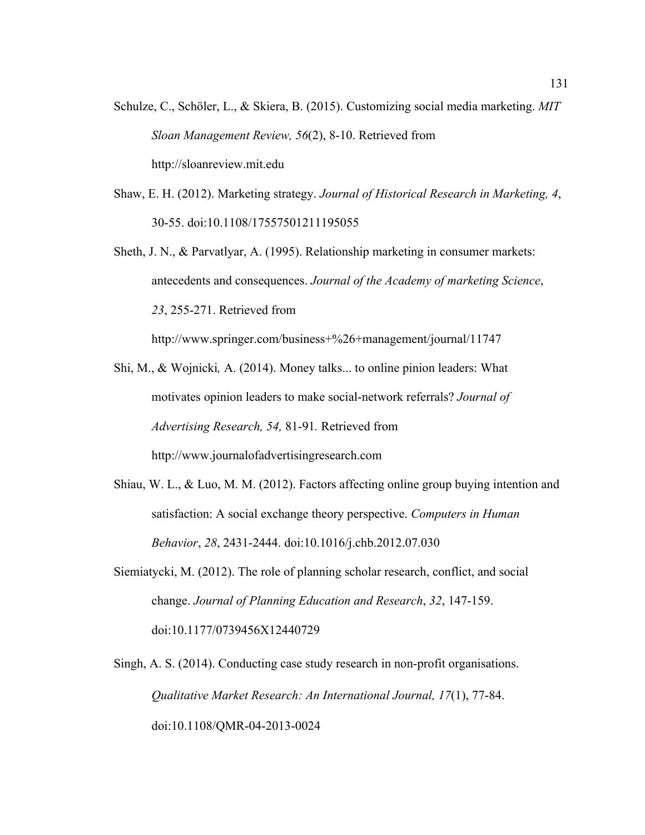- Schulze, C., Schöler, L., & Skiera, B. (2015). Customizing social media marketing. *MIT Sloan Management Review, 56*(2), 8-10. Retrieved from http://sloanreview.mit.edu
- Shaw, E. H. (2012). Marketing strategy. *Journal of Historical Research in Marketing, 4*, 30-55. doi:10.1108/17557501211195055
- Sheth, J. N., & Parvatlyar, A. (1995). Relationship marketing in consumer markets: antecedents and consequences. *Journal of the Academy of marketing Science*, *23*, 255-271. Retrieved from

http://www.springer.com/business+%26+management/journal/11747

- Shi, M., & Wojnicki*,* A. (2014). Money talks... to online pinion leaders: What motivates opinion leaders to make social-network referrals? *Journal of Advertising Research, 54,* 81-91*.* Retrieved from http://www.journalofadvertisingresearch.com
- Shiau, W. L., & Luo, M. M. (2012). Factors affecting online group buying intention and satisfaction: A social exchange theory perspective. *Computers in Human Behavior*, *28*, 2431-2444. doi:10.1016/j.chb.2012.07.030
- Siemiatycki, M. (2012). The role of planning scholar research, conflict, and social change. *Journal of Planning Education and Research*, *32*, 147-159. doi:10.1177/0739456X12440729
- Singh, A. S. (2014). Conducting case study research in non-profit organisations. *Qualitative Market Research: An International Journal, 17*(1), 77-84. doi:10.1108/QMR-04-2013-0024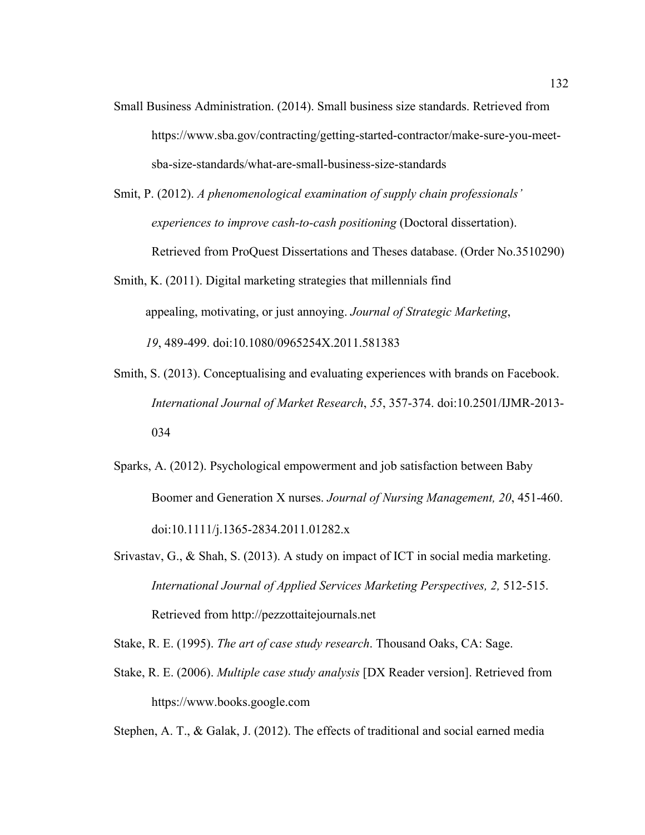- Small Business Administration. (2014). Small business size standards. Retrieved from https://www.sba.gov/contracting/getting-started-contractor/make-sure-you-meetsba-size-standards/what-are-small-business-size-standards
- Smit, P. (2012). *A phenomenological examination of supply chain professionals' experiences to improve cash-to-cash positioning* (Doctoral dissertation). Retrieved from ProQuest Dissertations and Theses database. (Order No.3510290)
- Smith, K. (2011). Digital marketing strategies that millennials find appealing, motivating, or just annoying. *Journal of Strategic Marketing*, *19*, 489-499. doi:10.1080/0965254X.2011.581383
- Smith, S. (2013). Conceptualising and evaluating experiences with brands on Facebook. *International Journal of Market Research*, *55*, 357-374. doi:10.2501/IJMR-2013- 034
- Sparks, A. (2012). Psychological empowerment and job satisfaction between Baby Boomer and Generation X nurses. *Journal of Nursing Management, 20*, 451-460. doi:10.1111/j.1365-2834.2011.01282.x
- Srivastav, G., & Shah, S. (2013). A study on impact of ICT in social media marketing. *International Journal of Applied Services Marketing Perspectives, 2,* 512-515. Retrieved from http://pezzottaitejournals.net

Stake, R. E. (1995). *The art of case study research*. Thousand Oaks, CA: Sage.

Stake, R. E. (2006). *Multiple case study analysis* [DX Reader version]. Retrieved from https://www.books.google.com

Stephen, A. T., & Galak, J. (2012). The effects of traditional and social earned media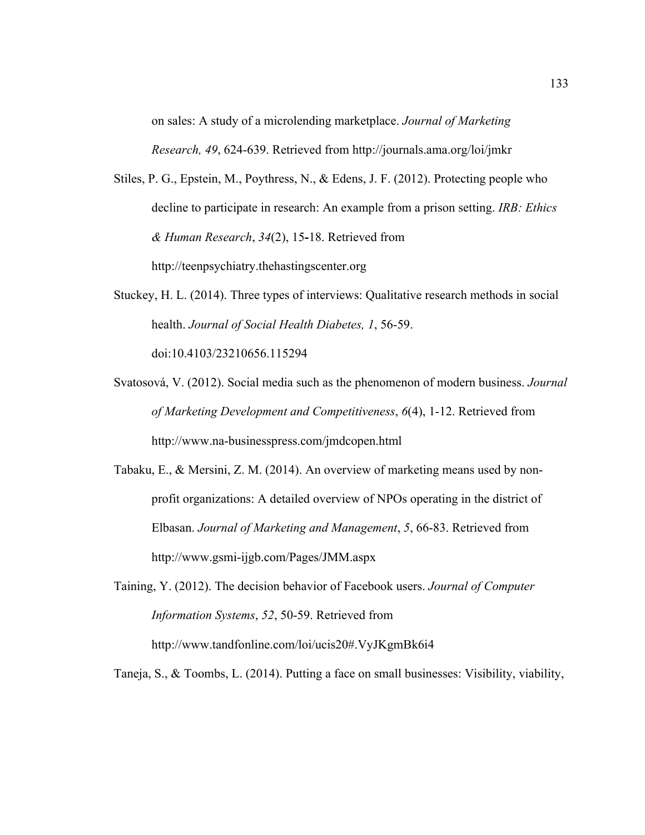on sales: A study of a microlending marketplace. *Journal of Marketing Research, 49*, 624-639. Retrieved from http://journals.ama.org/loi/jmkr

- Stiles, P. G., Epstein, M., Poythress, N., & Edens, J. F. (2012). Protecting people who decline to participate in research: An example from a prison setting. *IRB: Ethics & Human Research*, *34*(2), 15**-**18. Retrieved from http://teenpsychiatry.thehastingscenter.org
- Stuckey, H. L. (2014). Three types of interviews: Qualitative research methods in social health. *Journal of Social Health Diabetes, 1*, 56-59. doi:10.4103/23210656.115294
- Svatosová, V. (2012). Social media such as the phenomenon of modern business. *Journal of Marketing Development and Competitiveness*, *6*(4), 1-12. Retrieved from http://www.na-businesspress.com/jmdcopen.html
- Tabaku, E., & Mersini, Z. M. (2014). An overview of marketing means used by nonprofit organizations: A detailed overview of NPOs operating in the district of Elbasan. *Journal of Marketing and Management*, *5*, 66-83. Retrieved from http://www.gsmi-ijgb.com/Pages/JMM.aspx
- Taining, Y. (2012). The decision behavior of Facebook users. *Journal of Computer Information Systems*, *52*, 50-59. Retrieved from http://www.tandfonline.com/loi/ucis20#.VyJKgmBk6i4

Taneja, S., & Toombs, L. (2014). Putting a face on small businesses: Visibility, viability,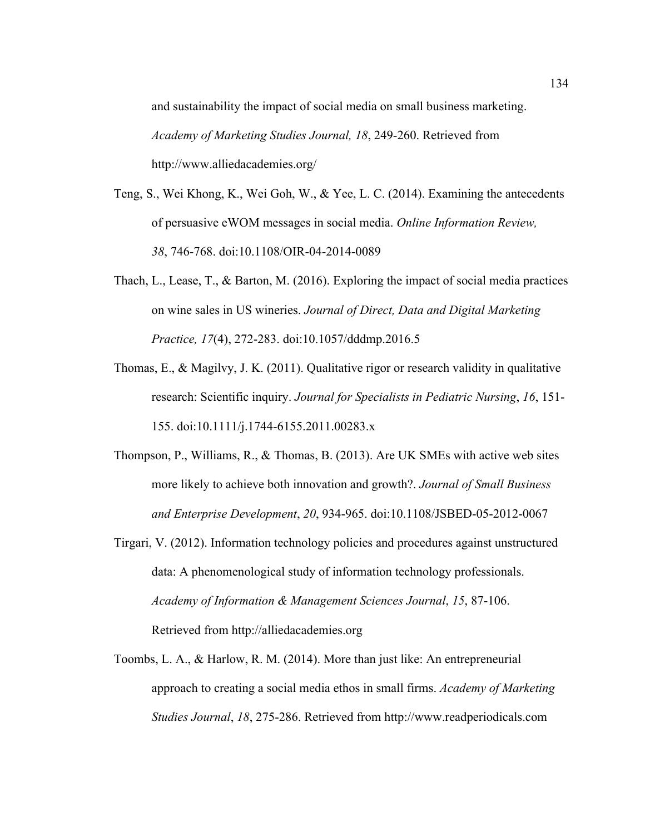and sustainability the impact of social media on small business marketing. *Academy of Marketing Studies Journal, 18*, 249-260. Retrieved from http://www.alliedacademies.org/

- Teng, S., Wei Khong, K., Wei Goh, W., & Yee, L. C. (2014). Examining the antecedents of persuasive eWOM messages in social media. *Online Information Review, 38*, 746-768. doi:10.1108/OIR-04-2014-0089
- Thach, L., Lease, T., & Barton, M. (2016). Exploring the impact of social media practices on wine sales in US wineries. *Journal of Direct, Data and Digital Marketing Practice, 17*(4), 272-283. doi:10.1057/dddmp.2016.5
- Thomas, E., & Magilvy, J. K. (2011). Qualitative rigor or research validity in qualitative research: Scientific inquiry. *Journal for Specialists in Pediatric Nursing*, *16*, 151- 155. doi:10.1111/j.1744-6155.2011.00283.x
- Thompson, P., Williams, R., & Thomas, B. (2013). Are UK SMEs with active web sites more likely to achieve both innovation and growth?. *Journal of Small Business and Enterprise Development*, *20*, 934-965. doi:10.1108/JSBED-05-2012-0067
- Tirgari, V. (2012). Information technology policies and procedures against unstructured data: A phenomenological study of information technology professionals. *Academy of Information & Management Sciences Journal*, *15*, 87-106. Retrieved from http://alliedacademies.org
- Toombs, L. A., & Harlow, R. M. (2014). More than just like: An entrepreneurial approach to creating a social media ethos in small firms. *Academy of Marketing Studies Journal*, *18*, 275-286. Retrieved from http://www.readperiodicals.com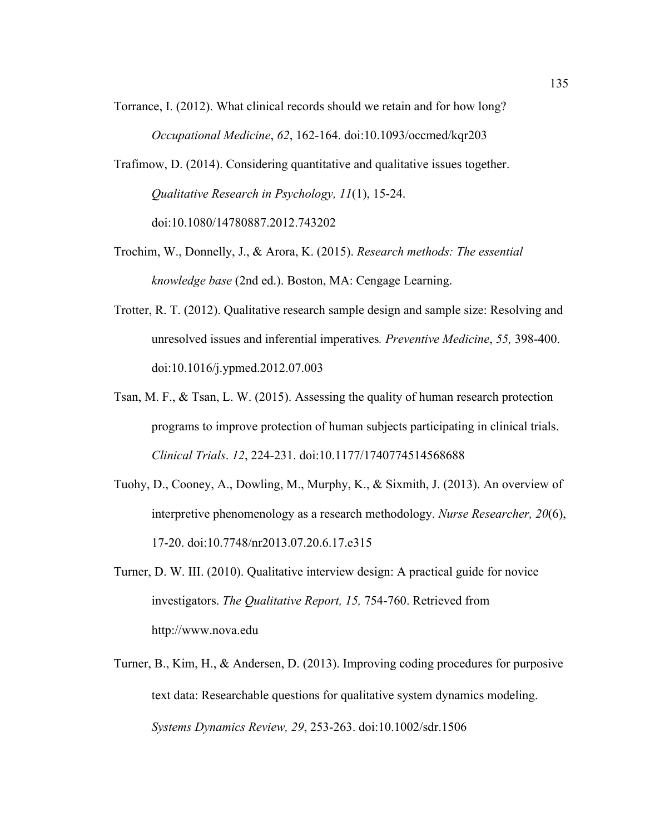- Torrance, I. (2012). What clinical records should we retain and for how long? *Occupational Medicine*, *62*, 162-164. doi:10.1093/occmed/kqr203
- Trafimow, D. (2014). Considering quantitative and qualitative issues together. *Qualitative Research in Psychology, 11*(1), 15-24. doi:10.1080/14780887.2012.743202
- Trochim, W., Donnelly, J., & Arora, K. (2015). *Research methods: The essential knowledge base* (2nd ed.). Boston, MA: Cengage Learning.
- Trotter, R. T. (2012). Qualitative research sample design and sample size: Resolving and unresolved issues and inferential imperatives*. Preventive Medicine*, *55,* 398-400. doi:10.1016/j.ypmed.2012.07.003
- Tsan, M. F., & Tsan, L. W. (2015). Assessing the quality of human research protection programs to improve protection of human subjects participating in clinical trials. *Clinical Trials*. *12*, 224-231. doi:10.1177/1740774514568688
- Tuohy, D., Cooney, A., Dowling, M., Murphy, K., & Sixmith, J. (2013). An overview of interpretive phenomenology as a research methodology. *Nurse Researcher, 20*(6), 17-20. doi:10.7748/nr2013.07.20.6.17.e315
- Turner, D. W. III. (2010). Qualitative interview design: A practical guide for novice investigators. *The Qualitative Report, 15,* 754-760. Retrieved from http://www.nova.edu
- Turner, B., Kim, H., & Andersen, D. (2013). Improving coding procedures for purposive text data: Researchable questions for qualitative system dynamics modeling. *Systems Dynamics Review, 29*, 253-263. doi:10.1002/sdr.1506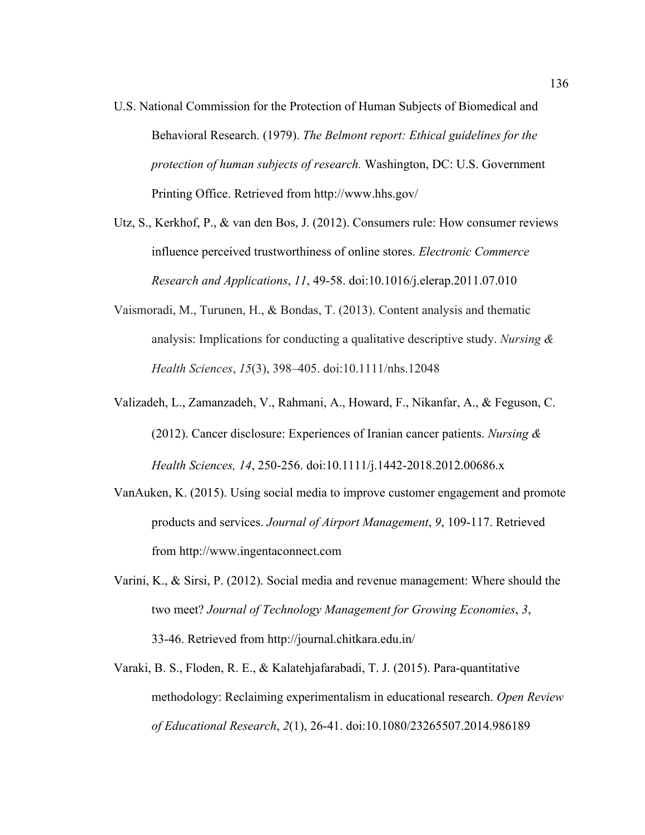- U.S. National Commission for the Protection of Human Subjects of Biomedical and Behavioral Research. (1979). *The Belmont report: Ethical guidelines for the protection of human subjects of research.* Washington, DC: U.S. Government Printing Office. Retrieved from http://www.hhs.gov/
- Utz, S., Kerkhof, P., & van den Bos, J. (2012). Consumers rule: How consumer reviews influence perceived trustworthiness of online stores. *Electronic Commerce Research and Applications*, *11*, 49-58. doi:10.1016/j.elerap.2011.07.010
- Vaismoradi, M., Turunen, H., & Bondas, T. (2013). Content analysis and thematic analysis: Implications for conducting a qualitative descriptive study. *Nursing & Health Sciences*, *15*(3), 398–405. doi:10.1111/nhs.12048
- Valizadeh, L., Zamanzadeh, V., Rahmani, A., Howard, F., Nikanfar, A., & Feguson, C. (2012). Cancer disclosure: Experiences of Iranian cancer patients. *Nursing & Health Sciences, 14*, 250-256. doi:10.1111/j.1442-2018.2012.00686.x
- VanAuken, K. (2015). Using social media to improve customer engagement and promote products and services. *Journal of Airport Management*, *9*, 109-117. Retrieved from http://www.ingentaconnect.com
- Varini, K., & Sirsi, P. (2012). Social media and revenue management: Where should the two meet? *Journal of Technology Management for Growing Economies*, *3*, 33-46. Retrieved from http://journal.chitkara.edu.in/
- Varaki, B. S., Floden, R. E., & Kalatehjafarabadi, T. J. (2015). Para-quantitative methodology: Reclaiming experimentalism in educational research. *Open Review of Educational Research*, *2*(1), 26-41. doi:10.1080/23265507.2014.986189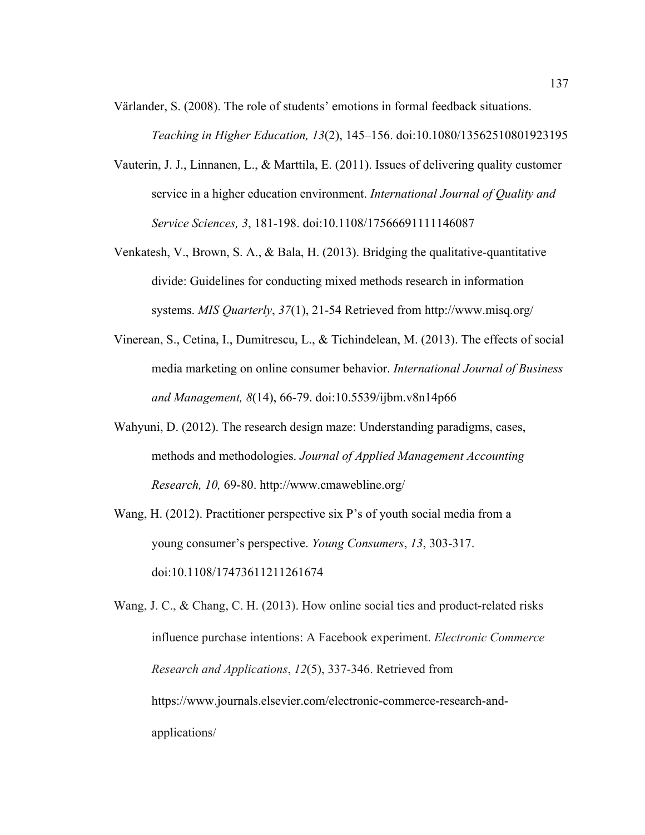Värlander, S. (2008). The role of students' emotions in formal feedback situations. *Teaching in Higher Education, 13*(2), 145–156. doi:10.1080/13562510801923195

- Vauterin, J. J., Linnanen, L., & Marttila, E. (2011). Issues of delivering quality customer service in a higher education environment. *International Journal of Quality and Service Sciences, 3*, 181-198. doi:10.1108/17566691111146087
- Venkatesh, V., Brown, S. A., & Bala, H. (2013). Bridging the qualitative-quantitative divide: Guidelines for conducting mixed methods research in information systems. *MIS Quarterly*, *37*(1), 21-54 Retrieved from http://www.misq.org/
- Vinerean, S., Cetina, I., Dumitrescu, L., & Tichindelean, M. (2013). The effects of social media marketing on online consumer behavior. *International Journal of Business and Management, 8*(14), 66-79. doi:10.5539/ijbm.v8n14p66
- Wahyuni, D. (2012). The research design maze: Understanding paradigms, cases, methods and methodologies. *Journal of Applied Management Accounting Research, 10,* 69-80. http://www.cmawebline.org/
- Wang, H. (2012). Practitioner perspective six P's of youth social media from a young consumer's perspective. *Young Consumers*, *13*, 303-317. doi:10.1108/17473611211261674

Wang, J. C., & Chang, C. H. (2013). How online social ties and product-related risks influence purchase intentions: A Facebook experiment. *Electronic Commerce Research and Applications*, *12*(5), 337-346. Retrieved from https://www.journals.elsevier.com/electronic-commerce-research-andapplications/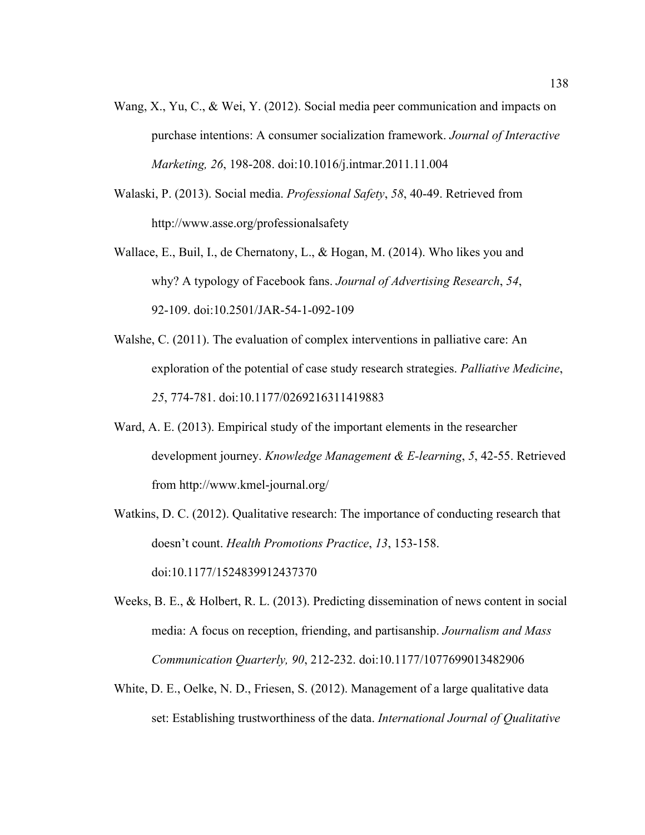- Wang, X., Yu, C., & Wei, Y. (2012). Social media peer communication and impacts on purchase intentions: A consumer socialization framework. *Journal of Interactive Marketing, 26*, 198-208. doi:10.1016/j.intmar.2011.11.004
- Walaski, P. (2013). Social media. *Professional Safety*, *58*, 40-49. Retrieved from http://www.asse.org/professionalsafety
- Wallace, E., Buil, I., de Chernatony, L., & Hogan, M. (2014). Who likes you and why? A typology of Facebook fans. *Journal of Advertising Research*, *54*, 92-109. doi:10.2501/JAR-54-1-092-109
- Walshe, C. (2011). The evaluation of complex interventions in palliative care: An exploration of the potential of case study research strategies. *Palliative Medicine*, *25*, 774-781. doi:10.1177/0269216311419883
- Ward, A. E. (2013). Empirical study of the important elements in the researcher development journey. *Knowledge Management & E-learning*, *5*, 42-55. Retrieved from http://www.kmel-journal.org/
- Watkins, D. C. (2012). Qualitative research: The importance of conducting research that doesn't count. *Health Promotions Practice*, *13*, 153-158.

doi:10.1177/1524839912437370

- Weeks, B. E., & Holbert, R. L. (2013). Predicting dissemination of news content in social media: A focus on reception, friending, and partisanship. *Journalism and Mass Communication Quarterly, 90*, 212-232. doi:10.1177/1077699013482906
- White, D. E., Oelke, N. D., Friesen, S. (2012). Management of a large qualitative data set: Establishing trustworthiness of the data. *International Journal of Qualitative*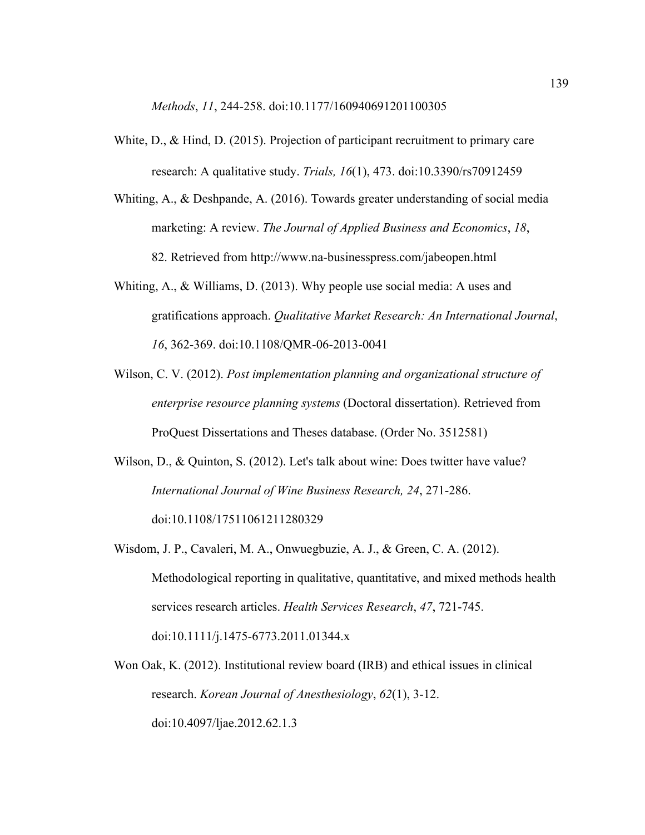*Methods*, *11*, 244-258. doi:10.1177/160940691201100305

- White, D., & Hind, D. (2015). Projection of participant recruitment to primary care research: A qualitative study. *Trials, 16*(1), 473. doi:10.3390/rs70912459
- Whiting, A., & Deshpande, A. (2016). Towards greater understanding of social media marketing: A review. *The Journal of Applied Business and Economics*, *18*, 82. Retrieved from http://www.na-businesspress.com/jabeopen.html
- Whiting, A., & Williams, D. (2013). Why people use social media: A uses and gratifications approach. *Qualitative Market Research: An International Journal*, *16*, 362-369. doi:10.1108/QMR-06-2013-0041
- Wilson, C. V. (2012). *Post implementation planning and organizational structure of enterprise resource planning systems* (Doctoral dissertation). Retrieved from ProQuest Dissertations and Theses database. (Order No. 3512581)
- Wilson, D., & Quinton, S. (2012). Let's talk about wine: Does twitter have value? *International Journal of Wine Business Research, 24*, 271-286. doi:10.1108/17511061211280329
- Wisdom, J. P., Cavaleri, M. A., Onwuegbuzie, A. J., & Green, C. A. (2012). Methodological reporting in qualitative, quantitative, and mixed methods health services research articles. *Health Services Research*, *47*, 721-745. doi:10.1111/j.1475-6773.2011.01344.x
- Won Oak, K. (2012). Institutional review board (IRB) and ethical issues in clinical research. *Korean Journal of Anesthesiology*, *62*(1), 3-12. doi:10.4097/ljae.2012.62.1.3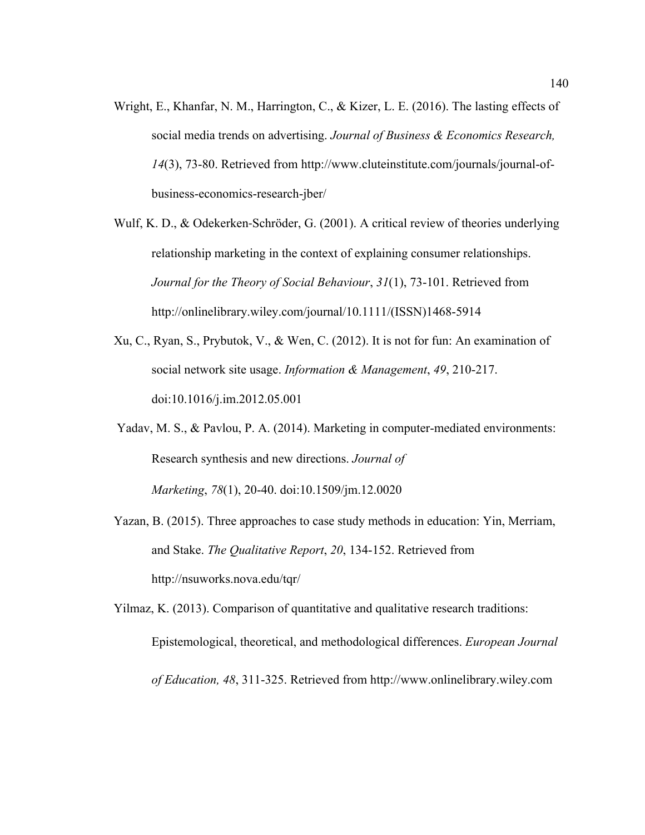- Wright, E., Khanfar, N. M., Harrington, C., & Kizer, L. E. (2016). The lasting effects of social media trends on advertising. *Journal of Business & Economics Research, 14*(3), 73-80. Retrieved from http://www.cluteinstitute.com/journals/journal-ofbusiness-economics-research-jber/
- Wulf, K. D., & Odekerken-Schröder, G. (2001). A critical review of theories underlying relationship marketing in the context of explaining consumer relationships. *Journal for the Theory of Social Behaviour*, *31*(1), 73-101. Retrieved from http://onlinelibrary.wiley.com/journal/10.1111/(ISSN)1468-5914
- Xu, C., Ryan, S., Prybutok, V., & Wen, C. (2012). It is not for fun: An examination of social network site usage. *Information & Management*, *49*, 210-217. doi:10.1016/j.im.2012.05.001
- Yadav, M. S., & Pavlou, P. A. (2014). Marketing in computer-mediated environments: Research synthesis and new directions. *Journal of Marketing*, *78*(1), 20-40. doi:10.1509/jm.12.0020
- Yazan, B. (2015). Three approaches to case study methods in education: Yin, Merriam, and Stake. *The Qualitative Report*, *20*, 134-152. Retrieved from http://nsuworks.nova.edu/tqr/

Yilmaz, K. (2013). Comparison of quantitative and qualitative research traditions: Epistemological, theoretical, and methodological differences. *European Journal of Education, 48*, 311-325. Retrieved from http://www.onlinelibrary.wiley.com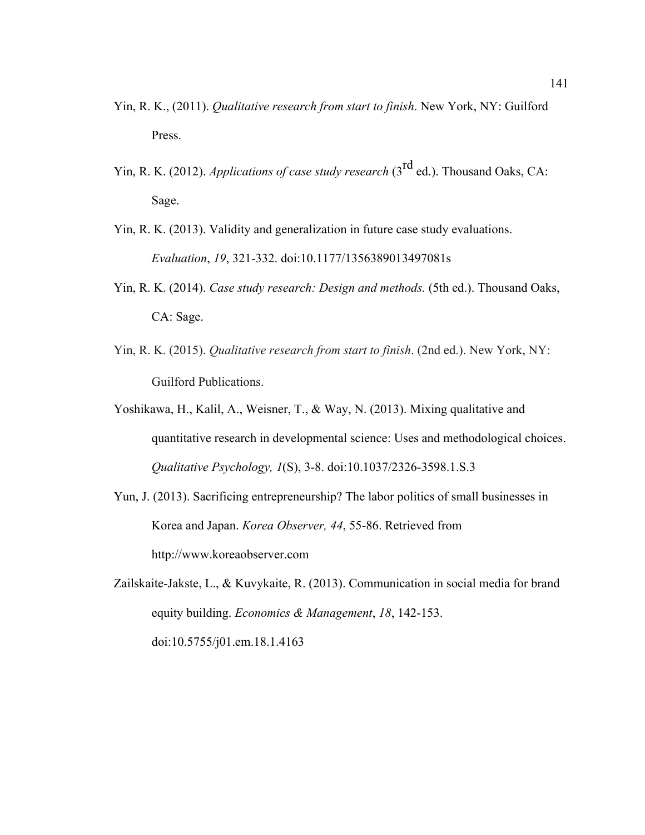- Yin, R. K., (2011). *Qualitative research from start to finish*. New York, NY: Guilford Press.
- Yin, R. K. (2012). *Applications of case study research* (3<sup>rd</sup> ed.). Thousand Oaks, CA: Sage.
- Yin, R. K. (2013). Validity and generalization in future case study evaluations. *Evaluation*, *19*, 321-332. doi:10.1177/1356389013497081s
- Yin, R. K. (2014). *Case study research: Design and methods.* (5th ed.). Thousand Oaks, CA: Sage.
- Yin, R. K. (2015). *Qualitative research from start to finish*. (2nd ed.). New York, NY: Guilford Publications.
- Yoshikawa, H., Kalil, A., Weisner, T., & Way, N. (2013). Mixing qualitative and quantitative research in developmental science: Uses and methodological choices. *Qualitative Psychology, 1*(S), 3-8. doi:10.1037/2326-3598.1.S.3
- Yun, J. (2013). Sacrificing entrepreneurship? The labor politics of small businesses in Korea and Japan. *Korea Observer, 44*, 55-86. Retrieved from http://www.koreaobserver.com
- Zailskaite-Jakste, L., & Kuvykaite, R. (2013). Communication in social media for brand equity building. *Economics & Management*, *18*, 142-153. doi:10.5755/j01.em.18.1.4163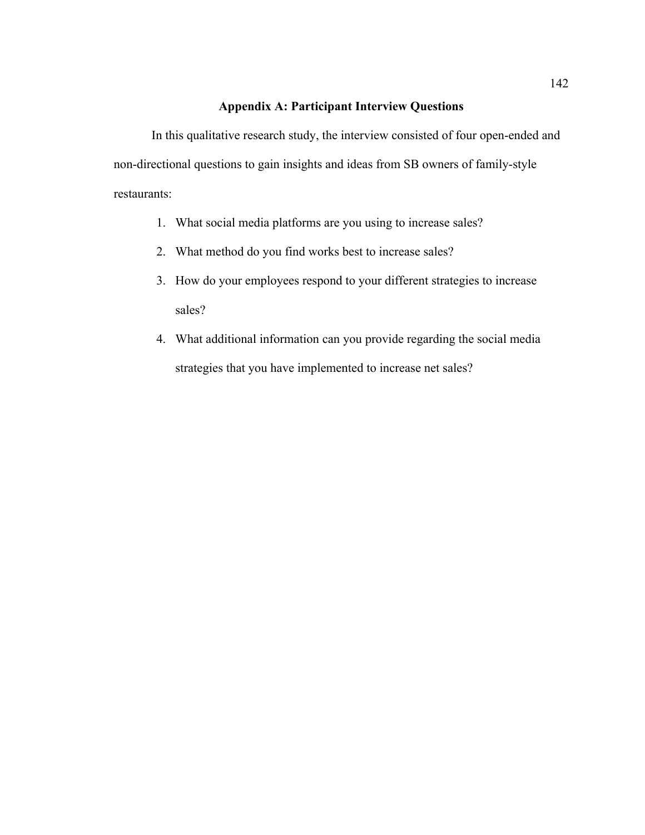#### **Appendix A: Participant Interview Questions**

In this qualitative research study, the interview consisted of four open-ended and non-directional questions to gain insights and ideas from SB owners of family-style restaurants:

- 1. What social media platforms are you using to increase sales?
- 2. What method do you find works best to increase sales?
- 3. How do your employees respond to your different strategies to increase sales?
- 4. What additional information can you provide regarding the social media strategies that you have implemented to increase net sales?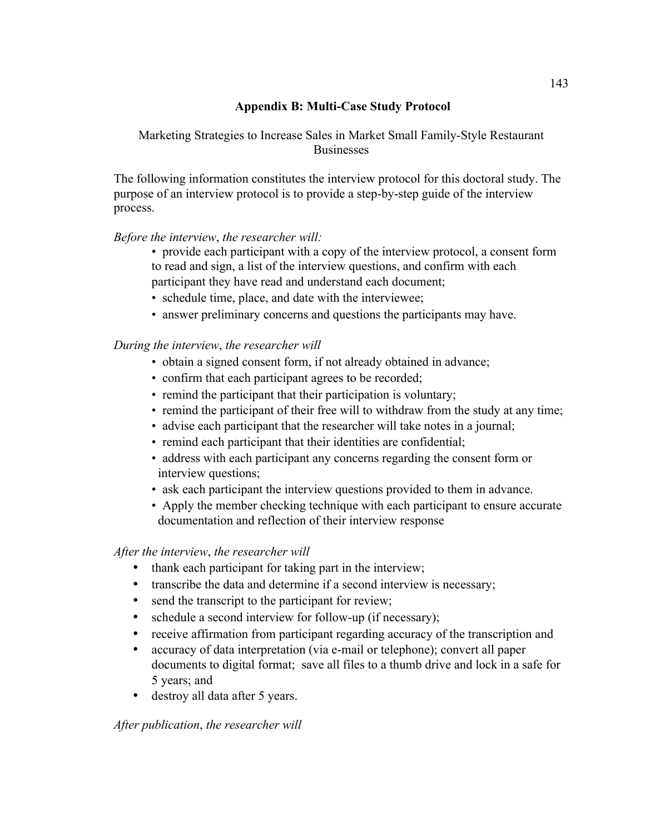# **Appendix B: Multi-Case Study Protocol**

Marketing Strategies to Increase Sales in Market Small Family-Style Restaurant Businesses

The following information constitutes the interview protocol for this doctoral study. The purpose of an interview protocol is to provide a step-by-step guide of the interview process.

### *Before the interview*, *the researcher will:*

- provide each participant with a copy of the interview protocol, a consent form to read and sign, a list of the interview questions, and confirm with each participant they have read and understand each document;
- schedule time, place, and date with the interviewee;
- answer preliminary concerns and questions the participants may have.

# *During the interview*, *the researcher will*

- obtain a signed consent form, if not already obtained in advance;
- confirm that each participant agrees to be recorded;
- remind the participant that their participation is voluntary;
- remind the participant of their free will to withdraw from the study at any time;
- advise each participant that the researcher will take notes in a journal;
- remind each participant that their identities are confidential;
- address with each participant any concerns regarding the consent form or interview questions;
- ask each participant the interview questions provided to them in advance.
- Apply the member checking technique with each participant to ensure accurate documentation and reflection of their interview response

### *After the interview*, *the researcher will*

- thank each participant for taking part in the interview;
- transcribe the data and determine if a second interview is necessary;
- send the transcript to the participant for review;
- schedule a second interview for follow-up (if necessary);
- receive affirmation from participant regarding accuracy of the transcription and
- accuracy of data interpretation (via e-mail or telephone); convert all paper documents to digital format; save all files to a thumb drive and lock in a safe for 5 years; and
- destroy all data after 5 years.

*After publication*, *the researcher will*